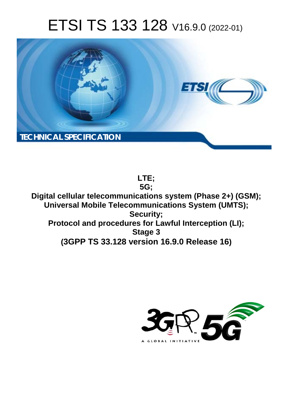# ETSI TS 133 128 V16.9.0 (2022-01)



**LTE; 5G; Digital cellular telecommunications system (Phase 2+) (GSM); Universal Mobile Telecommunications System (UMTS); Security; Protocol and procedures for Lawful Interception (LI); Stage 3 (3GPP TS 33.128 version 16.9.0 Release 16)**

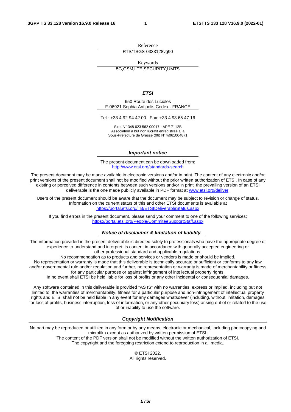Reference RTS/TSGS-0333128vg90

Keywords

5G,GSM,LTE,SECURITY,UMTS

*ETSI* 

650 Route des Lucioles F-06921 Sophia Antipolis Cedex - FRANCE

Tel.: +33 4 92 94 42 00 Fax: +33 4 93 65 47 16

Siret N° 348 623 562 00017 - APE 7112B Association à but non lucratif enregistrée à la Sous-Préfecture de Grasse (06) N° w061004871

#### *Important notice*

The present document can be downloaded from: <http://www.etsi.org/standards-search>

The present document may be made available in electronic versions and/or in print. The content of any electronic and/or print versions of the present document shall not be modified without the prior written authorization of ETSI. In case of any existing or perceived difference in contents between such versions and/or in print, the prevailing version of an ETSI deliverable is the one made publicly available in PDF format at [www.etsi.org/deliver](http://www.etsi.org/deliver).

Users of the present document should be aware that the document may be subject to revision or change of status. Information on the current status of this and other ETSI documents is available at <https://portal.etsi.org/TB/ETSIDeliverableStatus.aspx>

If you find errors in the present document, please send your comment to one of the following services: <https://portal.etsi.org/People/CommiteeSupportStaff.aspx>

#### *Notice of disclaimer & limitation of liability*

The information provided in the present deliverable is directed solely to professionals who have the appropriate degree of experience to understand and interpret its content in accordance with generally accepted engineering or other professional standard and applicable regulations.

No recommendation as to products and services or vendors is made or should be implied.

No representation or warranty is made that this deliverable is technically accurate or sufficient or conforms to any law and/or governmental rule and/or regulation and further, no representation or warranty is made of merchantability or fitness for any particular purpose or against infringement of intellectual property rights.

In no event shall ETSI be held liable for loss of profits or any other incidental or consequential damages.

Any software contained in this deliverable is provided "AS IS" with no warranties, express or implied, including but not limited to, the warranties of merchantability, fitness for a particular purpose and non-infringement of intellectual property rights and ETSI shall not be held liable in any event for any damages whatsoever (including, without limitation, damages for loss of profits, business interruption, loss of information, or any other pecuniary loss) arising out of or related to the use of or inability to use the software.

#### *Copyright Notification*

No part may be reproduced or utilized in any form or by any means, electronic or mechanical, including photocopying and microfilm except as authorized by written permission of ETSI. The content of the PDF version shall not be modified without the written authorization of ETSI.

The copyright and the foregoing restriction extend to reproduction in all media.

© ETSI 2022. All rights reserved.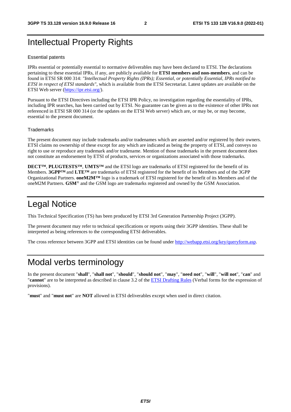## Intellectual Property Rights

#### Essential patents

IPRs essential or potentially essential to normative deliverables may have been declared to ETSI. The declarations pertaining to these essential IPRs, if any, are publicly available for **ETSI members and non-members**, and can be found in ETSI SR 000 314: *"Intellectual Property Rights (IPRs); Essential, or potentially Essential, IPRs notified to ETSI in respect of ETSI standards"*, which is available from the ETSI Secretariat. Latest updates are available on the ETSI Web server ([https://ipr.etsi.org/\)](https://ipr.etsi.org/).

Pursuant to the ETSI Directives including the ETSI IPR Policy, no investigation regarding the essentiality of IPRs, including IPR searches, has been carried out by ETSI. No guarantee can be given as to the existence of other IPRs not referenced in ETSI SR 000 314 (or the updates on the ETSI Web server) which are, or may be, or may become, essential to the present document.

#### **Trademarks**

The present document may include trademarks and/or tradenames which are asserted and/or registered by their owners. ETSI claims no ownership of these except for any which are indicated as being the property of ETSI, and conveys no right to use or reproduce any trademark and/or tradename. Mention of those trademarks in the present document does not constitute an endorsement by ETSI of products, services or organizations associated with those trademarks.

**DECT™**, **PLUGTESTS™**, **UMTS™** and the ETSI logo are trademarks of ETSI registered for the benefit of its Members. **3GPP™** and **LTE™** are trademarks of ETSI registered for the benefit of its Members and of the 3GPP Organizational Partners. **oneM2M™** logo is a trademark of ETSI registered for the benefit of its Members and of the oneM2M Partners. **GSM**® and the GSM logo are trademarks registered and owned by the GSM Association.

## Legal Notice

This Technical Specification (TS) has been produced by ETSI 3rd Generation Partnership Project (3GPP).

The present document may refer to technical specifications or reports using their 3GPP identities. These shall be interpreted as being references to the corresponding ETSI deliverables.

The cross reference between 3GPP and ETSI identities can be found under<http://webapp.etsi.org/key/queryform.asp>.

## Modal verbs terminology

In the present document "**shall**", "**shall not**", "**should**", "**should not**", "**may**", "**need not**", "**will**", "**will not**", "**can**" and "**cannot**" are to be interpreted as described in clause 3.2 of the [ETSI Drafting Rules](https://portal.etsi.org/Services/editHelp!/Howtostart/ETSIDraftingRules.aspx) (Verbal forms for the expression of provisions).

"**must**" and "**must not**" are **NOT** allowed in ETSI deliverables except when used in direct citation.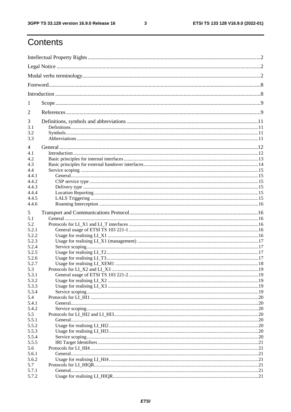$\mathbf{3}$ 

## Contents

| 1              |  |
|----------------|--|
| 2              |  |
| 3              |  |
| 3.1            |  |
| 3.2            |  |
| 3.3            |  |
| $\overline{4}$ |  |
| 4.1            |  |
| 4.2            |  |
| 4.3            |  |
| 4.4            |  |
| 4.4.1          |  |
| 4.4.2          |  |
| 4.4.3          |  |
| 4.4.4          |  |
| 4.4.5          |  |
| 4.4.6          |  |
|                |  |
| 5              |  |
| 5.1            |  |
| 5.2            |  |
| 5.2.1          |  |
| 5.2.2          |  |
| 5.2.3          |  |
| 5.2.4          |  |
| 5.2.5          |  |
| 5.2.6          |  |
| 5.2.7          |  |
| 5.3            |  |
| 5.3.1          |  |
| 5.3.2          |  |
| 5.3.3          |  |
| 5.3.4          |  |
| 5.4<br>5.4.1   |  |
| 5.4.2          |  |
| 5.5            |  |
| 5.5.1          |  |
| 5.5.2          |  |
| 5.5.3          |  |
|                |  |
| 5.5.4<br>5.5.5 |  |
| 5.6            |  |
| 5.6.1          |  |
|                |  |
| 5.6.2<br>5.7   |  |
| 5.7.1          |  |
| 5.7.2          |  |
|                |  |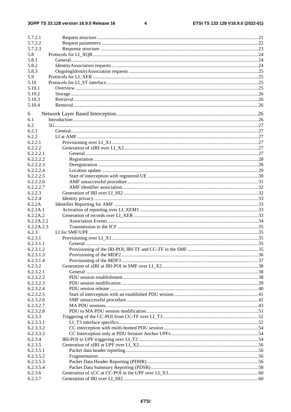$\overline{\mathbf{4}}$ 

| 5.7.2.1    |  |
|------------|--|
| 5.7.2.2    |  |
| 5.7.2.3    |  |
| 5.8        |  |
| 5.8.1      |  |
| 5.8.2      |  |
| 5.8.3      |  |
| 5.9        |  |
| 5.10       |  |
| 5.10.1     |  |
| 5.10.2     |  |
| 5.10.3     |  |
| 5.10.4     |  |
|            |  |
| 6          |  |
| 6.1        |  |
| 6.2        |  |
| 6.2.1      |  |
| 6.2.2      |  |
| 6.2.2.1    |  |
| 6.2.2.2    |  |
| 6.2.2.2.1  |  |
| 6.2.2.2.2  |  |
| 6.2.2.2.3  |  |
| 6.2.2.2.4  |  |
| 6.2.2.2.5  |  |
| 6.2.2.2.6  |  |
| 6.2.2.2.7  |  |
| 6.2.2.3    |  |
| 6.2.2.4    |  |
| 6.2.2A     |  |
| 6.2.2A.1   |  |
| 6.2.2A.2   |  |
| 6.2.2A.2.2 |  |
| 6.2.2A.2.3 |  |
| 6.2.3      |  |
| 6.2.3.1    |  |
| 6.2.3.1.1  |  |
| 6.2.3.1.2  |  |
| 6.2.3.1.3  |  |
| 6.2.3.1.4  |  |
| 6.2.3.2    |  |
| 6.2.3.2.1  |  |
| 6.2.3.2.2  |  |
| 6.2.3.2.3  |  |
| 6.2.3.2.4  |  |
| 6.2.3.2.5  |  |
| 6.2.3.2.6  |  |
| 6.2.3.2.7  |  |
| 6.2.3.2.8  |  |
| 6.2.3.3    |  |
| 6.2.3.3.1  |  |
| 6.2.3.3.2  |  |
| 6.2.3.3.3  |  |
| 6.2.3.4    |  |
| 6.2.3.5    |  |
| 6.2.3.5.1  |  |
| 6.2.3.5.2  |  |
| 6.2.3.5.3  |  |
| 6.2.3.5.4  |  |
| 6.2.3.6    |  |
| 6.2.3.7    |  |
|            |  |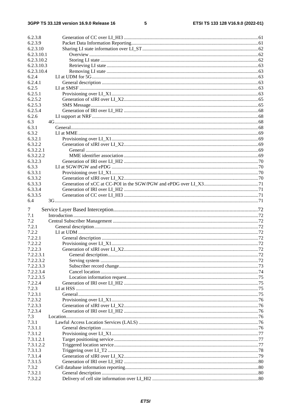#### $5\phantom{a}$

| 6.2.3.8    |  |
|------------|--|
| 6.2.3.9    |  |
| 6.2.3.10   |  |
| 6.2.3.10.1 |  |
| 6.2.3.10.2 |  |
| 6.2.3.10.3 |  |
| 6.2.3.10.4 |  |
| 6.2.4      |  |
|            |  |
| 6.2.4.1    |  |
| 6.2.5      |  |
| 6.2.5.1    |  |
| 6.2.5.2    |  |
| 6.2.5.3    |  |
| 6.2.5.4    |  |
| 6.2.6      |  |
| 6.3        |  |
| 6.3.1      |  |
|            |  |
| 6.3.2      |  |
| 6.3.2.1    |  |
| 6.3.2.2    |  |
| 6.3.2.2.1  |  |
| 6.3.2.2.2  |  |
| 6.3.2.3    |  |
| 6.3.3      |  |
| 6.3.3.1    |  |
| 6.3.3.2    |  |
| 6.3.3.3    |  |
|            |  |
| 6.3.3.4    |  |
| 6.3.3.5    |  |
| 6.4        |  |
| 7          |  |
|            |  |
| 7.1        |  |
| 7.2        |  |
| 7.2.1      |  |
| 7.2.2      |  |
| 7.2.2.1    |  |
| 7.2.2.2    |  |
| 7.2.2.3    |  |
| 7.2.2.3.1  |  |
| 7.2.2.3.2  |  |
| 7.2.2.3.3  |  |
|            |  |
| 7.2.2.3.4  |  |
| 7.2.2.3.5  |  |
| 7.2.2.4    |  |
| 7.2.3      |  |
| 7.2.3.1    |  |
| 7.2.3.2    |  |
| 7.2.3.3    |  |
| 7.2.3.4    |  |
| 7.3        |  |
| 7.3.1      |  |
| 7.3.1.1    |  |
|            |  |
| 7.3.1.2    |  |
| 7.3.1.2.1  |  |
| 7.3.1.2.2  |  |
| 7.3.1.3    |  |
| 7.3.1.4    |  |
| 7.3.1.5    |  |
| 7.3.2      |  |
| 7.3.2.1    |  |
| 7.3.2.2    |  |
|            |  |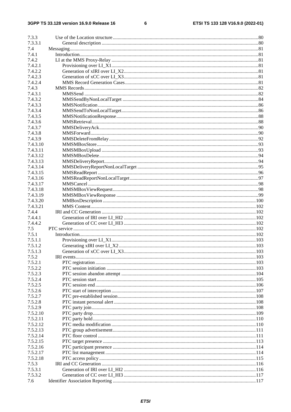#### $\bf 6$

| 7.3.3             |  |
|-------------------|--|
| 7.3.3.1           |  |
| 7.4               |  |
| 7.4.1             |  |
| 7.4.2             |  |
| 7.4.2.1           |  |
| 7.4.2.2           |  |
| 7.4.2.3           |  |
| 7.4.2.4           |  |
| 7.4.3             |  |
| 7.4.3.1           |  |
| 7.4.3.2           |  |
| 7.4.3.3           |  |
| 7.4.3.4           |  |
| 7.4.3.5           |  |
| 7.4.3.6           |  |
| 7.4.3.7           |  |
| 7.4.3.8           |  |
| 7.4.3.9           |  |
| 7.4.3.10          |  |
| 7.4.3.11          |  |
| 7.4.3.12          |  |
| 7.4.3.13          |  |
| 7.4.3.14          |  |
| 7.4.3.15          |  |
| 7.4.3.16          |  |
| 7.4.3.17          |  |
| 7.4.3.18          |  |
| 7.4.3.19          |  |
| 7.4.3.20          |  |
| 7.4.3.21          |  |
| 7.4.4             |  |
| 7.4.4.1           |  |
| 7.4.4.2           |  |
| 7.5               |  |
| 7.5.1             |  |
| 7.5.1.1           |  |
| 7.5.1.2           |  |
| 7.5.1.3           |  |
| 7.5.2             |  |
| 7.5.2.1           |  |
| 7.5.2.2           |  |
| 7.5.2.3           |  |
| 7.5.2.4           |  |
| 7.5.2.5           |  |
| 7.5.2.6           |  |
| 7.5.2.7           |  |
| 7.5.2.8           |  |
| 7.5.2.9           |  |
| 7.5.2.10          |  |
| 7.5.2.11          |  |
| 7.5.2.12          |  |
| 7.5.2.13          |  |
| 7.5.2.14          |  |
| 7.5.2.15          |  |
| 7.5.2.16          |  |
| 7.5.2.17          |  |
|                   |  |
| 7.5.2.18<br>7.5.3 |  |
| 7.5.3.1           |  |
|                   |  |
| 7.5.3.2           |  |
| 7.6               |  |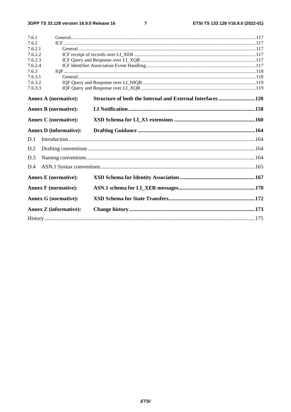$\overline{7}$ 

| 7.6.1   |                               |                                                            |  |
|---------|-------------------------------|------------------------------------------------------------|--|
| 7.6.2   |                               |                                                            |  |
| 7.6.2.1 |                               |                                                            |  |
| 7.6.2.2 |                               |                                                            |  |
| 7.6.2.3 |                               |                                                            |  |
| 7.6.2.4 |                               |                                                            |  |
| 7.6.3   |                               |                                                            |  |
| 7.6.3.1 |                               |                                                            |  |
| 7.6.3.2 |                               |                                                            |  |
| 7.6.3.3 |                               |                                                            |  |
|         | <b>Annex A (normative):</b>   | Structure of both the Internal and External Interfaces 120 |  |
|         | <b>Annex B</b> (normative):   |                                                            |  |
|         | <b>Annex C</b> (normative):   |                                                            |  |
|         | <b>Annex D</b> (informative): |                                                            |  |
| D.1     |                               |                                                            |  |
| D.2     |                               |                                                            |  |
| D.3     |                               |                                                            |  |
| D.4     |                               |                                                            |  |
|         | <b>Annex E</b> (normative):   |                                                            |  |
|         | <b>Annex F</b> (normative):   |                                                            |  |
|         | <b>Annex G (normative):</b>   |                                                            |  |
|         | <b>Annex Z</b> (informative): |                                                            |  |
|         |                               |                                                            |  |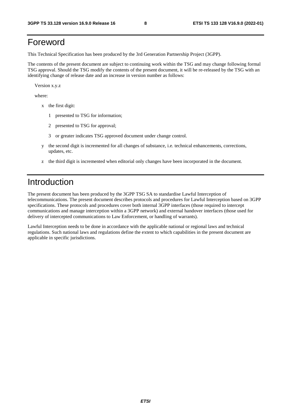## Foreword

This Technical Specification has been produced by the 3rd Generation Partnership Project (3GPP).

The contents of the present document are subject to continuing work within the TSG and may change following formal TSG approval. Should the TSG modify the contents of the present document, it will be re-released by the TSG with an identifying change of release date and an increase in version number as follows:

Version x.y.z

where:

- x the first digit:
	- 1 presented to TSG for information;
	- 2 presented to TSG for approval;
	- 3 or greater indicates TSG approved document under change control.
- y the second digit is incremented for all changes of substance, i.e. technical enhancements, corrections, updates, etc.
- z the third digit is incremented when editorial only changes have been incorporated in the document.

## Introduction

The present document has been produced by the 3GPP TSG SA to standardise Lawful Interception of telecommunications. The present document describes protocols and procedures for Lawful Interception based on 3GPP specifications. These protocols and procedures cover both internal 3GPP interfaces (those required to intercept communications and manage interception within a 3GPP network) and external handover interfaces (those used for delivery of intercepted communications to Law Enforcement, or handling of warrants).

Lawful Interception needs to be done in accordance with the applicable national or regional laws and technical regulations. Such national laws and regulations define the extent to which capabilities in the present document are applicable in specific jurisdictions.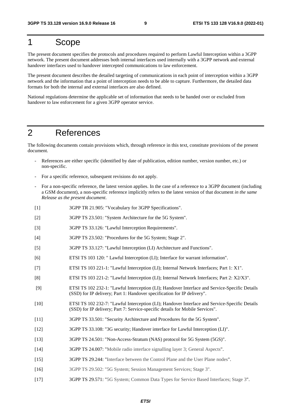## 1 Scope

The present document specifies the protocols and procedures required to perform Lawful Interception within a 3GPP network. The present document addresses both internal interfaces used internally with a 3GPP network and external handover interfaces used to handover intercepted communications to law enforcement.

The present document describes the detailed targeting of communications in each point of interception within a 3GPP network and the information that a point of interception needs to be able to capture. Furthermore, the detailed data formats for both the internal and external interfaces are also defined.

National regulations determine the applicable set of information that needs to be handed over or excluded from handover to law enforcement for a given 3GPP operator service.

## 2 References

The following documents contain provisions which, through reference in this text, constitute provisions of the present document.

- References are either specific (identified by date of publication, edition number, version number, etc.) or non-specific.
- For a specific reference, subsequent revisions do not apply.
- For a non-specific reference, the latest version applies. In the case of a reference to a 3GPP document (including a GSM document), a non-specific reference implicitly refers to the latest version of that document *in the same Release as the present document*.
- [1] 3GPP TR 21.905: "Vocabulary for 3GPP Specifications".
- [2] 3GPP TS 23.501: "System Architecture for the 5G System".
- [3] 3GPP TS 33.126: "Lawful Interception Requirements".
- [4] 3GPP TS 23.502: "Procedures for the 5G System; Stage 2".
- [5] 3GPP TS 33.127: "Lawful Interception (LI) Architecture and Functions".
- [6] ETSI TS 103 120: " Lawful Interception (LI); Interface for warrant information".
- [7] ETSI TS 103 221-1: "Lawful Interception (LI); Internal Network Interfaces; Part 1: X1".
- [8] ETSI TS 103 221-2: "Lawful Interception (LI); Internal Network Interfaces; Part 2: X2/X3".
- [9] ETSI TS 102 232-1: "Lawful Interception (LI); Handover Interface and Service-Specific Details (SSD) for IP delivery; Part 1: Handover specification for IP delivery".
- [10] ETSI TS 102 232-7: "Lawful Interception (LI); Handover Interface and Service-Specific Details (SSD) for IP delivery; Part 7: Service-specific details for Mobile Services".
- [11] 3GPP TS 33.501: "Security Architecture and Procedures for the 5G System".
- [12] 3GPP TS 33.108: "3G security; Handover interface for Lawful Interception (LI)".
- [13] 3GPP TS 24.501: "Non-Access-Stratum (NAS) protocol for 5G System (5GS)".
- [14] 3GPP TS 24.007: "Mobile radio interface signalling layer 3; General Aspects".
- [15] 3GPP TS 29.244: "Interface between the Control Plane and the User Plane nodes".
- [16] 3GPP TS 29.502: "5G System; Session Management Services; Stage 3".
- [17] 3GPP TS 29.571: "5G System; Common Data Types for Service Based Interfaces; Stage 3".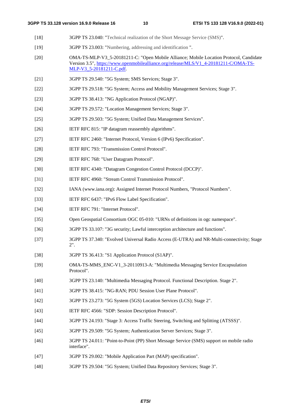- [18] 3GPP TS 23.040: "Technical realization of the Short Message Service (SMS)".
- [19] 3GPP TS 23.003: "Numbering, addressing and identification ".
- [20] OMA-TS-MLP-V3\_5-20181211-C: "Open Mobile Alliance; Mobile Location Protocol, Candidate Version 3.5", [https://www.openmobilealliance.org/release/MLS/V1\\_4-20181211-C/OMA-TS-](https://www.openmobilealliance.org/release/MLS/V1_4-20181211-C/OMA-TS-MLP-V3_5-20181211-C.pdf)[MLP-V3\\_5-20181211-C.pdf.](https://www.openmobilealliance.org/release/MLS/V1_4-20181211-C/OMA-TS-MLP-V3_5-20181211-C.pdf)
- [21] 3GPP TS 29.540: "5G System; SMS Services; Stage 3".
- [22] 3GPP TS 29.518: "5G System; Access and Mobility Management Services; Stage 3".
- [23] 3GPP TS 38.413: "NG Application Protocol (NGAP)".
- [24] 3GPP TS 29.572: "Location Management Services; Stage 3".
- [25] 3GPP TS 29.503: "5G System; Unified Data Management Services".
- [26] **IETF RFC 815: "IP datagram reassembly algorithms".**
- [27] IETF RFC 2460: "Internet Protocol, Version 6 (IPv6) Specification".
- [28] IETF RFC 793: "Transmission Control Protocol".
- [29] IETF RFC 768: "User Datagram Protocol".
- [30] IETF RFC 4340: "Datagram Congestion Control Protocol (DCCP)".
- [31] IETF RFC 4960: "Stream Control Transmission Protocol".
- [32] IANA (www.iana.org): Assigned Internet Protocol Numbers, "Protocol Numbers".
- [33] IETF RFC 6437: "IPv6 Flow Label Specification".
- [34] **IETF RFC 791: "Internet Protocol".**
- [35] Open Geospatial Consortium OGC 05-010: "URNs of definitions in ogc namespace".
- [36] 3GPP TS 33.107: "3G security; Lawful interception architecture and functions".
- [37] 3GPP TS 37.340: "Evolved Universal Radio Access (E-UTRA) and NR-Multi-connectivity; Stage 2".
- [38] 3GPP TS 36.413: "S1 Application Protocol (S1AP)".
- [39] OMA-TS-MMS\_ENC-V1\_3-20110913-A: "Multimedia Messaging Service Encapsulation Protocol".
- [40] 3GPP TS 23.140: "Multimedia Messaging Protocol. Functional Description. Stage 2".
- [41] 3GPP TS 38.415: "NG-RAN; PDU Session User Plane Protocol".
- [42] 3GPP TS 23.273: "5G System (5GS) Location Services (LCS); Stage 2".
- [43] IETF RFC 4566: "SDP: Session Description Protocol".
- [44] 3GPP TS 24.193: "Stage 3: Access Traffic Steering, Switching and Splitting (ATSSS)".
- [45] 3GPP TS 29.509: "5G System; Authentication Server Services; Stage 3".
- [46] 3GPP TS 24.011: "Point-to-Point (PP) Short Message Service (SMS) support on mobile radio interface".
- [47] 3GPP TS 29.002: "Mobile Application Part (MAP) specification".
- [48] 3GPP TS 29.504: "5G System; Unified Data Repository Services; Stage 3".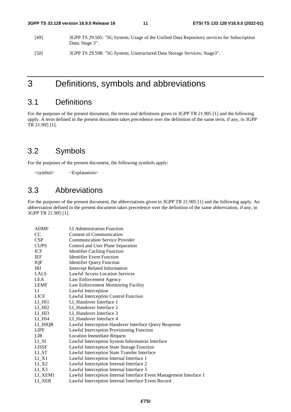- [49] 3GPP TS 29.505: "5G System; Usage of the Unified Data Repository services for Subscription Data; Stage 3".
- [50] 3GPP TS 29.598: "5G System; Unstructured Data Storage Services; Stage3".

## 3 Definitions, symbols and abbreviations

## 3.1 Definitions

For the purposes of the present document, the terms and definitions given in 3GPP TR 21.905 [1] and the following apply. A term defined in the present document takes precedence over the definition of the same term, if any, in 3GPP TR 21.905 [1].

## 3.2 Symbols

For the purposes of the present document, the following symbols apply:

<symbol> <Explanation>

## 3.3 Abbreviations

For the purposes of the present document, the abbreviations given in 3GPP TR 21.905 [1] and the following apply. An abbreviation defined in the present document takes precedence over the definition of the same abbreviation, if any, in 3GPP TR 21.905 [1].

| <b>ADMF</b>                      | LI Administration Function                                          |
|----------------------------------|---------------------------------------------------------------------|
| CC                               | Content of Communication                                            |
| CSP                              | <b>Communication Service Provider</b>                               |
| <b>CUPS</b>                      | Control and User Plane Separation                                   |
| ICF                              | <b>Identifier Caching Function</b>                                  |
| IEF                              | <b>Identifier Event Function</b>                                    |
| IQF                              | <b>Identifier Query Function</b>                                    |
| IRI                              | <b>Intercept Related Information</b>                                |
| <b>LALS</b>                      | <b>Lawful Access Location Services</b>                              |
| LEA                              | Law Enforcement Agency                                              |
| <b>LEMF</b>                      | Law Enforcement Monitoring Facility                                 |
| LI                               | Lawful Interception                                                 |
| <b>LICF</b>                      | Lawful Interception Control Function                                |
| $LI$ $HII$                       | LI_Handover Interface 1                                             |
| $LI$ $HI2$                       | LI Handover Interface 2                                             |
| $LI$ <sub><math>HI3</math></sub> | LI Handover Interface 3                                             |
| LI_HI4                           | LI_Handover Interface 4                                             |
| LI_HIQR                          | Lawful Interception Handover Interface Query Response               |
| <b>LIPF</b>                      | Lawful Interception Provisioning Function                           |
| <b>LIR</b>                       | <b>Location Immediate Request</b>                                   |
| $LI_SI$                          | Lawful Interception System Information Interface                    |
| <b>LISSF</b>                     | Lawful Interception State Storage Function                          |
| $LI_ST$                          | Lawful Interception State Transfer Interface                        |
| $LI_X1$                          | Lawful Interception Internal Interface 1                            |
| $LI_X^2$                         | Lawful Interception Internal Interface 2                            |
| $LI_X3$                          | Lawful Interception Internal Interface 3                            |
| LI_XEM1                          | Lawful Interception Internal Interface Event Management Interface 1 |
| LI XER                           | Lawful Interception Internal Interface Event Record                 |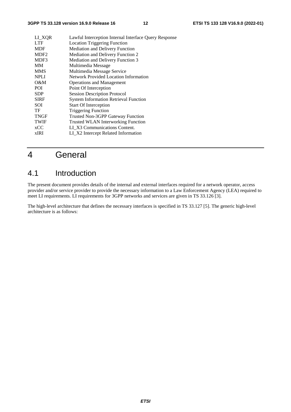| Lawful Interception Internal Interface Query Response |
|-------------------------------------------------------|
| <b>Location Triggering Function</b>                   |
| <b>Mediation and Delivery Function</b>                |
| Mediation and Delivery Function 2                     |
| Mediation and Delivery Function 3                     |
| Multimedia Message                                    |
| Multimedia Message Service                            |
| Network Provided Location Information                 |
| <b>Operations and Management</b>                      |
| Point Of Interception                                 |
| <b>Session Description Protocol</b>                   |
| <b>System Information Retrieval Function</b>          |
| <b>Start Of Interception</b>                          |
| <b>Triggering Function</b>                            |
| <b>Trusted Non-3GPP Gateway Function</b>              |
| <b>Trusted WLAN Interworking Function</b>             |
| LI X3 Communications Content.                         |
| LI_X2 Intercept Related Information                   |
|                                                       |

## 4 General

## 4.1 Introduction

The present document provides details of the internal and external interfaces required for a network operator, access provider and/or service provider to provide the necessary information to a Law Enforcement Agency (LEA) required to meet LI requirements. LI requirements for 3GPP networks and services are given in TS 33.126 [3].

The high-level architecture that defines the necessary interfaces is specified in TS 33.127 [5]. The generic high-level architecture is as follows: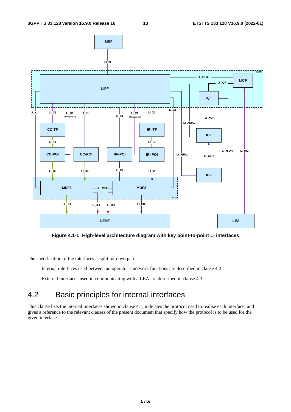

**Figure 4.1-1: High-level architecture diagram with key point-to-point LI interfaces** 

The specification of the interfaces is split into two parts:

- Internal interfaces used between an operator's network functions are described in clause 4.2.
- External interfaces used in communicating with a LEA are described in clause 4.3.

## 4.2 Basic principles for internal interfaces

This clause lists the internal interfaces shown in clause 4.1, indicates the protocol used to realise each interface, and gives a reference to the relevant clauses of the present document that specify how the protocol is to be used for the given interface.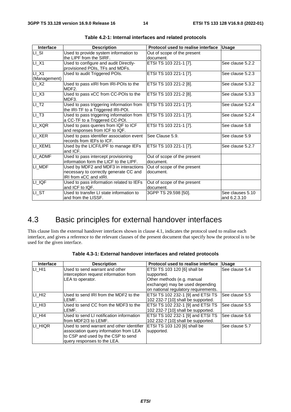| Interface                           | <b>Description</b>                                                                                        | Protocol used to realise interface       | <b>Usage</b>                     |
|-------------------------------------|-----------------------------------------------------------------------------------------------------------|------------------------------------------|----------------------------------|
| LI_SI                               | Used to provide system information to<br>the LIPF from the SIRF.                                          | Out of scope of the present<br>document. |                                  |
| $LI_X1$                             | Used to configure and audit Directly-<br>provisioned POIs, TFs and MDFs.                                  | ETSI TS 103 221-1 [7].                   | See clause 5.2.2                 |
| $LI$ <sub>_X1</sub><br>(Management) | Used to audit Triggered POIs.                                                                             | ETSI TS 103 221-1 [7].                   | See clause 5.2.3                 |
| $LI_X2$                             | Used to pass xIRI from IRI-POIs to the<br>MDF <sub>2</sub> .                                              | ETSI TS 103 221-2 [8].                   | See clause 5.3.2                 |
| $LI$ <sub><math>X</math>3</sub>     | Used to pass xCC from CC-POIs to the<br>MDF3.                                                             | ETSI TS 103 221-2 [8].                   | See clause 5.3.3                 |
| $LI$ <sub>_</sub> T <sub>2</sub>    | Used to pass triggering information from<br>the IRI-TF to a Triggered IRI-POI.                            | ETSI TS 103 221-1 [7].                   | See clause 5.2.4                 |
| $LI$ <sub>_</sub> T <sub>3</sub>    | Used to pass triggering information from<br>a CC-TF to a Triggered CC-POI.                                | ETSI TS 103 221-1 [7].                   | See clause 5.2.4                 |
| LI_XQR                              | Used to pass queries from IQF to ICF<br>and responses from ICF to IQF.                                    | ETSI TS 103 221-1 [7].                   | See clause 5.8                   |
| LI_XER                              | Used to pass identifier association event<br>records from IEFs to ICF.                                    | See Clause 5.9.                          | See clause 5.9                   |
| LI_XEM1                             | Used by the LICF/LIPF to manage IEFs<br>and ICF.                                                          | ETSI TS 103 221-1 [7].                   | See clause 5.2.7                 |
| LI_ADMF                             | Used to pass intercept provisioning<br>information form the LICF to the LIPF.                             | Out of scope of the present<br>document. |                                  |
| LI_MDF                              | Used by MDF2 and MDF3 in interactions<br>necessary to correctly generate CC and<br>IRI from xCC and xIRI. | Out of scope of the present<br>document. |                                  |
| LI_IQF                              | Used to pass information related to IEFs<br>and ICF to IQF.                                               | Out of scope of the present<br>document. |                                  |
| $LI$ _ST                            | Used to transfer LI state information to<br>and from the LISSF.                                           | 3GPP TS 29.598 [50].                     | See clauses 5.10<br>and 6.2.3.10 |

| Table 4.2-1: Internal interfaces and related protocols |  |  |  |
|--------------------------------------------------------|--|--|--|
|--------------------------------------------------------|--|--|--|

## 4.3 Basic principles for external handover interfaces

This clause lists the external handover interfaces shown in clause 4.1, indicates the protocol used to realise each interface, and gives a reference to the relevant clauses of the present document that specify how the protocol is to be used for the given interface.

| Interface          | <b>Description</b>                        | Protocol used to realise interface   | <b>Usage</b>   |
|--------------------|-------------------------------------------|--------------------------------------|----------------|
| LI HI1             | Used to send warrant and other            | ETSI TS 103 120 [6] shall be         | See clause 5.4 |
|                    | interception request information from     | supported.                           |                |
|                    | LEA to operator.                          | Other methods (e.g. manual           |                |
|                    |                                           | exchange) may be used depending      |                |
|                    |                                           | on national regulatory requirements. |                |
| LI HI <sub>2</sub> | Used to send IRI from the MDF2 to the     | ETSI TS 102 232-1 [9] and ETSI TS    | See clause 5.5 |
|                    | LEMF.                                     | 102 232-7 [10] shall be supported.   |                |
| LI HI3             | Used to send CC from the MDF3 to the      | ETSI TS 102 232-1 [9] and ETSI TS    | See clause 5.5 |
|                    | LEMF.                                     | 102 232-7 [10] shall be supported.   |                |
| LI HI4             | Used to send LI notification information  | ETSI TS 102 232-1 [9] and ETSI TS    | See clause 5.6 |
|                    | lfrom MDF2/3 to LEMF.                     | 102 232-7 [10] shall be supported.   |                |
| ILI HIQR           | Used to send warrant and other identifier | ETSI TS 103 120 [6] shall be         | See clause 5.7 |
|                    | association query information from LEA    | supported.                           |                |
|                    | to CSP and used by the CSP to send        |                                      |                |
|                    | query responses to the LEA.               |                                      |                |

**Table 4.3-1: External handover interfaces and related protocols**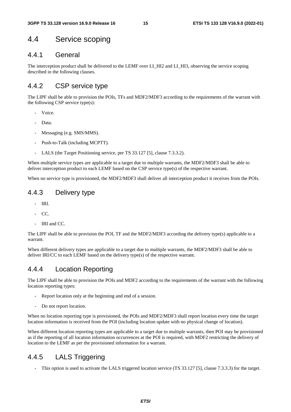## 4.4 Service scoping

### 4.4.1 General

The interception product shall be delivered to the LEMF over LI\_HI2 and LI\_HI3, observing the service scoping described in the following clauses.

### 4.4.2 CSP service type

The LIPF shall be able to provision the POIs, TFs and MDF2/MDF3 according to the requirements of the warrant with the following CSP service type(s):

- Voice.
- Data.
- Messaging (e.g. SMS/MMS).
- Push-to-Talk (including MCPTT).
- LALS (the Target Positioning service, per TS 33.127 [5], clause 7.3.3.2).

When multiple service types are applicable to a target due to multiple warrants, the MDF2/MDF3 shall be able to deliver interception product to each LEMF based on the CSP service type(s) of the respective warrant.

When no service type is provisioned, the MDF2/MDF3 shall deliver all interception product it receives from the POIs.

### 4.4.3 Delivery type

- IRI.
- $CC$
- IRI and CC.

The LIPF shall be able to provision the POI, TF and the MDF2/MDF3 according the delivery type(s) applicable to a warrant.

When different delivery types are applicable to a target due to multiple warrants, the MDF2/MDF3 shall be able to deliver IRI/CC to each LEMF based on the delivery type(s) of the respective warrant.

## 4.4.4 Location Reporting

The LIPF shall be able to provision the POIs and MDF2 according to the requirements of the warrant with the following location reporting types:

- Report location only at the beginning and end of a session.
- Do not report location.

When no location reporting type is provisioned, the POIs and MDF2/MDF3 shall report location every time the target location information is received from the POI (including location update with no physical change of location).

When different location reporting types are applicable to a target due to multiple warrants, then POI may be provisioned as if the reporting of all location information occurrences at the POI is required, with MDF2 restricting the delivery of location to the LEMF as per the provisioned information for a warrant.

## 4.4.5 LALS Triggering

This option is used to activate the LALS triggered location service (TS 33.127 [5], clause 7.3.3.3) for the target.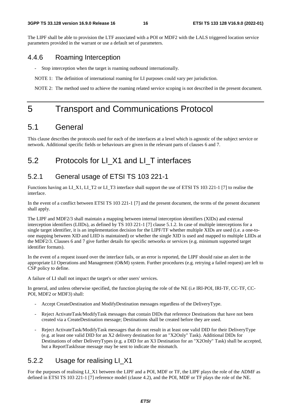The LIPF shall be able to provision the LTF associated with a POI or MDF2 with the LALS triggered location service parameters provided in the warrant or use a default set of parameters.

#### 4.4.6 Roaming Interception

- Stop interception when the target is roaming outbound internationally.

NOTE 1: The definition of international roaming for LI purposes could vary per jurisdiction.

NOTE 2: The method used to achieve the roaming related service scoping is not described in the present document.

## 5 Transport and Communications Protocol

## 5.1 General

This clause describes the protocols used for each of the interfaces at a level which is agnostic of the subject service or network. Additional specific fields or behaviours are given in the relevant parts of clauses 6 and 7.

## 5.2 Protocols for LI X1 and LI T interfaces

### 5.2.1 General usage of ETSI TS 103 221-1

Functions having an LI\_X1, LI\_T2 or LI\_T3 interface shall support the use of ETSI TS 103 221-1 [7] to realise the interface.

In the event of a conflict between ETSI TS 103 221-1 [7] and the present document, the terms of the present document shall apply.

The LIPF and MDF2/3 shall maintain a mapping between internal interception identifiers (XIDs) and external interception identifiers (LIIDs), as defined by TS 103 221-1 [7] clause 5.1.2. In case of multiple interceptions for a single target identifier, it is an implementation decision for the LIPF/TF whether multiple XIDs are used (i.e. a one-toone mapping between XID and LIID is maintained) or whether the single XID is used and mapped to multiple LIIDs at the MDF2/3. Clauses 6 and 7 give further details for specific networks or services (e.g. minimum supported target identifier formats).

In the event of a request issued over the interface fails, or an error is reported, the LIPF should raise an alert in the appropriate LI Operations and Management (O&M) system. Further procedures (e.g. retrying a failed request) are left to CSP policy to define.

A failure of LI shall not impact the target's or other users' services.

In general, and unless otherwise specified, the function playing the role of the NE (i.e IRI-POI, IRI-TF, CC-TF, CC-POI, MDF2 or MDF3) shall:

- Accept CreateDestination and ModifyDestination messages regardless of the DeliveryType.
- Reject ActivateTask/ModifyTask messages that contain DIDs that reference Destinations that have not been created via a CreateDestination message; Destinations shall be created before they are used.
- Reject ActivateTask/ModifyTask messages that do not result in at least one valid DID for their DeliveryType (e.g. at least one valid DID for an X2 delivery destination for an "X2Only" Task). Additional DIDs for Destinations of other DeliveryTypes (e.g. a DID for an X3 Destination for an "X2Only" Task) shall be accepted, but a ReportTaskIssue message may be sent to indicate the mismatch.

### 5.2.2 Usage for realising LI\_X1

For the purposes of realising LI\_X1 between the LIPF and a POI, MDF or TF, the LIPF plays the role of the ADMF as defined in ETSI TS 103 221-1 [7] reference model (clause 4.2), and the POI, MDF or TF plays the role of the NE.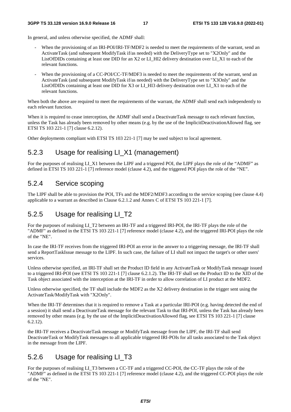In general, and unless otherwise specified, the ADMF shall:

- When the provisioning of an IRI-POI/IRI-TF/MDF2 is needed to meet the requirements of the warrant, send an ActivateTask (and subsequent ModifyTask if/as needed) with the DeliveryType set to "X2Only" and the ListOfDIDs containing at least one DID for an X2 or LI\_HI2 delivery destination over LI\_X1 to each of the relevant functions.
- When the provisioning of a CC-POI/CC-TF/MDF3 is needed to meet the requirements of the warrant, send an ActivateTask (and subsequent ModifyTask if/as needed) with the DeliveryType set to "X3Only" and the ListOfDIDs containing at least one DID for X3 or LI\_HI3 delivery destination over LI\_X1 to each of the relevant functions.

When both the above are required to meet the requirements of the warrant, the ADMF shall send each independently to each relevant function.

When it is required to cease interception, the ADMF shall send a DeactivateTask message to each relevant function, unless the Task has already been removed by other means (e.g. by the use of the ImplicitDeactivationAllowed flag, see ETSI TS 103 221-1 [7] clause 6.2.12).

Other deployments compliant with ETSI TS 103 221-1 [7] may be used subject to local agreement.

## 5.2.3 Usage for realising LI\_X1 (management)

For the purposes of realising LI\_X1 between the LIPF and a triggered POI, the LIPF plays the role of the "ADMF" as defined in ETSI TS 103 221-1 [7] reference model (clause 4.2), and the triggered POI plays the role of the "NE".

### 5.2.4 Service scoping

The LIPF shall be able to provision the POI, TFs and the MDF2/MDF3 according to the service scoping (see clause 4.4) applicable to a warrant as described in Clause 6.2.1.2 and Annex C of ETSI TS 103 221-1 [7].

### 5.2.5 Usage for realising LI\_T2

For the purposes of realising LI\_T2 between an IRI-TF and a triggered IRI-POI, the IRI-TF plays the role of the "ADMF" as defined in the ETSI TS 103 221-1 [7] reference model (clause 4.2), and the triggered IRI-POI plays the role of the "NE".

In case the IRI-TF receives from the triggered IRI-POI an error in the answer to a triggering message, the IRI-TF shall send a ReportTaskIssue message to the LIPF. In such case, the failure of LI shall not impact the target's or other users' services.

Unless otherwise specified, an IRI-TF shall set the Product ID field in any ActivateTask or ModifyTask message issued to a triggered IRI-POI (see ETSI TS 103 221-1 [7] clause 6.2.1.2). The IRI-TF shall set the Product ID to the XID of the Task object associated with the interception at the IRI-TF in order to allow correlation of LI product at the MDF2.

Unless otherwise specified, the TF shall include the MDF2 as the X2 delivery destination in the trigger sent using the ActivateTask/ModifyTask with "X2Only".

When the IRI-TF determines that it is required to remove a Task at a particular IRI-POI (e.g. having detected the end of a session) it shall send a DeactivateTask message for the relevant Task to that IRI-POI, unless the Task has already been removed by other means (e.g. by the use of the ImplicitDeactivationAllowed flag, see ETSI TS 103 221-1 [7] clause 6.2.12).

the IRI-TF receives a DeactivateTask message or ModifyTask message from the LIPF, the IRI-TF shall send DeactivateTask or ModifyTask messages to all applicable triggered IRI-POIs for all tasks associated to the Task object in the message from the LIPF.

### 5.2.6 Usage for realising LI\_T3

For the purposes of realising LI\_T3 between a CC-TF and a triggered CC-POI, the CC-TF plays the role of the "ADMF" as defined in the ETSI TS 103 221-1 [7] reference model (clause 4.2), and the triggered CC-POI plays the role of the "NE".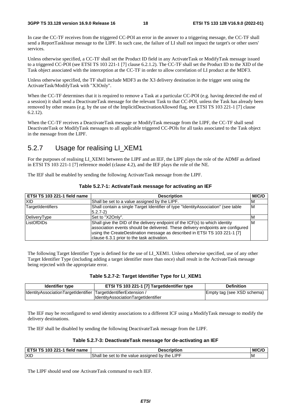In case the CC-TF receives from the triggered CC-POI an error in the answer to a triggering message, the CC-TF shall send a ReportTaskIssue message to the LIPF. In such case, the failure of LI shall not impact the target's or other users' services.

Unless otherwise specified, a CC-TF shall set the Product ID field in any ActivateTask or ModifyTask message issued to a triggered CC-POI (see ETSI TS 103 221-1 [7] clause 6.2.1.2). The CC-TF shall set the Product ID to the XID of the Task object associated with the interception at the CC-TF in order to allow correlation of LI product at the MDF3.

Unless otherwise specified, the TF shall include MDF3 as the X3 delivery destination in the trigger sent using the ActivateTask/ModifyTask with "X3Only".

When the CC-TF determines that it is required to remove a Task at a particular CC-POI (e.g. having detected the end of a session) it shall send a DeactivateTask message for the relevant Task to that CC-POI, unless the Task has already been removed by other means (e.g. by the use of the ImplicitDeactivationAllowed flag, see ETSI TS 103 221-1 [7] clause 6.2.12).

When the CC-TF receives a DeactivateTask message or ModifyTask message from the LIPF, the CC-TF shall send DeactivateTask or ModifyTask messages to all applicable triggered CC-POIs for all tasks associated to the Task object in the message from the LIPF.

## 5.2.7 Usage for realising LI\_XEM1

For the purposes of realising LI\_XEM1 between the LIPF and an IEF, the LIPF plays the role of the ADMF as defined in ETSI TS 103 221-1 [7] reference model (clause 4.2), and the IEF plays the role of the NE.

The IEF shall be enabled by sending the following ActivateTask message from the LIPF.

| ETSI TS 103 221-1 field name | <b>Description</b>                                                                | M/C/O |
|------------------------------|-----------------------------------------------------------------------------------|-------|
| <b>XID</b>                   | Shall be set to a value assigned by the LIPF.                                     | ıΜ    |
| TargetIdentifiers            | Shall contain a single Target Identifier of type "IdentityAssociation" (see table | ΙM    |
|                              | $5.2.7 - 2)$                                                                      |       |
| DeliveryType                 | Set to "X2Only".                                                                  | ΙM    |
| ListOfDIDs                   | Shall give the DID of the delivery endpoint of the ICF(s) to which identity       | ΙM    |
|                              | association events should be delivered. These delivery endpoints are configured   |       |
|                              | using the CreateDestination message as described in ETSI TS 103 221-1 [7]         |       |
|                              | clause 6.3.1 prior to the task activation.                                        |       |

**Table 5.2.7-1: ActivateTask message for activating an IEF** 

The following Target Identifier Type is defined for the use of LI\_XEM1. Unless otherwise specified, use of any other Target Identifier Type (including adding a target identifier more than once) shall result in the ActivateTask message being rejected with the appropriate error.

#### **Table 5.2.7-2: Target Identifier Type for LI\_XEM1**

| Identifier type                                                 | ETSI TS 103 221-1 [7] TargetIdentifier type | <b>Definition</b>          |
|-----------------------------------------------------------------|---------------------------------------------|----------------------------|
| IdentityAssociationTargetIdentifier TargetIdentifierExtension / |                                             | Empty tag (see XSD schema) |
|                                                                 | <b>IdentityAssociationTargetIdentifier</b>  |                            |

The IEF may be reconfigured to send identity associations to a different ICF using a ModifyTask message to modify the delivery destinations.

The IEF shall be disabled by sending the following DeactivateTask message from the LIPF.

#### **Table 5.2.7-3: DeactivateTask message for de-activating an IEF**

| <b>ETSI TS 103</b><br>$\degree$ 221-1 field .<br>name | Description                                                             | M/C |
|-------------------------------------------------------|-------------------------------------------------------------------------|-----|
| <b>XID</b>                                            | <b>Shall be set to</b><br><b>LIPF</b><br>value assigned by the L<br>the | ΙM  |

The LIPF should send one ActivateTask command to each IEF.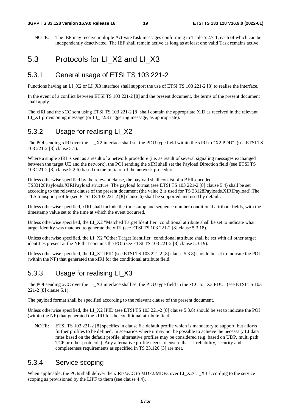NOTE: The IEF may receive multiple ActivateTask messages conforming to Table 5.2.7-1, each of which can be independently deactivated. The IEF shall remain active as long as at least one valid Task remains active.

## 5.3 Protocols for LI\_X2 and LI\_X3

### 5.3.1 General usage of ETSI TS 103 221-2

Functions having an LI\_X2 or LI\_X3 interface shall support the use of ETSI TS 103 221-2 [8] to realise the interface.

In the event of a conflict between ETSI TS 103 221-2 [8] and the present document, the terms of the present document shall apply.

The xIRI and the xCC sent using ETSI TS 103 221-2 [8] shall contain the appropriate XID as received in the relevant LI X1 provisioning message (or LI T2/3 triggering message, as appropriate).

### 5.3.2 Usage for realising LI\_X2

The POI sending xIRI over the LI\_X2 interface shall set the PDU type field within the xIRI to "X2 PDU". (see ETSI TS 103 221-2 [8] clause 5.1).

Where a single xIRI is sent as a result of a network procedure (i.e. as result of several signaling messages exchanged between the target UE and the network), the POI sending the xIRI shall set the Payload Direction field (see ETSI TS 103 221-2 [8] clause 5.2.6) based on the initiator of the network procedure.

Unless otherwise specified by the relevant clause, the payload shall consist of a BER-encoded TS33128Payloads.XIRIPayload structure. The payload format (see ETSI TS 103 221-2 [8] clause 5.4) shall be set according to the relevant clause of the present document (the value 2 is used for TS 33128Payloads.XIRIPayload).The TLS transport profile (see ETSI TS 103 221-2 [8] clause 6) shall be supported and used by default.

Unless otherwise specified, xIRI shall include the timestamp and sequence number conditional attribute fields, with the timestamp value set to the time at which the event occurred.

Unless otherwise specified, the LI\_X2 "Matched Target Identifier" conditional attribute shall be set to indicate what target identity was matched to generate the xIRI (see ETSI TS 103 221-2 [8] clause 5.3.18).

Unless otherwise specified, the LI\_X2 "Other Target Identifier" conditional attribute shall be set with all other target identities present at the NF that contains the POI (see ETSI TS 103 221-2 [8] clause 5.3.19).

Unless otherwise specified, the LI\_X2 IPID (see ETSI TS 103 221-2 [8] clause 5.3.8) should be set to indicate the POI (within the NF) that generated the xIRI for the conditional attribute field.

### 5.3.3 Usage for realising LI\_X3

The POI sending xCC over the LI\_X3 interface shall set the PDU type field in the xCC to "X3 PDU" (see ETSI TS 103 221-2 [8] clause 5.1).

The payload format shall be specified according to the relevant clause of the present document.

Unless otherwise specified, the LI\_X2 IPID (see ETSI TS 103 221-2 [8] clause 5.3.8) should be set to indicate the POI (within the NF) that generated the xIRI for the conditional attribute field.

NOTE: ETSI TS 103 221-2 [8] specifies in clause 6 a default profile which is mandatory to support, but allows further profiles to be defined. In scenarios where it may not be possible to achieve the necessary LI data rates based on the default profile, alternative profiles may be considered (e.g. based on UDP, multi path TCP or other protocols). Any alternative profile needs to ensure that LI reliability, security and completeness requirements as specified in TS 33.126 [3] are met.

### 5.3.4 Service scoping

When applicable, the POIs shall deliver the xIRIs/xCC to MDF2/MDF3 over LI\_X2/LI\_X3 according to the service scoping as provisioned by the LIPF to them (see clause 4.4).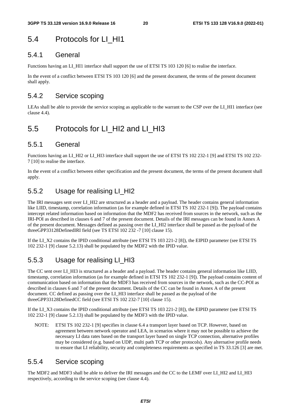## 5.4 Protocols for LI HI1

### 5.4.1 General

Functions having an LI\_HI1 interface shall support the use of ETSI TS 103 120 [6] to realise the interface.

In the event of a conflict between ETSI TS 103 120 [6] and the present document, the terms of the present document shall apply.

### 5.4.2 Service scoping

LEAs shall be able to provide the service scoping as applicable to the warrant to the CSP over the LI\_HI1 interface (see clause 4.4).

## 5.5 Protocols for LI\_HI2 and LI\_HI3

### 5.5.1 General

Functions having an LI\_HI2 or LI\_HI3 interface shall support the use of ETSI TS 102 232-1 [9] and ETSI TS 102 232-7 [10] to realise the interface.

In the event of a conflict between either specification and the present document, the terms of the present document shall apply.

## 5.5.2 Usage for realising LI\_HI2

The IRI messages sent over LI\_HI2 are structured as a header and a payload. The header contains general information like LIID, timestamp, correlation information (as for example defined in ETSI TS 102 232-1 [9]). The payload contains intercept related information based on information that the MDF2 has received from sources in the network, such as the IRI-POI as described in clauses 6 and 7 of the present document. Details of the IRI messages can be found in Annex A of the present document. Messages defined as passing over the LI\_HI2 interface shall be passed as the payload of the threeGPP33128DefinedIRI field (see TS ETSI 102 232 -7 [10] clause 15).

If the LI\_X2 contains the IPID conditional attribute (see ETSI TS 103 221-2 [8]), the EIPID parameter (see ETSI TS 102 232-1 [9] clause 5.2.13) shall be populated by the MDF2 with the IPID value.

## 5.5.3 Usage for realising LI\_HI3

The CC sent over LI\_HI3 is structured as a header and a payload. The header contains general information like LIID, timestamp, correlation information (as for example defined in ETSI TS 102 232-1 [9]). The payload contains content of communication based on information that the MDF3 has received from sources in the network, such as the CC-POI as described in clauses 6 and 7 of the present document. Details of the CC can be found in Annex A of the present document. CC defined as passing over the LI\_HI3 interface shall be passed as the payload of the threeGPP33128DefinedCC field (see ETSI TS 102 232-7 [10] clause 15).

If the LI\_X3 contains the IPID conditional attribute (see ETSI TS 103 221-2 [8]), the EIPID parameter (see ETSI TS 102 232-1 [9] clause 5.2.13) shall be populated by the MDF3 with the IPID value.

NOTE: ETSI TS 102 232-1 [9] specifies in clause 6.4 a transport layer based on TCP. However, based on agreement between network operator and LEA, in scenarios where it may not be possible to achieve the necessary LI data rates based on the transport layer based on single TCP connection, alternative profiles may be considered (e.g. based on UDP, multi path TCP or other protocols). Any alternative profile needs to ensure that LI reliability, security and completeness requirements as specified in TS 33.126 [3] are met.

### 5.5.4 Service scoping

The MDF2 and MDF3 shall be able to deliver the IRI messages and the CC to the LEMF over LI\_HI2 and LI\_HI3 respectively, according to the service scoping (see clause 4.4).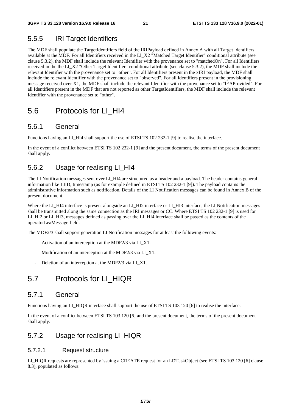### 5.5.5 IRI Target Identifiers

The MDF shall populate the TargetIdentifiers field of the IRIPayload defined in Annex A with all Target Identifiers available at the MDF. For all Identifiers received in the LI\_X2 "Matched Target Identifier" conditional attribute (see clause 5.3.2), the MDF shall include the relevant Identifier with the provenance set to "matchedOn". For all Identifiers received in the the LI\_X2 "Other Target Identifier" conditional attribute (see clause 5.3.2), the MDF shall include the relevant Identifier with the provenance set to "other". For all Identifiers present in the xIRI payload, the MDF shall include the relevant Identifier with the provenance set to "observed". For all Identifiers present in the provisioning message received over X1, the MDF shall include the relevant Identifier with the provenance set to "lEAProvided". For all Identifiers present in the MDF that are not reported as other TargetIdentifiers, the MDF shall include the relevant Identifier with the provenance set to "other".

## 5.6 Protocols for LI\_HI4

### 5.6.1 General

Functions having an LI HI4 shall support the use of ETSI TS 102 232-1 [9] to realise the interface.

In the event of a conflict between ETSI TS 102 232-1 [9] and the present document, the terms of the present document shall apply.

### 5.6.2 Usage for realising LI\_HI4

The LI Notification messages sent over LI\_HI4 are structured as a header and a payload. The header contains general information like LIID, timestamp (as for example defined in ETSI TS 102 232-1 [9]). The payload contains the administrative information such as notification. Details of the LI Notification messages can be found in Annex B of the present document.

Where the LI\_HI4 interface is present alongside an LI\_HI2 interface or LI\_HI3 interface, the LI Notification messages shall be transmitted along the same connection as the IRI messages or CC. Where ETSI TS 102 232-1 [9] is used for LI\_HI2 or LI\_HI3, messages defined as passing over the LI\_HI4 interface shall be passed as the contents of the operatorLeaMessage field.

The MDF2/3 shall support generation LI Notification messages for at least the following events:

- Activation of an interception at the MDF2/3 via LI\_X1.
- Modification of an interception at the MDF2/3 via LI\_X1.
- Deletion of an interception at the MDF2/3 via LI\_X1.

## 5.7 Protocols for LI\_HIQR

#### 5.7.1 General

Functions having an LI\_HIQR interface shall support the use of ETSI TS 103 120 [6] to realise the interface.

In the event of a conflict between ETSI TS 103 120 [6] and the present document, the terms of the present document shall apply.

### 5.7.2 Usage for realising LI\_HIQR

#### 5.7.2.1 Request structure

LI\_HIQR requests are represented by issuing a CREATE request for an LDTaskObject (see ETSI TS 103 120 [6] clause 8.3), populated as follows: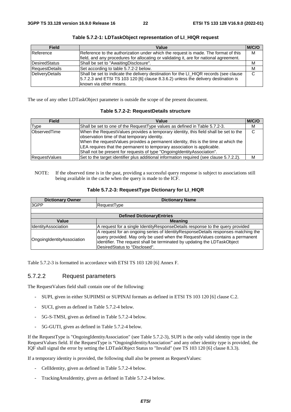| <b>Field</b>          | Value                                                                                                                                                                                                   | M/C/O |
|-----------------------|---------------------------------------------------------------------------------------------------------------------------------------------------------------------------------------------------------|-------|
| Reference             | Reference to the authorization under which the request is made. The format of this<br>field, and any procedures for allocating or validating it, are for national agreement.                            | M     |
| DesiredStatus         | Shall be set to "AwaitingDisclosure".                                                                                                                                                                   | M     |
| <b>RequestDetails</b> | Set according to table 5.7.2-2 below.                                                                                                                                                                   | M     |
| DeliveryDetails       | Shall be set to indicate the delivery destination for the LI_HIQR records (see clause<br>$5.7.2.3$ and ETSI TS 103 120 [6] clause 8.3.6.2) unless the delivery destination is<br>known via other means. | C     |

**Table 5.7.2-1: LDTaskObject representation of LI\_HIQR request** 

The use of any other LDTaskObject parameter is outside the scope of the present document.

#### **Table 5.7.2-2: RequestDetails structure**

| <b>Field</b>         | Value                                                                                   | M/C/O |
|----------------------|-----------------------------------------------------------------------------------------|-------|
| Type                 | Shall be set to one of the RequestType values as defined in Table 5.7.2-3.              | м     |
| ObservedTime         | When the RequestValues provides a temporary identity, this field shall be set to the    | C     |
|                      | observation time of that temporary identity.                                            |       |
|                      | When the requestValues provides a permanent identity, this is the time at which the     |       |
|                      | LEA requires that the permanent to temporary association is applicable.                 |       |
|                      | Shall not be present for requests of type "Ongoing dentity Association".                |       |
| <b>RequestValues</b> | Set to the target identifier plus additional information required (see clause 5.7.2.2). | М     |

NOTE: If the observed time is in the past, providing a successful query response is subject to associations still being available in the cache when the query is made to the ICF.

| Table 5.7.2-3: RequestType Dictionary for LI_HIQR |  |  |  |  |
|---------------------------------------------------|--|--|--|--|
|---------------------------------------------------|--|--|--|--|

| <b>Dictionary Owner</b>           | <b>Dictionary Name</b>                                                                                                                                                                                                                                                             |
|-----------------------------------|------------------------------------------------------------------------------------------------------------------------------------------------------------------------------------------------------------------------------------------------------------------------------------|
| 3GPP                              | RequestType                                                                                                                                                                                                                                                                        |
|                                   |                                                                                                                                                                                                                                                                                    |
|                                   | <b>Defined DictionaryEntries</b>                                                                                                                                                                                                                                                   |
| Value                             | <b>Meaning</b>                                                                                                                                                                                                                                                                     |
| <b>IdentitvAssociation</b>        | A request for a single Identity Response Details response to the query provided                                                                                                                                                                                                    |
| <b>OngoingIdentityAssociation</b> | A request for an ongoing series of IdentityResponseDetails responses matching the<br>query provided. May only be used when the Request Values contains a permanent<br>lidentifier. The request shall be terminated by updating the LDT ask Object<br>DesiredStatus to "Disclosed". |

Table 5.7.2-3 is formatted in accordance with ETSI TS 103 120 [6] Annex F.

#### 5.7.2.2 Request parameters

The RequestValues field shall contain one of the following:

- SUPI, given in either SUPIIMSI or SUPINAI formats as defined in ETSI TS 103 120 [6] clause C.2.
- SUCI, given as defined in Table 5.7.2-4 below.
- 5G-S-TMSI, given as defined in Table 5.7.2-4 below.
- 5G-GUTI, given as defined in Table 5.7.2-4 below.

If the RequestType is "OngoingIdentityAssociation" (see Table 5.7.2-3), SUPI is the only valid identity type in the RequestValues field. If the RequestType is "OngoingIdentityAssociation" and any other identity type is provided, the IQF shall signal the error by setting the LDTaskObject Status to "Invalid" (see TS 103 120 [6] clause 8.3.3).

If a temporary identity is provided, the following shall also be present as RequestValues:

- CellIdentity, given as defined in Table 5.7.2-4 below.
- TrackingAreaIdentity, given as defined in Table 5.7.2-4 below.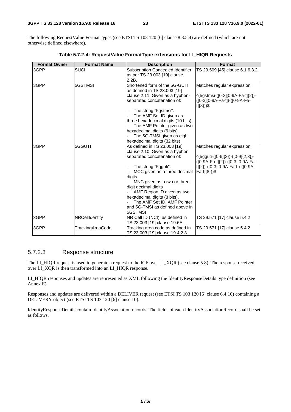The following RequestValue FormatTypes (see ETSI TS 103 120 [6] clause 8.3.5.4) are defined (which are not otherwise defined elsewhere).

| <b>Format Owner</b> | <b>Format Name</b> | <b>Description</b>                                                                                                                                                                                                                                                                                                                                                 | <b>Format</b>                                                                                                                                                  |
|---------------------|--------------------|--------------------------------------------------------------------------------------------------------------------------------------------------------------------------------------------------------------------------------------------------------------------------------------------------------------------------------------------------------------------|----------------------------------------------------------------------------------------------------------------------------------------------------------------|
| 3GPP                | <b>SUCI</b>        | <b>Subscription Concealed Identifier</b><br>as per TS 23.003 [19] clause<br>2.2B.                                                                                                                                                                                                                                                                                  | TS 29.509 [45] clause 6.1.6.3.2                                                                                                                                |
| 3GPP                | 5GSTMSI            | Shortened form of the 5G-GUTI<br>as defined in TS 23.003 [19]<br>clause 2.11. Given as a hyphen-<br>separated concatenation of:<br>The string "5gstmsi".<br>The AMF Set ID given as<br>three hexadecimal digits (10 bits).<br>The AMF Pointer given as two<br>hexadecimal digits (6 bits).<br>The 5G-TMSI given as eight<br>hexadecimal digits (32 bits)           | Matches regular expression:<br>^(5gstmsi-([0-3][0-9A-Fa-f]{2})-<br>([0-3][0-9A-Fa-f])-([0-9A-Fa-<br>$f$ $(8)$ ) $$$                                            |
| 3GPP                | 5GGUTI             | As defined in TS 23.003 [19]<br>clause 2.10. Given as a hyphen<br>separated concatenation of:<br>The string "5gguti".<br>MCC given as a three decimal<br>digits.<br>MNC given as a two or three<br>digit decimal digits<br>AMF Region ID given as two<br>hexadecimal digits (8 bits).<br>The AMF Set ID, AMF Pointer<br>and 5G-TMSI as defined above in<br>5GSTMSI | Matches regular expression:<br>^(5gguti-([0-9]{3})-([0-9]{2,3})-<br>([0-9A-Fa-f]{2})-([0-3][0-9A-Fa-<br>f]{2})-([0-3][0-9A-Fa-f])-([0-9A-<br>$Fa-f(\{8\}))$ \$ |
| 3GPP                | NRCellIdentity     | NR Cell ID (NCI), as defined in<br>TS 23.003 [19] clause 19.6A                                                                                                                                                                                                                                                                                                     | TS 29.571 [17] clause 5.4.2                                                                                                                                    |
| 3GPP                | TrackingAreaCode   | Tracking area code as defined in<br>TS 23.003 [19] clause 19.4.2.3                                                                                                                                                                                                                                                                                                 | TS 29.571 [17] clause 5.4.2                                                                                                                                    |

**Table 5.7.2-4: RequestValue FormatType extensions for LI\_HIQR Requests** 

#### 5.7.2.3 Response structure

The LI\_HIQR request is used to generate a request to the ICF over LI\_XQR (see clause 5.8). The response received over LI\_XQR is then transformed into an LI\_HIQR response.

LI\_HIQR responses and updates are represented as XML following the IdentityResponseDetails type definition (see Annex E).

Responses and updates are delivered within a DELIVER request (see ETSI TS 103 120 [6] clause 6.4.10) containing a DELIVERY object (see ETSI TS 103 120 [6] clause 10).

IdentityResponseDetails contain IdentityAssociation records. The fields of each IdentityAssociationRecord shall be set as follows.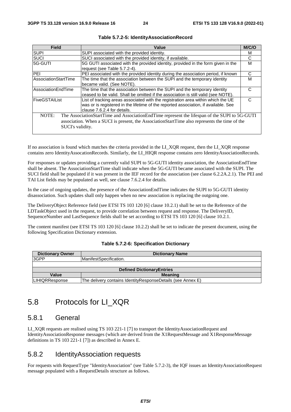| <b>Field</b>                | Value                                                                                         | M/C/O |  |
|-----------------------------|-----------------------------------------------------------------------------------------------|-------|--|
| <b>SUPI</b>                 | SUPI associated with the provided identity.                                                   |       |  |
| <b>SUCI</b>                 | SUCI associated with the provided identity, if available.                                     | С     |  |
| 5G-GUTI                     | 5G GUTI associated with the provided identity, provided in the form given in the              | м     |  |
|                             | request (see Table 5.7.2-4).                                                                  |       |  |
| <b>IPEI</b>                 | PEI associated with the provided identity during the association period, if known             | C     |  |
| <b>AssociationStartTime</b> | The time that the association between the SUPI and the temporary identity                     | М     |  |
|                             | lbecame valid. (See NOTE).                                                                    |       |  |
| lAssociationEndTime         | The time that the association between the SUPI and the temporary identity                     |       |  |
|                             | ceased to be valid. Shall be omitted if the association is still valid (see NOTE).            |       |  |
| <b>FiveGSTAIList</b>        | List of tracking areas associated with the registration area within which the UE              |       |  |
|                             | was or is registered in the lifetime of the reported association, if available. See           |       |  |
|                             | clause 7.6.2.4 for details.                                                                   |       |  |
| NOTE:                       | The AssociationStartTime and AssociationEndTime represent the lifespan of the SUPI to 5G-GUTI |       |  |
|                             | association. When a SUCI is present, the AssociationStartTime also represents the time of the |       |  |
|                             | SUCI's validity.                                                                              |       |  |
|                             |                                                                                               |       |  |

If no association is found which matches the criteria provided in the LI\_XQR request, then the LI\_XQR response contains zero IdentityAssocationRecords. Similarly, the LI\_HIQR response contains zero IdentityAssociationRecords.

For responses or updates providing a currently valid SUPI to 5G-GUTI identity association, the AssociationEndTime shall be absent. The AssociationStartTime shall indicate when the 5G-GUTI became associated with the SUPI. The SUCI field shall be populated if it was present in the IEF record for the association (see clause 6.2.2A.2.1). The PEI and TAI List fields may be populated as well, see clause 7.6.2.4 for details.

In the case of ongoing updates, the presence of the AssociationEndTime indicates the SUPI to 5G-GUTI identity disassociation. Such updates shall only happen when no new association is replacing the outgoing one.

The DeliveryObject Reference field (see ETSI TS 103 120 [6] clause 10.2.1) shall be set to the Reference of the LDTaskObject used in the request, to provide correlation between request and response. The DeliveryID, SequenceNumber and LastSequence fields shall be set according to ETSI TS 103 120 [6] clause 10.2.1.

The content manifest (see ETSI TS 103 120 [6] clause 10.2.2) shall be set to indicate the present document, using the following Specification Dictionary extension.

|  | Table 5.7.2-6: Specification Dictionary |  |
|--|-----------------------------------------|--|
|--|-----------------------------------------|--|

| <b>Dictionary Owner</b>          | <b>Dictionary Name</b>                                        |  |
|----------------------------------|---------------------------------------------------------------|--|
| 3GPP                             | ManifestSpecification.                                        |  |
|                                  |                                                               |  |
| <b>Defined DictionaryEntries</b> |                                                               |  |
| Value                            | <b>Meaning</b>                                                |  |
| <b>ILIHIQRResponse</b>           | The delivery contains Identity Response Details (see Annex E) |  |

## 5.8 Protocols for LI\_XQR

#### 5.8.1 General

LI\_XQR requests are realised using TS 103 221-1 [7] to transport the IdentityAssociationRequest and IdentityAssociationResponse messages (which are derived from the X1RequestMessage and X1ResponseMessage definitions in TS 103 221-1 [7]) as described in Annex E.

### 5.8.2 IdentityAssociation requests

For requests with RequestType "IdentityAssociation" (see Table 5.7.2-3), the IQF issues an IdentityAssociationRequest message populated with a RequestDetails structure as follows.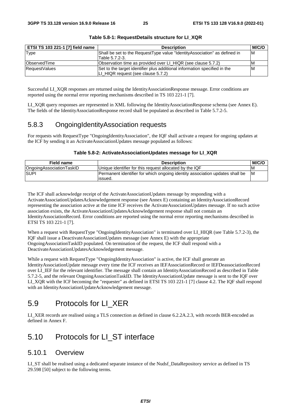| ETSI TS 103 221-1 [7] field name | <b>Description</b>                                                         | <b>M/C/O</b> |
|----------------------------------|----------------------------------------------------------------------------|--------------|
| Type                             | Shall be set to the RequestType value "Identity Association" as defined in | ΙM           |
|                                  | Table 5.7.2-3.                                                             |              |
| <b>ObservedTime</b>              | Observation time as provided over LI HIQR (see clause 5.7.2)               | ΙM           |
| <b>RequestValues</b>             | Set to the target identifier plus additional information specified in the  | ΙM           |
|                                  | LI_HIQR request (see clause 5.7.2)                                         |              |

**Table 5.8-1: RequestDetails structure for LI\_XQR** 

Successful LI\_XQR responses are returned using the IdentityAssociationResponse message. Error conditions are reported using the normal error reporting mechanisms described in TS 103 221-1 [7].

LI\_XOR query responses are represented in XML following the IdentityAssociationResponse schema (see Annex E). The fields of the IdentityAssociationResponse record shall be populated as described in Table 5.7.2-5.

### 5.8.3 OngoingIdentityAssociation requests

For requests with RequestType "OngoingIdentityAssociation", the IQF shall activate a request for ongoing updates at the ICF by sending it an ActivateAssociationUpdates message populated as follows:

#### **Table 5.8-2: ActivateAssociationUpdates message for LI\_XQR**

| <b>Field name</b>        | <b>Description</b>                                                                       | <b>M/C/C</b> |
|--------------------------|------------------------------------------------------------------------------------------|--------------|
| OngoingAssociationTaskID | Unique identifier for this request allocated by the IQF                                  | ΙM           |
| <b>SUPI</b>              | Permanent identifier for which ongoing identity association updates shall be<br>lissued. | <b>IM</b>    |

The ICF shall acknowledge receipt of the ActivateAssociationUpdates message by responding with a ActivateAssociationUpdatesAcknowledgement response (see Annex E) containing an IdentityAssociationRecord representing the association active at the time ICF receives the ActivateAssociationUpdates message. If no such active association exists, the ActivateAssociationUpdatesAcknowledgement response shall not contain an IdentityAssociationRecord. Error conditions are reported using the normal error reporting mechanisms described in ETSI TS 103 221-1 [7].

When a request with RequestType "OngoingIdentityAssociation" is terminated over LI\_HIQR (see Table 5.7.2-3), the IQF shall issue a DeactivateAssociationUpdates message (see Annex E) with the appropriate OngoingAssociationTaskID populated. On termination of the request, the ICF shall respond with a DeactivateAssociationUpdatesAcknowledgement message.

While a request with RequestType "OngoingIdentityAssociation" is active, the ICF shall generate an IdentityAssociationUpdate message every time the ICF receives an IEFAssociationRecord or IEFDeassociationRecord over LI\_IEF for the relevant identifier. The message shall contain an IdentityAssociationRecord as described in Table 5.7.2-5, and the relevant OngoingAssociationTaskID. The IdentityAssociationUpdate message is sent to the IQF over LI\_XQR with the ICF becoming the "requester" as defined in ETSI TS 103 221-1 [7] clause 4.2. The IQF shall respond with an IdentityAssociationUpdateAcknowledgement message.

## 5.9 Protocols for LI\_XER

LI\_XER records are realised using a TLS connection as defined in clause 6.2.2A.2.3, with records BER-encoded as defined in Annex F.

## 5.10 Protocols for LI\_ST interface

#### 5.10.1 Overview

LI ST shall be realised using a dedicated separate instance of the Nudsf DataRepository service as defined in TS 29.598 [50] subject to the following terms.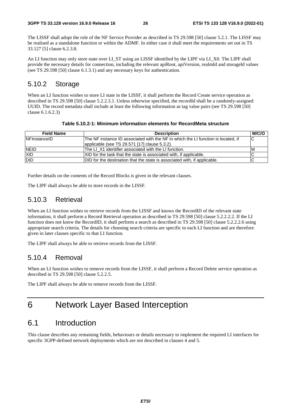The LISSF shall adopt the role of the NF Service Provider as described in TS 29.598 [50] clause 5.2.1. The LISSF may be realised as a standalone function or within the ADMF. In either case it shall meet the requirements set out in TS 33.127 [5] clause 6.2.3.8.

An LI function may only store state over LI\_ST using an LISSF identified by the LIPF via LI\_X0. The LIPF shall provide the necessary details for connection, including the relevant apiRoot, apiVersion, realmId and storageId values (see TS 29.598 [50] clause 6.1.3.1) and any necessary keys for authentication.

### 5.10.2 Storage

When an LI function wishes to store LI state in the LISSF, it shall perform the Record Create service operation as described in TS 29.598 [50] clause 5.2.2.3.1. Unless otherwise specified, the recordId shall be a randomly-assigned UUID. The record metadata shall include at least the following information as tag value pairs (see TS 29.598 [50] clause 6.1.6.2.3)

| Table 5.10.2-1: Minimum information elements for RecordMeta structure |  |  |
|-----------------------------------------------------------------------|--|--|
|-----------------------------------------------------------------------|--|--|

| <b>Field Name</b> | <b>Description</b>                                                                | <b>M/C/O</b> |
|-------------------|-----------------------------------------------------------------------------------|--------------|
| NFInstanceID      | The NF instance ID associated with the NF in which the LI function is located, if | IC           |
|                   | applicable (see TS 29.571 [17] clause 5.3.2).                                     |              |
| <b>NEID</b>       | The LI X1 identifier associated with the LI function.                             | ΙM           |
| <b>XID</b>        | XID for the task that the state is associated with, if applicable.                |              |
| <b>DID</b>        | DID for the destination that the state is associated with, if applicable.         |              |

Further details on the contents of the Record Blocks is given in the relevant clauses.

The LIPF shall always be able to store records in the LISSF.

### 5.10.3 Retrieval

When an LI function wishes to retrieve records from the LISSF and knows the RecordID of the relevant state information, it shall perform a Record Retrieval operation as described in TS 29.598 [50] clause 5.2.2.2.2. If the LI function does not know the RecordID, it shall perform a search as described in TS 29.598 [50] clause 5.2.2.2.6 using appropriate search criteria. The details for choosing search criteria are specific to each LI function and are therefore given in later clauses specific to that LI function.

The LIPF shall always be able to retrieve records from the LISSF.

### 5.10.4 Removal

When an LI function wishes to remove records from the LISSF, it shall perform a Record Delete service operation as described in TS 29.598 [50] clause 5.2.2.5.

The LIPF shall always be able to remove records from the LISSF.

## 6 Network Layer Based Interception

## 6.1 Introduction

This clause describes any remaining fields, behaviours or details necessary to implement the required LI interfaces for specific 3GPP-defined network deployments which are not described in clauses 4 and 5.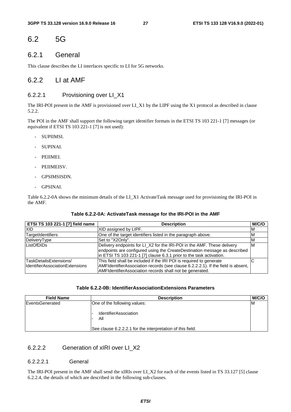## 6.2 5G

### 6.2.1 General

This clause describes the LI interfaces specific to LI for 5G networks.

### 6.2.2 LI at AMF

#### 6.2.2.1 Provisioning over LI\_X1

The IRI-POI present in the AMF is provisioned over LI\_X1 by the LIPF using the X1 protocol as described in clause 5.2.2.

The POI in the AMF shall support the following target identifier formats in the ETSI TS 103 221-1 [7] messages (or equivalent if ETSI TS 103 221-1 [7] is not used):

- SUPIIMSI.
- SUPINAI.
- PEIIMEI.
- PEIIMEISV.
- GPSIMSISDN.
- GPSINAI.

Table 6.2.2-0A shows the minimum details of the LI\_X1 ActivateTask message used for provisioning the IRI-POI in the AMF.

#### **Table 6.2.2-0A: ActivateTask message for the IRI-POI in the AMF**

| <b>ETSI TS 103 221-1 [7] field name</b> | <b>Description</b>                                                               | M/C/O |
|-----------------------------------------|----------------------------------------------------------------------------------|-------|
| <b>XID</b>                              | XID assigned by LIPF.                                                            | ΙM    |
| TargetIdentifiers                       | One of the target identifiers listed in the paragraph above.                     | ΙM    |
| DeliveryType                            | Set to "X2Only".                                                                 | ΙM    |
| ListOfDIDs                              | Delivery endpoints for LI_X2 for the IRI-POI in the AMF. These delivery          | ΙM    |
|                                         | endpoints are configured using the CreateDestination message as described        |       |
|                                         | in ETSI TS 103 221-1 [7] clause 6.3.1 prior to the task activation.              |       |
| <b>TaskDetailsExtensions/</b>           | This field shall be included if the IRI POI is required to generate              |       |
| <b>IdentifierAssociationExtensions</b>  | AMFIdentifierAssociation records (see clause 6.2.2.2.1). If the field is absent, |       |
|                                         | AMFIdentifierAssociation records shall not be generated.                         |       |

#### **Table 6.2.2-0B: IdentifierAssociationExtensions Parameters**

| <b>Field Name</b>      | <b>Description</b>                                         | M/C/O |
|------------------------|------------------------------------------------------------|-------|
| <b>EventsGenerated</b> | One of the following values:                               | ΙM    |
|                        | <b>IdentifierAssociation</b><br>All                        |       |
|                        | See clause 6.2.2.2.1 for the interpretation of this field. |       |

#### 6.2.2.2 Generation of xIRI over LI\_X2

#### 6.2.2.2.1 General

The IRI-POI present in the AMF shall send the xIRIs over LI\_X2 for each of the events listed in TS 33.127 [5] clause 6.2.2.4, the details of which are described in the following sub-clauses.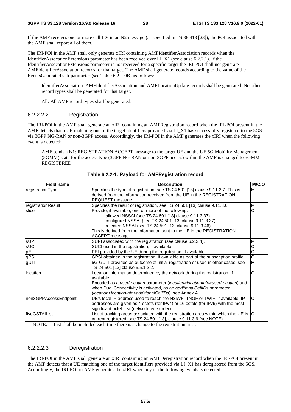If the AMF receives one or more cell IDs in an N2 message (as specified in TS 38.413 [23]), the POI associated with the AMF shall report all of them.

The IRI-POI in the AMF shall only generate xIRI containing AMFIdentifierAssociation records when the IdentifierAssocationExtensions parameter has been received over LI\_X1 (see clause 6.2.2.1). If the IdentifierAssocationExtensions parameter is not received for a specific target the IRI-POI shall not generate AMFIdentifierAssociation records for that target. The AMF shall generate records according to the value of the EventsGenerated sub-parameter (see Table 6.2.2-0B) as follows:

- IdentifierAssociation: AMFIdentifierAssociation and AMFLocationUpdate records shall be generated. No other record types shall be generated for that target.
- All: All AMF record types shall be generated.

#### 6.2.2.2.2 Registration

The IRI-POI in the AMF shall generate an xIRI containing an AMFRegistration record when the IRI-POI present in the AMF detects that a UE matching one of the target identifiers provided via LI\_X1 has successfully registered to the 5GS via 3GPP NG-RAN or non-3GPP access. Accordingly, the IRI-POI in the AMF generates the xIRI when the following event is detected:

AMF sends a N1: REGISTRATION ACCEPT message to the target UE and the UE 5G Mobility Management (5GMM) state for the access type (3GPP NG-RAN or non-3GPP access) within the AMF is changed to 5GMM-REGISTERED.

| <b>Field name</b>     | <b>Description</b>                                                                                                                                                                                                                                                                                                             | M/C/O                 |
|-----------------------|--------------------------------------------------------------------------------------------------------------------------------------------------------------------------------------------------------------------------------------------------------------------------------------------------------------------------------|-----------------------|
| registrationType      | Specifies the type of registration, see TS 24.501 [13] clause 9.11.3.7. This is<br>derived from the information received from the UE in the REGISTRATION<br>REQUEST message.                                                                                                                                                   | M                     |
| registrationResult    | Specifies the result of registration, see TS 24.501 [13] clause 9.11.3.6.                                                                                                                                                                                                                                                      | M                     |
| slice                 | Provide, if available, one or more of the following:<br>allowed NSSAI (see TS 24.501 [13] clause 9.11.3.37).<br>configured NSSAI (see TS 24.501 [13] clause 9.11.3.37),<br>rejected NSSAI (see TS 24.501 [13] clause 9.11.3.46).<br>This is derived from the information sent to the UE in the REGISTRATION<br>ACCEPT message. | Ć                     |
| <b>sUPI</b>           | SUPI associated with the registration (see clause 6.2.2.4).                                                                                                                                                                                                                                                                    | M                     |
| sUCI                  | SUCI used in the registration, if available.                                                                                                                                                                                                                                                                                   | $\overline{\rm c}$    |
| pEI                   | PEI provided by the UE during the registration, if available.                                                                                                                                                                                                                                                                  | $\overline{\rm c}$    |
| gPSI                  | GPSI obtained in the registration, if available as part of the subscription profile.                                                                                                                                                                                                                                           | $\overline{\text{c}}$ |
| gUTI                  | 5G-GUTI provided as outcome of initial registration or used in other cases, see<br>TS 24.501 [13] clause 5.5.1.2.2.                                                                                                                                                                                                            | M                     |
| location              | Location information determined by the network during the registration, if<br>available.<br>Encoded as a userLocation parameter (location>locationInfo>userLocation) and,<br>when Dual Connectivity is activated, as an additional CellIDs parameter<br>(location>locationInfo>additionalCellIDs), see Annex A.                | Ć                     |
| non3GPPAccessEndpoint | UE's local IP address used to reach the N3IWF, TNGF or TWIF, if available. IP<br>addresses are given as 4 octets (for IPv4) or 16 octets (for IPv6) with the most<br>significant octet first (network byte order).                                                                                                             | Ć                     |
| lfiveGSTAIList        | List of tracking areas associated with the registration area within which the UE is<br>current registered, see TS 24.501 [13], clause 9.11.3.9 (see NOTE)                                                                                                                                                                      |                       |
| NOTE:                 | List shall be included each time there is a change to the registration area.                                                                                                                                                                                                                                                   |                       |

#### **Table 6.2.2-1: Payload for AMFRegistration record**

#### 6.2.2.2.3 Deregistration

The IRI-POI in the AMF shall generate an xIRI containing an AMFDeregistration record when the IRI-POI present in the AMF detects that a UE matching one of the target identifiers provided via LI\_X1 has deregistered from the 5GS. Accordingly, the IRI-POI in AMF generates the xIRI when any of the following events is detected: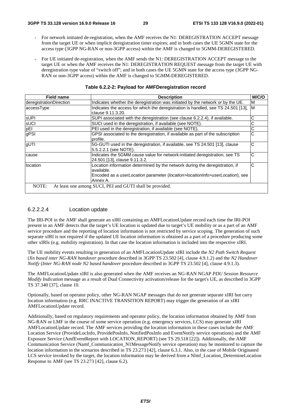- For network initiated de-registration, when the AMF receives the N1: DEREGISTRATION ACCEPT message from the target UE or when implicit deregistration timer expires; and in both cases the UE 5GMN state for the access type (3GPP NG-RAN or non-3GPP access) within the AMF is changed to 5GMM-DEREGISTERED.
- For UE initiated de-registration, when the AMF sends the N1: DEREGISTRATION ACCEPT message to the target UE or when the AMF receives the N1: DEREGISTRATION REQUEST message from the target UE with deregistration type value of "switch off"; and in both cases the UE 5GMN state for the access type (3GPP NG-RAN or non-3GPP access) within the AMF is changed to 5GMM-DEREGISTERED.

| <b>Field name</b>       | <b>Description</b>                                                                            | M/C/O |
|-------------------------|-----------------------------------------------------------------------------------------------|-------|
| deregistrationDirection | Indicates whether the deregistration was initiated by the network or by the UE.               | ΙM    |
| accessType              | Indicates the access for which the deregistration is handled, see TS 24.501 [13], M           |       |
|                         | clause 9.11.3.20.                                                                             |       |
| <b>sUPI</b>             | SUPI associated with the deregistration (see clause 6.2.2.4), if available.                   | С     |
| sUCI                    | SUCI used in the deregistration, if available (see NOTE).                                     | С     |
| pEI                     | PEI used in the deregistration, if available (see NOTE).                                      | С     |
| gPSI                    | GPSI associated to the deregistration, if available as part of the subscription               | С     |
|                         | profile.                                                                                      |       |
| gUTI                    | 5G-GUTI used in the deregistration, if available, see TS 24.501 [13], clause                  | С     |
|                         | 5.5.2.2.1 (see NOTE).                                                                         |       |
| cause                   | Indicates the 5GMM cause value for network-initiated deregistration, see TS                   | C     |
|                         | 24.501 [13], clause 9.11.3.2.                                                                 |       |
| location                | Location information determined by the network during the deregistration, if                  | С     |
|                         | available.                                                                                    |       |
|                         | Encoded as a <i>userLocation</i> parameter ( <i>location</i> >locationInfo>userLocation), see |       |
|                         | Annex A.                                                                                      |       |
| NOTE:                   | At least one among SUCI, PEI and GUTI shall be provided.                                      |       |

| Table 6.2.2-2: Payload for AMFDeregistration record |  |  |
|-----------------------------------------------------|--|--|
|                                                     |  |  |

#### 6.2.2.2.4 Location update

The IRI-POI in the AMF shall generate an xIRI containing an AMFLocationUpdate record each time the IRI-POI present in an AMF detects that the target's UE location is updated due to target's UE mobility or as a part of an AMF service procedure and the reporting of location information is not restricted by service scoping. The generation of such separate xIRI is not required if the updated UE location information is obtained as a part of a procedure producing some other xIRIs (e.g. mobility registration). In that case the location information is included into the respective xIRI.

The UE mobility events resulting in generation of an AMFLocationUpdate xIRI include the *N2 Path Switch Request* (*Xn based inter NG-RAN handover* procedure described in 3GPP TS 23.502 [4], clause 4.9.1.2) and the *N2 Handover Notify* (*Inter NG-RAN node N2 based handover* procedure described in 3GPP TS 23.502 [4], clause 4.9.1.3).

The AMFLocationUpdate xIRI is also generated when the AMF receives an NG-RAN NGAP *PDU Session Resource Modify Indication* message as a result of Dual Connectivity activation/release for the target's UE, as described in 3GPP TS 37.340 [37], clause 10.

Optionally, based on operator policy, other NG-RAN NGAP messages that do not generate separate xIRI but carry location information (e.g. RRC INACTIVE TRANSITION REPORT) may trigger the generation of an xIRI AMFLocationUpdate record.

Additionally, based on regulatory requirements and operator policy, the location information obtained by AMF from NG-RAN or LMF in the course of some service operation (e.g. emergency services, LCS) may generate xIRI AMFLocationUpdate record. The AMF services providing the location information in these cases include the AMF Location Service (ProvideLocInfo, ProvidePosInfo, NotifiedPosInfo and EventNotify service operations) and the AMF Exposure Service (AmfEventReport with LOCATION\_REPORT) (see TS 29.518 [22]). Additionally, the AMF Communication Service (Namf\_Communication\_N1MessageNotify service operation) may be monitored to capture the location information in the scenarios described in TS 23.273 [42], clause 6.3.1. Also, in the case of Mobile Originated LCS service invoked by the target, the location information may be derived from a Nlmf\_Location\_DetermineLocation Response to AMF (see TS 23.273 [42], clause 6.2).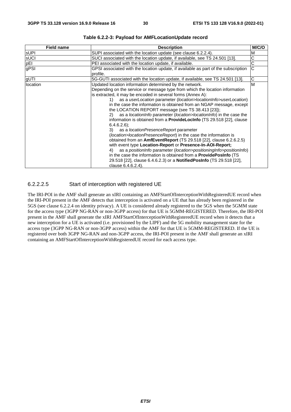| <b>Field name</b> | <b>Description</b>                                                                                 | M/C/O |
|-------------------|----------------------------------------------------------------------------------------------------|-------|
| <b>sUPI</b>       | SUPI associated with the location update (see clause 6.2.2.4).                                     | M     |
| sUCI              | SUCI associated with the location update, if available, see TS 24.501 [13].                        | С     |
| pEI               | PEI associated with the location update, if available.                                             | C     |
| gPSI              | GPSI associated with the location update, if available as part of the subscription                 | C     |
|                   | profile.                                                                                           |       |
| gUTI              | 5G-GUTI associated with the location update, if available, see TS 24.501 [13].                     | С     |
| location          | Updated location information determined by the network.                                            | M     |
|                   | Depending on the service or message type from which the location information                       |       |
|                   | is extracted, it may be encoded in several forms (Annex A):                                        |       |
|                   | as a userLocation parameter (location>locationInfo>userLocation)<br>1)                             |       |
|                   | in the case the information is obtained from an NGAP message, except                               |       |
|                   | the LOCATION REPORT message (see TS 38.413 [23]);                                                  |       |
|                   | as a <i>locationlnfo</i> parameter ( <i>location</i> > <i>locationlnfo</i> ) in the case the<br>2) |       |
|                   | information is obtained from a <b>ProvideLocinfo</b> (TS 29.518 [22], clause                       |       |
|                   | $6.4.6.2.6$ :                                                                                      |       |
|                   | as a <i>locationPresenceReport</i> parameter<br>3)                                                 |       |
|                   | (location>locationPresenceReport) in the case the information is                                   |       |
|                   | obtained from an AmfEventReport (TS 29.518 [22], clause 6.2.6.2.5)                                 |       |
|                   | with event type Location-Report or Presence-In-AOI-Report;                                         |       |
|                   | as a position n fo parameter (location > positioning Info > position Info)<br>4)                   |       |
|                   | in the case the information is obtained from a <b>ProvidePosInfo</b> (TS                           |       |
|                   | 29.518 [22], clause 6.4.6.2.3) or a NotifiedPosInfo (TS 29.518 [22],                               |       |
|                   | clause 6.4.6.2.4).                                                                                 |       |

**Table 6.2.2-3: Payload for AMFLocationUpdate record** 

#### 6.2.2.2.5 Start of interception with registered UE

The IRI-POI in the AMF shall generate an xIRI containing an AMFStartOfInterceptionWithRegisteredUE record when the IRI-POI present in the AMF detects that interception is activated on a UE that has already been registered in the 5GS (see clause 6.2.2.4 on identity privacy). A UE is considered already registered to the 5GS when the 5GMM state for the access type (3GPP NG-RAN or non-3GPP access) for that UE is 5GMM-REGISTERED. Therefore, the IRI-POI present in the AMF shall generate the xIRI AMFStartOfInterceptionWithRegisteredUE record when it detects that a new interception for a UE is activated (i.e. provisioned by the LIPF) and the 5G mobility management state for the access type (3GPP NG-RAN or non-3GPP access) within the AMF for that UE is 5GMM-REGISTERED. If the UE is registered over both 3GPP NG-RAN and non-3GPP access, the IRI-POI present in the AMF shall generate an xIRI containing an AMFStartOfInterceptionWithRegisteredUE record for each access type.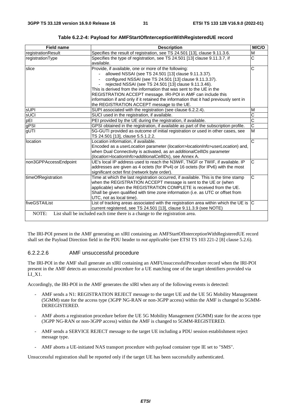| <b>Field name</b>     | <b>Description</b>                                                                                                                                              | M/C/O                 |
|-----------------------|-----------------------------------------------------------------------------------------------------------------------------------------------------------------|-----------------------|
| registrationResult    | Specifies the result of registration, see TS 24.501 [13], clause 9.11.3.6.                                                                                      | M                     |
| registrationType      | Specifies the type of registration, see TS 24.501 [13] clause 9.11.3.7, if<br>available.                                                                        | $\overline{\text{c}}$ |
| slice                 | Provide, if available, one or more of the following:                                                                                                            | С                     |
|                       | allowed NSSAI (see TS 24.501 [13] clause 9.11.3.37).                                                                                                            |                       |
|                       | configured NSSAI (see TS 24.501 [13] clause 9.11.3.37).                                                                                                         |                       |
|                       | rejected NSSAI (see TS 24.501 [13] clause 9.11.3.46).                                                                                                           |                       |
|                       | This is derived from the information that was sent to the UE in the                                                                                             |                       |
|                       | REGISTRATION ACCEPT message. IRI-POI in AMF can include this                                                                                                    |                       |
|                       | information if and only if it retained the information that it had previously sent in                                                                           |                       |
|                       | the REGISTRATION ACCEPT message to the UE.                                                                                                                      |                       |
| <b>sUPI</b>           | SUPI associated with the registration (see clause 6.2.2.4).                                                                                                     | M                     |
| sUCI                  | SUCI used in the registration, if available.                                                                                                                    | $\overline{\text{c}}$ |
| pEI                   | PEI provided by the UE during the registration, if available.                                                                                                   | $\overline{\text{c}}$ |
| gPSI                  | GPSI obtained in the registration, if available as part of the subscription profile.                                                                            | $\overline{\text{c}}$ |
| qUTI                  | 5G-GUTI provided as outcome of initial registration or used in other cases, see<br>TS 24.501 [13], clause 5.5.1.2.2.                                            | M                     |
| location              | Location information, if available.                                                                                                                             | $\overline{\text{c}}$ |
|                       | Encoded as a <i>userLocation</i> parameter ( <i>location</i> >locationInfo>userLocation) and,                                                                   |                       |
|                       | when Dual Connectivity is activated, as an additionalCellIDs parameter                                                                                          |                       |
|                       | (location>locationInfo>additionalCellIDs), see Annex A.                                                                                                         |                       |
| non3GPPAccessEndpoint | UE's local IP address used to reach the N3IWF, TNGF or TWIF, if available. IP                                                                                   | С                     |
|                       | addresses are given as 4 octets (for IPv4) or 16 octets (for IPv6) with the most                                                                                |                       |
|                       | significant octet first (network byte order).                                                                                                                   |                       |
| timeOfRegistration    | Time at which the last registration occurred, if available. This is the time stamp                                                                              | $\overline{\text{c}}$ |
|                       | when the REGISTRATION ACCEPT message is sent to the UE or (when                                                                                                 |                       |
|                       | applicable) when the REGISTRATION COMPLETE is received from the UE.                                                                                             |                       |
|                       | Shall be given qualified with time zone information (i.e. as UTC or offset from                                                                                 |                       |
|                       | UTC, not as local time).                                                                                                                                        |                       |
| fiveGSTAIList         | List of tracking areas associated with the registration area within which the UE is $ C $<br>current registered, see TS 24.501 [13], clause 9.11.3.9 (see NOTE) |                       |
| NOTE:                 | List shall be included each time there is a change to the registration area.                                                                                    |                       |

**Table 6.2.2-4: Payload for AMFStartOfInterceptionWithRegisteredUE record** 

The IRI-POI present in the AMF generating an xIRI containing an AMFStartOfInterceptionWithRegisteredUE record shall set the Payload Direction field in the PDU header to *not applicable* (see ETSI TS 103 221-2 [8] clause 5.2.6).

#### 6.2.2.2.6 AMF unsuccessful procedure

The IRI-POI in the AMF shall generate an xIRI containing an AMFUnsuccessfulProcedure record when the IRI-POI present in the AMF detects an unsuccessful procedure for a UE matching one of the target identifiers provided via LI\_X1.

Accordingly, the IRI-POI in the AMF generates the xIRI when any of the following events is detected:

- AMF sends a N1: REGISTRATION REJECT message to the target UE and the UE 5G Mobility Management (5GMM) state for the access type (3GPP NG-RAN or non-3GPP access) within the AMF is changed to 5GMM-DEREGISTERED.
- AMF aborts a registration procedure before the UE 5G Mobility Management (5GMM) state for the access type (3GPP NG-RAN or non-3GPP access) within the AMF is changed to 5GMM-REGISTERED.
- AMF sends a SERVICE REJECT message to the target UE including a PDU session establishment reject message type.
- AMF aborts a UE-initiated NAS transport procedure with payload container type IE set to "SMS".

Unsuccessful registration shall be reported only if the target UE has been successfully authenticated.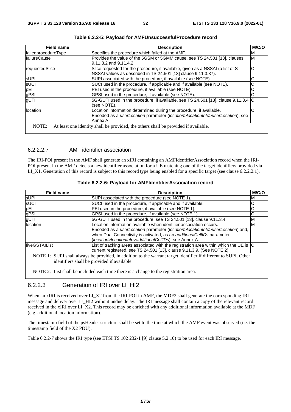| <b>Field name</b>    | <b>Description</b>                                                                                                                                               | M/C/O |
|----------------------|------------------------------------------------------------------------------------------------------------------------------------------------------------------|-------|
| failedprocedureType  | Specifies the procedure which failed at the AMF.                                                                                                                 | M     |
| <b>IfailureCause</b> | Provides the value of the 5GSM or 5GMM cause, see TS 24.501 [13], clauses<br>l9.11.3.2 and 9.11.4.2.                                                             | M     |
| requestedSlice       | Slice requested for the procedure, if available, given as a NSSAI (a list of S-<br>NSSAI values as described in TS 24.501 [13] clause 9.11.3.37).                | IС    |
| <b>SUPI</b>          | SUPI associated with the procedure, if available (see NOTE).                                                                                                     |       |
| <b>SUCI</b>          | SUCI used in the procedure, if applicable and if available (see NOTE).                                                                                           | С     |
| pEI                  | PEI used in the procedure, if available (see NOTE).                                                                                                              | С     |
| gPSI                 | GPSI used in the procedure, if available (see NOTE).                                                                                                             |       |
| gUTI                 | 5G-GUTI used in the procedure, if available, see TS 24.501 [13], clause 9.11.3.4 C<br>(see NOTE).                                                                |       |
| location             | Location information determined during the procedure, if available.<br>Encoded as a userLocation parameter (location>locationInfo>userLocation), see<br>Annex A. | C     |
| NOTE:                | At least one identity shall be provided, the others shall be provided if available.                                                                              |       |

|  |  |  | Table 6.2.2-5: Payload for AMFUnsuccessfulProcedure record |
|--|--|--|------------------------------------------------------------|
|--|--|--|------------------------------------------------------------|

#### 6.2.2.2.7 AMF identifier association

The IRI-POI present in the AMF shall generate an xIRI containing an AMFIdentifierAssociation record when the IRI-POI present in the AMF detects a new identifier association for a UE matching one of the target identifiers provided via LI\_X1. Generation of this record is subject to this record type being enabled for a specific target (see clause 6.2.2.2.1).

| <b>Field name</b> | <b>Description</b>                                                                                                                                                                                                                                                                       | M/C/C |
|-------------------|------------------------------------------------------------------------------------------------------------------------------------------------------------------------------------------------------------------------------------------------------------------------------------------|-------|
| <b>SUPI</b>       | SUPI associated with the procedure (see NOTE 1).                                                                                                                                                                                                                                         | M     |
| sUCI              | SUCI used in the procedure, if applicable and if available.                                                                                                                                                                                                                              | С     |
| pEI               | PEI used in the procedure, if available (see NOTE 1).                                                                                                                                                                                                                                    | C     |
| gPSI              | GPSI used in the procedure, if available (see NOTE 1).                                                                                                                                                                                                                                   | С     |
| gUTI              | 5G-GUTI used in the procedure, see TS 24.501 [13], clause 9.11.3.4.                                                                                                                                                                                                                      | M     |
| location          | Location information available when identifier association occurs.<br>Encoded as a userLocation parameter (location>locationInfo>userLocation) and,<br>when Dual Connectivity is activated, as an additionalCellIDs parameter<br>(location>locationInfo>additionalCellIDs), see Annex A. | ΙM    |
| fiveGSTAIList     | List of tracking areas associated with the registration area within which the UE is C<br>current registered, see TS 24.501 [13], clause 9.11.3.9. (See NOTE 2)                                                                                                                           |       |
|                   | NOTE 1: SUPI shall always be provided, in addition to the warrant target identifier if different to SUPI. Other                                                                                                                                                                          |       |
|                   | identifiers shall be provided if available.                                                                                                                                                                                                                                              |       |

NOTE 2: List shall be included each time there is a change to the registration area.

### 6.2.2.3 Generation of IRI over LI\_HI2

When an xIRI is received over LI\_X2 from the IRI-POI in AMF, the MDF2 shall generate the corresponding IRI message and deliver over LI\_HI2 without undue delay. The IRI message shall contain a copy of the relevant record received in the xIRI over LI\_X2. This record may be enriched with any additional information available at the MDF (e.g. additional location information).

The timestamp field of the psHeader structure shall be set to the time at which the AMF event was observed (i.e. the timestamp field of the X2 PDU).

Table 6.2.2-7 shows the IRI type (see ETSI TS 102 232-1 [9] clause 5.2.10) to be used for each IRI message.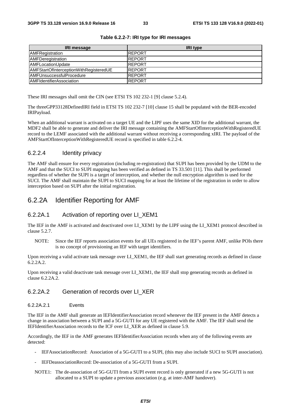| <b>IRI</b> message                     | <b>IRI type</b> |
|----------------------------------------|-----------------|
| AMFRegistration                        | <b>REPORT</b>   |
| AMFDeregistration                      | <b>REPORT</b>   |
| AMFLocationUpdate                      | <b>REPORT</b>   |
| AMFStartOfInterceptionWithRegisteredUE | <b>REPORT</b>   |
| <b>AMFUnsuccessfulProcedure</b>        | <b>REPORT</b>   |
| <b>AMFIdentifierAssociation</b>        | <b>REPORT</b>   |

#### **Table 6.2.2-7: IRI type for IRI messages**

These IRI messages shall omit the CIN (see ETSI TS 102 232-1 [9] clause 5.2.4).

The threeGPP33128DefinedIRI field in ETSI TS 102 232-7 [10] clause 15 shall be populated with the BER-encoded IRIPayload.

When an additional warrant is activated on a target UE and the LIPF uses the same XID for the additional warrant, the MDF2 shall be able to generate and deliver the IRI message containing the AMFStartOfInterceptionWithRegisteredUE record to the LEMF associated with the additional warrant without receiving a corresponding xIRI. The payload of the AMFStartOfInterceptionWithRegisteredUE record is specified in table 6.2.2-4.

#### 6.2.2.4 Identity privacy

The AMF shall ensure for every registration (including re-registration) that SUPI has been provided by the UDM to the AMF and that the SUCI to SUPI mapping has been verified as defined in TS 33.501 [11]. This shall be performed regardless of whether the SUPI is a target of interception, and whether the null encryption algorithm is used for the SUCI. The AMF shall maintain the SUPI to SUCI mapping for at least the lifetime of the registration in order to allow interception based on SUPI after the initial registration.

### 6.2.2A Identifier Reporting for AMF

#### 6.2.2A.1 Activation of reporting over LI\_XEM1

The IEF in the AMF is activated and deactivated over LI\_XEM1 by the LIPF using the LI\_XEM1 protocol described in clause 5.2.7.

NOTE: Since the IEF reports association events for all UEs registered in the IEF's parent AMF, unlike POIs there is no concept of provisioning an IEF with target identifiers.

Upon receiving a valid activate task message over LI\_XEM1, the IEF shall start generating records as defined in clause 6.2.2A.2.

Upon receiving a valid deactivate task message over LI\_XEM1, the IEF shall stop generating records as defined in clause 6.2.2A.2.

#### 6.2.2A.2 Generation of records over LI\_XER

6.2.2A.2.1 Events

The IEF in the AMF shall generate an IEFIdentifierAssociation record whenever the IEF present in the AMF detects a change in association between a SUPI and a 5G-GUTI for any UE registered with the AMF. The IEF shall send the IEFIdentifierAssociation records to the ICF over LI\_XER as defined in clause 5.9.

Accordingly, the IEF in the AMF generates IEFIdentifierAssociation records when any of the following events are detected:

- IEFAssociationRecord: Association of a 5G-GUTI to a SUPI, (this may also include SUCI to SUPI association).
- IEFDeassociationRecord: De-association of a 5G-GUTI from a SUPI.
- NOTE1: The de-association of 5G-GUTI from a SUPI event record is only generated if a new 5G-GUTI is not allocated to a SUPI to update a previous association (e.g. at inter-AMF handover).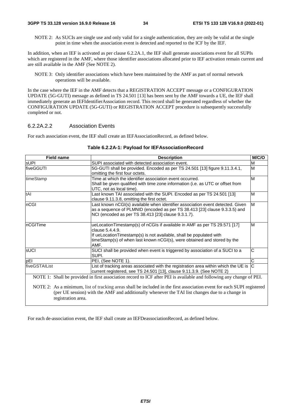NOTE 2: As SUCIs are single use and only valid for a single authentication, they are only be valid at the single point in time when the association event is detected and reported to the ICF by the IEF.

In addition, when an IEF is activated as per clause 6.2.2A.1, the IEF shall generate associations event for all SUPIs which are registered in the AMF, where those identifier associations allocated prior to IEF activation remain current and are still available in the AMF (See NOTE 2).

NOTE 3: Only identifier associations which have been maintained by the AMF as part of normal network operations will be available.

In the case where the IEF in the AMF detects that a REGISTRATION ACCEPT message or a CONFIGURATION UPDATE (5G-GUTI) message as defined in TS 24.501 [13] has been sent by the AMF towards a UE, the IEF shall immediately generate an IEFIdentifierAssociation record. This record shall be generated regardless of whether the CONFIGURATION UPDATE (5G-GUTI) or REGISTRATION ACCEPT procedure is subsequently successfully completed or not.

#### 6.2.2A.2.2 Association Events

For each association event, the IEF shall create an IEFAssociationRecord, as defined below.

| <b>Field name</b>                                                                                                      | <b>Description</b>                                                                  | M/C/O                 |  |
|------------------------------------------------------------------------------------------------------------------------|-------------------------------------------------------------------------------------|-----------------------|--|
| <b>sUPI</b>                                                                                                            | SUPI associated with detected association event.                                    | M                     |  |
| fiveGGUTI                                                                                                              | 5G-GUTI shall be provided. Encoded as per TS 24.501 [13] figure 9.11.3.4.1,         | M                     |  |
|                                                                                                                        | omitting the first four octets.                                                     |                       |  |
| timeStamp                                                                                                              | Time at which the identifier association event occurred.                            | M                     |  |
|                                                                                                                        | Shall be given qualified with time zone information (i.e. as UTC or offset from     |                       |  |
|                                                                                                                        | UTC, not as local time).                                                            |                       |  |
| tAI                                                                                                                    | Last known TAI associated with the SUPI. Encoded as per TS 24.501 [13]              | M                     |  |
|                                                                                                                        | clause 9.11.3.8, omitting the first octet.                                          |                       |  |
| nCGI                                                                                                                   | Last known nCGI(s) available when identifier association event detected. Given      | M                     |  |
|                                                                                                                        | as a sequence of PLMNID (encoded as per TS 38.413 [23] clause 9.3.3.5) and          |                       |  |
|                                                                                                                        | NCI (encoded as per TS 38.413 [23] clause 9.3.1.7).                                 |                       |  |
| InCGITime                                                                                                              | ueLocationTimestamp(s) of nCGIs if available in AMF as per TS 29.571 [17]           | M                     |  |
|                                                                                                                        | clause 5.4.4.9.                                                                     |                       |  |
|                                                                                                                        | If ueLocationTimestamp(s) is not available, shall be populated with                 |                       |  |
|                                                                                                                        | timeStamp(s) of when last known nCGI(s), were obtained and stored by the            |                       |  |
|                                                                                                                        | AMF.                                                                                |                       |  |
| sUCI                                                                                                                   | SUCI shall be provided when event is triggered by association of a SUCI to a        | C                     |  |
|                                                                                                                        | SUPI.                                                                               |                       |  |
| pEI                                                                                                                    | PEI, (See NOTE 1).                                                                  | $\overline{\text{c}}$ |  |
| fiveGSTAIList                                                                                                          | List of tracking areas associated with the registration area within which the UE is | C                     |  |
|                                                                                                                        | current registered, see TS 24.501 [13], clause 9.11.3.9. (See NOTE 2)               |                       |  |
| NOTE 1: Shall be provided in first association record to ICF after PEI is available and following any change of PEI.   |                                                                                     |                       |  |
| NOTE 2: As a minimum, list of tracking areas shall be included in the first association event for each SUPI registered |                                                                                     |                       |  |
| (per UE session) with the AMF and additionally whenever the TAI list changes due to a change in                        |                                                                                     |                       |  |
| registration area.                                                                                                     |                                                                                     |                       |  |
|                                                                                                                        |                                                                                     |                       |  |

#### **Table 6.2.2A-1: Payload for IEFAssociationRecord**

For each de-association event, the IEF shall create an IEFDeassociationRecord, as defined below.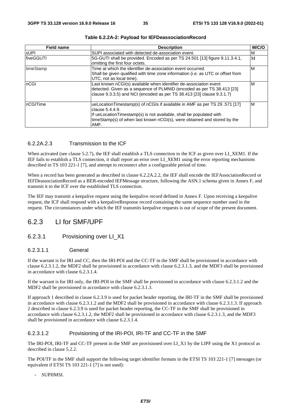| <b>Field name</b> | <b>Description</b>                                                                                                                                                                                                                                      | M/C/O |
|-------------------|---------------------------------------------------------------------------------------------------------------------------------------------------------------------------------------------------------------------------------------------------------|-------|
| <b>SUPI</b>       | SUPI associated with detected de-association event.                                                                                                                                                                                                     | M     |
| <b>fiveGGUTI</b>  | 5G-GUTI shall be provided. Encoded as per TS 24.501 [13] figure 9.11.3.4.1,<br>omitting the first four octets.                                                                                                                                          | M     |
| timeStamp         | Time at which the identifier de-association event occurred.<br>Shall be given qualified with time zone information (i.e. as UTC or offset from<br>UTC, not as local time).                                                                              | ιM    |
| InCGI             | Last known nCGI(s) available when identifier de-association event<br>detected. Given as a sequence of PLMNID (encoded as per TS 38.413 [23]<br>clause 9.3.3.5) and NCI (encoded as per TS 38.413 [23] clause 9.3.1.7)                                   | M     |
| InCGITime         | ueLocationTimestamp(s) of nCGIs if available in AMF as per TS 29.571 [17]<br>clause 5.4.4.9.<br>If ueLocationTimestamp(s) is not available, shall be populated with<br>timeStamp(s) of when last known nCGI(s), were obtained and stored by the<br>AMF. | M     |

#### **Table 6.2.2A-2: Payload for IEFDeassociationRecord**

#### 6.2.2A.2.3 Transmission to the ICF

When activated (see clause 5.2.7), the IEF shall establish a TLS connection to the ICF as given over LI\_XEM1. If the IEF fails to establish a TLS connection, it shall report an error over LI\_XEM1 using the error reporting mechanisms described in TS 103 221-1 [7], and attempt to reconnect after a configurable period of time.

When a record has been generated as described in clause 6.2.2A.2.2, the IEF shall encode the IEFAssociationRecord or IEFDeassociationRecord as a BER-encoded IEFMessage structure, following the ASN.1 schema given in Annex F, and transmit it to the ICF over the established TLS connection.

The IEF may transmit a keepalive request using the keepalive record defined in Annex F. Upon receiving a keepalive request, the ICF shall respond with a keepaliveResponse record containing the same sequence number used in the request. The circumstances under which the IEF transmits keepalive requests is out of scope of the present document.

### 6.2.3 LI for SMF/UPF

#### 6.2.3.1 Provisioning over LI\_X1

#### 6.2.3.1.1 General

If the warrant is for IRI and CC, then the IRI-POI and the CC-TF in the SMF shall be provisioned in accordance with clause 6.2.3.1.2, the MDF2 shall be provisioned in accordance with clause 6.2.3.1.3, and the MDF3 shall be provisioned in accordance with clause 6.2.3.1.4.

If the warrant is for IRI only, the IRI-POI in the SMF shall be provisioned in accordance with clause 6.2.3.1.2 and the MDF2 shall be provisioned in accordance with clause 6.2.3.1.3.

If approach 1 described in clause 6.2.3.9 is used for packet header reporting, the IRI-TF in the SMF shall be provisioned in accordance with clause 6.2.3.1.2 and the MDF2 shall be provisioned in accordance with clause 6.2.3.1.3. If approach 2 described in clause 6.2.3.9 is used for packet header reporting, the CC-TF in the SMF shall be provisioned in accordance with clause 6.2.3.1.2, the MDF2 shall be provisioned in accordance with clause 6.2.3.1.3, and the MDF3 shall be provisioned in accordance with clause 6.2.3.1.4.

#### 6.2.3.1.2 Provisioning of the IRI-POI, IRI-TF and CC-TF in the SMF

The IRI-POI, IRI-TF and CC-TF present in the SMF are provisioned over LI\_X1 by the LIPF using the X1 protocol as described in clause 5.2.2.

The POI/TF in the SMF shall support the following target identifier formats in the ETSI TS 103 221-1 [7] messages (or equivalent if ETSI TS 103 221-1 [7] is not used):

- SUPIIMSI.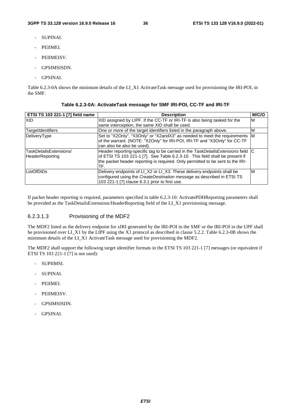- SUPINAI.
- PEIIMEI.
- PEIIMEISV.
- GPSIMSISDN.
- GPSINAI.

Table 6.2.3-0A shows the minimum details of the LI\_X1 ActivateTask message used for provisioning the IRI-POI, in the SMF.

| <b>ETSI TS 103 221-1 [7] field name</b>          | <b>Description</b>                                                                                                                                                                                                                                        | M/C/O |
|--------------------------------------------------|-----------------------------------------------------------------------------------------------------------------------------------------------------------------------------------------------------------------------------------------------------------|-------|
| <b>XID</b>                                       | XID assigned by LIPF. If the CC-TF or IRI-TF is also being tasked for the                                                                                                                                                                                 | м     |
|                                                  | same interception, the same XID shall be used.                                                                                                                                                                                                            |       |
| TargetIdentifiers                                | One or more of the target identifiers listed in the paragraph above.                                                                                                                                                                                      | М     |
| <b>DeliveryType</b>                              | Set to "X2Only", "X3Only" or "X2andX3" as needed to meet the requirements M<br>of the warrant. (NOTE: "X2Only" for IRI-POI, IRI-TF and "X3Only" for CC-TF<br>can also be also be used).                                                                   |       |
| TaskDetailsExtensions/<br><b>HeaderReporting</b> | Header reporting-specific tag to be carried in the TaskDetailsExtensions field C<br>of ETSI TS 103 221-1 [7]. See Table 6.2.3-10. This field shall be present if<br>the packet header reporting is required. Only permitted to be sent to the IRI-<br>TF. |       |
| ListOfDIDs                                       | Delivery endpoints of LI_X2 or LI_X3. These delivery endpoints shall be<br>configured using the CreateDestination message as described in ETSI TS<br>103 221-1 [7] clause 6.3.1 prior to first use.                                                       | ιM    |

#### **Table 6.2.3-0A: ActivateTask message for SMF IRI-POI, CC-TF and IRI-TF**

If packet header reporting is required, parameters specified in table 6.2.3-10: ActivatePDHReporting parameters shall be provided as the TaskDetailsExtensions/HeaderReporting field of the LI\_X1 provisioning message.

### 6.2.3.1.3 Provisioning of the MDF2

The MDF2 listed as the delivery endpoint for xIRI generated by the IRI-POI in the SMF or the IRI-POI in the UPF shall be provisioned over LI\_X1 by the LIPF using the X1 protocol as described in clause 5.2.2. Table 6.2.3-0B shows the minimum details of the LI\_X1 ActivateTask message used for provisioning the MDF2.

The MDF2 shall support the following target identifier formats in the ETSI TS 103 221-1 [7] messages (or equivalent if ETSI TS 103 221-1 [7] is not used):

- SUPIIMSI.
- SUPINAI.
- PEIIMEI.
- PEIIMEISV.
- GPSIMSISDN.
- GPSINAI.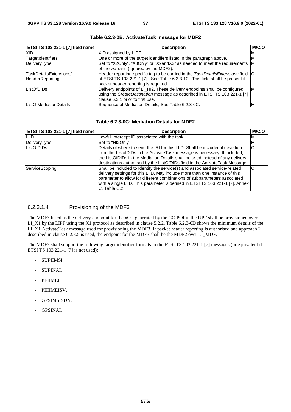| ETSI TS 103 221-1 [7] field name | <b>Description</b>                                                               | M/C/O |
|----------------------------------|----------------------------------------------------------------------------------|-------|
| <b>XID</b>                       | XID assigned by LIPF.                                                            | M     |
| <b>TargetIdentifiers</b>         | One or more of the target identifiers listed in the paragraph above.             | M     |
| DeliveryType                     | Set to "X2Only", "X3Only" or "X2andX3" as needed to meet the requirements M      |       |
|                                  | of the warrant. (Ignored by the MDF2).                                           |       |
| TaskDetailsExtensions/           | Header reporting-specific tag to be carried in the TaskDetailsExtensions field C |       |
| <b>HeaderReporting</b>           | of ETSI TS 103 221-1 [7]. See Table 6.2.3-10. This field shall be present if     |       |
|                                  | packet header reporting is required.                                             |       |
| ListOfDIDs                       | Delivery endpoints of LI_HI2. These delivery endpoints shall be configured       | ΙM    |
|                                  | using the CreateDestination message as described in ETSI TS 103 221-1 [7]        |       |
|                                  | clause 6.3.1 prior to first use.                                                 |       |
| ListOfMediationDetails           | Sequence of Mediation Details, See Table 6.2.3-0C.                               | ΙM    |

**Table 6.2.3-0B: ActivateTask message for MDF2** 

### **Table 6.2.3-0C: Mediation Details for MDF2**

| ETSI TS 103 221-1 [7] field name | <b>Description</b>                                                                                                                                                                                                                                                                                                                        | M/C/O |
|----------------------------------|-------------------------------------------------------------------------------------------------------------------------------------------------------------------------------------------------------------------------------------------------------------------------------------------------------------------------------------------|-------|
| LIID                             | Lawful Intercept ID associated with the task.                                                                                                                                                                                                                                                                                             | M     |
| DeliveryType                     | Set to "HI2Only".                                                                                                                                                                                                                                                                                                                         | ΙM    |
| ListOfDIDs                       | Details of where to send the IRI for this LIID. Shall be included if deviation<br>from the ListofDIDs in the ActivateTask message is necessary. If included,<br>the ListOfDIDs in the Mediation Details shall be used instead of any delivery<br>destinations authorised by the ListOfDIDs field in the ActivateTask Message.             | C     |
| ServiceScoping                   | Shall be included to Identify the service(s) and associated service-related<br>delivery settings for this LIID. May include more than one instance of this<br>parameter to allow for different combinations of subparameters associated<br>with a single LIID. This parameter is defined in ETSI TS 103 221-1 [7], Annex<br>C. Table C.2. | С     |

## 6.2.3.1.4 Provisioning of the MDF3

The MDF3 listed as the delivery endpoint for the xCC generated by the CC-POI in the UPF shall be provisioned over LI\_X1 by the LIPF using the X1 protocol as described in clause 5.2.2. Table 6.2.3-0D shows the minimum details of the LI\_X1 ActivateTask message used for provisioning the MDF3. If packet header reporting is authorised and approach 2 described in clause 6.2.3.5 is used, the endpoint for the MDF3 shall be the MDF2 over LI\_MDF.

The MDF3 shall support the following target identifier formats in the ETSI TS 103 221-1 [7] messages (or equivalent if ETSI TS 103 221-1 [7] is not used):

- SUPIIMSI.
- SUPINAI.
- PEIIMEI.
- PEIIMEISV.
- GPSIMSISDN.
- GPSINAI.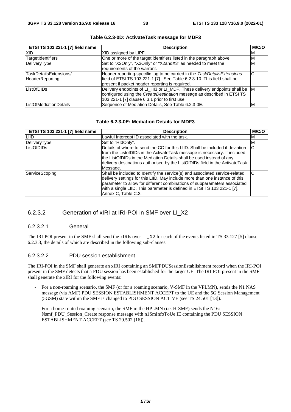| <b>ETSI TS 103 221-1 [7] field name</b> | <b>Description</b>                                                          | M/C/O |
|-----------------------------------------|-----------------------------------------------------------------------------|-------|
| XID                                     | XID assigned by LIPF.                                                       | ΙM    |
| TargetIdentifiers                       | One or more of the target identifiers listed in the paragraph above.        | ΙM    |
| DeliveryType                            | Set to "X2Only", "X3Only" or "X2andX3" as needed to meet the                | M     |
|                                         | requirements of the warrant.                                                |       |
| TaskDetailsExtensions/                  | Header reporting-specific tag to be carried in the TaskDetailsExtensions    | ІС    |
| <b>HeaderReporting</b>                  | field of ETSI TS 103 221-1 [7]. See Table 6.2.3-10. This field shall be     |       |
|                                         | present if packet header reporting is required.                             |       |
| ListOfDIDs                              | Delivery endpoints of LI_HI3 or LI_MDF. These delivery endpoints shall be M |       |
|                                         | configured using the CreateDestination message as described in ETSI TS      |       |
|                                         | 103 221-1 [7] clause 6.3.1 prior to first use.                              |       |
| <b>ListOfMediationDetails</b>           | Sequence of Mediation Details, See Table 6.2.3-0E.                          | ΙM    |

**Table 6.2.3-0D: ActivateTask message for MDF3** 

### **Table 6.2.3-0E: Mediation Details for MDF3**

| ETSI TS 103 221-1 [7] field name | <b>Description</b>                                                                                                                                                                                                                                                                                                                        | M/C/O |
|----------------------------------|-------------------------------------------------------------------------------------------------------------------------------------------------------------------------------------------------------------------------------------------------------------------------------------------------------------------------------------------|-------|
| LIID                             | Lawful Intercept ID associated with the task.                                                                                                                                                                                                                                                                                             | M     |
| DeliveryType                     | Set to "HI3Only".                                                                                                                                                                                                                                                                                                                         | M     |
| ListOfDIDs                       | Details of where to send the CC for this LIID. Shall be included if deviation<br>from the ListofDIDs in the ActivateTask message is necessary. If included,<br>the ListOfDIDs in the Mediation Details shall be used instead of any<br>delivery destinations authorised by the ListOfDIDs field in the ActivateTask<br>Message.           | C     |
| ServiceScoping                   | Shall be included to Identify the service(s) and associated service-related<br>delivery settings for this LIID. May include more than one instance of this<br>parameter to allow for different combinations of subparameters associated<br>with a single LIID. This parameter is defined in ETSI TS 103 221-1 [7],<br>Annex C, Table C.2. | C     |

## 6.2.3.2 Generation of xIRI at IRI-POI in SMF over LI\_X2

### 6.2.3.2.1 General

The IRI-POI present in the SMF shall send the xIRIs over LI\_X2 for each of the events listed in TS 33.127 [5] clause 6.2.3.3, the details of which are described in the following sub-clauses.

## 6.2.3.2.2 PDU session establishment

The IRI-POI in the SMF shall generate an xIRI containing an SMFPDUSessionEstablishment record when the IRI-POI present in the SMF detects that a PDU session has been established for the target UE. The IRI-POI present in the SMF shall generate the xIRI for the following events:

- For a non-roaming scenario, the SMF (or for a roaming scenario, V-SMF in the VPLMN), sends the N1 NAS message (via AMF) PDU SESSION ESTABLISHMENT ACCEPT to the UE and the 5G Session Management (5GSM) state within the SMF is changed to PDU SESSION ACTIVE (see TS 24.501 [13]).
- For a home-routed roaming scenario, the SMF in the HPLMN (i.e. H-SMF) sends the N16: Nsmf\_PDU\_Session\_Create response message with n1SmInfoToUe IE containing the PDU SESSION ESTABLISHMENT ACCEPT (see TS 29.502 [16]).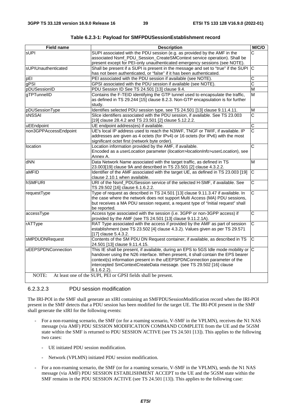| <b>Field name</b>     | <b>Description</b>                                                                                                                                                                                                                                                                                                                            | M/C/O                   |
|-----------------------|-----------------------------------------------------------------------------------------------------------------------------------------------------------------------------------------------------------------------------------------------------------------------------------------------------------------------------------------------|-------------------------|
| sUPI                  | SUPI associated with the PDU session (e.g. as provided by the AMF in the<br>associated Nsmf_PDU_Session_CreateSMContext service operation). Shall be<br>present except for PEI-only unauthenticated emergency sessions (see NOTE).                                                                                                            | Ć                       |
| sUPIUnauthenticated   | Shall be present if a SUPI is present in the message and set to "true" if the SUPI C<br>has not been authenticated, or "false" if it has been authenticated.                                                                                                                                                                                  |                         |
| pEI                   | PEI associated with the PDU session if available (see NOTE)                                                                                                                                                                                                                                                                                   | $\overline{\text{c}}$   |
| qPSI                  | GPSI associated with the PDU session if available (see NOTE).                                                                                                                                                                                                                                                                                 | $\overline{\text{c}}$   |
| pDUSessionID          | PDU Session ID See TS 24.501 [13] clause 9.4.                                                                                                                                                                                                                                                                                                 | M                       |
| gTPTunnelID           | Contains the F-TEID identifying the GTP tunnel used to encapsulate the traffic,<br>as defined in TS 29.244 [15] clause 8.2.3. Non-GTP encapsulation is for further<br>study.                                                                                                                                                                  | M                       |
| pDUSessionType        | Identifies selected PDU session type, see TS 24.501 [13] clause 9.11.4.11.                                                                                                                                                                                                                                                                    | $\overline{\mathsf{M}}$ |
| sNSSAI                | Slice identifiers associated with the PDU session, if available. See TS 23.003<br>[19] clause 28.4.2 and TS 23.501 [2] clause 5.12.2.2.                                                                                                                                                                                                       | $\overline{\text{c}}$   |
| uEEndpoint            | UE endpoint address(es) if available.                                                                                                                                                                                                                                                                                                         | $\overline{\text{c}}$   |
| non3GPPAccessEndpoint | UE's local IP address used to reach the N3IWF, TNGF or TWIF, if available. IP<br>addresses are given as 4 octets (for IPv4) or 16 octets (for IPv6) with the most<br>significant octet first (network byte order).                                                                                                                            | $\overline{\text{c}}$   |
| location              | Location information provided by the AMF, if available.<br>Encoded as a userLocation parameter (location>locationInfo>userLocation), see<br>Annex A.                                                                                                                                                                                          | C                       |
| dNN                   | Data Network Name associated with the target traffic, as defined in TS<br>23.003[19] clause 9A and described in TS 23.501 [2] clause 4.3.2.2.                                                                                                                                                                                                 | M                       |
| aMFID                 | Identifier of the AMF associated with the target UE, as defined in TS 23.003 [19]<br>clause 2.10.1 when available.                                                                                                                                                                                                                            | $\overline{C}$          |
| <b>hSMFURI</b>        | URI of the Nsmf_PDUSession service of the selected H-SMF, if available. See<br>TS 29.502 [16] clause 6.1.6.2.2.                                                                                                                                                                                                                               | $\overline{\text{c}}$   |
| requestType           | Type of request as described in TS 24.501 [13] clause 9.11.3.47 if available. In<br>the case where the network does not support Multi Access (MA) PDU sessions,<br>but receives a MA PDU session request, a request type of "Initial request" shall<br>be reported.                                                                           | $\overline{\text{c}}$   |
| accessType            | Access type associated with the session (i.e. 3GPP or non-3GPP access) if<br>provided by the AMF (see TS 24.501 [13] clause 9.11.2.1A).                                                                                                                                                                                                       | $\overline{\text{c}}$   |
| rATType               | RAT Type associated with the access if provided by the AMF as part of session<br>establishment (see TS 23.502 [4] clause 4.3.2). Values given as per TS 29.571<br>[17] clause 5.4.3.2.                                                                                                                                                        | $\overline{\text{c}}$   |
| sMPDUDNRequest        | Contents of the SM PDU DN Request container, if available, as described in TS<br>24.501 [13] clause 9.11.4.15.                                                                                                                                                                                                                                | C                       |
| uEEPSPDNConnection    | This IE shall be present, if available, during an EPS to 5GS Idle mode mobility or C<br>handover using the N26 interface. When present, it shall contain the EPS bearer<br>context(s) information present in the uEEPSPDNConnection parameter of the<br>intercepted SmContextCreateData message. (see TS 29.502 [16] clause<br>$6.1.6.2.2$ ). |                         |
| NOTE:                 | At least one of the SUPI, PEI or GPSI fields shall be present.                                                                                                                                                                                                                                                                                |                         |

| Table 6.2.3-1: Payload for SMFPDUSessionEstablishment record |
|--------------------------------------------------------------|
|--------------------------------------------------------------|

## 6.2.3.2.3 PDU session modification

The IRI-POI in the SMF shall generate an xIRI containing an SMFPDUSessionModification record when the IRI-POI present in the SMF detects that a PDU session has been modified for the target UE. The IRI-POI present in the SMF shall generate the xIRI for the following events:

- For a non-roaming scenario, the SMF (or for a roaming scenario, V-SMF in the VPLMN), receives the N1 NAS message (via AMF) PDU SESSION MODIFICATION COMMAND COMPLETE from the UE and the 5GSM state within the SMF is returned to PDU SESSION ACTIVE (see TS 24.501 [13]). This applies to the following two cases:
	- UE initiated PDU session modification.
	- Network (VPLMN) initiated PDU session modification.
- For a non-roaming scenario, the SMF (or for a roaming scenario, V-SMF in the VPLMN), sends the N1 NAS message (via AMF) PDU SESSION ESTABLISHMENT ACCEPT to the UE and the 5GSM state within the SMF remains in the PDU SESSION ACTIVE (see TS 24.501 [13]). This applies to the following case: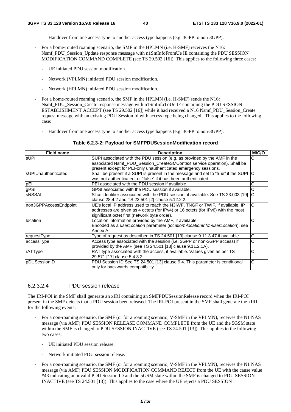- Handover from one access type to another access type happens (e.g. 3GPP to non-3GPP).
- For a home-routed roaming scenario, the SMF in the HPLMN (i.e. H-SMF) receives the N16: Nsmf\_PDU\_Session\_Update response message with n1SmInfoFromUe IE containing the PDU SESSION MODIFICATION COMMAND COMPLETE (see TS 29.502 [16]). This applies to the following three cases:
	- UE initiated PDU session modification.
	- Network (VPLMN) initiated PDU session modification.
	- Network (HPLMN) initiated PDU session modification.
- For a home-routed roaming scenario, the SMF in the HPLMN (i.e. H-SMF) sends the N16: Nsmf\_PDU\_Session\_Create response message with n1SmInfoToUe IE containing the PDU SESSION ESTABLISHMENT ACCEPT (see TS 29.502 [16]) while it had received a N16 Nsmf\_PDU\_Session\_Create request message with an existing PDU Session Id with access type being changed. This applies to the following case:
	- Handover from one access type to another access type happens (e.g. 3GPP to non-3GPP).

#### **Table 6.2.3-2: Payload for SMFPDUSessionModification record**

| <b>Field name</b>      | <b>Description</b>                                                                                                                                                                                                 | M/C/O |
|------------------------|--------------------------------------------------------------------------------------------------------------------------------------------------------------------------------------------------------------------|-------|
| <b>sUPI</b>            | SUPI associated with the PDU session (e.g. as provided by the AMF in the                                                                                                                                           | C     |
|                        | associated Nsmf_PDU_Session_CreateSMContext service operation). Shall be                                                                                                                                           |       |
|                        | present except for PEI-only unauthenticated emergency sessions.                                                                                                                                                    |       |
| IsUPIUnauthenticated   | Shall be present if a SUPI is present in the message and set to "true" if the SUPI C                                                                                                                               |       |
|                        | was not authenticated, or "false" if it has been authenticated.                                                                                                                                                    |       |
| pEI                    | PEI associated with the PDU session if available.                                                                                                                                                                  | С     |
| gPSI                   | GPSI associated with the PDU session if available.                                                                                                                                                                 | С     |
| IsNSSAI                | Slice identifier associated with the PDU session, if available. See TS 23.003 [19]<br>clause 28.4.2 and TS 23.501 [2] clause 5.12.2.2.                                                                             |       |
| Inon3GPPAccessEndpoint | UE's local IP address used to reach the N3IWF, TNGF or TWIF, if available. IP<br>addresses are given as 4 octets (for IPv4) or 16 octets (for IPv6) with the most<br>significant octet first (network byte order). | C     |
| location               | Location information provided by the AMF, if available.<br>Encoded as a <i>userLocation</i> parameter ( <i>location</i> >locationInfo>userLocation), see<br>Annex A.                                               | C     |
| requestType            | Type of request as described in TS 24.501 [13] clause 9.11.3.47 if available.                                                                                                                                      | С     |
| accessType             | Access type associated with the session (i.e. 3GPP or non-3GPP access) if<br>provided by the AMF (see TS 24.501 [13] clause 9.11.2.1A).                                                                            | С     |
| rATType                | RAT type associated with the access, if available. Values given as per TS<br>29.571 [17] clause 5.4.3.2.                                                                                                           | C     |
| pDUSessionID           | PDU Session ID See TS 24.501 [13] clause 9.4. This parameter is conditional<br>only for backwards compatibility.                                                                                                   | С     |

### 6.2.3.2.4 PDU session release

The IRI-POI in the SMF shall generate an xIRI containing an SMFPDUSessionRelease record when the IRI-POI present in the SMF detects that a PDU session been released. The IRI-POI present in the SMF shall generate the xIRI for the following events:

- For a non-roaming scenario, the SMF (or for a roaming scenario, V-SMF in the VPLMN), receives the N1 NAS message (via AMF) PDU SESSION RELEASE COMMAND COMPLETE from the UE and the 5GSM state within the SMF is changed to PDU SESSION INACTIVE (see TS 24.501 [13]). This applies to the following two cases:
	- UE initiated PDU session release.
	- Network initiated PDU session release.
- For a non-roaming scenario, the SMF (or for a roaming scenario, V-SMF in the VPLMN), receives the N1 NAS message (via AMF) PDU SESSION MODIFICATION COMMAND REJECT from the UE with the cause value #43 indicating an invalid PDU Session ID and the 5GSM state within the SMF is changed to PDU SESSION INACTIVE (see TS 24.501 [13]). This applies to the case where the UE rejects a PDU SESSION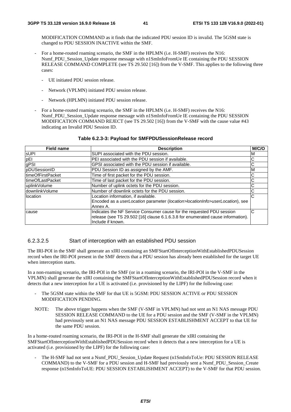MODIFICATION COMMAND as it finds that the indicated PDU session ID is invalid. The 5GSM state is changed to PDU SESSION INACTIVE within the SMF.

- For a home-routed roaming scenario, the SMF in the HPLMN (i.e. H-SMF) receives the N16: Nsmf\_PDU\_Session\_Update response message with n1SmInfoFromUe IE containing the PDU SESSION RELEASE COMMAND COMPLETE (see TS 29.502 [16]) from the V-SMF. This applies to the following three cases:
	- UE initiated PDU session release.
	- Network (VPLMN) initiated PDU session release.
	- Network (HPLMN) initiated PDU session release.
- For a home-routed roaming scenario, the SMF in the HPLMN (i.e. H-SMF) receives the N16: Nsmf\_PDU\_Session\_Update response message with n1SmInfoFromUe IE containing the PDU SESSION MODIFICATION COMMAND REJECT (see TS 29.502 [16]) from the V-SMF with the cause value #43 indicating an Invalid PDU Session ID.

#### **Table 6.2.3-3: Payload for SMFPDUSessionRelease record**

| <b>Field name</b>  | <b>Description</b>                                                              | M/C/O |
|--------------------|---------------------------------------------------------------------------------|-------|
| <b>SUPI</b>        | SUPI associated with the PDU session.                                           | M     |
| pEI                | PEI associated with the PDU session if available.                               | C     |
| gPSI               | GPSI associated with the PDU session if available.                              | C     |
| pDUSessionID       | PDU Session ID as assigned by the AMF.                                          | M     |
| ItimeOfFirstPacket | Time of first packet for the PDU session.                                       | C     |
| ItimeOfLastPacket  | Time of last packet for the PDU session.                                        | С     |
| uplinkVolume       | Number of uplink octets for the PDU session.                                    |       |
| downlinkVolume     | Number of downlink octets for the PDU session.                                  |       |
| location           | Location information, if available.                                             | C     |
|                    | Encoded as a userLocation parameter (location>locationInfo>userLocation), see   |       |
|                    | Annex A.                                                                        |       |
| cause              | Indicates the NF Service Consumer cause for the requested PDU session           | C     |
|                    | release (see TS 29.502 [16] clause 6.1.6.3.8 for enumerated cause information). |       |
|                    | Include if known.                                                               |       |

### 6.2.3.2.5 Start of interception with an established PDU session

The IRI-POI in the SMF shall generate an xIRI containing an SMFStartOfInterceptionWithEstablishedPDUSession record when the IRI-POI present in the SMF detects that a PDU session has already been established for the target UE when interception starts.

In a non-roaming scenario, the IRI-POI in the SMF (or in a roaming scenario, the IRI-POI in the V-SMF in the VPLMN) shall generate the xIRI containing the SMFStartOfInterceptionWithEstablishedPDUSession record when it detects that a new interception for a UE is activated (i.e. provisioned by the LIPF) for the following case:

- The 5GSM state within the SMF for that UE is 5GSM: PDU SESSION ACTIVE or PDU SESSION MODIFICATION PENDING.
- NOTE: The above trigger happens when the SMF (V-SMF in VPLMN) had not sent an N1 NAS message PDU SESSION RELEASE COMMAND to the UE for a PDU session and the SMF (V-SMF in the VPLMN) had previously sent an N1 NAS message PDU SESSION ESTABLISHMENT ACCEPT to that UE for the same PDU session.

In a home-routed roaming scenario, the IRI-POI in the H-SMF shall generate the xIRI containing the SMFStartOfInterceptionWithEstablishedPDUSession record when it detects that a new interception for a UE is activated (i.e. provisioned by the LIPF) for the following case:

The H-SMF had not sent a Nsmf\_PDU\_Session\_Update Request (n1SmInfoToUe: PDU SESSION RELEASE COMMAND) to the V-SMF for a PDU session and H-SMF had previously sent a Nsmf\_PDU\_Session\_Create response (n1SmInfoToUE: PDU SESSION ESTABLISHMENT ACCEPT) to the V-SMF for that PDU session.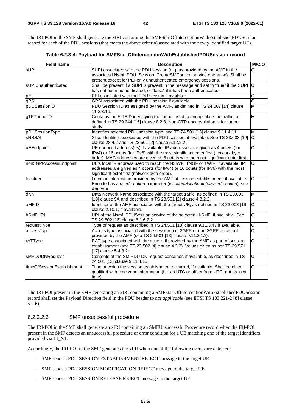The IRI-POI in the SMF shall generate the xIRI containing the SMFStartOfInterceptionWithEstablishedPDUSession record for each of the PDU sessions (that meets the above criteria) associated with the newly identified target UEs.

|  | Table 6.2.3-4: Payload for SMFStartOfInterceptionWithEstablishedPDUSession record |
|--|-----------------------------------------------------------------------------------|
|--|-----------------------------------------------------------------------------------|

| <b>Field name</b>          | <b>Description</b>                                                                                                                                                                                                                                       | M/C/O                   |
|----------------------------|----------------------------------------------------------------------------------------------------------------------------------------------------------------------------------------------------------------------------------------------------------|-------------------------|
| <b>sUPI</b>                | SUPI associated with the PDU session (e.g. as provided by the AMF in the<br>associated Nsmf_PDU_Session_CreateSMContext service operation). Shall be<br>present except for PEI-only unauthenticated emergency sessions.                                  | C                       |
| sUPIUnauthenticated        | Shall be present if a SUPI is present in the message and set to "true" if the SUPI<br>has not been authenticated, or "false" if it has been authenticated.                                                                                               | C                       |
| pEI                        | PEI associated with the PDU session if available.                                                                                                                                                                                                        | $\overline{C}$          |
| gPSI                       | GPSI associated with the PDU session if available.                                                                                                                                                                                                       | $\overline{\text{c}}$   |
| pDUSessionID               | PDU Session ID as assigned by the AMF, as defined in TS 24.007 [14] clause<br>11.2.3.1b.                                                                                                                                                                 | $\overline{\mathsf{M}}$ |
| gTPTunnelID                | Contains the F-TEID identifying the tunnel used to encapsulate the traffic, as<br>defined in TS 29.244 [15] clause 8.2.3. Non-GTP encapsulation is for further<br>study.                                                                                 | $\overline{\mathsf{M}}$ |
| pDUSessionType             | Identifies selected PDU session type, see TS 24.501 [13] clause 9.11.4.11.                                                                                                                                                                               | M                       |
| <b>SNSSAI</b>              | Slice identifier associated with the PDU session, if available. See TS 23.003 [19]<br>clause 28.4.2 and TS 23.501 [2] clause 5.12.2.2.                                                                                                                   | $\overline{\text{c}}$   |
| uEEndpoint                 | UE endpoint address(es) if available. IP addresses are given as 4 octets (for<br>IPv4) or 16 octets (for IPv6) with the most significant octet first (network byte<br>order). MAC addresses are given as 6 octets with the most significant octet first. | $\overline{\text{c}}$   |
| non3GPPAccessEndpoint      | UE's local IP address used to reach the N3IWF, TNGF or TWIF, if available. IP<br>addresses are given as 4 octets (for IPv4) or 16 octets (for IPv6) with the most<br>significant octet first (network byte order).                                       | $\overline{\text{c}}$   |
| location                   | Location information provided by the AMF at session establishment, if available.<br>Encoded as a userLocation parameter (location>locationInfo>userLocation), see<br>Annex A.                                                                            | $\overline{\text{c}}$   |
| dNN                        | Data Network Name associated with the target traffic, as defined in TS 23.003<br>[19] clause 9A and described in TS 23.501 [2] clause 4.3.2.2.                                                                                                           | M                       |
| aMFID                      | Identifier of the AMF associated with the target UE, as defined in TS 23.003 [19]<br>clause 2.10.1, if available.                                                                                                                                        | $\overline{\text{c}}$   |
| <b>hSMFURI</b>             | URI of the Nsmf_PDUSession service of the selected H-SMF, if available. See<br>TS 29.502 [16] clause 6.1.6.2.2.                                                                                                                                          | $\overline{C}$          |
| requestType                | Type of request as described in TS 24.501 [13] clause 9.11.3.47 if available.                                                                                                                                                                            | $\overline{\text{c}}$   |
| accessType                 | Access type associated with the session (i.e. 3GPP or non-3GPP access) if<br>provided by the AMF (see TS 24.501 [13] clause 9.11.2.1A).                                                                                                                  | $\overline{\text{c}}$   |
| rATType                    | RAT type associated with the access if provided by the AMF as part of session<br>establishment (see TS 23.502 [4] clause 4.3.2). Values given as per TS 29.571<br>[17] clause 5.4.3.2.                                                                   | $\overline{\text{c}}$   |
| sMPDUDNRequest             | Contents of the SM PDU DN request container, if available, as described in TS<br>24.501 [13] clause 9.11.4.15.                                                                                                                                           | $\overline{C}$          |
| timeOfSessionEstablishment | Time at which the session establishment occurred, if available. Shall be given<br>qualified with time zone information (i.e. as UTC or offset from UTC, not as local<br>time).                                                                           | $\overline{\text{c}}$   |

The IRI-POI present in the SMF generating an xIRI containing a SMFStartOfInterceptionWithEstablishedPDUSession record shall set the Payload Direction field in the PDU header to *not applicable* (see ETSI TS 103 221-2 [8] clause 5.2.6).

### 6.2.3.2.6 SMF unsuccessful procedure

The IRI-POI in the SMF shall generate an xIRI containing an SMFUnsuccessfulProcedure record when the IRI-POI present in the SMF detects an unsuccessful procedure or error condition for a UE matching one of the target identifiers provided via LI\_X1.

Accordingly, the IRI-POI in the SMF generates the xIRI when one of the following events are detected:

- SMF sends a PDU SESSION ESTABLISHMENT REJECT message to the target UE.
- SMF sends a PDU SESSION MODIFICATION REJECT message to the target UE.
- SMF sends a PDU SESSION RELEASE REJECT message to the target UE.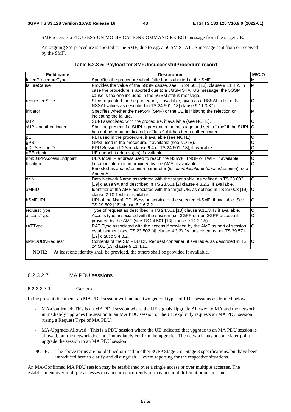- SMF receives a PDU SESSION MODIFICATION COMMAND REJECT message from the target UE.
- An ongoing SM procedure is aborted at the SMF, due to e.g. a 5GSM STATUS message sent from or received by the SMF.

| <b>Field name</b>     | <b>Description</b>                                                                  | M/C/O                   |
|-----------------------|-------------------------------------------------------------------------------------|-------------------------|
| failedProcedureType   | Specifies the procedure which failed or is aborted at the SMF.                      | M                       |
| failureCause          | Provides the value of the 5GSM cause, see TS 24.501 [13], clause 9.11.4.2. In       | M                       |
|                       | case the procedure is aborted due to a 5GSM STATUS message, the 5GSM                |                         |
|                       | cause is the one included in the 5GSM status message.                               |                         |
| requestedSlice        | Slice requested for the procedure, if available, given as a NSSAI (a list of S-     | Ć                       |
|                       | NSSAI values as described in TS 24.501 [13] clause 9.11.3.37).                      |                         |
| initiator             | Specifies whether the network (SMF) or the UE is initiating the rejection or        | M                       |
|                       | indicating the failure.                                                             |                         |
| <b>sUPI</b>           | SUPI associated with the procedure, if available (see NOTE).                        | С                       |
| sUPIUnauthenticated   | Shall be present if a SUPI is present in the message and set to "true" if the SUPI  | $\overline{C}$          |
|                       | has not been authenticated, or "false" if it has been authenticated.                |                         |
| pEI                   | PEI used in the procedure, if available (see NOTE).                                 | $\overline{C}$          |
| gPSI                  | GPSI used in the procedure, if available (see NOTE).                                | $\overline{\text{c}}$   |
| pDUSessionID          | PDU Session ID See clause 9.4 of TS 24.501 [13], if available.                      | $\overline{\text{c}}$   |
| uEEndpoint            | UE endpoint address(es) if available.                                               | $\overline{\text{c}}$   |
| non3GPPAccessEndpoint | UE's local IP address used to reach the N3IWF, TNGF or TWIF, if available.          | C                       |
| location              | Location information provided by the AMF, if available.                             | $\overline{\mathsf{C}}$ |
|                       | Encoded as a userLocation parameter (location>locationInfo>userLocation), see       |                         |
|                       | Annex A.                                                                            |                         |
| dNN                   | Data Network Name associated with the target traffic, as defined in TS 23.003       | C                       |
|                       | [19] clause 9A and described in TS 23.501 [2] clause 4.3.2.2, if available.         |                         |
| aMFID                 | Identifier of the AMF associated with the target UE, as defined in TS 23.003 [19]   | $\overline{C}$          |
|                       | clause 2.10.1 when available.                                                       |                         |
| <b>hSMFURI</b>        | URI of the Nsmf_PDUSession service of the selected H-SMF, if available. See         | С                       |
|                       | TS 29.502 [16] clause 6.1.6.2.2.                                                    |                         |
| requestType           | Type of request as described in TS 24.501 [13] clause 9.11.3.47 if available.       | $\overline{\text{c}}$   |
| accessType            | Access type associated with the session (i.e. 3GPP or non-3GPP access) if           | $\overline{\text{c}}$   |
|                       | provided by the AMF (see TS 24.501 [13] clause 9.11.2.1A).                          |                         |
| rATType               | RAT Type associated with the access if provided by the AMF as part of session       | $\overline{\text{c}}$   |
|                       | establishment (see TS 23.502 [4] clause 4.3.2). Values given as per TS 29.571       |                         |
|                       | [17] clause 5.4.3.2.                                                                |                         |
| sMPDUDNRequest        | Contents of the SM PDU DN Request container, if available, as described in TS       | С                       |
|                       | 24.501 [13] clause 9.11.4.15.                                                       |                         |
| NOTE:                 | At least one identity shall be provided, the others shall be provided if available. |                         |

### **Table 6.2.3-5: Payload for SMFUnsuccessfulProcedure record**

## 6.2.3.2.7 MA PDU sessions

6.2.3.2.7.1 General

In the present document, an MA PDU session will include two general types of PDU sessions as defined below:

- MA-Confirmed: This is an MA PDU session where the UE signals Upgrade Allowed to MA and the network immediately upgrades the session to an MA PDU session or the UE explicitly requests an MA PDU session (using a Request Type of MA PDU).
- MA-Upgrade-Allowed: This is a PDU session where the UE indicated that upgrade to an MA PDU session is allowed, but the network does not immediately confirm the upgrade. The network may at some later point upgrade the session to an MA PDU session
- NOTE: The above terms are not defined or used in other 3GPP Stage 2 or Stage 3 specifications, but have been introduced here to clarify and distinguish LI event reporting for the respective situations.

An MA-Confirmed MA PDU session may be established over a single access or over multiple accesses. The establishment over multiple accesses may occur concurrently or may occur at different points in time.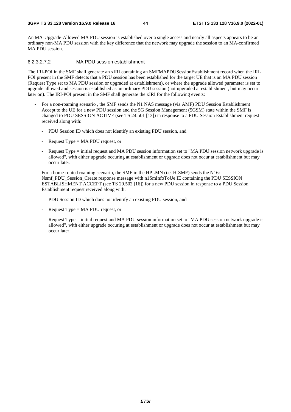An MA-Upgrade-Allowed MA PDU session is established over a single access and nearly all aspects appears to be an ordinary non-MA PDU session with the key difference that the network may upgrade the session to an MA-confirmed MA PDU session.

#### 6.2.3.2.7.2 MA PDU session establishment

The IRI-POI in the SMF shall generate an xIRI containing an SMFMAPDUSessionEstablishment record when the IRI-POI present in the SMF detects that a PDU session has been established for the target UE that is an MA PDU session (Request Type set to MA PDU session or upgraded at establishment), or where the upgrade allowed parameter is set to upgrade allowed and session is established as an ordinary PDU session (not upgraded at establishment, but may occur later on). The IRI-POI present in the SMF shall generate the xIRI for the following events:

- For a non-roaming scenario , the SMF sends the N1 NAS message (via AMF) PDU Session Establishment Accept to the UE for a new PDU session and the 5G Session Management (5GSM) state within the SMF is changed to PDU SESSION ACTIVE (see TS 24.501 [13]) in response to a PDU Session Establishment request received along with:
	- PDU Session ID which does not identify an existing PDU session, and
	- Request Type  $= MA$  PDU request, or
	- Request Type = initial request and MA PDU session information set to "MA PDU session network upgrade is allowed", with either upgrade occuring at establishment or upgrade does not occur at establishment but may occur later.
- For a home-routed roaming scenario, the SMF in the HPLMN (i.e. H-SMF) sends the N16: Nsmf\_PDU\_Session\_Create response message with n1SmInfoToUe IE containing the PDU SESSION ESTABLISHMENT ACCEPT (see TS 29.502 [16]) for a new PDU session in response to a PDU Session Establishment request received along with:
	- PDU Session ID which does not identify an existing PDU session, and
	- Request Type  $= MA PDU$  request, or
	- Request Type = initial request and MA PDU session information set to "MA PDU session network upgrade is allowed", with either upgrade occuring at establishment or upgrade does not occur at establishment but may occur later.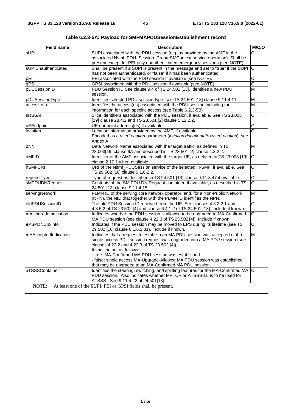| <b>Field name</b>       | <b>Description</b>                                                                                                                                                                                                                                                                                                                                                          | M/C/O                   |
|-------------------------|-----------------------------------------------------------------------------------------------------------------------------------------------------------------------------------------------------------------------------------------------------------------------------------------------------------------------------------------------------------------------------|-------------------------|
| <b>sUPI</b>             | SUPI associated with the PDU session (e.g. as provided by the AMF in the<br>associated Nsmf_PDU_Session_CreateSMContext service operation). Shall be<br>present except for PEI-only unauthenticated emergency sessions (see NOTE).                                                                                                                                          | $\overline{\text{c}}$   |
| sUPIUnauthenticated     | Shall be present if a SUPI is present in the message and set to "true" if the SUPI C                                                                                                                                                                                                                                                                                        |                         |
|                         | has not been authenticated, or "false" if it has been authenticated.<br>PEI associated with the PDU session if available (see NOTE).                                                                                                                                                                                                                                        | C                       |
| pEI<br>gPSI             | GPSI associated with the PDU session if available (see NOTE).                                                                                                                                                                                                                                                                                                               | $\overline{\text{c}}$   |
| pDUSessionID            | PDU Session ID See clause 9.4 of TS 24.501 [13]. Identifies a new PDU                                                                                                                                                                                                                                                                                                       | M                       |
|                         | session.                                                                                                                                                                                                                                                                                                                                                                    |                         |
| pDUSessionType          | Identifies selected PDU session type, see TS 24.501 [13] clause 9.11.4.11.                                                                                                                                                                                                                                                                                                  | M                       |
| accessinfo              | Identifies the access(es) associated with the PDU session including the<br>information for each specific access (see Table 6.2.3-5B)                                                                                                                                                                                                                                        | M                       |
| <b>SNSSAI</b>           | Slice identifiers associated with the PDU session, if available. See TS 23.003<br>[19] clause 28.4.2 and TS 23.501 [2] clause 5.12.2.2.                                                                                                                                                                                                                                     | $\overline{C}$          |
| uEEndpoint              | UE endpoint address(es) if available.                                                                                                                                                                                                                                                                                                                                       | $\mathsf C$             |
| location                | Location information provided by the AMF, if available.<br>Encoded as a userLocation parameter (location>locationInfo>userLocation), see<br>Annex A.                                                                                                                                                                                                                        | C                       |
| dNN                     | Data Network Name associated with the target traffic, as defined in TS<br>23.003[19] clause 9A and described in TS 23.501 [2] clause 4.3.2.2.                                                                                                                                                                                                                               | M                       |
| aMFID                   | Identifier of the AMF associated with the target UE, as defined in TS 23.003 [19]<br>clause 2.10.1 when available.                                                                                                                                                                                                                                                          | C                       |
| <b>hSMFURI</b>          | URI of the Nsmf_PDUSession service of the selected H-SMF, if available. See<br>TS 29.502 [16] clause 6.1.6.2.2.                                                                                                                                                                                                                                                             | C                       |
| requestType             | Type of request as described in TS 24.501 [13] clause 9.11.3.47 if available.                                                                                                                                                                                                                                                                                               | $\overline{C}$          |
| sMPDUDNRequest          | Contents of the SM PDU DN Request container, if available, as described in TS<br>24.501 [13] clause 9.11.4.15.                                                                                                                                                                                                                                                              | $\overline{\text{c}}$   |
| servingNetwork          | PLMN ID of the serving core network operator, and, for a Non-Public Network<br>(NPN), the NID that together with the PLMN ID identifies the NPN.                                                                                                                                                                                                                            | M                       |
| oldPDUSessionID         | The old PDU Session ID received from the UE. See clauses 4.3.2.2.1 and<br>4.3.5.2 of TS 23.502 [4] and clause 6.4.1.2 of TS 24.501 [13]. Include if known.                                                                                                                                                                                                                  | $\overline{\mathrm{c}}$ |
| mAUpgradeIndication     | Indicates whether the PDU session is allowed to be upgraded to MA-Confirmed<br>MA PDU session (see clause 4.22.3 of TS 23.502 [4]). Include if known.                                                                                                                                                                                                                       | $\overline{\mathsf{C}}$ |
| ePSPDNCnxInfo           | Indicates if the PDU session may be moved to EPS during its lifetime (see TS<br>29.502 [16] clause 6.1.6.2.31). Include if known.                                                                                                                                                                                                                                           | $\overline{\text{c}}$   |
| mAAcceptedIndication    | Indicates that a request to establish an MA PDU session was accepted or if a<br>single access PDU session request was upgraded into a MA PDU session (see<br>clauses 4.22.2 and 4.22.3 of TS 23.502 [4]).<br>It shall be set as follows:<br>- true: MA-Confirmed MA PDU session was established<br>- false: single access MA-Upgrade-Allowed MA PDU session was established | M                       |
| aTSSSContainer<br>NOTE: | that may be upgraded to an MA-Confirmed MA PDU session.<br>Identifies the steering, switching, and splitting features for the MA-Confirmed MA C<br>PDU session. Also indicates whether MPTCP or ATSSS-LL is to be used for<br>ATSSS. See 9.11.4.22 of 24.501[13].<br>At least one of the SUPI, PEI or GPSI fields shall be present.                                         |                         |
|                         |                                                                                                                                                                                                                                                                                                                                                                             |                         |

**Table 6.2.3-5A: Payload for SMFMAPDUSessionEstablishment record**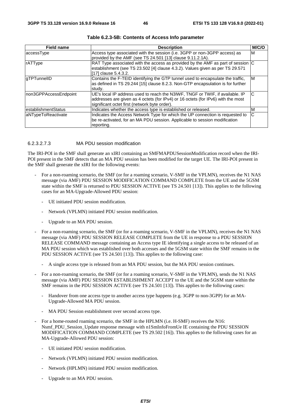| <b>Field name</b>     | <b>Description</b>                                                                  | M/C/O |
|-----------------------|-------------------------------------------------------------------------------------|-------|
| accessType            | Access type associated with the session (i.e. 3GPP or non-3GPP access) as           | M     |
|                       | provided by the AMF (see TS 24.501 [13] clause 9.11.2.1A).                          |       |
| <b>rATType</b>        | RAT Type associated with the access as provided by the AMF as part of session $ C $ |       |
|                       | establishment (see TS 23.502 [4] clause 4.3.2). Values given as per TS 29.571       |       |
|                       | [17] clause 5.4.3.2.                                                                |       |
| <b>qTPTunnelID</b>    | Contains the F-TEID identifying the GTP tunnel used to encapsulate the traffic,     | ΙM    |
|                       | as defined in TS 29.244 [15] clause 8.2.3. Non-GTP encapsulation is for further     |       |
|                       | study.                                                                              |       |
| non3GPPAccessEndpoint | UE's local IP address used to reach the N3IWF, TNGF or TWIF, if available. IP       | C     |
|                       | addresses are given as 4 octets (for IPv4) or 16 octets (for IPv6) with the most    |       |
|                       | significant octet first (network byte order).                                       |       |
| establishmentStatus   | Indicates whether the access type is established or released.                       | M     |
| aNTypeToReactivate    | Indicates the Access Network Type for which the UP connection is requested to       | C     |
|                       | be re-activated, for an MA PDU session. Applicable to session modification          |       |
|                       | reporting.                                                                          |       |

| Table 6.2.3-5B: Contents of Access Info parameter |  |  |
|---------------------------------------------------|--|--|
|---------------------------------------------------|--|--|

### 6.2.3.2.7.3 MA PDU session modification

The IRI-POI in the SMF shall generate an xIRI containing an SMFMAPDUSessionModification record when the IRI-POI present in the SMF detects that an MA PDU session has been modified for the target UE. The IRI-POI present in the SMF shall generate the xIRI for the following events:

- For a non-roaming scenario, the SMF (or for a roaming scenario, V-SMF in the VPLMN), receives the N1 NAS message (via AMF) PDU SESSION MODIFICATION COMMAND COMPLETE from the UE and the 5GSM state within the SMF is returned to PDU SESSION ACTIVE (see TS 24.501 [13]). This applies to the following cases for an MA-Upgrade-Allowed PDU session:
	- UE initiated PDU session modification.
	- Network (VPLMN) initiated PDU session modification.
	- Upgrade to an MA PDU session.
- For a non-roaming scenario, the SMF (or for a roaming scenario, V-SMF in the VPLMN), receives the N1 NAS message (via AMF) PDU SESSION RELEASE COMPLETE from the UE in response to a PDU SESSION RELEASE COMMAND message containing an Access type IE identifying a single access to be released of an MA PDU session which was established over both accesses and the 5GSM state within the SMF remains in the PDU SESSION ACTIVE (see TS 24.501 [13]). This applies to the following case:
	- A single access type is released from an MA PDU session, but the MA PDU session continues.
- For a non-roaming scenario, the SMF (or for a roaming scenario, V-SMF in the VPLMN), sends the N1 NAS message (via AMF) PDU SESSION ESTABLISHMENT ACCEPT to the UE and the 5GSM state within the SMF remains in the PDU SESSION ACTIVE (see TS 24.501 [13]). This applies to the following cases:
	- Handover from one access type to another access type happens (e.g. 3GPP to non-3GPP) for an MA-Upgrade-Allowed MA PDU session.
	- MA PDU Session establishment over second access type.
- For a home-routed roaming scenario, the SMF in the HPLMN (i.e. H-SMF) receives the N16: Nsmf\_PDU\_Session\_Update response message with n1SmInfoFromUe IE containing the PDU SESSION MODIFICATION COMMAND COMPLETE (see TS 29.502 [16]). This applies to the following cases for an MA-Upgrade-Allowed PDU session:
	- UE initiated PDU session modification.
	- Network (VPLMN) initiated PDU session modification.
	- Network (HPLMN) initiated PDU session modification.
	- Upgrade to an MA PDU session.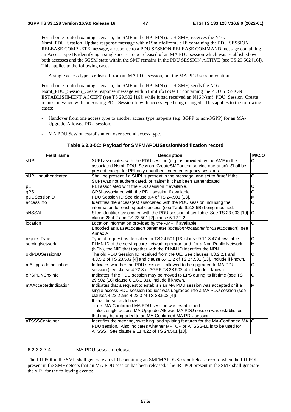- For a home-routed roaming scenario, the SMF in the HPLMN (i.e. H-SMF) receives the N16: Nsmf\_PDU\_Session\_Update response message with n1SmInfoFromUe IE containing the PDU SESSION RELEASE COMPLETE message, a response to a PDU SESSION RELEASE COMMAND message containing an Access type IE identifying a single access to be released of an MA PDU session which was established over both accesses and the 5GSM state within the SMF remains in the PDU SESSION ACTIVE (see TS 29.502 [16]). This applies to the following cases:
	- A single access type is released from an MA PDU session, but the MA PDU session continues.
- For a home-routed roaming scenario, the SMF in the HPLMN (i.e. H-SMF) sends the N16: Nsmf\_PDU\_Session\_Create response message with n1SmInfoToUe IE containing the PDU SESSION ESTABLISHMENT ACCEPT (see TS 29.502 [16]) while it had received an N16 Nsmf\_PDU\_Session\_Create request message with an existing PDU Session Id with access type being changed. This applies to the following cases:
	- Handover from one access type to another access type happens (e.g. 3GPP to non-3GPP) for an MA-Upgrade-Allowed PDU session.
	- MA PDU Session establishment over second access type.

#### **Table 6.2.3-5C: Payload for SMFMAPDUSessionModification record**

| <b>Field name</b>    | <b>Description</b>                                                                   | M/C/O                 |
|----------------------|--------------------------------------------------------------------------------------|-----------------------|
| <b>sUPI</b>          | SUPI associated with the PDU session (e.g. as provided by the AMF in the             | C                     |
|                      | associated Nsmf_PDU_Session_CreateSMContext service operation). Shall be             |                       |
|                      | present except for PEI-only unauthenticated emergency sessions.                      |                       |
| sUPIUnauthenticated  | Shall be present if a SUPI is present in the message, and set to "true" if the       | C                     |
|                      | SUPI was not authenticated, or "false" if it has been authenticated.                 |                       |
| pEI                  | PEI associated with the PDU session if available.                                    | $\overline{\text{c}}$ |
| gPSI                 | GPSI associated with the PDU session if available.                                   | $\overline{\text{c}}$ |
| pDUSessionID         | PDU Session ID See clause 9.4 of TS 24.501 [13].                                     | M                     |
| accessinfo           | Identifies the access(es) associated with the PDU session including the              | $\overline{\text{c}}$ |
|                      | information for each specific access (see Table 6.2.3-5B) being modified.            |                       |
| <b>sNSSAI</b>        | Slice identifier associated with the PDU session, if available. See TS 23.003 [19]   | IС                    |
|                      | clause 28.4.2 and TS 23.501 [2] clause 5.12.2.2.                                     |                       |
| location             | Location information provided by the AMF, if available.                              | $\overline{\text{c}}$ |
|                      | Encoded as a userLocation parameter (location>locationInfo>userLocation), see        |                       |
|                      | Annex A.                                                                             |                       |
| requestType          | Type of request as described in TS 24.501 [13] clause 9.11.3.47 if available.        | C                     |
| servingNetwork       | PLMN ID of the serving core network operator, and, for a Non-Public Network          | M                     |
|                      | (NPN), the NID that together with the PLMN ID identifies the NPN.                    |                       |
| oldPDUSessionID      | The old PDU Session ID received from the UE. See clauses 4.3.2.2.1 and               | $\overline{\text{c}}$ |
|                      | 4.3.5.2 of TS 23.502 [4] and clause 6.4.1.2 of TS 24.501 [13]. Include if known.     |                       |
| mAUpgradeIndication  | Indicates whether the PDU session is allowed to be upgraded to MA PDU                | $\overline{\text{c}}$ |
|                      | session (see clause 4.22.3 of 3GPP TS 23.502 [4]). Include if known.                 |                       |
| ePSPDNCnxInfo        | Indicates if the PDU session may be moved to EPS during its lifetime (see TS         | $\overline{C}$        |
|                      | 29.502 [16] clause 6.1.6.2.31). Include if known.                                    |                       |
| mAAcceptedIndication | Indicates that a request to establish an MA PDU session was accepted or if a         | M                     |
|                      | single access PDU session request was upgraded into a MA PDU session (see            |                       |
|                      | clauses 4.22.2 and 4.22.3 of TS 23.502 [4]).                                         |                       |
|                      | It shall be set as follows:                                                          |                       |
|                      | - true: MA-Confirmed MA PDU session was established                                  |                       |
|                      | - false: single access MA-Upgrade-Allowed MA PDU session was established             |                       |
|                      | that may be upgraded to an MA-Confirmed MA PDU session.                              |                       |
| aTSSSContainer       | Identifies the steering, switching, and splitting features for the MA-Confirmed MA C |                       |
|                      | PDU session. Also indicates whether MPTCP or ATSSS-LL is to be used for              |                       |
|                      | ATSSS. See clause 9.11.4.22 of TS 24.501 [13].                                       |                       |

#### 6.2.3.2.7.4 MA PDU session release

The IRI-POI in the SMF shall generate an xIRI containing an SMFMAPDUSessionRelease record when the IRI-POI present in the SMF detects that an MA PDU session has been released. The IRI-POI present in the SMF shall generate the xIRI for the following events: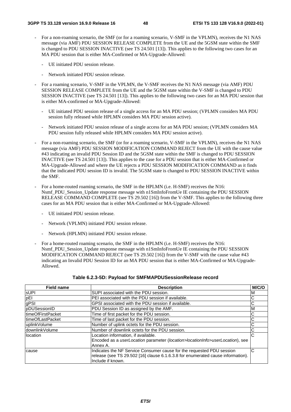- For a non-roaming scenario, the SMF (or for a roaming scenario, V-SMF in the VPLMN), receives the N1 NAS message (via AMF) PDU SESSION RELEASE COMPLETE from the UE and the 5GSM state within the SMF is changed to PDU SESSION INACTIVE (see TS 24.501 [13]). This applies to the following two cases for an MA PDU session that is either MA-Confirmed or MA-Upgrade-Allowed:
	- UE initiated PDU session release.
	- Network initiated PDU session release.
- For a roaming scenario, V-SMF in the VPLMN, the V-SMF receives the N1 NAS message (via AMF) PDU SESSION RELEASE COMPLETE from the UE and the 5GSM state within the V-SMF is changed to PDU SESSION INACTIVE (see TS 24.501 [13]). This applies to the following two cases for an MA PDU session that is either MA-confirmed or MA-Upgrade-Allowed:
	- UE initiated PDU session release of a single access for an MA PDU session; (VPLMN considers MA PDU session fully released while HPLMN considers MA PDU session active).
	- Network initiated PDU session release of a single access for an MA PDU session; (VPLMN considers MA PDU session fully released while HPLMN considers MA PDU session active).
- For a non-roaming scenario, the SMF (or for a roaming scenario, V-SMF in the VPLMN), receives the N1 NAS message (via AMF) PDU SESSION MODIFICATION COMMAND REJECT from the UE with the cause value #43 indicating an invalid PDU Session ID and the 5GSM state within the SMF is changed to PDU SESSION INACTIVE (see TS 24.501 [13]). This applies to the case for a PDU session that is either MA-Confirmed or MA-Upgrade-Allowed and where the UE rejects a PDU SESSION MODIFICATION COMMAND as it finds that the indicated PDU session ID is invalid. The 5GSM state is changed to PDU SESSION INACTIVE within the SMF.
- For a home-routed roaming scenario, the SMF in the HPLMN (i.e. H-SMF) receives the N16: Nsmf\_PDU\_Session\_Update response message with n1SmInfoFromUe IE containing the PDU SESSION RELEASE COMMAND COMPLETE (see TS 29.502 [16]) from the V-SMF. This applies to the following three cases for an MA PDU session that is either MA-Confirmed or MA-Upgrade-Allowed:
	- UE initiated PDU session release.
	- Network (VPLMN) initiated PDU session release.
	- Network (HPLMN) initiated PDU session release.
- For a home-routed roaming scenario, the SMF in the HPLMN (i.e. H-SMF) receives the N16: Nsmf\_PDU\_Session\_Update response message with n1SmInfoFromUe IE containing the PDU SESSION MODIFICATION COMMAND REJECT (see TS 29.502 [16]) from the V-SMF with the cause value #43 indicating an Invalid PDU Session ID for an MA PDU session that is either MA-Confirmed or MA-Upgrade-Allowed.

| <b>Field name</b>  | <b>Description</b>                                                              | M/C/O |
|--------------------|---------------------------------------------------------------------------------|-------|
| <b>SUPI</b>        | SUPI associated with the PDU session.                                           | M     |
| pEI                | PEI associated with the PDU session if available.                               | С     |
| gPSI               | GPSI associated with the PDU session if available.                              | С     |
| pDUSessionID       | PDU Session ID as assigned by the AMF.                                          | M     |
| ltimeOfFirstPacket | Time of first packet for the PDU session.                                       |       |
| timeOfLastPacket   | Time of last packet for the PDU session.                                        | С     |
| uplinkVolume       | Number of uplink octets for the PDU session.                                    | С     |
| downlinkVolume     | Number of downlink octets for the PDU session.                                  | С     |
| location           | Location information, if available.                                             | С     |
|                    | Encoded as a userLocation parameter (location>locationInfo>userLocation), see   |       |
|                    | Annex A.                                                                        |       |
| cause              | Indicates the NF Service Consumer cause for the requested PDU session           | С     |
|                    | release (see TS 29.502 [16] clause 6.1.6.3.8 for enumerated cause information). |       |
|                    | Include if known.                                                               |       |

#### **Table 6.2.3-5D: Payload for SMFMAPDUSessionRelease record**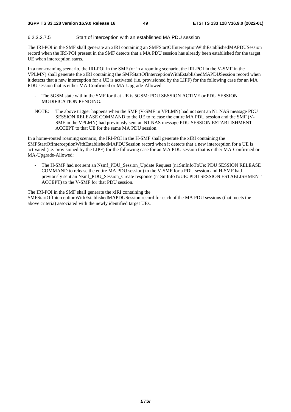### 6.2.3.2.7.5 Start of interception with an established MA PDU session

The IRI-POI in the SMF shall generate an xIRI containing an SMFStartOfInterceptionWithEstablishedMAPDUSession record when the IRI-POI present in the SMF detects that a MA PDU session has already been established for the target UE when interception starts.

In a non-roaming scenario, the IRI-POI in the SMF (or in a roaming scenario, the IRI-POI in the V-SMF in the VPLMN) shall generate the xIRI containing the SMFStartOfInterceptionWithEstablishedMAPDUSession record when it detects that a new interception for a UE is activated (i.e. provisioned by the LIPF) for the following case for an MA PDU session that is either MA-Confirmed or MA-Upgrade-Allowed:

- The 5GSM state within the SMF for that UE is 5GSM: PDU SESSION ACTIVE or PDU SESSION MODIFICATION PENDING.
- NOTE: The above trigger happens when the SMF (V-SMF in VPLMN) had not sent an N1 NAS message PDU SESSION RELEASE COMMAND to the UE to release the entire MA PDU session and the SMF (V-SMF in the VPLMN) had previously sent an N1 NAS message PDU SESSION ESTABLISHMENT ACCEPT to that UE for the same MA PDU session.

In a home-routed roaming scenario, the IRI-POI in the H-SMF shall generate the xIRI containing the SMFStartOfInterceptionWithEstablishedMAPDUSession record when it detects that a new interception for a UE is activated (i.e. provisioned by the LIPF) for the following case for an MA PDU session that is either MA-Confirmed or MA-Upgrade-Allowed:

The H-SMF had not sent an Nsmf\_PDU\_Session\_Update Request (n1SmInfoToUe: PDU SESSION RELEASE COMMAND to release the entire MA PDU session) to the V-SMF for a PDU session and H-SMF had previously sent an Nsmf\_PDU\_Session\_Create response (n1SmInfoToUE: PDU SESSION ESTABLISHMENT ACCEPT) to the V-SMF for that PDU session.

The IRI-POI in the SMF shall generate the xIRI containing the SMFStartOfInterceptionWithEstablishedMAPDUSession record for each of the MA PDU sessions (that meets the above criteria) associated with the newly identified target UEs.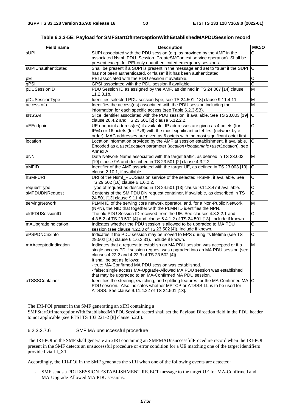**Table 6.2.3-5E: Payload for SMFStartOfInterceptionWithEstablishedMAPDUSession record** 

| <b>Field name</b>    | <b>Description</b>                                                                                                                | M/C/O                   |
|----------------------|-----------------------------------------------------------------------------------------------------------------------------------|-------------------------|
| sUPI                 | SUPI associated with the PDU session (e.g. as provided by the AMF in the                                                          | C                       |
|                      | associated Nsmf_PDU_Session_CreateSMContext service operation). Shall be                                                          |                         |
|                      | present except for PEI-only unauthenticated emergency sessions.                                                                   |                         |
| sUPIUnauthenticated  | Shall be present if a SUPI is present in the message and set to "true" if the SUPI                                                | C                       |
|                      | has not been authenticated, or "false" if it has been authenticated.                                                              |                         |
| pEl                  | PEI associated with the PDU session if available.                                                                                 | $\overline{\text{c}}$   |
| gPSI                 | GPSI associated with the PDU session if available.                                                                                | $\overline{\text{c}}$   |
| pDUSessionID         | PDU Session ID as assigned by the AMF, as defined in TS 24.007 [14] clause                                                        | $\overline{\mathsf{M}}$ |
|                      | 11.2.3.1b.                                                                                                                        |                         |
| pDUSessionType       | Identifies selected PDU session type, see TS 24.501 [13] clause 9.11.4.11.                                                        | M                       |
| accessinfo           | Identifies the access(es) associated with the PDU session including the                                                           | M                       |
|                      | information for each specific access (see Table 6.2.3-5B).                                                                        |                         |
| <b>SNSSAI</b>        | Slice identifier associated with the PDU session, if available. See TS 23.003 [19]                                                | $\overline{C}$          |
|                      | clause 28.4.2 and TS 23.501 [2] clause 5.12.2.2.                                                                                  |                         |
| uEEndpoint           | UE endpoint address(es) if available. IP addresses are given as 4 octets (for                                                     | $\overline{\text{c}}$   |
|                      | IPv4) or 16 octets (for IPv6) with the most significant octet first (network byte                                                 |                         |
|                      | order). MAC addresses are given as 6 octets with the most significant octet first.                                                |                         |
| location             | Location information provided by the AMF at session establishment, if available.                                                  | C                       |
|                      | Encoded as a userLocation parameter (location>locationInfo>userLocation), see                                                     |                         |
|                      | Annex A.                                                                                                                          |                         |
| dNN                  | Data Network Name associated with the target traffic, as defined in TS 23.003                                                     | M                       |
|                      | [19] clause 9A and described in TS 23.501 [2] clause 4.3.2.2.                                                                     |                         |
| aMFID                | Identifier of the AMF associated with the target UE, as defined in TS 23.003 [19]                                                 | C                       |
|                      | clause 2.10.1, if available.                                                                                                      |                         |
| <b>hSMFURI</b>       | URI of the Nsmf_PDUSession service of the selected H-SMF, if available. See                                                       | $\overline{\text{c}}$   |
|                      | TS 29.502 [16] clause 6.1.6.2.2.                                                                                                  |                         |
| requestType          | Type of request as described in TS 24.501 [13] clause 9.11.3.47 if available.                                                     | $\overline{C}$          |
| sMPDUDNRequest       | Contents of the SM PDU DN request container, if available, as described in TS                                                     | $\overline{\mathrm{c}}$ |
|                      | 24.501 [13] clause 9.11.4.15.                                                                                                     | $\overline{\mathsf{M}}$ |
| servingNetwork       | PLMN ID of the serving core network operator, and, for a Non-Public Network                                                       |                         |
|                      | (NPN), the NID that together with the PLMN ID identifies the NPN.                                                                 | $\overline{\text{c}}$   |
| oldPDUSessionID      | The old PDU Session ID received from the UE. See clauses 4.3.2.2.1 and                                                            |                         |
|                      | 4.3.5.2 of TS 23.502 [4] and clause 6.4.1.2 of TS 24.501 [13]. Include if known.                                                  | $\overline{\text{c}}$   |
| mAUpgradeIndication  | Indicates whether the PDU session is allowed to be upgraded to MA PDU                                                             |                         |
| ePSPDNCnxInfo        | session (see clause 4.22.3 of TS 23.502 [4]). Include if known.                                                                   | $\overline{\text{c}}$   |
|                      | Indicates if the PDU session may be moved to EPS during its lifetime (see TS<br>29.502 [16] clause 6.1.6.2.31). Include if known. |                         |
| mAAcceptedIndication | Indicates that a request to establish an MA PDU session was accepted or if a                                                      | $\overline{\mathsf{M}}$ |
|                      | single access PDU session request was upgraded into an MA PDU session (see                                                        |                         |
|                      | clauses 4.22.2 and 4.22.3 of TS 23.502 [4]).                                                                                      |                         |
|                      | It shall be set as follows:                                                                                                       |                         |
|                      | true: MA-Confirmed MA PDU session was established.                                                                                |                         |
|                      | - false: single access MA-Upgrade-Allowed MA PDU session was established                                                          |                         |
|                      | that may be upgraded to an MA-Confirmed MA PDU session.                                                                           |                         |
| aTSSSContainer       | Identifies the steering, switching, and splitting features for the MA-Confirmed MA C                                              |                         |
|                      | PDU session. Also indicates whether MPTCP or ATSSS-LL is to be used for                                                           |                         |
|                      | ATSSS. See clause 9.11.4.22 of TS 24.501 [13].                                                                                    |                         |
|                      |                                                                                                                                   |                         |

The IRI-POI present in the SMF generating an xIRI containing a

SMFStartOfInterceptionWithEstablishedMAPDUSession record shall set the Payload Direction field in the PDU header to not applicable (see ETSI TS 103 221-2 [8] clause 5.2.6).

## 6.2.3.2.7.6 SMF MA unsuccessful procedure

The IRI-POI in the SMF shall generate an xIRI containing an SMFMAUnsuccessfulProcedure record when the IRI-POI present in the SMF detects an unsuccessful procedure or error condition for a UE matching one of the target identifiers provided via LI\_X1.

Accordingly, the IRI-POI in the SMF generates the xIRI when one of the following events are detected:

- SMF sends a PDU SESSION ESTABLISHMENT REJECT message to the target UE for MA-Confirmed and MA-Upgrade-Allowed MA PDU sessions.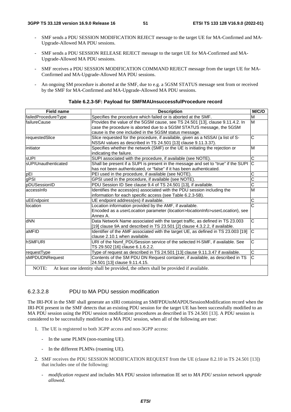- SMF sends a PDU SESSION MODIFICATION REJECT message to the target UE for MA-Confirmed and MA-Upgrade-Allowed MA PDU sessions.
- SMF sends a PDU SESSION RELEASE REJECT message to the target UE for MA-Confirmed and MA-Upgrade-Allowed MA PDU sessions.
- SMF receives a PDU SESSION MODIFICATION COMMAND REJECT message from the target UE for MA-Confirmed and MA-Upgrade-Allowed MA PDU sessions.
- An ongoing SM procedure is aborted at the SMF, due to e.g. a 5GSM STATUS message sent from or received by the SMF for MA-Confirmed and MA-Upgrade-Allowed MA PDU sessions.

| <b>Field name</b>   | <b>Description</b>                                                                  | M/C/O          |
|---------------------|-------------------------------------------------------------------------------------|----------------|
| failedProcedureType | Specifies the procedure which failed or is aborted at the SMF.                      | M              |
| failureCause        | Provides the value of the 5GSM cause, see TS 24.501 [13], clause 9.11.4.2. In       | M              |
|                     | case the procedure is aborted due to a 5GSM STATUS message, the 5GSM                |                |
|                     | cause is the one included in the 5GSM status message.                               |                |
| requestedSlice      | Slice requested for the procedure, if available, given as a NSSAI (a list of S-     | С              |
|                     | NSSAI values as described in TS 24.501 [13] clause 9.11.3.37).                      |                |
| initiator           | Specifies whether the network (SMF) or the UE is initiating the rejection or        | M              |
|                     | indicating the failure.                                                             |                |
| <b>SUPI</b>         | SUPI associated with the procedure, if available (see NOTE).                        | С              |
| sUPIUnauthenticated | Shall be present if a SUPI is present in the message and set to "true" if the SUPI  | C              |
|                     | has not been authenticated, or "false" if it has been authenticated.                |                |
| pEI                 | PEI used in the procedure, if available (see NOTE).                                 | С              |
| gPSI                | GPSI used in the procedure, if available (see NOTE).                                | Ĉ              |
| pDUSessionID        | PDU Session ID See clause 9.4 of TS 24.501 [13], if available.                      | C              |
| laccessinfo         | Identifies the access(es) associated with the PDU session including the             | M              |
|                     | information for each specific access (see Table 6.2.3-5B).                          |                |
| uEEndpoint          | UE endpoint address(es) if available.                                               | С              |
| location            | Location information provided by the AMF, if available.                             | Ĉ              |
|                     | Encoded as a userLocation parameter (location>locationInfo>userLocation), see       |                |
|                     | Annex A.                                                                            |                |
| dNN                 | Data Network Name associated with the target traffic, as defined in TS 23.003       | C              |
|                     | [19] clause 9A and described in TS 23.501 [2] clause 4.3.2.2, if available.         |                |
| aMFID               | Identifier of the AMF associated with the target UE, as defined in TS 23.003 [19]   | C              |
|                     | clause 2.10.1 when available.                                                       |                |
| <b>hSMFURI</b>      | URI of the Nsmf_PDUSession service of the selected H-SMF, if available. See         | Ć              |
|                     | TS 29.502 [16] clause 6.1.6.2.2.                                                    |                |
| requestType         | Type of request as described in TS 24.501 [13] clause 9.11.3.47 if available.       | C              |
| sMPDUDNRequest      | Contents of the SM PDU DN Request container, if available, as described in TS       | $\overline{C}$ |
|                     | 24.501 [13] clause 9.11.4.15.                                                       |                |
| NOTE:               | At least one identity shall be provided, the others shall be provided if available. |                |

#### **Table 6.2.3-5F: Payload for SMFMAUnsuccessfulProcedure record**

### 6.2.3.2.8 PDU to MA PDU session modification

The IRI-POI in the SMF shall generate an xIRI containing an SMFPDUtoMAPDUSessionModification record when the IRI-POI present in the SMF detects that an existing PDU session for the target UE has been successfully modified to an MA PDU session using the PDU session modification procedures as described in TS 24.501 [13]. A PDU session is considered to be successfully modified to a MA PDU session, when all of the following are true:

- 1. The UE is registered to both 3GPP access and non-3GPP access:
	- In the same PLMN (non-roaming UE).
	- In the different PLMNs (roaming UE).
- 2. SMF receives the PDU SESSION MODIFICATION REQUEST from the UE (clause 8.2.10 in TS 24.501 [13]) that includes one of the following:
	- *modification request* and includes MA PDU session information IE set to *MA PDU session network upgrade allowed*.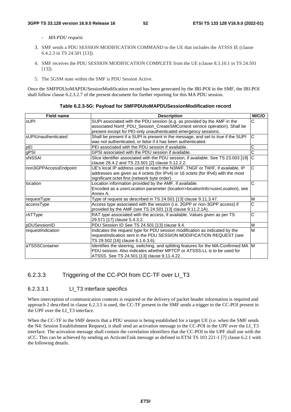- *MA PDU request*.
- 3. SMF sends a PDU SESSION MODIFICATION COMMAND to the UE that includes the ATSSS IE (clause 6.4.2.3 in TS 24.501 [13]).
- 4. SMF receives the PDU SESSION MODIFICATION COMPLETE from the UE (clause 8.3.10.1 in TS 24.501 [13]).
- 5. The 5GSM state within the SMF is PDU Session Active.

Once the SMFPDUtoMAPDUSessionModification record has been generated by the IRI-POI in the SMF, the IRI-POI shall follow clause 6.2.3.2.7 of the present document for further reporting for this MA PDU session.

| <b>Field name</b>           | <b>Description</b>                                                                            | M/C/O |
|-----------------------------|-----------------------------------------------------------------------------------------------|-------|
| <b>sUPI</b>                 | SUPI associated with the PDU session (e.g. as provided by the AMF in the                      |       |
|                             | associated Nsmf_PDU_Session_CreateSMContext service operation). Shall be                      |       |
|                             | present except for PEI-only unauthenticated emergency sessions.                               |       |
| <b>IsUPIUnauthenticated</b> | Shall be present if a SUPI is present in the message, and set to true if the SUPI             | C     |
|                             | was not authenticated, or false if it has been authenticated.                                 |       |
| pEI                         | PEI associated with the PDU session if available.                                             | C     |
| gPSI                        | GPSI associated with the PDU session if available.                                            | Ć     |
| sNSSAI                      | Slice identifier associated with the PDU session, if available. See TS 23.003 [19]            | C     |
|                             | clause 28.4.2 and TS 23.501 [2] clause 5.12.2.2.                                              |       |
| non3GPPAccessEndpoint       | UE's local IP address used to reach the N3IWF, TNGF or TWIF, if available. IP                 | C     |
|                             | addresses are given as 4 octets (for IPv4) or 16 octets (for IPv6) with the most              |       |
|                             | significant octet first (network byte order).                                                 |       |
| location                    | Location information provided by the AMF, if available.                                       | Ć     |
|                             | Encoded as a <i>userLocation</i> parameter ( <i>location</i> >locationInfo>userLocation), see |       |
|                             | Annex A.                                                                                      |       |
| requestType                 | Type of request as described in TS 24.501 [13] clause 9.11.3.47.                              | M     |
| accessType                  | Access type associated with the session (i.e. 3GPP or non-3GPP access) if                     | Ć     |
|                             | provided by the AMF (see TS 24.501 [13] clause 9.11.2.1A).                                    |       |
| rATType                     | RAT type associated with the access, if available. Values given as per TS                     | C     |
|                             | 29.571 [17] clause 5.4.3.2.                                                                   |       |
| pDUSessionID                | PDU Session ID See TS 24.501 [13] clause 9.4.                                                 | M     |
| requestIndication           | Indicates the request type for PDU session modification as indicated by the                   | M     |
|                             | requestIndication sent in the PDU SESSION MODIFICATION REQUEST (see                           |       |
|                             | TS 29.502 [16] clause 6.1.6.3.6).                                                             |       |
| <b>aTSSSContainer</b>       | Identifies the steering, switching, and splitting features for the MA-Confirmed MA M          |       |
|                             | PDU session. Also indicates whether MPTCP or ATSSS-LL is to be used for                       |       |
|                             | ATSSS. See TS 24.501 [13] clause 9.11.4.22.                                                   |       |

**Table 6.2.3-5G: Payload for SMFPDUtoMAPDUSessionModification record** 

## 6.2.3.3 Triggering of the CC-POI from CC-TF over LI\_T3

### 6.2.3.3.1 LI\_T3 interface specifics

When interception of communication contents is required or the delivery of packet header information is required and approach 2 described in clause 6.2.3.5 is used, the CC-TF present in the SMF sends a trigger to the CC-POI present in the UPF over the LI\_T3 interface.

When the CC-TF in the SMF detects that a PDU session is being established for a target UE (i.e. when the SMF sends the N4: Session Establishment Request), it shall send an activation message to the CC-POI in the UPF over the LI\_T3 interface. The activation message shall contain the correlation identifiers that the CC-POI in the UPF shall use with the xCC. This can be achieved by sending an ActivateTask message as defined in ETSI TS 103 221-1 [7] clause 6.2.1 with the following details.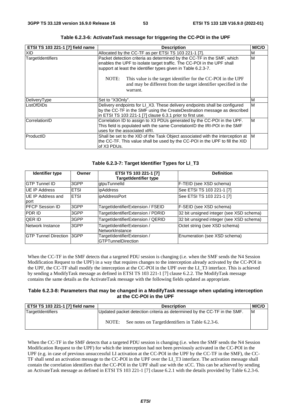| ETSI TS 103 221-1 [7] field name | <b>Description</b>                                                                                                                                                                                                                                                                                                                                                          | M/C/O |  |
|----------------------------------|-----------------------------------------------------------------------------------------------------------------------------------------------------------------------------------------------------------------------------------------------------------------------------------------------------------------------------------------------------------------------------|-------|--|
| XID                              | Allocated by the CC-TF as per ETSI TS 103 221-1 [7].<br>M                                                                                                                                                                                                                                                                                                                   |       |  |
| TargetIdentifiers                | Packet detection criteria as determined by the CC-TF in the SMF, which<br>enables the UPF to isolate target traffic. The CC-POI in the UPF shall<br>support at least the identifier types given in Table 6.2.3-7.<br>NOTE:<br>This value is the target identifier for the CC-POI in the UPF<br>and may be different from the target identifier specified in the<br>warrant. |       |  |
| DeliveryType                     | Set to "X3Only".                                                                                                                                                                                                                                                                                                                                                            | M     |  |
| ListOfDIDs                       | Delivery endpoints for LI_X3. These delivery endpoints shall be configured<br>by the CC-TF in the SMF using the CreateDestination message as described<br>in ETSI TS 103 221-1 [7] clause 6.3.1 prior to first use.                                                                                                                                                         | M     |  |
| CorrelationID                    | Correlation ID to assign to X3 PDUs generated by the CC-POI in the UPF.<br>This field is populated with the same CorrelationID the IRI-POI in the SMF<br>uses for the associated xIRI.                                                                                                                                                                                      | M     |  |
| ProductID                        | Shall be set to the XID of the Task Object associated with the interception at M<br>the CC-TF. This value shall be used by the CC-POI in the UPF to fill the XID<br>of X3 PDUs.                                                                                                                                                                                             |       |  |

**Table 6.2.3-6: ActivateTask message for triggering the CC-POI in the UPF** 

### **Table 6.2.3-7: Target Identifier Types for LI\_T3**

| Identifier type                    | Owner       | ETSI TS 103 221-1 [7]<br><b>TargetIdentifier type</b>    | <b>Definition</b>                        |
|------------------------------------|-------------|----------------------------------------------------------|------------------------------------------|
| <b>IGTP Tunnel ID</b>              | 3GPP        | gtpuTunnelId                                             | F-TEID (see XSD schema)                  |
| UE IP Address                      | <b>ETSI</b> | <i>ipAddress</i>                                         | See ETSI TS 103 221-1 [7]                |
| UE IP Address and<br>port          | <b>ETSI</b> | ipAddressPort                                            | See ETSI TS 103 221-1 [7]                |
| <b>PFCP Session ID</b>             | 3GPP        | TargetIdentifierExtension / FSEID                        | F-SEID (see XSD schema)                  |
| <b>PDR ID</b>                      | 3GPP        | TargetIdentifierExtension / PDRID                        | 32 bit unsigned integer (see XSD schema) |
| <b>QER ID</b>                      | 3GPP        | TargetIdentifierExtension / QERID                        | 32 bit unsigned integer (see XSD schema) |
| Network Instance                   | 3GPP        | TargetIdentifierExtension /<br>NetworkInstance           | Octet string (see XSD schema)            |
| <b>IGTP Tunnel Direction 13GPP</b> |             | TargetIdentifierExtension /<br><b>GTPTunnelDirection</b> | Enumeration (see XSD schema)             |

When the CC-TF in the SMF detects that a targeted PDU session is changing (i.e. when the SMF sends the N4 Session Modification Request to the UPF) in a way that requires changes to the interception already activated by the CC-POI in the UPF, the CC-TF shall modify the interception at the CC-POI in the UPF over the LI\_T3 interface. This is achieved by sending a ModifyTask message as defined in ETSI TS 103 221-1 [7] clause 6.2.2. The ModifyTask message contains the same details as the ActivateTask message with the following fields updated as appropriate.

### **Table 6.2.3-8: Parameters that may be changed in a ModifyTask message when updating interception at the CC-POI in the UPF**

| <b>ETSI TS 103 221-1 [7] field name</b> | <b>Description</b>                                                       |    |  |
|-----------------------------------------|--------------------------------------------------------------------------|----|--|
| TargetIdentifiers                       | Updated packet detection criteria as determined by the CC-TF in the SMF. | ΙM |  |
|                                         | See notes on TargetIdentifiers in Table 6.2.3-6.<br>NOTE:                |    |  |

When the CC-TF in the SMF detects that a targeted PDU session is changing (i.e. when the SMF sends the N4 Session Modification Request to the UPF) for which the interception had not been previously activated in the CC-POI in the UPF (e.g. in case of previous unsuccessful LI activation at the CC-POI in the UPF by the CC-TF in the SMF), the CC-TF shall send an activation message to the CC-POI in the UPF over the LI\_T3 interface. The activation message shall contain the correlation identifiers that the CC-POI in the UPF shall use with the xCC. This can be achieved by sending an ActivateTask message as defined in ETSI TS 103 221-1 [7] clause 6.2.1 with the details provided by Table 6.2.3-6.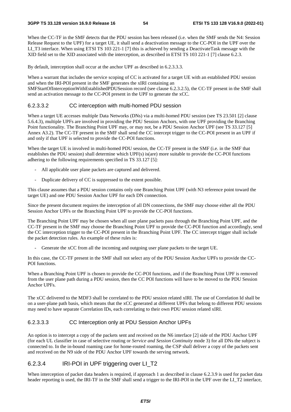When the CC-TF in the SMF detects that the PDU session has been released (i.e. when the SMF sends the N4: Session Release Request to the UPF) for a target UE, it shall send a deactivation message to the CC-POI in the UPF over the LI T3 interface. When using ETSI TS 103 221-1 [7] this is achieved by sending a DeactivateTask message with the XID field set to the XID associated with the interception, as described in ETSI TS 103 221-1 [7] clause 6.2.3.

By default, interception shall occur at the anchor UPF as described in 6.2.3.3.3.

When a warrant that includes the service scoping of CC is activated for a target UE with an established PDU session and when the IRI-POI present in the SMF generates the xIRI containing an

SMFStartOfInterceptionWithEstablishedPDUSession record (see clause 6.2.3.2.5), the CC-TF present in the SMF shall send an activation message to the CC-POI present in the UPF to generate the xCC.

### 6.2.3.3.2 CC interception with multi-homed PDU session

When a target UE accesses multiple Data Networks (DNs) via a multi-homed PDU session (see TS 23.501 [2] clause 5.6.4.3), multiple UPFs are involved in providing the PDU Session Anchors, with one UPF providing the Branching Point functionality. The Branching Point UPF may, or may not, be a PDU Session Anchor UPF (see TS 33.127 [5] Annex A3.2). The CC-TF present in the SMF shall send the CC intercept trigger to the CC-POI present in an UPF if and only if that UPF is selected to provide the CC-POI functions.

When the target UE is involved in multi-homed PDU session, the CC-TF present in the SMF (i.e. in the SMF that establishes the PDU session) shall determine which UPF(s) is(are) more suitable to provide the CC-POI functions adhering to the following requirements specified in TS 33.127 [5]:

- All applicable user plane packets are captured and delivered.
- Duplicate delivery of CC is suppressed to the extent possible.

This clause assumes that a PDU session contains only one Branching Point UPF (with N3 reference point toward the target UE) and one PDU Session Anchor UPF for each DN connection.

Since the present document requires the interception of all DN connections, the SMF may choose either all the PDU Session Anchor UPFs or the Branching Point UPF to provide the CC-POI functions.

The Branching Point UPF may be chosen when all user plane packets pass through the Branching Point UPF, and the CC-TF present in the SMF may choose the Branching Point UPF to provide the CC-POI function and accordingly, send the CC interception trigger to the CC-POI present in the Branching Point UPF. The CC intercept trigger shall include the packet detection rules. An example of these rules is:

Generate the xCC from all the incoming and outgoing user plane packets to the target UE.

In this case, the CC-TF present in the SMF shall not select any of the PDU Session Anchor UPFs to provide the CC-POI functions.

When a Branching Point UPF is chosen to provide the CC-POI functions, and if the Branching Point UPF is removed from the user plane path during a PDU session, then the CC POI functions will have to be moved to the PDU Session Anchor UPFs.

The xCC delivered to the MDF3 shall be correlated to the PDU session related xIRI. The use of Correlation Id shall be on a user-plane path basis, which means that the xCC generated at different UPFs that belong to different PDU sessions may need to have separate Correlation IDs, each correlating to their own PDU session related xIRI.

### 6.2.3.3.3 CC Interception only at PDU Session Anchor UPFs

An option is to intercept a copy of the packets sent and received on the N6 interface [2] side of the PDU Anchor UPF (for each UL classifier in case of selective routing or *Service and Session Continuity* mode 3) for all DNs the subject is connected to. In the in-bound roaming case for home-routed roaming, the CSP shall deliver a copy of the packets sent and received on the N9 side of the PDU Anchor UPF towards the serving network.

## 6.2.3.4 IRI-POI in UPF triggering over LI\_T2

When interception of packet data headers is required, if approach 1 as described in clause 6.2.3.9 is used for packet data header reporting is used, the IRI-TF in the SMF shall send a trigger to the IRI-POI in the UPF over the LI\_T2 interface,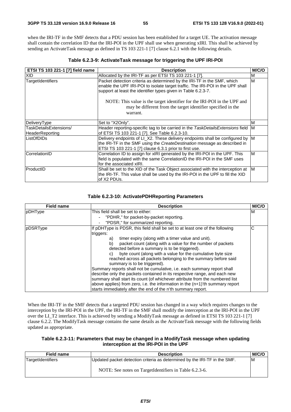when the IRI-TF in the SMF detects that a PDU session has been established for a target UE. The activation message shall contain the correlation ID that the IRI-POI in the UPF shall use when generating xIRI. This shall be achieved by sending an ActivateTask message as defined in TS 103 221-1 [7] clause 6.2.1 with the following details.

| Table 6.2.3-9: Activate Task message for triggering the UPF IRI-POI |  |  |  |
|---------------------------------------------------------------------|--|--|--|
|---------------------------------------------------------------------|--|--|--|

| ETSI TS 103 221-1 [7] field name          | <b>Description</b>                                                                                                                                                                                                                                                                                                                                                                 | M/C/O |
|-------------------------------------------|------------------------------------------------------------------------------------------------------------------------------------------------------------------------------------------------------------------------------------------------------------------------------------------------------------------------------------------------------------------------------------|-------|
| XID.                                      | Allocated by the IRI-TF as per ETSI TS 103 221-1 [7].                                                                                                                                                                                                                                                                                                                              | м     |
| TargetIdentifiers                         | Packet detection criteria as determined by the IRI-TF in the SMF, which<br>enable the UPF IRI-POI to isolate target traffic. The IRI-POI in the UPF shall<br>support at least the identifier types given in Table 6.2.3-7.<br>NOTE: This value is the target identifier for the IRI-POI in the UPF and<br>may be different from the target identifier specified in the<br>warrant. | M     |
| DeliveryType                              | Set to "X2Only".                                                                                                                                                                                                                                                                                                                                                                   | M     |
| TaskDetailsExtensions/<br>HeaderReporting | Header reporting-specific tag to be carried in the TaskDetailsExtensions field M<br>of ETSI TS 103 221-1 [7]. See Table 6.2.3-10.                                                                                                                                                                                                                                                  |       |
| ListOfDIDs                                | Delivery endpoints of LI_X2. These delivery endpoints shall be configured by M<br>the IRI-TF in the SMF using the CreateDestination message as described in<br>ETSI TS 103 221-1 [7] clause 6.3.1 prior to first use.                                                                                                                                                              |       |
| CorrelationID                             | Correlation ID to assign for xIRI generated by the IRI-POI in the UPF. This<br>field is populated with the same CorrelationID the IRI-POI in the SMF uses<br>for the associated xIRI.                                                                                                                                                                                              | M     |
| ProductID                                 | Shall be set to the XID of the Task Object associated with the interception at<br>the IRI-TF. This value shall be used by the IRI-POI in the UPF to fill the XID<br>of X2 PDUs.                                                                                                                                                                                                    | IM.   |

### **Table 6.2.3-10: ActivatePDHReporting Parameters**

| <b>Field name</b> | <b>Description</b>                                                                                                                                                                                                                                                                                                                                                                    | M/C/O |
|-------------------|---------------------------------------------------------------------------------------------------------------------------------------------------------------------------------------------------------------------------------------------------------------------------------------------------------------------------------------------------------------------------------------|-------|
| pDHType           | This field shall be set to either:<br>"PDHR," for packet-by-packet reporting.                                                                                                                                                                                                                                                                                                         | ΙM    |
|                   | "PDSR," for summarized reporting.                                                                                                                                                                                                                                                                                                                                                     |       |
| pDSRType          | If pDHType is PDSR, this field shall be set to at least one of the following<br>triggers:                                                                                                                                                                                                                                                                                             | C     |
|                   | timer expiry (along with a timer value and unit).<br>a)<br>b)<br>packet count (along with a value for the number of packets<br>detected before a summary is to be triggered).<br>byte count (along with a value for the cumulative byte size<br>C)<br>reached across all packets belonging to the summary before said<br>summary is to be triggered).                                 |       |
|                   | Summary reports shall not be cumulative, i.e. each summary report shall<br>describe only the packets contained in its respective range, and each new<br>summary shall start its count (of whichever attribute from the numbered list<br>above applies) from zero, i.e. the information in the (n+1)'th summary report<br>starts immediately after the end of the n'th summary report. |       |

When the IRI-TF in the SMF detects that a targeted PDU session has changed in a way which requires changes to the interception by the IRI-POI in the UPF, the IRI-TF in the SMF shall modify the interception at the IRI-POI in the UPF over the LI\_T2 interface. This is achieved by sending a ModifyTask message as defined in ETSI TS 103 221-1 [7] clause 6.2.2. The ModifyTask message contains the same details as the ActivateTask message with the following fields updated as appropriate.

### **Table 6.2.3-11: Parameters that may be changed in a ModifyTask message when updating interception at the IRI-POI in the UPF**

| Field name        | <b>Description</b>                                                                                                                  | <b>M/C/C</b> |
|-------------------|-------------------------------------------------------------------------------------------------------------------------------------|--------------|
| TargetIdentifiers | Updated packet detection criteria as determined by the IRI-TF in the SMF.<br>NOTE: See notes on TargetIdentifiers in Table 6.2.3-6. | ΙM           |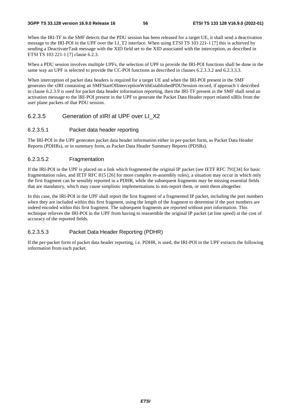When the IRI-TF in the SMF detects that the PDU session has been released for a target UE, it shall send a deactivation message to the IRI-POI in the UPF over the LI\_T2 interface. When using ETSI TS 103 221-1 [7] this is achieved by sending a DeactivateTask message with the XID field set to the XID associated with the interception, as described in ETSI TS 103 221-1 [7] clause 6.2.3.

When a PDU session involves multiple UPFs, the selection of UPF to provide the IRI-POI functions shall be done in the same way an UPF is selected to provide the CC-POI functions as described in clauses 6.2.3.3.3.2 and 6.2.3.3.3.

When interception of packet data headers is required for a target UE and when the IRI-POI present in the SMF generates the xIRI containing an SMFStartOfInterceptionWithEstablishedPDUSession record, if approach 1 described in clause 6.2.3.9 is used for packet data header information reporting, then the IRI-TF present in the SMF shall send an activation message to the IRI-POI present in the UPF to generate the Packet Data Header report related xIRIs from the user plane packets of that PDU session.

### 6.2.3.5 Generation of xIRI at UPF over LI\_X2

#### 6.2.3.5.1 Packet data header reporting

The IRI-POI in the UPF generates packet data header information either in per-packet form, as Packet Data Header Reports (PDHRs), or in summary form, as Packet Data Header Summary Reports (PDSRs).

#### 6.2.3.5.2 Fragmentation

If the IRI-POI in the UPF is placed on a link which fragmented the original IP packet (see IETF RFC 791[34] for basic fragmentation rules, and IETF RFC 815 [26] for more complex re-assembly rules), a situation may occur in which only the first fragment can be sensibly reported in a PDHR, while the subsequent fragments may be missing essential fields that are mandatory, which may cause simplistic implementations to mis-report them, or omit them altogether.

In this case, the IRI-POI in the UPF shall report the first fragment of a fragmented IP packet, including the port numbers when they are included within this first fragment, using the length of the fragment to determine if the port numbers are indeed encoded within this first fragment. The subsequent fragments are reported without port information. This technique relieves the IRI-POI in the UPF from having to reassemble the original IP packet (at line speed) at the cost of accuracy of the reported fields.

### 6.2.3.5.3 Packet Data Header Reporting (PDHR)

If the per-packet form of packet data header reporting, i.e. PDHR, is used, the IRI-POI in the UPF extracts the following information from each packet.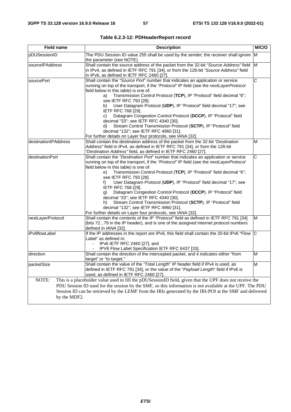| <b>Field name</b>     | <b>Description</b>                                                                                                                                                                                                                                                                                                                                                                                                                                                                                                                                                                                                                                                                                                                        | M/C/O                   |
|-----------------------|-------------------------------------------------------------------------------------------------------------------------------------------------------------------------------------------------------------------------------------------------------------------------------------------------------------------------------------------------------------------------------------------------------------------------------------------------------------------------------------------------------------------------------------------------------------------------------------------------------------------------------------------------------------------------------------------------------------------------------------------|-------------------------|
| pDUSessionID          | The PDU Session ID value 255 shall be used by the sender; the receiver shall ignore M<br>the parameter (see NOTE).                                                                                                                                                                                                                                                                                                                                                                                                                                                                                                                                                                                                                        |                         |
| sourcelPAddress       | Shall contain the source address of the packet from the 32-bit "Source Address" field<br>in IPv4, as defined in IETF RFC 791 [34], or from the 128-bit "Source Address" field<br>in IPv6, as defined in IETF RFC 2460 [27].                                                                                                                                                                                                                                                                                                                                                                                                                                                                                                               | $\overline{\mathsf{M}}$ |
| sourcePort            | Shall contain the "Source Port" number that indicates an application or service<br>running on top of the transport, if the "Protocol" IP field (see the nextLayerProtocol<br>field below in this table) is one of:<br>Transmission Control Protocol (TCP), IP "Protocol" field decimal "6";<br>a)<br>see IETF RFC 793 [28].<br>b) User Datagram Protocol (UDP), IP "Protocol" field decimal "17"; see<br>IETF RFC 768 [29].<br>Datagram Congestion Control Protocol (DCCP), IP "Protocol" field<br>C)<br>decimal "33"; see IETF RFC 4340 [30].<br>Stream Control Transmission Protocol (SCTP), IP "Protocol" field<br>d)<br>decimal "132"; see IETF RFC 4960 [31].<br>For further details on Layer four protocols, see IANA [32].         | $\overline{\mathsf{C}}$ |
| destinationIPAddress  | Shall contain the destination address of the packet from the 32-bit "Destination<br>Address" field in IPv4, as defined in IETF RFC 791 [34], or from the 128-bit<br>"Destination Address" field, as defined in IETF RFC 2460 [27].                                                                                                                                                                                                                                                                                                                                                                                                                                                                                                        | M                       |
| destinationPort       | Shall contain the "Destination Port" number that indicates an application or service<br>running on top of the transport, if the "Protocol" IP field (see the nextLayerProtocol<br>field below in this table) is one of:<br>Transmission Control Protocol (TCP), IP "Protocol" field decimal "6";<br>e)<br>see IETF RFC 793 [28].<br>User Datagram Protocol (UDP), IP "Protocol" field decimal "17"; see<br>f)<br>IETF RFC 768 [29].<br>Datagram Congestion Control Protocol (DCCP), IP "Protocol" field<br>g)<br>decimal "33"; see IETF RFC 4340 [30].<br>Stream Control Transmission Protocol (SCTP), IP "Protocol" field<br>h)<br>decimal "132"; see IETF RFC 4960 [31].<br>For further details on Layer four protocols, see IANA [32]. | $\overline{\text{c}}$   |
| nextLayerProtocol     | Shall contain the contents of the IP "Protocol" field as defined in IETF RFC 791 [34]<br>(bits 7279 in the IP header), and is one of the assigned Internet protocol numbers<br>defined in IANA [32].                                                                                                                                                                                                                                                                                                                                                                                                                                                                                                                                      | M                       |
| iPv6flowLabel         | If the IP addresses in the report are IPv6, this field shall contain the 20-bit IPv6 "Flow C<br>Label" as defined in:<br>IPv6 IETF RFC 2460 [27], and<br>$\overline{\phantom{a}}$<br>- IPV6 Flow Label Specification IETF RFC 6437 [33].                                                                                                                                                                                                                                                                                                                                                                                                                                                                                                  |                         |
| direction             | Shall contain the direction of the intercepted packet, and it indicates either "from<br>target" or "to target."                                                                                                                                                                                                                                                                                                                                                                                                                                                                                                                                                                                                                           | M                       |
| packetSize            | Shall contain the value of the "Total Length" IP header field if IPv4 is used, as<br>defined in IETF RFC 791 [34], or the value of the "Payload Length" field if IPv6 is<br>used, as defined in IETF RFC 2460 [27].                                                                                                                                                                                                                                                                                                                                                                                                                                                                                                                       | M                       |
| NOTE:<br>by the MDF2. | This is a placeholder value used to fill the pDUSessionID field, given that the UPF does not receive the<br>PDU Session ID used for the session by the SMF, so this information is not available at the UPF. The PDU<br>Session ID can be retrieved by the LEMF from the IRIs generated by the IRI-POI at the SMF and delivered                                                                                                                                                                                                                                                                                                                                                                                                           |                         |

**Table 6.2.3-12: PDHeaderReport record**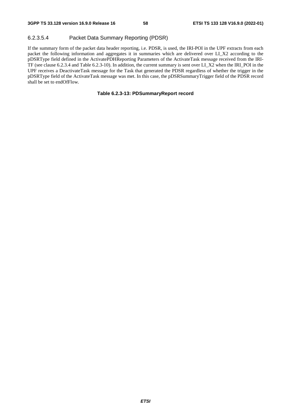### 6.2.3.5.4 Packet Data Summary Reporting (PDSR)

If the summary form of the packet data header reporting, i.e. PDSR, is used, the IRI-POI in the UPF extracts from each packet the following information and aggregates it in summaries which are delivered over LI\_X2 according to the pDSRType field defined in the ActivatePDHReporting Parameters of the ActivateTask message received from the IRI-TF (see clause 6.2.3.4 and Table 6.2.3-10). In addition, the current summary is sent over LI\_X2 when the IRI\_POI in the UPF receives a DeactivateTask message for the Task that generated the PDSR regardless of whether the trigger in the pDSRType field of the ActivateTask message was met. In this case, the pDSRSummaryTrigger field of the PDSR record shall be set to endOfFlow.

### **Table 6.2.3-13: PDSummaryReport record**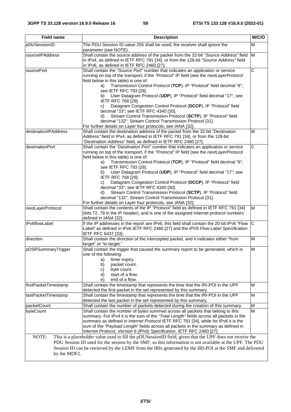| <b>Field name</b>        | <b>Description</b>                                                                                                                                                                                                                                                                                                                                                                                                                                                                                                                                                                                                                                                                                                                                             | M/C/O                 |
|--------------------------|----------------------------------------------------------------------------------------------------------------------------------------------------------------------------------------------------------------------------------------------------------------------------------------------------------------------------------------------------------------------------------------------------------------------------------------------------------------------------------------------------------------------------------------------------------------------------------------------------------------------------------------------------------------------------------------------------------------------------------------------------------------|-----------------------|
| pDUSessionID             | The PDU Session ID value 255 shall be used; the receiver shall ignore the                                                                                                                                                                                                                                                                                                                                                                                                                                                                                                                                                                                                                                                                                      | M                     |
| sourcelPAddress          | parameter (see NOTE).<br>Shall contain the source address of the packet from the 32-bit "Source Address" field M<br>in IPv4, as defined in IETF RFC 791 [34], or from the 128-bit "Source Address" field<br>in IPv6, as defined in IETF RFC 2460 [27].                                                                                                                                                                                                                                                                                                                                                                                                                                                                                                         |                       |
| sourcePort               | Shall contain the "Source Port" number that indicates an application or service<br>running on top of the transport, if the "Protocol" IP field (see the nextLayerProtocol<br>field below in this table) is one of:<br>Transmission Control Protocol (TCP), IP "Protocol" field decimal "6";<br>a)<br>see IETF RFC 793 [28].<br>User Datagram Protocol (UDP), IP "Protocol" field decimal "17"; see<br>b)<br><b>IETF RFC 768 [29].</b><br>Datagram Congestion Control Protocol (DCCP), IP "Protocol" field<br>C)<br>decimal "33"; see IETF RFC 4340 [30].<br>Stream Control Transmission Protocol (SCTP), IP "Protocol" field<br>d)<br>decimal "132"; Stream Control Transmission Protocol [31].<br>For further details on Layer four protocols, see IANA [32]. | $\overline{\text{c}}$ |
| destinationIPAddress     | Shall contain the destination address of the packet from the 32-bit "Destination<br>Address" field in IPv4, as defined in IETF RFC 791 [34], or from the 128-bit<br>"Destination Address" field, as defined in IETF RFC 2460 [27].                                                                                                                                                                                                                                                                                                                                                                                                                                                                                                                             | M                     |
| destinationPort          | Shall contain the "Destination Port" number that indicates an application or service<br>running on top of the transport, if the "Protocol" IP field (see the nextLayerProtocol<br>field below in this table) is one of:<br>Transmission Control Protocol (TCP), IP "Protocol" field decimal "6";<br>a)<br>see IETF RFC 793 [28].<br>User Datagram Protocol (UDP), IP "Protocol" field decimal "17"; see<br>b)<br>IETF RFC 768 [29].<br>Datagram Congestion Control Protocol (DCCP), IP "Protocol" field<br>C)<br>decimal "33"; see IETF RFC 4340 [30].<br>Stream Control Transmission Protocol (SCTP), IP "Protocol" field<br>d)<br>decimal "132"; Stream Control Transmission Protocol [31].<br>For further details on Layer four protocols, see IANA [32].   | C                     |
| nextLayerProtocol        | Shall contain the contents of the IP "Protocol" field as defined in IETF RFC 791 [34]<br>(bits 7279 in the IP header), and is one of the assigned Internet protocol numbers<br>defined in IANA [32].                                                                                                                                                                                                                                                                                                                                                                                                                                                                                                                                                           | M                     |
| iPv6flowLabel            | If the IP addresses in the report are IPv6, this field shall contain the 20-bit IPv6 "Flow<br>Label" as defined in IPv6 IETF RFC 2460 [27] and the IPV6 Flow Label Specification<br>IETF RFC 6437 [33].                                                                                                                                                                                                                                                                                                                                                                                                                                                                                                                                                        | $\overline{C}$        |
| direction                | Shall contain the direction of the intercepted packet, and it indicates either "from<br>target" or "to target."                                                                                                                                                                                                                                                                                                                                                                                                                                                                                                                                                                                                                                                | M                     |
| pDSRSummaryTrigger       | Shall contain the trigger that caused the summary report to be generated, which is<br>one of the following:<br>timer expiry.<br>a)<br>b)<br>packet count.<br>byte count.<br>C)<br>start of a flow.<br>d)<br>end of a flow.<br>e)                                                                                                                                                                                                                                                                                                                                                                                                                                                                                                                               | M                     |
| firstPacketTimestamp     | Shall contain the timestamp that represents the time that the IRI-POI in the UPF<br>detected the first packet in the set represented by this summary.                                                                                                                                                                                                                                                                                                                                                                                                                                                                                                                                                                                                          | M                     |
| lastPacketTimestamp      | Shall contain the timestamp that represents the time that the IRI-POI in the UPF<br>detected the last packet in the set represented by this summary.                                                                                                                                                                                                                                                                                                                                                                                                                                                                                                                                                                                                           | M                     |
| packetCount<br>byteCount | Shall contain the number of packets detected during the creation of this summary.<br>Shall contain the number of bytes summed across all packets that belong to this<br>summary. For IPv4 it is the sum of the "Total Length" fields across all packets in the<br>summary as defined in Internet Protocol IETF RFC 791 [34], while for IPv6 it is the<br>sum of the "Payload Length" fields across all packets in the summary as defined in<br>Internet Protocol, Version 6 (IPv6) Specification, IETF RFC 2460 [27].                                                                                                                                                                                                                                          | M<br>M                |
| NOTE:<br>by the MDF2.    | This is a placeholder value used to fill the pDUSessionID field, given that the UPF does not receive the<br>PDU Session ID used for the session by the SMF, so this information is not available at the UPF. The PDU<br>Session ID can be retrieved by the LEMF from the IRIs generated by the IRI-POI at the SMF and delivered                                                                                                                                                                                                                                                                                                                                                                                                                                |                       |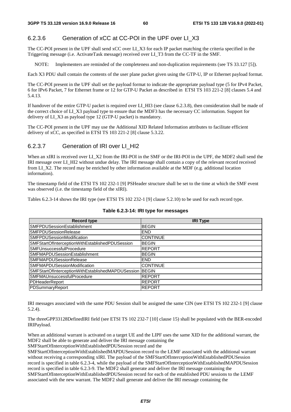## 6.2.3.6 Generation of xCC at CC-POI in the UPF over LI\_X3

The CC-POI present in the UPF shall send xCC over LI\_X3 for each IP packet matching the criteria specified in the Triggering message (i.e. ActivateTask message) received over LI\_T3 from the CC-TF in the SMF.

NOTE: Implementers are reminded of the completeness and non-duplication requirements (see TS 33.127 [5]).

Each X3 PDU shall contain the contents of the user plane packet given using the GTP-U, IP or Ethernet payload format.

The CC-POI present in the UPF shall set the payload format to indicate the appropriate payload type (5 for IPv4 Packet, 6 for IPv6 Packet, 7 for Ethernet frame or 12 for GTP-U Packet as described in ETSI TS 103 221-2 [8] clauses 5.4 and 5.4.13.

If handover of the entire GTP-U packet is required over LI HI3 (see clause 6.2.3.8), then consideration shall be made of the correct choice of LI\_X3 payload type to ensure that the MDF3 has the necessary CC information. Support for delivery of LI\_X3 as payload type 12 (GTP-U packet) is mandatory.

The CC-POI present in the UPF may use the Additional XID Related Information attributes to facilitate efficient delivery of xCC, as specified in ETSI TS 103 221-2 [8] clause 5.3.22.

### 6.2.3.7 Generation of IRI over LI\_HI2

When an xIRI is received over LI\_X2 from the IRI-POI in the SMF or the IRI-POI in the UPF, the MDF2 shall send the IRI message over LI\_HI2 without undue delay. The IRI message shall contain a copy of the relevant record received from LI\_X2. The record may be enriched by other information available at the MDF (e.g. additional location information).

The timestamp field of the ETSI TS 102 232-1 [9] PSHeader structure shall be set to the time at which the SMF event was observed (i.e. the timestamp field of the xIRI).

Tables 6.2.3-14 shows the IRI type (see ETSI TS 102 232-1 [9] clause 5.2.10) to be used for each record type.

| Record type                                             | <b>IRI Type</b> |
|---------------------------------------------------------|-----------------|
| SMFPDUSessionEstablishment                              | <b>BEGIN</b>    |
| <b>ISMFPDUSessionRelease</b>                            | <b>END</b>      |
| <b>ISMFPDUSessionModification</b>                       | <b>CONTINUE</b> |
| SMFStartOfInterceptionWithEstablishedPDUSession         | <b>BEGIN</b>    |
| SMFUnsuccessfulProcedure                                | <b>REPORT</b>   |
| SMFMAPDUSessionEstablishment                            | <b>BEGIN</b>    |
| <b>ISMFMAPDUSessionRelease</b>                          | <b>END</b>      |
| <b>SMFMAPDUSessionModification</b>                      | <b>CONTINUE</b> |
| SMFStartOfInterceptionWithEstablishedMAPDUSession BEGIN |                 |
| SMFMAUnsuccessfulProcedure                              | <b>REPORT</b>   |
| PDHeaderReport                                          | <b>REPORT</b>   |
| PDSummaryReport                                         | <b>REPORT</b>   |

### **Table 6.2.3-14: IRI type for messages**

IRI messages associated with the same PDU Session shall be assigned the same CIN (see ETSI TS 102 232-1 [9] clause 5.2.4).

The threeGPP33128DefinedIRI field (see ETSI TS 102 232-7 [10] clause 15) shall be populated with the BER-encoded IRIPayload.

When an additional warrant is activated on a target UE and the LIPF uses the same XID for the additional warrant, the MDF2 shall be able to generate and deliver the IRI message containing the

SMFStartOfInterceptionWithEstablishedPDUSession record and the

SMFStartOfInterceptionWithEstablishedMAPDUSession record to the LEMF associated with the additional warrant without receiving a corresponding xIRI. The payload of the SMFStartOfInterceptionWithEstablishedPDUSession record is specified in table 6.2.3-4, while the payload of the SMFStartOfInterceptionWithEstablishedMAPDUSession record is specified in table 6.2.3-9. The MDF2 shall generate and deliver the IRI message containing the SMFStartOfInterceptionWithEstablishedPDUSession record for each of the established PDU sessions to the LEMF associated with the new warrant. The MDF2 shall generate and deliver the IRI message containing the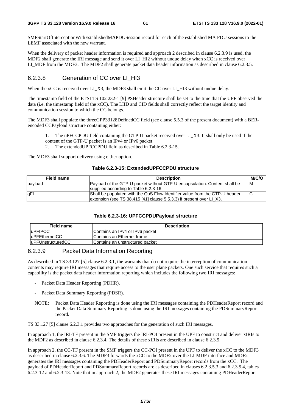SMFStartOfInterceptionWithEstablishedMAPDUSession record for each of the established MA PDU sessions to the LEMF associated with the new warrant.

When the delivery of packet header information is required and approach 2 described in clause 6.2.3.9 is used, the MDF2 shall generate the IRI message and send it over LI\_HI2 without undue delay when xCC is received over LI\_MDF from the MDF3. The MDF2 shall generate packet data header information as described in clause 6.2.3.5.

### 6.2.3.8 Generation of CC over LI\_HI3

When the xCC is received over LI\_X3, the MDF3 shall emit the CC over LI\_HI3 without undue delay.

The timestamp field of the ETSI TS 102 232-1 [9] PSHeader structure shall be set to the time that the UPF observed the data (i.e. the timestamp field of the xCC). The LIID and CID fields shall correctly reflect the target identity and communication session to which the CC belongs.

The MDF3 shall populate the threeGPP33128DefinedCC field (see clause 5.5.3 of the present document) with a BERencoded CCPayload structure containing either:

1. The uPFCCPDU field containing the GTP-U packet received over LI\_X3. It shall only be used if the content of the GTP-U packet is an IPv4 or IPv6 packet.

2. The extendedUPFCCPDU field as described in Table 6.2.3-15.

The MDF3 shall support delivery using either option.

#### **Table 6.2.3-15: ExtendedUPFCCPDU structure**

| Field name | <b>Description</b>                                                          | <b>M/C/C</b> |
|------------|-----------------------------------------------------------------------------|--------------|
| payload    | Payload of the GTP-U packet without GTP-U encapsulation. Content shall be   | ΙM           |
|            | supplied according to Table 6.2.3-16.                                       |              |
| qFI        | Shall be populated with the QoS Flow Identifier value from the GTP-U header | IC           |
|            | extension (see TS 38.415 [41] clause 5.5.3.3) if present over LI X3.        |              |

#### **Table 6.2.3-16: UPFCCPDUPayload structure**

| <b>Field name</b>  | <b>Description</b>               |
|--------------------|----------------------------------|
| <b>IuPFIPCC</b>    | IContains an IPv4 or IPv6 packet |
| luPFEthernetCC     | IContains an Ethernet frame      |
| luPFUnstructuredCC | IContains an unstructured packet |

## 6.2.3.9 Packet Data Information Reporting

As described in TS 33.127 [5] clause 6.2.3.1, the warrants that do not require the interception of communication contents may require IRI messages that require access to the user plane packets. One such service that requires such a capability is the packet data header information reporting which includes the following two IRI messages:

- Packet Data Header Reporting (PDHR).
- Packet Data Summary Reporting (PDSR).
- NOTE: Packet Data Header Reporting is done using the IRI messages containing the PDHeaderReport record and the Packet Data Summary Reporting is done using the IRI messages containing the PDSummaryReport record.

TS 33.127 [5] clause 6.2.3.1 provides two approaches for the generation of such IRI messages.

In approach 1, the IRI-TF present in the SMF triggers the IRI-POI present in the UPF to construct and deliver xIRIs to the MDF2 as described in clause 6.2.3.4. The details of these xIRIs are described in clause 6.2.3.5.

In approach 2, the CC-TF present in the SMF triggers the CC-POI present in the UPF to deliver the xCC to the MDF3 as described in clause 6.2.3.6. The MDF3 forwards the xCC to the MDF2 over the LI-MDF interface and MDF2 generates the IRI messages containing the PDHeaderReport and PDSummaryReport records from the xCC. The payload of PDHeaderReport and PDSummaryReport records are as described in clauses 6.2.3.5.3 and 6.2.3.5.4, tables 6.2.3-12 and 6.2.3-13. Note that in approach 2, the MDF2 generates these IRI messages containing PDHeaderReport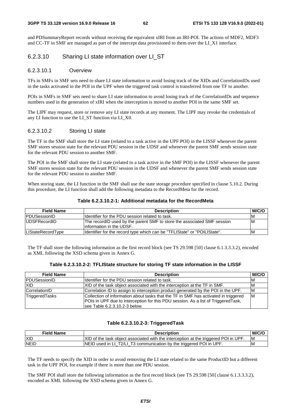and PDSummaryReport records without receiving the equivalent xIRI from an IRI-POI. The actions of MDF2, MDF3 and CC-TF in SMF are managed as part of the intercept data provisioned to them over the LI\_X1 interface.

## 6.2.3.10 Sharing LI state information over LI\_ST

### 6.2.3.10.1 Overview

TFs in SMFs in SMF sets need to share LI state information to avoid losing track of the XIDs and CorrelationIDs used in the tasks activated in the POI in the UPF when the triggered task control is transferred from one TF to another.

POIs in SMFs in SMF sets need to share LI state information to avoid losing track of the CorrelationIDs and sequence numbers used in the generation of xIRI when the interception is moved to another POI in the same SMF set.

The LIPF may request, store or remove any LI state records at any moment. The LIPF may revoke the credentials of any LI function to use the LI\_ST function via LI\_X0.

### 6.2.3.10.2 Storing LI state

The TF in the SMF shall store the LI state (related to a task active in the UPF POI) in the LISSF whenever the parent SMF stores session state for the relevant PDU session in the UDSF and whenever the parent SMF sends session state for the relevant PDU session to another SMF.

The POI in the SMF shall store the LI state (related to a task active in the SMF POI) in the LISSF whenever the parent SMF stores session state for the relevant PDU session in the UDSF and whenever the parent SMF sends session state for the relevant PDU session to another SMF.

When storing state, the LI function in the SMF shall use the state storage procedure specified in clause 5.10.2. During this procedure, the LI function shall add the following metadata to the RecordMeta for the record.

| <b>Field Name</b>   | <b>Description</b>                                                                                   | <b>M/C/O</b> |
|---------------------|------------------------------------------------------------------------------------------------------|--------------|
| PDUSessionID        | Ildentifier for the PDU session related to task.                                                     | ΙM           |
| <b>UDSFRecordID</b> | The recordID used by the parent SMF to store the associated SMF session<br>linformation in the UDSF. | ΙM           |
| LIStateRecordType   | ldentifier for the record type which can be "TFLIState" or "POILIState".                             | ΙM           |

#### **Table 6.2.3.10.2-1: Additional metadata for the RecordMeta**

The TF shall store the following information as the first record block (see TS 29.598 [50] clause 6.1.3.3.3.2), encoded as XML following the XSD schema given in Annex G.

|  | Table 6.2.3.10.2-2: TFLIState structure for storing TF state information in the LISSF |
|--|---------------------------------------------------------------------------------------|
|--|---------------------------------------------------------------------------------------|

| <b>Field Name</b>   | <b>Description</b>                                                                                                                                                                                          | M/C/O |
|---------------------|-------------------------------------------------------------------------------------------------------------------------------------------------------------------------------------------------------------|-------|
| <b>PDUSessionID</b> | Identifier for the PDU session related to task.                                                                                                                                                             | ΙM    |
| <b>XID</b>          | XID of the task object associated with the interception at the TF in SMF.                                                                                                                                   | ΙM    |
| CorrelationID       | Correlation ID to assign to interception product generated by the POI in the UPF.                                                                                                                           | ΙM    |
| TriggeredTasks      | Collection of information about tasks that the TF in SMF has activated in triggered<br>POIs in UPF due to interception for this PDU session. As a list of Triggered Task,<br>lsee Table 6.2.3.10.2-3 below. | ΙM    |

### **Table 6.2.3.10.2-3: TriggeredTask**

| <b>Field Name</b> | <b>Description</b>                                                                    | <b>M/C/C</b> |
|-------------------|---------------------------------------------------------------------------------------|--------------|
| <b>IXID</b>       | [XID of the task object associated with the interception at the triggered POI in UPF. | ΙM           |
| <b>INEID</b>      | NEID used in LI_T2/LI_T3 communication by the triggered POI in UPF.                   | M            |

The TF needs to specify the XID in order to avoid removing the LI state related to the same ProductID but a different task in the UPF POI, for example if there is more than one PDU session.

The SMF POI shall store the following information as the first record block (see TS 29.598 [50] clause 6.1.3.3.3.2), encoded as XML following the XSD schema given in Annex G.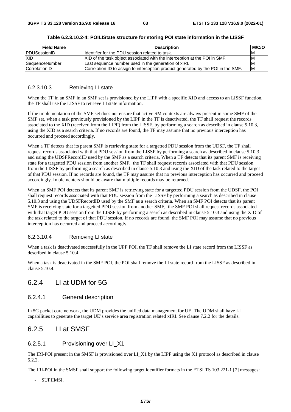| <b>Field Name</b>     | <b>Description</b>                                                                | M/C/O |
|-----------------------|-----------------------------------------------------------------------------------|-------|
| <b>PDUSessionID</b>   | Ildentifier for the PDU session related to task.                                  | ΙM    |
| <b>XID</b>            | IXID of the task object associated with the interception at the POI in SMF.       | ΙM    |
| <b>SequenceNumber</b> | Last sequence number used in the generation of xIRI.                              | ΙM    |
| CorrelationID         | Correlation ID to assign to interception product generated by the POI in the SMF. | lМ    |

**Table 6.2.3.10.2-4: POILIState structure for storing POI state information in the LISSF** 

### 6.2.3.10.3 Retrieving LI state

When the TF in an SMF in an SMF set is provisioned by the LIPF with a specific XID and access to an LISSF function, the TF shall use the LISSF to retrieve LI state information.

If the implementation of the SMF set does not ensure that active SM contexts are always present in some SMF of the SMF set, when a task previously provisioned by the LIPF in the TF is deactivated, the TF shall request the records associated to the XID (received from the LIPF) from the LISSF, by performing a search as described in clause 5.10.3, using the XID as a search criteria. If no records are found, the TF may assume that no previous interception has occurred and proceed accordingly.

When a TF detects that its parent SMF is retrieving state for a targetted PDU session from the UDSF, the TF shall request records associated with that PDU session from the LISSF by performing a search as described in clause 5.10.3 and using the UDSFRecordID used by the SMF as a search criteria. When a TF detects that its parent SMF is receiving state for a targetted PDU session from another SMF, the TF shall request records associated with that PDU session from the LISSF by performing a search as described in clause 5.10.3 and using the XID of the task related to the target of that PDU session. If no records are found, the TF may assume that no previous interception has occurred and proceed accordingly. Implementers should be aware that multiple records may be returned.

When an SMF POI detects that its parent SMF is retrieving state for a targetted PDU session from the UDSF, the POI shall request records associated with that PDU session from the LISSF by performing a search as described in clause 5.10.3 and using the UDSFRecordID used by the SMF as a search criteria. When an SMF POI detects that its parent SMF is receiving state for a targetted PDU session from another SMF, the SMF POI shall request records associated with that target PDU session from the LISSF by performing a search as described in clause 5.10.3 and using the XID of the task related to the target of that PDU session. If no records are found, the SMF POI may assume that no previous interception has occurred and proceed accordingly.

### 6.2.3.10.4 Removing LI state

When a task is deactivated successfully in the UPF POI, the TF shall remove the LI state record from the LISSF as described in clause 5.10.4.

When a task is deactivated in the SMF POI, the POI shall remove the LI state record from the LISSF as described in clause 5.10.4.

## 6.2.4 LI at UDM for 5G

## 6.2.4.1 General description

In 5G packet core network, the UDM provides the unified data management for UE. The UDM shall have LI capabilities to generate the target UE's service area registration related xIRI. See clause 7.2.2 for the details.

## 6.2.5 LI at SMSF

## 6.2.5.1 Provisioning over LI\_X1

The IRI-POI present in the SMSF is provisioned over LI\_X1 by the LIPF using the X1 protocol as described in clause 5.2.2.

The IRI-POI in the SMSF shall support the following target identifier formats in the ETSI TS 103 221-1 [7] messages:

- SUPIIMSI.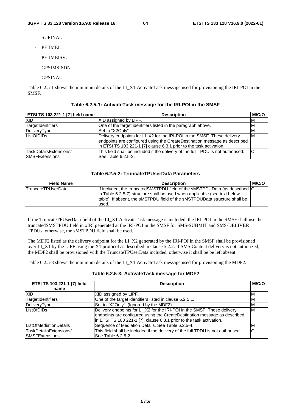- SUPINAI.
- PEIIMEI.
- PEIIMEISV.
- GPSIMSISDN.
- GPSINAI.

Table 6.2.5-1 shows the minimum details of the LI\_X1 ActivateTask message used for provisioning the IRI-POI in the SMSF.

| ETSI TS 103 221-1 [7] field name                 | <b>Description</b>                                                                                                                                                                                                           | M/C/O |
|--------------------------------------------------|------------------------------------------------------------------------------------------------------------------------------------------------------------------------------------------------------------------------------|-------|
| <b>XID</b>                                       | XID assigned by LIPF.                                                                                                                                                                                                        | ΙM    |
| TargetIdentifiers                                | One of the target identifiers listed in the paragraph above.                                                                                                                                                                 | ΙM    |
| DeliveryType                                     | Set to "X2Only".                                                                                                                                                                                                             | ΙM    |
| ListOfDIDs                                       | Delivery endpoints for LI_X2 for the IRI-POI in the SMSF. These delivery<br>endpoints are configured using the CreateDestination message as described<br>in ETSI TS 103 221-1 [7] clause 6.3.1 prior to the task activation. | IМ    |
| TaskDetailsExtensions/<br><b>ISMSFExtensions</b> | This field shall be included if the delivery of the full TPDU is not authorised.<br>See Table 6.2.5-2.                                                                                                                       | IC    |

#### **Table 6.2.5-1: ActivateTask message for the IRI-POI in the SMSF**

#### **Table 6.2.5-2: TruncateTPUserData Parameters**

| <b>Field Name</b>         | <b>Description</b>                                                                                                                                       | <b>M/C/C</b> |
|---------------------------|----------------------------------------------------------------------------------------------------------------------------------------------------------|--------------|
| <b>TruncateTPUserData</b> | If included, the truncatedSMSTPDU field of the sMSTPDUData (as described C                                                                               |              |
|                           | in Table 6.2.5-7) structure shall be used when applicable (see text below<br>Itable). If absent, the sMSTPDU field of the sMSTPDUData structure shall be |              |
|                           | used.                                                                                                                                                    |              |

If the TruncateTPUserData field of the LI\_X1 ActivateTask message is included, the IRI-POI in the SMSF shall use the truncatedSMSTPDU field in xIRI generated at the IRI-POI in the SMSF for SMS-SUBMIT and SMS-DELIVER TPDUs, otherwise, the sMSTPDU field shall be used.

The MDF2 listed as the delivery endpoint for the LI\_X2 generated by the IRI-POI in the SMSF shall be provisioned over LI\_X1 by the LIPF using the X1 protocol as described in clause 5.2.2. If SMS Content delivery is not authorized, the MDF2 shall be provisioned with the TruncateTPUserData included, otherwise it shall be be left absent.

Table 6.2.5-3 shows the minimum details of the LI\_X1 ActivateTask message used for provisioning the MDF2.

#### **Table 6.2.5-3: ActivateTask message for MDF2**

| ETSI TS 103 221-1 [7] field                      | <b>Description</b>                                                                                                                                                                                                            |    |
|--------------------------------------------------|-------------------------------------------------------------------------------------------------------------------------------------------------------------------------------------------------------------------------------|----|
| name                                             |                                                                                                                                                                                                                               |    |
| <b>XID</b>                                       | XID assigned by LIPF.                                                                                                                                                                                                         | M  |
| TargetIdentifiers                                | One of the target identifiers listed in clause 6.2.5.1.                                                                                                                                                                       | M  |
| DeliveryType                                     | Set to "X2Only". (Ignored by the MDF2).                                                                                                                                                                                       | M  |
| ListOfDIDs                                       | Delivery endpoints for LI_X2 for the IRI-POI in the SMSF. These delivery<br>endpoints are configured using the CreateDestination message as described<br>in ETSI TS 103 221-1 [7], clause 6.3.1 prior to the task activation. | ΙM |
| <b>ListOfMediationDetails</b>                    | Sequence of Mediation Details, See Table 6.2.5-4.                                                                                                                                                                             | M  |
| TaskDetailsExtensions/<br><b>ISMSFExtensions</b> | This field shall be included if the delivery of the full TPDU is not authorised.<br>lSee Table 6.2.5-2.                                                                                                                       | C  |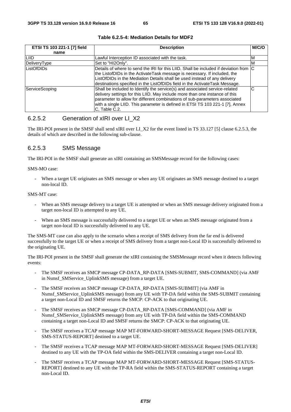| ETSI TS 103 221-1 [7] field | <b>Description</b>                                                                                                                                                                                                                                                                                                                         |    |  |  |
|-----------------------------|--------------------------------------------------------------------------------------------------------------------------------------------------------------------------------------------------------------------------------------------------------------------------------------------------------------------------------------------|----|--|--|
| name                        |                                                                                                                                                                                                                                                                                                                                            |    |  |  |
| <b>LIID</b>                 | Lawful Interception ID associated with the task.                                                                                                                                                                                                                                                                                           | ιM |  |  |
| DeliveryType                | Set to "HI2Only".                                                                                                                                                                                                                                                                                                                          | M  |  |  |
| <b>ListOfDIDs</b>           | Details of where to send the IRI for this LIID. Shall be included if deviation from C<br>the ListofDIDs in the ActivateTask message is necessary. If included, the<br>ListOfDIDs in the Mediation Details shall be used instead of any delivery<br>destinations specified in the ListOfDIDs field in the ActivateTask Message.             |    |  |  |
| <b>ServiceScoping</b>       | Shall be included to Identify the service(s) and associated service-related<br>delivery settings for this LIID. May include more than one instance of this<br>parameter to allow for different combinations of sub-parameters associated<br>with a single LIID. This parameter is defined in ETSI TS 103 221-1 [7], Annex<br>C. Table C.2. | C  |  |  |

### **Table 6.2.5-4: Mediation Details for MDF2**

### 6.2.5.2 Generation of xIRI over LI\_X2

The IRI-POI present in the SMSF shall send xIRI over LI\_X2 for the event listed in TS 33.127 [5] clause 6.2.5.3, the details of which are described in the following sub-clause.

## 6.2.5.3 SMS Message

The IRI-POI in the SMSF shall generate an xIRI containing an SMSMessage record for the following cases:

#### SMS-MO case:

When a target UE originates an SMS message or when any UE originates an SMS message destined to a target non-local ID.

### SMS-MT case:

- When an SMS message delivery to a target UE is attempted or when an SMS message delivery originated from a target non-local ID is attempted to any UE.
- When an SMS message is successfully delivered to a target UE or when an SMS message originated from a target non-local ID is successfully delivered to any UE.

The SMS-MT case can also apply to the scenario when a receipt of SMS delivery from the far end is delivered successfully to the target UE or when a receipt of SMS delivery from a target non-Local ID is successfully delivered to the originating UE.

The IRI-POI present in the SMSF shall generate the xIRI containing the SMSMessage record when it detects following events:

- The SMSF receives an SMCP message CP-DATA\_RP-DATA [SMS-SUBMIT, SMS-COMMAND] (via AMF in Nsmsf\_SMService\_UplinkSMS message) from a target UE.
- The SMSF receives an SMCP message CP-DATA\_RP-DATA [SMS-SUBMIT] (via AMF in Nsmsf\_SMService\_UplinkSMS message) from any UE with TP-DA field within the SMS-SUBMIT containing a target non-Local ID and SMSF returns the SMCP: CP-ACK to that originating UE.
- The SMSF receives an SMCP message CP-DATA\_RP-DATA [SMS-COMMAND] (via AMF in Nsmsf\_SMService\_UplinkSMS message) from any UE with TP-DA field within the SMS-COMMAND containing a target non-Local ID and SMSF returns the SMCP: CP-ACK to that originating UE.
- The SMSF receives a TCAP message MAP MT-FORWARD-SHORT-MESSAGE Request [SMS-DELIVER, SMS-STATUS-REPORT] destined to a target UE.
- The SMSF receives a TCAP message MAP MT-FORWARD-SHORT-MESSAGE Request [SMS-DELIVER] destined to any UE with the TP-OA field within the SMS-DELIVER containing a target non-Local ID.
- The SMSF receives a TCAP message MAP MT-FORWARD-SHORT-MESSAGE Request [SMS-STATUS-REPORT] destined to any UE with the TP-RA field within the SMS-STATUS-REPORT containing a target non-Local ID.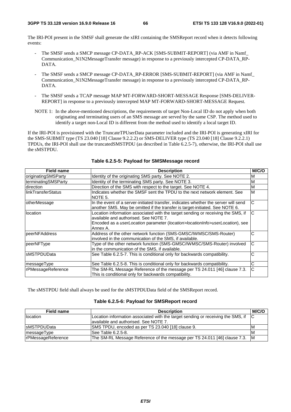The IRI-POI present in the SMSF shall generate the xIRI containing the SMSReport record when it detects following events:

- The SMSF sends a SMCP message CP-DATA\_RP-ACK [SMS-SUBMIT-REPORT] (via AMF in Namf Communication\_N1N2MessageTransfer message) in response to a previously intercepted CP-DATA\_RP-DATA.
- The SMSF sends a SMCP message CP-DATA\_RP-ERROR [SMS-SUBMIT-REPORT] (via AMF in Namf Communication\_N1N2MessageTransfer message) in response to a previously intercepted CP-DATA\_RP-DATA.
- The SMSF sends a TCAP message MAP MT-FORWARD-SHORT-MESSAGE Response [SMS-DELIVER-REPORT] in response to a previously intercepted MAP MT-FORWARD-SHORT-MESSAGE Request.
- NOTE 1: In the above-mentioned descriptions, the requirements of target Non-Local ID do not apply when both originating and terminating users of an SMS message are served by the same CSP. The method used to identify a target non-Local ID is different from the method used to identify a local target ID.

If the IRI-POI is provisioned with the TruncateTPUserData parameter included and the IRI-POI is generating xIRI for the SMS-SUBMIT type (TS 23.040 [18] Clause 9.2.2.2) or SMS-DELIVER type (TS 23.040 [18] Clause 9.2.2.1) TPDUs, the IRI-POI shall use the truncatedSMSTPDU (as described in Table 6.2.5-7), otherwise, the IRI-POI shall use the sMSTPDU.

| <b>Field name</b>   | <b>Description</b>                                                                                                                                                                                                     |   |  |  |
|---------------------|------------------------------------------------------------------------------------------------------------------------------------------------------------------------------------------------------------------------|---|--|--|
| originatingSMSParty | Identity of the originating SMS party. See NOTE 2.<br>M                                                                                                                                                                |   |  |  |
| terminatingSMSParty | Identity of the terminating SMS party. See NOTE 3.<br>М                                                                                                                                                                |   |  |  |
| direction           | Direction of the SMS with respect to the target. See NOTE 4.                                                                                                                                                           | M |  |  |
| llinkTransferStatus | Indicates whether the SMSF sent the TPDU to the next network element. See<br>M<br>NOTE 5.                                                                                                                              |   |  |  |
| otherMessage        | C<br>In the event of a server-initiated transfer, indicates whether the server will send<br>another SMS. May be omitted if the transfer is target-initiated. See NOTE 6.                                               |   |  |  |
| location            | Location information associated with the target sending or receiving the SMS, if<br>available and authorised. See NOTE 7.<br>Encoded as a userLocation parameter (location>locationInfo>userLocation), see<br>Annex A. |   |  |  |
| peerNFAddress       | Address of the other network function (SMS-GMSC/IWMSC/SMS-Router)<br>involved in the communication of the SMS, if available.                                                                                           | С |  |  |
| peerNFType          | Type of the other network function (SMS-GMSC/IWMSC/SMS-Router) involved<br>in the communication of the SMS, if available.                                                                                              | C |  |  |
| IsMSTPDUData        | See Table 6.2.5-7. This is conditional only for backwards compatibility.                                                                                                                                               | С |  |  |
| messageType         | See Table 6.2.5-8. This is conditional only for backwards compatibility.                                                                                                                                               | С |  |  |
| rPMessageReference  | The SM-RL Message Reference of the message per TS 24.011 [46] clause 7.3.<br>This is conditional only for backwards compatibility.                                                                                     | C |  |  |

### **Table 6.2.5-5: Payload for SMSMessage record**

The sMSTPDU field shall always be used for the sMSTPDUData field of the SMSReport record.

#### **Table 6.2.5-6: Payload for SMSReport record**

| <b>Field name</b>          | <b>Description</b>                                                                     |          |  |
|----------------------------|----------------------------------------------------------------------------------------|----------|--|
| location                   | Location information associated with the target sending or receiving the SMS, if $ C $ |          |  |
|                            | lavailable and authorised. See NOTE 7.                                                 |          |  |
| <b>IsMSTPDUData</b>        | SMS TPDU, encoded as per TS 23.040 [18] clause 9.                                      | ΙM       |  |
| messageType                | lSee Table 6.2.5-8.                                                                    | ΙM       |  |
| <b>IrPMessageReference</b> | The SM-RL Message Reference of the message per TS 24.011 [46] clause 7.3.              | <b>M</b> |  |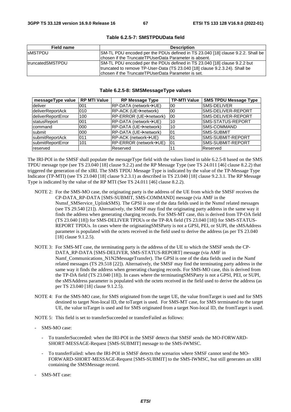| <b>Field name</b> | <b>Description</b>                                                              |
|-------------------|---------------------------------------------------------------------------------|
| <b>ISMSTPDU</b>   | SM-TL PDU encoded per the PDUs defined in TS 23.040 [18] clause 9.2.2. Shall be |
|                   | Ichosen if the TruncateTPUserData Parameter is absent.                          |
| truncatedSMSTPDU  | SM-TL PDU encoded per the PDUs defined in TS 23.040 [18] clause 9.2.2 but       |
|                   | truncated to remove TP-User-Data (TS 23.040 [18] clause 9.2.3.24). Shall be     |
|                   | Ichosen if the TruncateTPUserData Parameter is set.                             |

#### **Table 6.2.5-7: SMSTPDUData field**

#### **Table 6.2.5-8: SMSMessageType values**

| messageType value   RP MTI Value |      | <b>RP Message Type</b>               | <b>TP-MTI Value</b> | <b>SMS TPDU Message Type</b> |
|----------------------------------|------|--------------------------------------|---------------------|------------------------------|
| deliver                          | 001  | RP-DATA (network→UE)                 | 00                  | <b>ISMS-DELIVER</b>          |
| deliverReportAck                 | 010  | RP-ACK (UE→network)                  | 00                  | SMS-DELIVER-REPORT           |
| deliverReportError               | 100  | RP-ERROR (UE→network)                | 00                  | SMS-DELIVER-REPORT           |
| statusReport                     | 1001 | IRP-DATA (network→UE)                | 10                  | ISMS-STATUS-REPORT           |
| command                          | 000  | RP-DATA (UE→network)                 | 10                  | ISMS-COMMAND                 |
| submit                           | 000  | RP-DATA (UE→network)                 | I01                 | <b>SMS-SUBMIT</b>            |
| submitReportAck                  | 011  | $R$ P-ACK (network $\rightarrow$ UE) | I01                 | ISMS-SUBMIT-REPORT           |
| <b>IsubmitReportError</b>        | 101  | IRP-ERROR (network→UE)               | 01                  | ISMS-SUBMIT-REPORT           |
| reserved                         |      | Reserved                             |                     | Reserved                     |

The IRI-POI in the SMSF shall populate the messageType field with the values listed in table 6.2.5-8 based on the SMS TPDU message type (see TS 23.040 [18] clause 9.2.2) and the RP Message Type (see TS 24.011 [46] clause 8.2.2) that triggered the generation of the xIRI. The SMS TPDU Message Type is indicated by the value of the TP-Message Type Indicator (TP-MTI) (see TS 23.040 [18] clause 9.2.3.1) as described in TS 23.040 [18] clause 9.2.3.1. The RP Message Type is indicated by the value of the RP MTI (See TS 24.011 [46] clause 8.2.2).

- NOTE 2: For the SMS-MO case, the originating party is the address of the UE from which the SMSF receives the CP-DATA\_RP-DATA [SMS-SUBMIT, SMS-COMMAND] message (via AMF in the Nsmsf\_SMService\_UplinkSMS). The GPSI is one of the data fields used in the Nsmsf related messages (see TS 29.540 [21]). Alternatively, the SMSF may find the originating party address in the same way it finds the address when generating charging records. For SMS-MT case, this is derived from TP-OA field (TS 23.040 [18]) for SMS-DELIVER TPDUs or the TP-RA field (TS 23.040 [18]) for SMS-STATUS-REPORT TPDUs. In cases where the originatingSMSParty is not a GPSI, PEI, or SUPI, the sMSAddress parameter is populated with the octets received in the field used to derive the address (as per TS 23.040 [18] clause 9.1.2.5).
- NOTE 3: For SMS-MT case, the terminating party is the address of the UE to which the SMSF sends the CP-DATA\_RP-DATA [SMS-DELIVER, SMS-STATUS-REPORT] message (via AMF in Namf Communications N1N2MessageTransfer). The GPSI is one of the data fields used in the Namf related messages (TS 29.518 [22]). Alternatively, the SMSF may find the terminating party address in the same way it finds the address when generating charging records. For SMS-MO case, this is derived from the TP-DA field (TS 23.040 [18]). In cases where the terminatingSMSParty is not a GPSI, PEI, or SUPI, the sMSAddress parameter is populated with the octets received in the field used to derive the address (as per TS 23.040 [18] clause 9.1.2.5).
- NOTE 4: For the SMS-MO case, for SMS originated from the target UE, the value fromTarget is used and for SMS destined to target Non-local ID, the toTarget is used. For SMS-MT case, for SMS terminated to the target UE, the value toTarget is used and for SMS originated from a target Non-local ID, the fromTarget is used.

NOTE 5: This field is set to transferSucceeded or transferFailed as follows:

- SMS-MO case:
	- To transferSucceeded: when the IRI-POI in the SMSF detects that SMSF sends the MO-FORWARD-SHORT-MESSAGE-Request [SMS-SUBMIT] message to the SMS-IWMSC.
	- To transferFailed: when the IRI-POI in SMSF detects the scenarios where SMSF cannot send the MO-FORWARD-SHORT-MESSAGE-Request [SMS-SUBMIT] to the SMS-IWMSC, but still generates an xIRI containing the SMSMessage record.
- SMS-MT case: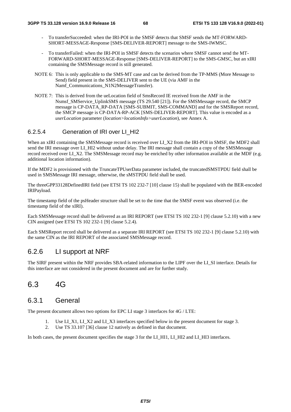- To transferSucceeded: when the IRI-POI in the SMSF detects that SMSF sends the MT-FORWARD-SHORT-MESSAGE-Response [SMS-DELIVER-REPORT] message to the SMS-IWMSC.
- To transferFailed: when the IRI-POI in SMSF detects the scenarios where SMSF cannot send the MT-FORWARD-SHORT-MESSAGE-Response [SMS-DELIVER-REPORT] to the SMS-GMSC, but an xIRI containing the SMSMessage record is still generated.
- NOTE 6: This is only applicable to the SMS-MT case and can be derived from the TP-MMS (More Message to Send) field present in the SMS-DELIVER sent to the UE (via AMF in the Namf\_Communications\_N1N2MessageTransfer).
- NOTE 7: This is derived from the ueLocation field of SmsRecord IE received from the AMF in the Nsmsf\_SMService\_UplinkSMS message (TS 29.540 [21]). For the SMSMessage record, the SMCP message is CP-DATA\_RP-DATA [SMS-SUBMIT, SMS-COMMAND] and for the SMSReport record, the SMCP message is CP-DATA-RP-ACK [SMS-DELIVER-REPORT]. This value is encoded as a *userLocation* parameter (*location>locationInfo>userLocation*), see Annex A.

## 6.2.5.4 Generation of IRI over LI\_HI2

When an xIRI containing the SMSMessage record is received over LI\_X2 from the IRI-POI in SMSF, the MDF2 shall send the IRI message over LI\_HI2 without undue delay. The IRI message shall contain a copy of the SMSMessage record received over LI\_X2. The SMSMessage record may be enriched by other information available at the MDF (e.g. additional location information).

If the MDF2 is provisioned with the TruncateTPUserData parameter included, the truncatedSMSTPDU field shall be used in SMSMessage IRI message, otherwise, the sMSTPDU field shall be used.

The threeGPP33128DefinedIRI field (see ETSI TS 102 232-7 [10] clause 15) shall be populated with the BER-encoded IRIPayload.

The timestamp field of the psHeader structure shall be set to the time that the SMSF event was observed (i.e. the timestamp field of the xIRI).

Each SMSMessage record shall be delivered as an IRI REPORT (see ETSI TS 102 232-1 [9] clause 5.2.10) with a new CIN assigned (see ETSI TS 102 232-1 [9] clause 5.2.4).

Each SMSReport record shall be delivered as a separate IRI REPORT (see ETSI TS 102 232-1 [9] clause 5.2.10) with the same CIN as the IRI REPORT of the associated SMSMessage record.

# 6.2.6 LI support at NRF

The SIRF present within the NRF provides SBA-related information to the LIPF over the LI\_SI interface. Details for this interface are not considered in the present document and are for further study.

# 6.3 4G

## 6.3.1 General

The present document allows two options for EPC LI stage 3 interfaces for 4G / LTE:

- 1. Use LI\_X1, LI\_X2 and LI\_X3 interfaces specified below in the present document for stage 3.
- 2. Use TS 33.107 [36] clause 12 natively as defined in that document.

In both cases, the present document specifies the stage 3 for the LI\_HI1, LI\_HI2 and LI\_HI3 interfaces.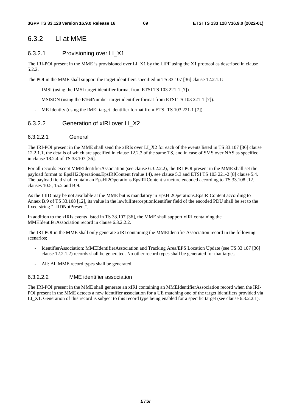# 6.3.2 LI at MME

## 6.3.2.1 Provisioning over LI\_X1

The IRI-POI present in the MME is provisioned over LI\_X1 by the LIPF using the X1 protocol as described in clause 5.2.2.

The POI in the MME shall support the target identifiers specified in TS 33.107 [36] clause 12.2.1.1:

- IMSI (using the IMSI target identifier format from ETSI TS 103 221-1 [7]).
- MSISDN (using the E164Number target identifier format from ETSI TS 103 221-1 [7]).
- ME Identity (using the IMEI target identifier format from ETSI TS 103 221-1 [7]).

## 6.3.2.2 Generation of xIRI over LI\_X2

### 6.3.2.2.1 General

The IRI-POI present in the MME shall send the xIRIs over LI\_X2 for each of the events listed in TS 33.107 [36] clause 12.2.1.1, the details of which are specified in clause 12.2.3 of the same TS, and in case of SMS over NAS as specified in clause 18.2.4 of TS 33.107 [36].

For all records except MMEIdentifierAssociation (see clause 6.3.2.2.2), the IRI-POI present in the MME shall set the payload format to EpsHI2Operations.EpsIRIContent (value 14), see clause 5.3 and ETSI TS 103 221-2 [8] clause 5.4. The payload field shall contain an EpsHI2Operations.EpsIRIContent structure encoded according to TS 33.108 [12] clauses 10.5, 15.2 and B.9.

As the LIID may be not available at the MME but is mandatory in EpsHI2Operations.EpsIRIContent according to Annex B.9 of TS 33.108 [12], its value in the lawfulInterceptionIdentifier field of the encoded PDU shall be set to the fixed string "LIIDNotPresent".

In addition to the xIRIs events listed in TS 33.107 [36], the MME shall support xIRI containing the MMEIdentiferAssociation record in clause 6.3.2.2.2.

The IRI-POI in the MME shall only generate xIRI containing the MMEIdentifierAssociation record in the following scenarios;

- IdentifierAssociation: MMEIdentifierAssociation and Tracking Area/EPS Location Update (see TS 33.107 [36] clause 12.2.1.2) records shall be generated. No other record types shall be generated for that target.
- All: All MME record types shall be generated.

## 6.3.2.2.2 MME identifier association

The IRI-POI present in the MME shall generate an xIRI containing an MMEIdentifierAssociation record when the IRI-POI present in the MME detects a new identifier association for a UE matching one of the target identifiers provided via LI\_X1. Generation of this record is subject to this record type being enabled for a specific target (see clause 6.3.2.2.1).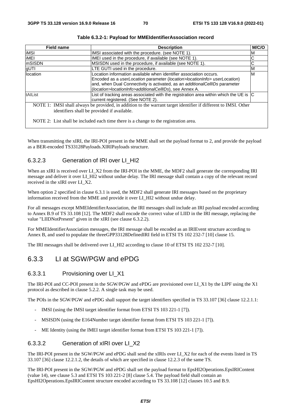| <b>Field name</b>                                                                                                                                                                                                                                                                                     | <b>Description</b>                                                                                                         | M/C/O |  |
|-------------------------------------------------------------------------------------------------------------------------------------------------------------------------------------------------------------------------------------------------------------------------------------------------------|----------------------------------------------------------------------------------------------------------------------------|-------|--|
| <b>iMSI</b>                                                                                                                                                                                                                                                                                           | IMSI associated with the procedure. (see NOTE 1).<br>ΙM                                                                    |       |  |
| <b>iMEI</b>                                                                                                                                                                                                                                                                                           | IMEI used in the procedure, if available (see NOTE 1).                                                                     |       |  |
| mSISDN                                                                                                                                                                                                                                                                                                | MSISDN used in the procedure, if available (see NOTE 1).                                                                   | С     |  |
| gUTI                                                                                                                                                                                                                                                                                                  | LTE GUTI used in the procedure.                                                                                            | M     |  |
| location<br>Location information available when identifier association occurs.<br>Encoded as a userLocation parameter (location>locationInfo> userLocation)<br>and, when Dual Connectivity is activated, as an additionalCellIDs parameter<br>(location>locationInfo>additionalCellIDs), see Annex A. |                                                                                                                            | M     |  |
| tAIList                                                                                                                                                                                                                                                                                               | List of tracking areas associated with the registration area within which the UE is C<br>current registered. (See NOTE 2). |       |  |
|                                                                                                                                                                                                                                                                                                       | NOTE 1: IMSI shall always be provided, in addition to the warrant target identifier if different to IMSI. Other            |       |  |
| identifiers shall be provided if available.                                                                                                                                                                                                                                                           |                                                                                                                            |       |  |
|                                                                                                                                                                                                                                                                                                       | NOTE 2: List shall be included each time there is a change to the registration area.                                       |       |  |

When transmitting the xIRI, the IRI-POI present in the MME shall set the payload format to 2, and provide the payload as a BER-encoded TS33128Payloads.XIRIPayloads structure.

## 6.3.2.3 Generation of IRI over LI\_HI2

When an xIRI is received over LI\_X2 from the IRI-POI in the MME, the MDF2 shall generate the corresponding IRI message and deliver it over LI\_HI2 without undue delay. The IRI message shall contain a copy of the relevant record received in the xIRI over LI\_X2.

When option 2 specified in clause 6.3.1 is used, the MDF2 shall generate IRI messages based on the proprietary information received from the MME and provide it over LI\_HI2 without undue delay.

For all messages except MMEIdentifierAssociation, the IRI messages shall include an IRI payload encoded according to Annex B.9 of TS 33.108 [12]. The MDF2 shall encode the correct value of LIID in the IRI message, replacing the value "LIIDNotPresent" given in the xIRI (see clause 6.3.2.2).

For MMEIdentifierAssociation messages, the IRI message shall be encoded as an IRIEvent structure according to Annex B, and used to populate the threeGPP33128DefinedIRI field in ETSI TS 102 232-7 [10] clause 15.

The IRI messages shall be delivered over LI\_HI2 according to clause 10 of ETSI TS 102 232-7 [10].

# 6.3.3 LI at SGW/PGW and ePDG

## 6.3.3.1 Provisioning over LI\_X1

The IRI-POI and CC-POI present in the SGW/PGW and ePDG are provisioned over LI\_X1 by the LIPF using the X1 protocol as described in clause 5.2.2. A single task may be used.

The POIs in the SGW/PGW and ePDG shall support the target identifiers specified in TS 33.107 [36] clause 12.2.1.1:

- IMSI (using the IMSI target identifier format from ETSI TS 103 221-1 [7]).
- MSISDN (using the E164Number target identifier format from ETSI TS 103 221-1 [7]).
- ME Identity (using the IMEI target identifier format from ETSI TS 103 221-1 [7]).

## 6.3.3.2 Generation of xIRI over LI\_X2

The IRI-POI present in the SGW/PGW and ePDG shall send the xIRIs over LI\_X2 for each of the events listed in TS 33.107 [36] clause 12.2.1.2, the details of which are specified in clause 12.2.3 of the same TS.

The IRI-POI present in the SGW/PGW and ePDG shall set the payload format to EpsHI2Operations.EpsIRIContent (value 14), see clause 5.3 and ETSI TS 103 221-2 [8] clause 5.4. The payload field shall contain an EpsHI2Operations.EpsIRIContent structure encoded according to TS 33.108 [12] clauses 10.5 and B.9.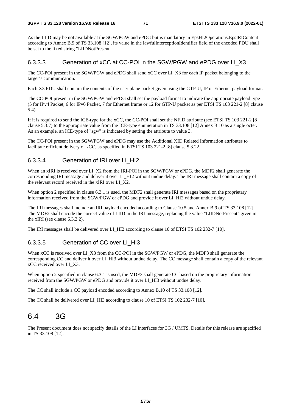As the LIID may be not available at the SGW/PGW and ePDG but is mandatory in EpsHI2Operations.EpsIRIContent according to Annex B.9 of TS 33.108 [12], its value in the lawfulInterceptionIdentifier field of the encoded PDU shall be set to the fixed string "LIIDNotPresent".

### 6.3.3.3 Generation of xCC at CC-POI in the SGW/PGW and ePDG over LI\_X3

The CC-POI present in the SGW/PGW and ePDG shall send xCC over LI\_X3 for each IP packet belonging to the target's communication.

Each X3 PDU shall contain the contents of the user plane packet given using the GTP-U, IP or Ethernet payload format.

The CC-POI present in the SGW/PGW and ePDG shall set the payload format to indicate the appropriate payload type (5 for IPv4 Packet, 6 for IPv6 Packet, 7 for Ethernet frame or 12 for GTP-U packet as per ETSI TS 103 221-2 [8] clause 5.4).

If it is required to send the ICE-type for the xCC, the CC-POI shall set the NFID attribute (see ETSI TS 103 221-2 [8] clause 5.3.7) to the appropriate value from the ICE-type enumeration in TS 33.108 [12] Annex B.10 as a single octet. As an example, an ICE-type of "sgw" is indicated by setting the attribute to value 3.

The CC-POI present in the SGW/PGW and ePDG may use the Additional XID Related Information attributes to facilitate efficient delivery of xCC, as specified in ETSI TS 103 221-2 [8] clause 5.3.22.

## 6.3.3.4 Generation of IRI over LI\_HI2

When an xIRI is received over LI\_X2 from the IRI-POI in the SGW/PGW or ePDG, the MDF2 shall generate the corresponding IRI message and deliver it over LI\_HI2 without undue delay. The IRI message shall contain a copy of the relevant record received in the xIRI over LI\_X2.

When option 2 specified in clause 6.3.1 is used, the MDF2 shall generate IRI messages based on the proprietary information received from the SGW/PGW or ePDG and provide it over LI\_HI2 without undue delay.

The IRI messages shall include an IRI payload encoded according to Clause 10.5 and Annex B.9 of TS 33.108 [12]. The MDF2 shall encode the correct value of LIID in the IRI message, replacing the value "LIIDNotPresent" given in the xIRI (see clause 6.3.2.2).

The IRI messages shall be delivered over LI\_HI2 according to clause 10 of ETSI TS 102 232-7 [10].

## 6.3.3.5 Generation of CC over LI\_HI3

When xCC is received over LI\_X3 from the CC-POI in the SGW/PGW or ePDG, the MDF3 shall generate the corresponding CC and deliver it over LI\_HI3 without undue delay. The CC message shall contain a copy of the relevant xCC received over LI\_X3.

When option 2 specified in clause 6.3.1 is used, the MDF3 shall generate CC based on the proprietary information received from the SGW/PGW or ePDG and provide it over LI\_HI3 without undue delay.

The CC shall include a CC payload encoded according to Annex B.10 of TS 33.108 [12].

The CC shall be delivered over LI\_HI3 according to clause 10 of ETSI TS 102 232-7 [10].

# 6.4 3G

The Present document does not specify details of the LI interfaces for 3G / UMTS. Details for this release are specified in TS 33.108 [12].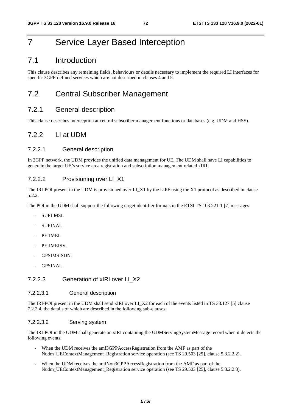# 7 Service Layer Based Interception

# 7.1 Introduction

This clause describes any remaining fields, behaviours or details necessary to implement the required LI interfaces for specific 3GPP-defined services which are not described in clauses 4 and 5.

# 7.2 Central Subscriber Management

# 7.2.1 General description

This clause describes interception at central subscriber management functions or databases (e.g. UDM and HSS).

# 7.2.2 LI at UDM

#### 7.2.2.1 General description

In 3GPP network, the UDM provides the unified data management for UE. The UDM shall have LI capabilities to generate the target UE's service area registration and subscription management related xIRI.

#### 7.2.2.2 Provisioning over LI\_X1

The IRI-POI present in the UDM is provisioned over LI\_X1 by the LIPF using the X1 protocol as described in clause 5.2.2.

The POI in the UDM shall support the following target identifier formats in the ETSI TS 103 221-1 [7] messages:

- SUPIIMSI.
- SUPINAI.
- PEIIMEI.
- PEIIMEISV.
- GPSIMSISDN.
- GPSINAI.

## 7.2.2.3 Generation of xIRI over LI\_X2

#### 7.2.2.3.1 General description

The IRI-POI present in the UDM shall send xIRI over LI\_X2 for each of the events listed in TS 33.127 [5] clause 7.2.2.4, the details of which are described in the following sub-clauses.

#### 7.2.2.3.2 Serving system

The IRI-POI in the UDM shall generate an xIRI containing the UDMServingSystemMessage record when it detects the following events:

- When the UDM receives the amf3GPPAccessRegistration from the AMF as part of the Nudm\_UEContextManagement\_Registration service operation (see TS 29.503 [25], clause 5.3.2.2.2).
- When the UDM receives the amfNon3GPPAccessRegistration from the AMF as part of the Nudm\_UEContextManagement\_Registration service operation (see TS 29.503 [25], clause 5.3.2.2.3).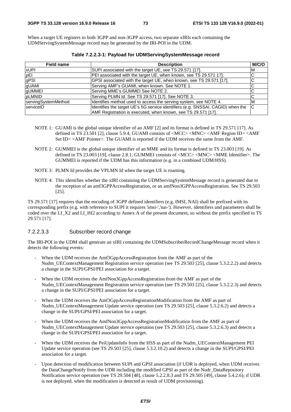When a target UE registers to both 3GPP and non-3GPP access, two separate xIRIs each containing the UDMServingSystemMessage record may be generated by the IRI-POI in the UDM.

| <b>Field name</b>   | <b>Description</b>                                                              | M/C/O |
|---------------------|---------------------------------------------------------------------------------|-------|
| <b>SUPI</b>         | SUPI associated with the target UE, see TS 29.571 [17].                         | ΙM    |
| pEI                 | PEI associated with the target UE, when known, see TS 29.571 17].               | ◡     |
| gPSI                | GPSI associated with the target UE, when known, see TS 29.571 [17].             |       |
| gUAMI               | Serving AMF's GUAMI, when known. See NOTE 1.                                    |       |
| <b>gUMMEI</b>       | Serving MME's GUMMEI See NOTE 2.                                                |       |
| <b>DLMNID</b>       | Serving PLMN Id. See TS 29.571 [17]. See NOTE 3.                                |       |
| servingSystemMethod | Identifies method used to access the serving system, see NOTE 4.                | ΙM    |
| serviceID           | Identifies the target UE's 5G service identifiers (e.g. SNSSAI, CAGID) when the | lC    |
|                     | AMF Registration is executed, when known, see TS 29.571 [17].                   |       |

**Table 7.2.2.3-1: Payload for UDMServingSystemMessage record** 

- NOTE 1: GUAMI is the global unique identifier of an AMF [2] and its format is defined in TS 29.571 [17]. As defined in TS 23.501 [2], clause 5.9.4, GUAMI consists of <MCC> <MNC> <AMF Region ID> <AMF Set ID> <AMF Pointer>. The GUAMI is reported if the UDM receives the same from the AMF.
- NOTE 2: GUMMEI is the global unique identifier of an MME and its format is defined in TS 23.003 [19]. As defined in TS 23.003 [19], clause 2.8.1, GUMMEI consists of <MCC><MNC><MME Identifier>. The GUMMEI is reported if the UDM has this information (e.g. in a combined UDM/HSS).
- NOTE 3: PLMN Id provides the VPLMN Id when the target UE is roaming.
- NOTE 4: This identifies whether the xIRI containing the UDMServingSystemMessage record is generated due to the reception of an amf3GPPAccessRegistration, or an amfNon3GPPAccessRegistration. See TS 29.503 [25].

TS 29.571 [17] requires that the encoding of 3GPP defined identifiers (e.g. IMSI, NAI) shall be prefixed with its corresponding prefix (e.g. with reference to SUPI it requires 'imsi-','nai-'). However, identifiers and parameters shall be coded over the LI\_X2 and LI\_HI2 according to Annex A of the present document, so without the prefix specified in TS 29.571 [17].

#### 7.2.2.3.3 Subscriber record change

The IRI-POI in the UDM shall generate an xIRI containing the UDMSubscriberRecordChangeMessage record when it detects the following events:

- When the UDM receives the Amf3GppAccessRegistration from the AMF as part of the Nudm\_UEContextManagement Registration service operation (see TS 29.503 [25], clause 5.3.2.2.2) and detects a change in the SUPI/GPSI/PEI association for a target.
- When the UDM receives the AmfNon3GppAccessRegistration from the AMF as part of the Nudm\_UEContextManagement Registration service operation (see TS 29.503 [25], clause 5.3.2.2.3) and detects a change in the SUPI/GPSI/PEI association for a target.
- When the UDM receives the Amf3GppAccessRegistrationModification from the AMF as part of Nudm\_UEContextManagement Update service operation (see TS 29.503 [25], clause 5.3.2.6.2) and detects a change in the SUPI/GPSI/PEI association for a target.
- When the UDM receives the AmfNon3GppAccessRegistrationModification from the AMF as part of Nudm\_UEContextManagement Update service operation (see TS 29.503 [25], clause 5.3.2.6.3) and detects a change in the SUPI/GPSI/PEI association for a target.
- When the UDM receives the PeiUpdateInfo from the HSS as part of the Nudm\_UEContextManagement PEI Update service operation (see TS 29.503 [25], clause 5.3.2.10.2) and detects a change in the SUPI/GPSI/PEI association for a target.
- Upon detection of modification between SUPI and GPSI association (if UDR is deployed, when UDM receives the DataChangeNotify from the UDR including the modified GPSI as part of the Nudr\_DataRepository Notification service operation (see TS 29.504 [48], clause 5.2.2.8.3 and TS 29.505 [49], clause 5.4.2.6); if UDR is not deployed, when the modification is detected as result of UDM provisioning).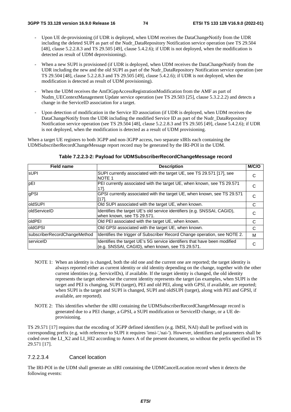- Upon UE de-provisioning (if UDR is deployed, when UDM receives the DataChangeNotify from the UDR including the deleted SUPI as part of the Nudr\_DataRepository Notification service operation (see TS 29.504 [48], clause 5.2.2.8.3 and TS 29.505 [49], clause 5.4.2.6); if UDR is not deployed, when the modification is detected as result of UDM deprovisioning).
- When a new SUPI is provisioned (if UDR is deployed, when UDM receives the DataChangeNotify from the UDR including the new and the old SUPI as part of the Nudr\_DataRepository Notification service operation (see TS 29.504 [48], clause 5.2.2.8.3 and TS 29.505 [49], clause 5.4.2.6); if UDR is not deployed, when the modification is detected as result of UDM provisioning).
- When the UDM receives the Amf3GppAccessRegistrationModification from the AMF as part of Nudm\_UEContextManagement Update service operation (see TS 29.503 [25], clause 5.3.2.2.2) and detects a change in the ServiceID association for a target.
- Upon detection of modification in the Service ID association (if UDR is deployed, when UDM receives the DataChangeNotify from the UDR including the modified Service ID as part of the Nudr\_DataRepository Notification service operation (see TS 29.504 [48], clause 5.2.2.8.3 and TS 29.505 [49], clause 5.4.2.6); if UDR is not deployed, when the modification is detected as a result of UDM provisioning.

When a target UE registers to both 3GPP and non-3GPP access, two separate xIRIs each containing the UDMSubscriberRecordChangeMessage report record may be generated by the IRI-POI in the UDM.

| <b>Field name</b>            | <b>Description</b>                                                                                                            | M/C/O |
|------------------------------|-------------------------------------------------------------------------------------------------------------------------------|-------|
| <b>SUPI</b>                  | SUPI currently associated with the target UE, see TS 29.571 [17], see<br><b>NOTE 1</b>                                        | С     |
| pEI                          | PEI currently associated with the target UE, when known, see TS 29.571<br>17].                                                | С     |
| gPSI                         | GPSI currently associated with the target UE, when known, see TS 29.571<br>[17].                                              | C     |
| oldSUPI                      | Old SUPI associated with the target UE, when known.                                                                           | C     |
| <b>loldServiceID</b>         | Identifies the target UE's old service identifiers (e.g. SNSSAI, CAGID),<br>when known, see TS 29.571.                        | С     |
| oldPEI                       | Old PEI associated with the target UE, when known.                                                                            | C     |
| oldGPSI                      | Old GPSI associated with the target UE, when known.                                                                           | C     |
| subscriberRecordChangeMethod | Identifies the trigger of Subscriber Record Change operation, see NOTE 2.                                                     | M     |
| serviceID                    | Identifies the target UE's 5G service identifiers that have been modified<br>(e.g. SNSSAI, CAGID), when known, see TS 29.571. | C     |

#### **Table 7.2.2.3-2: Payload for UDMSubscriberRecordChangeMessage record**

- NOTE 1: When an identity is changed, both the old one and the current one are reported; the target identity is always reported either as current identity or old identity depending on the change, together with the other current identities (e.g. ServiceIDs), if available. If the target identity is changed, the old identity represents the target otherwise the current identity represents the target (as examples, when SUPI is the target and PEI is changing, SUPI (target), PEI and old PEI, along with GPSI, if available, are reported; when SUPI is the target and SUPI is changed, SUPI and oldSUPI (target), along with PEI and GPSI, if available, are reported).
- NOTE 2: This identifies whether the xIRI containing the UDMSubscriberRecordChangeMessage record is generated due to a PEI change, a GPSI, a SUPI modification or ServiceID change, or a UE deprovisioning.

TS 29.571 [17] requires that the encoding of 3GPP defined identifiers (e.g. IMSI, NAI) shall be prefixed with its corresponding prefix (e.g. with reference to SUPI it requires 'imsi-','nai-'). However, identifiers and parameters shall be coded over the LI\_X2 and LI\_HI2 according to Annex A of the present document, so without the prefix specified in TS 29.571 [17].

#### 7.2.2.3.4 Cancel location

The IRI-POI in the UDM shall generate an xIRI containing the UDMCancelLocation record when it detects the following events: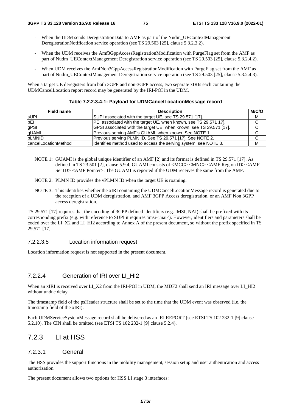- When the UDM sends DeregistrationData to AMF as part of the Nudm\_UEContextManagement DeregistrationNotification service operation (see TS 29.503 [25], clause 5.3.2.3.2).
- When the UDM receives the Amf3GppAccessRegistrationModification with PurgeFlag set from the AMF as part of Nudm\_UEContextManagement Deregistration service operation (see TS 29.503 [25], clause 5.3.2.4.2).
- When UDM receives the AmfNon3GppAccessRegistrationModification with PurgeFlag set from the AMF as part of Nudm\_UEContextManagement Deregistration service operation (see TS 29.503 [25], clause 5.3.2.4.3).

When a target UE deregisters from both 3GPP and non-3GPP access, two separate xIRIs each containing the UDMCancelLocation report record may be generated by the IRI-POI in the UDM.

| Field name           | <b>Description</b>                                                  | M/C/O |
|----------------------|---------------------------------------------------------------------|-------|
| <b>sUPI</b>          | SUPI associated with the target UE, see TS 29.571 [17].             | М     |
| pEl                  | [PEI associated with the target UE, when known, see TS 29.571 17].  | C     |
| gPSI                 | GPSI associated with the target UE, when known, see TS 29.571 [17]. | C     |
| gUAMI                | Previous serving AMF's GUAMI, when known. See NOTE 1.               | C     |
| pLMNID               | Previous serving PLMN ID. See TS 29.571 [17]. See NOTE 2.           |       |
| cancelLocationMethod | Identifies method used to access the serving system, see NOTE 3.    | м     |

#### **Table 7.2.2.3.4-1: Payload for UDMCancelLocationMessage record**

- NOTE 1: GUAMI is the global unique identifier of an AMF [2] and its format is defined in TS 29.571 [17]. As defined in TS 23.501 [2], clause 5.9.4, GUAMI consists of  $\langle \text{MCC}\rangle \langle \text{MNC}\rangle \langle \text{AMF}$  Region ID $> \langle \text{AMF}\rangle$ Set ID> <AMF Pointer>. The GUAMI is reported if the UDM receives the same from the AMF.
- NOTE 2: PLMN ID provides the vPLMN ID when the target UE is roaming.
- NOTE 3: This identifies whether the xIRI containing the UDMCancelLocationMessage record is generated due to the reception of a UDM deregistration, and AMF 3GPP Access deregistration, or an AMF Non 3GPP access deregistration.

TS 29.571 [17] requires that the encoding of 3GPP defined identifiers (e.g. IMSI, NAI) shall be prefixed with its corresponding prefix (e.g. with reference to SUPI it requires 'imsi-','nai-'). However, identifiers and parameters shall be coded over the LI\_X2 and LI\_HI2 according to Annex A of the present document, so without the prefix specified in TS 29.571 [17].

#### 7.2.2.3.5 Location information request

Location information request is not supported in the present document.

#### 7.2.2.4 Generation of IRI over LI\_HI2

When an xIRI is received over LI\_X2 from the IRI-POI in UDM, the MDF2 shall send an IRI message over LI\_HI2 without undue delay.

The timestamp field of the psHeader structure shall be set to the time that the UDM event was observed (i.e. the timestamp field of the xIRI).

Each UDMServiceSystemMessage record shall be delivered as an IRI REPORT (see ETSI TS 102 232-1 [9] clause 5.2.10). The CIN shall be omitted (see ETSI TS 102 232-1 [9] clause 5.2.4).

# 7.2.3 LI at HSS

#### 7.2.3.1 General

The HSS provides the support functions in the mobility management, session setup and user authentication and access authorization.

The present document allows two options for HSS LI stage 3 interfaces: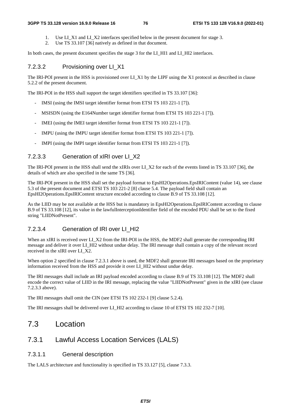#### **3GPP TS 33.128 version 16.9.0 Release 16 76 ETSI TS 133 128 V16.9.0 (2022-01)**

- 1. Use LI\_X1 and LI\_X2 interfaces specified below in the present document for stage 3.
- 2. Use TS 33.107 [36] natively as defined in that document.

In both cases, the present document specifies the stage 3 for the LI\_HI1 and LI\_HI2 interfaces.

## 7.2.3.2 Provisioning over LI\_X1

The IRI-POI present in the HSS is provisioned over LI\_X1 by the LIPF using the X1 protocol as described in clause 5.2.2 of the present document.

The IRI-POI in the HSS shall support the target identifiers specified in TS 33.107 [36]:

- IMSI (using the IMSI target identifier format from ETSI TS 103 221-1 [7]).
- MSISDN (using the E164Number target identifier format from ETSI TS 103 221-1 [7]).
- IMEI (using the IMEI target identifier format from ETSI TS 103 221-1 [7]).
- IMPU (using the IMPU target identifier format from ETSI TS 103 221-1 [7]).
- IMPI (using the IMPI target identifier format from ETSI TS 103 221-1 [7]).

#### 7.2.3.3 Generation of xIRI over LI\_X2

The IRI-POI present in the HSS shall send the xIRIs over LI\_X2 for each of the events listed in TS 33.107 [36], the details of which are also specified in the same TS [36].

The IRI-POI present in the HSS shall set the payload format to EpsHI2Operations.EpsIRIContent (value 14), see clause 5.3 of the present document and ETSI TS 103 221-2 [8] clause 5.4. The payload field shall contain an EpsHI2Operations.EpsIRIContent structure encoded according to clause B.9 of TS 33.108 [12].

As the LIID may be not available at the HSS but is mandatory in EpsHI2Operations.EpsIRIContent according to clause B.9 of TS 33.108 [12], its value in the lawfulInterceptionIdentifier field of the encoded PDU shall be set to the fixed string "LIIDNotPresent".

## 7.2.3.4 Generation of IRI over LI\_HI2

When an xIRI is received over LI\_X2 from the IRI-POI in the HSS, the MDF2 shall generate the corresponding IRI message and deliver it over LI\_HI2 without undue delay. The IRI message shall contain a copy of the relevant record received in the xIRI over LI\_X2.

When option 2 specified in clause 7.2.3.1 above is used, the MDF2 shall generate IRI messages based on the proprietary information received from the HSS and provide it over LI\_HI2 without undue delay.

The IRI messages shall include an IRI payload encoded according to clause B.9 of TS 33.108 [12]. The MDF2 shall encode the correct value of LIID in the IRI message, replacing the value "LIIDNotPresent" given in the xIRI (see clause 7.2.3.3 above).

The IRI messages shall omit the CIN (see ETSI TS 102 232-1 [9] clause 5.2.4).

The IRI messages shall be delivered over LI\_HI2 according to clause 10 of ETSI TS 102 232-7 [10].

# 7.3 Location

# 7.3.1 Lawful Access Location Services (LALS)

#### 7.3.1.1 General description

The LALS architecture and functionality is specified in TS 33.127 [5], clause 7.3.3.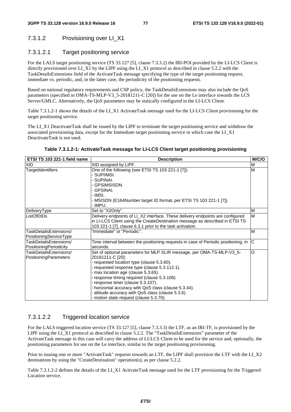# 7.3.1.2 Provisioning over LI\_X1

## 7.3.1.2.1 Target positioning service

For the LALS target positioning service (TS 33.127 [5], clause 7.3.3.2) the IRI-POI provided by the LI-LCS Client is directly provisioned over LI\_X1 by the LIPF using the LI\_X1 protocol as described in clause 5.2.2 with the TaskDetailsExtensions field of the ActivateTask message specifying the type of the target positioning request, immediate vs. periodic, and, in the latter case, the periodicity of the positioning requests.

Based on national regulatory requirements and CSP policy, the TaskDetailsExtensions may also include the QoS parameters (specified in OMA-TS-MLP-V3\_5-20181211-C [20]) for the use on the Le interface towards the LCS Server/GMLC. Alternatively, the QoS parameters may be statically configured in the LI-LCS Client.

Table 7.3.1.2-1 shows the details of the LI\_X1 ActivateTask message used for the LI-LCS Client provisioning for the target positioning service.

The LI X1 DeactivateTask shall be issued by the LIPF to terminate the target positioning service and withdraw the associated provisioning data, except for the Immediate target positioning service in which case the LI\_X1 DeactivateTask is not used.

#### **Table 7.3.1.2-1: ActivateTask message for LI-LCS Client target positioning provisioning**

| ETSI TS 103 221-1 field name                     | <b>Description</b>                                                                                                                                                                                                                                                                                                                                                                                                                                                            | M/C/O |
|--------------------------------------------------|-------------------------------------------------------------------------------------------------------------------------------------------------------------------------------------------------------------------------------------------------------------------------------------------------------------------------------------------------------------------------------------------------------------------------------------------------------------------------------|-------|
| XID                                              | XID assigned by LIPF.                                                                                                                                                                                                                                                                                                                                                                                                                                                         | M     |
| TargetIdentifiers                                | One of the following (see ETSI TS 103 221-1 [7]):<br>SUPIIMSI.<br>SUPINAI.                                                                                                                                                                                                                                                                                                                                                                                                    | M     |
|                                                  | GPSIMSISDN.<br>GPSINAI.<br>- IMSI.<br>- MSISDN (E164Number target ID format, per ETSI TS 103 221-1 [7]).                                                                                                                                                                                                                                                                                                                                                                      |       |
| DeliveryType                                     | - IMPU.<br>Set to "X2Only".                                                                                                                                                                                                                                                                                                                                                                                                                                                   | M     |
| ListOfDIDs                                       | Delivery endpoints of LI_X2 interface. These delivery endpoints are configured<br>in LI-LCS Client using the CreateDestination message as described in ETSI TS<br>103 221-1 [7], clause 6.3.1 prior to the task activation.                                                                                                                                                                                                                                                   | M     |
| TaskDetailsExtensions/<br>PositioningServiceType | "Immediate" or "Periodic".                                                                                                                                                                                                                                                                                                                                                                                                                                                    | M     |
| TaskDetailsExtensions/<br>PositioningPeriodicity | Time interval between the positioning requests in case of Periodic positioning, in<br>seconds.                                                                                                                                                                                                                                                                                                                                                                                | C     |
| TaskDetailsExtensions/<br>PositioningParameters  | Set of optional parameters for MLP SLIR message, per OMA-TS-MLP-V3_5-<br>20181211-C [20]:<br>- requested location type (clause 5.3.60).<br>- requested response type (clause 5.3.112.1).<br>- max location age (clause 5.3.65).<br>- response timing required (clause 5.3.106).<br>- response timer (clause 5.3.107).<br>- horizontal accuracy with QoS class (clause 5.3.44).<br>altitude accuracy with QoS class (clause 5.3.6).<br>- motion state request (clause 5.3.70). | O     |

## 7.3.1.2.2 Triggered location service

For the LALS triggered location service (TS 33.127 [5], clause 7.3.3.3) the LTF, as an IRI-TF, is provisioned by the LIPF using the LI\_X1 protocol as described in clause 5.2.2. The "TaskDetailsExtensions" parameter of the ActivateTask message in this case will carry the address of LI-LCS Client to be used for the service and, optionally, the positioning parameters for use on the Le interface, similar to the target positioning provisioning.

Prior to issuing one or more "ActivateTask" requests towards an LTF, the LIPF shall provision the LTF with the LI\_X2 destinations by using the "CreateDestination" operation(s), as per clause 5.2.2.

Table 7.3.1.2-2 defines the details of the LI\_X1 ActivateTask message used for the LTF provisioning for the Triggered Location service.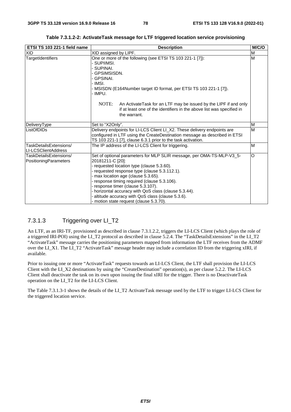| ETSI TS 103 221-1 field name                           | <b>Description</b>                                                                                                                                                                                                                                                                                                                                                                                                                                                        | M/C/O |
|--------------------------------------------------------|---------------------------------------------------------------------------------------------------------------------------------------------------------------------------------------------------------------------------------------------------------------------------------------------------------------------------------------------------------------------------------------------------------------------------------------------------------------------------|-------|
| <b>XID</b>                                             | XID assigned by LIPF.                                                                                                                                                                                                                                                                                                                                                                                                                                                     | M     |
| TargetIdentifiers                                      | One or more of the following (see ETSI TS 103 221-1 [7]):<br>SUPIIMSI.<br>SUPINAI.<br>GPSIMSISDN.<br>GPSINAI.<br>- IMSI.<br>MSISDN (E164Number target ID format, per ETSI TS 103 221-1 [7]).<br>- IMPU.<br>NOTE:<br>An Activate Task for an LTF may be issued by the LIPF if and only<br>if at least one of the identifiers in the above list was specified in<br>the warrant.                                                                                            | M     |
| DeliveryType                                           | Set to "X2Only".                                                                                                                                                                                                                                                                                                                                                                                                                                                          | M     |
| ListOfDIDs                                             | Delivery endpoints for LI-LCS Client LI_X2. These delivery endpoints are<br>configured in LTF using the CreateDestination message as described in ETSI<br>TS 103 221-1 [7], clause 6.3.1 prior to the task activation.                                                                                                                                                                                                                                                    | M     |
| TaskDetailsExtensions/<br>LI-LCSClientAddress          | The IP address of the LI-LCS Client for triggering.                                                                                                                                                                                                                                                                                                                                                                                                                       | M     |
| TaskDetailsExtensions/<br><b>PositioningParameters</b> | Set of optional parameters for MLP SLIR message, per OMA-TS-MLP-V3_5-<br>20181211-C [20]:<br>- requested location type (clause 5.3.60).<br>- requested response type (clause 5.3.112.1).<br>- max location age (clause 5.3.65).<br>response timing required (clause 5.3.106).<br>- response timer (clause 5.3.107).<br>- horizontal accuracy with QoS class (clause 5.3.44).<br>altitude accuracy with QoS class (clause 5.3.6).<br>motion state request (clause 5.3.70). | O     |

**Table 7.3.1.2-2: ActivateTask message for LTF triggered location service provisioning** 

# 7.3.1.3 Triggering over LI\_T2

An LTF, as an IRI-TF, provisioned as described in clause 7.3.1.2.2, triggers the LI-LCS Client (which plays the role of a triggered IRI-POI) using the LI\_T2 protocol as described in clause 5.2.4. The "TaskDetailsExtensions" in the LI\_T2 "ActivateTask" message carries the positioning parameters mapped from information the LTF receives from the ADMF over the LI\_X1. The LI\_T2 "ActivateTask" message header may include a correlation ID from the triggering xIRI, if available.

Prior to issuing one or more "ActivateTask" requests towards an LI-LCS Client, the LTF shall provision the LI-LCS Client with the LI\_X2 destinations by using the "CreateDestination" operation(s), as per clause 5.2.2. The LI-LCS Client shall deactivate the task on its own upon issuing the final xIRI for the trigger. There is no DeactivateTask operation on the LI\_T2 for the LI-LCS Client.

The Table 7.3.1.3-1 shows the details of the LI\_T2 ActivateTask message used by the LTF to trigger LI-LCS Client for the triggered location service.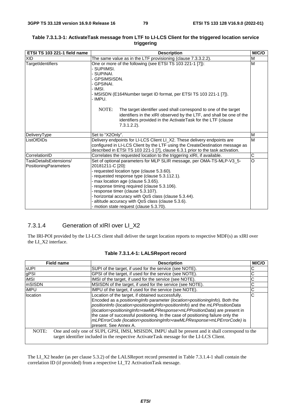| ETSI TS 103 221-1 field name                    | <b>Description</b>                                                                                                                                                                                                                                                                                                                                                                                                                                                            | M/C/O          |
|-------------------------------------------------|-------------------------------------------------------------------------------------------------------------------------------------------------------------------------------------------------------------------------------------------------------------------------------------------------------------------------------------------------------------------------------------------------------------------------------------------------------------------------------|----------------|
| <b>XID</b>                                      | The same value as in the LTF provisioning (clause 7.3.3.2.2).                                                                                                                                                                                                                                                                                                                                                                                                                 | M              |
| TargetIdentifiers                               | One or more of the following (see ETSI TS 103 221-1 [7]):<br>- SUPIIMSI.<br>SUPINAI.<br>GPSIMSISDN.<br>- GPSINAI.<br>- IMSI.<br>- MSISDN (E164Number target ID format, per ETSI TS 103 221-1 [7]).<br>- IMPU.                                                                                                                                                                                                                                                                 | M              |
|                                                 | NOTE:<br>The target identifier used shall correspond to one of the target<br>identifiers in the xIRI observed by the LTF, and shall be one of the<br>identifiers provided in the ActivateTask for the LTF (clause<br>$7.3.1.2.2$ ).                                                                                                                                                                                                                                           |                |
| DeliveryType                                    | Set to "X2Only".                                                                                                                                                                                                                                                                                                                                                                                                                                                              | M              |
| ListOfDIDs                                      | Delivery endpoints for LI-LCS Client LI_X2. These delivery endpoints are<br>configured in LI-LCS Client by the LTF using the CreateDestination message as<br>described in ETSI TS 103 221-1 [7], clause 6.3.1 prior to the task activation.                                                                                                                                                                                                                                   | M              |
| CorrelationID                                   | Correlates the requested location to the triggering xIRI, if available.                                                                                                                                                                                                                                                                                                                                                                                                       | C              |
| TaskDetailsExtensions/<br>PositioningParameters | Set of optional parameters for MLP SLIR message, per OMA-TS-MLP-V3_5-<br>20181211-C [20]:<br>- requested location type (clause 5.3.60).<br>- requested response type (clause 5.3.112.1).<br>- max location age (clause 5.3.65).<br>- response timing required (clause 5.3.106).<br>- response timer (clause 5.3.107).<br>- horizontal accuracy with QoS class (clause 5.3.44).<br>altitude accuracy with QoS class (clause 5.3.6).<br>- motion state request (clause 5.3.70). | $\overline{0}$ |

#### **Table 7.3.1.3-1: ActivateTask message from LTF to LI-LCS Client for the triggered location service triggering**

# 7.3.1.4 Generation of xIRI over LI\_X2

The IRI-POI provided by the LI-LCS client shall deliver the target location reports to respective MDF(s) as xIRI over the LI\_X2 interface.

|              | <b>Field name</b> | <b>Description</b>                                                                                                                                                                                                                                                                                                                                                                                                            | <b>M/C/C</b> |
|--------------|-------------------|-------------------------------------------------------------------------------------------------------------------------------------------------------------------------------------------------------------------------------------------------------------------------------------------------------------------------------------------------------------------------------------------------------------------------------|--------------|
| <b>sUPI</b>  |                   | SUPI of the target, if used for the service (see NOTE).                                                                                                                                                                                                                                                                                                                                                                       |              |
| gPSI<br>iMSI |                   | GPSI of the target, if used for the service (see NOTE).                                                                                                                                                                                                                                                                                                                                                                       |              |
|              |                   | IMSI of the target, if used for the service (see NOTE).                                                                                                                                                                                                                                                                                                                                                                       | С            |
| mSISDN       |                   | MSISDN of the target, if used for the service (see NOTE).                                                                                                                                                                                                                                                                                                                                                                     | С            |
| <b>iMPU</b>  |                   | IMPU of the target, if used for the service (see NOTE).                                                                                                                                                                                                                                                                                                                                                                       | С            |
| location     |                   | Location of the target, if obtained successfully.                                                                                                                                                                                                                                                                                                                                                                             | C            |
|              |                   | Encoded as a positioningInfo parameter (location>positioningInfo). Both the<br>positionInfo (location>positioningInfo>positionInfo) and the mLPPositionData<br>(location>positioningInfo>rawMLPResponse>mLPPositionData) are present in<br>the case of successful positioning. In the case of positioning failure only the<br>mLPErrorCode (location>positioningInfo>rawMLPResponse>mLPErrorCode) is<br>present. See Annex A. |              |
| NOTE:        |                   | One and only one of SUPI, GPSI, IMSI, MSISDN, IMPU shall be present and it shall correspond to the<br>target identifier included in the respective ActivateTask message for the LI-LCS Client.                                                                                                                                                                                                                                |              |

#### **Table 7.3.1.4-1: LALSReport record**

The LI\_X2 header (as per clause 5.3.2) of the LALSReport record presented in Table 7.3.1.4-1 shall contain the correlation ID (if provided) from a respective LI\_T2 ActivationTask message.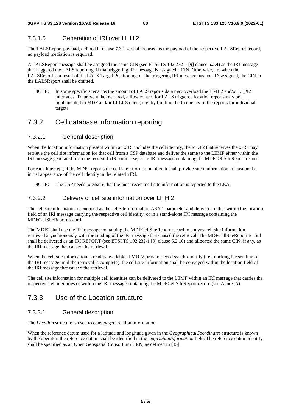# 7.3.1.5 Generation of IRI over LI\_HI2

The LALSReport payload, defined in clause 7.3.1.4, shall be used as the payload of the respective LALSReport record, no payload mediation is required.

A LALSReport message shall be assigned the same CIN (see ETSI TS 102 232-1 [9] clause 5.2.4) as the IRI message that triggered the LALS reporting, if that triggering IRI message is assigned a CIN. Otherwise, i.e. when the LALSReport is a result of the LALS Target Positioning, or the triggering IRI message has no CIN assigned, the CIN in the LALSReport shall be omitted.

NOTE: In some specific scenarios the amount of LALS reports data may overload the LI-HI2 and/or LI\_X2 interfaces. To prevent the overload, a flow control for LALS triggered location reports may be implemented in MDF and/or LI-LCS client, e.g. by limiting the frequency of the reports for individual targets.

# 7.3.2 Cell database information reporting

## 7.3.2.1 General description

When the location information present within an xIRI includes the cell identity, the MDF2 that receives the xIRI may retrieve the cell site information for that cell from a CSP database and deliver the same to the LEMF either within the IRI message generated from the received xIRI or in a separate IRI message containing the MDFCellSiteReport record.

For each intercept, if the MDF2 reports the cell site information, then it shall provide such information at least on the initial appearance of the cell identity in the related xIRI.

NOTE: The CSP needs to ensure that the most recent cell site information is reported to the LEA.

#### 7.3.2.2 Delivery of cell site information over LI\_HI2

The cell site information is encoded as the cellSiteInformation ASN.1 parameter and delivered either within the location field of an IRI message carrying the respective cell identity, or in a stand-alone IRI message containing the MDFCellSiteReport record.

The MDF2 shall use the IRI message containing the MDFCellSiteReport record to convey cell site information retrieved asynchronously with the sending of the IRI message that caused the retrieval. The MDFCellSiteReport record shall be delivered as an IRI REPORT (see ETSI TS 102 232-1 [9] clause 5.2.10) and allocated the same CIN, if any, as the IRI message that caused the retrieval.

When the cell site information is readily available at MDF2 or is retrieved synchronously (i.e. blocking the sending of the IRI message until the retrieval is complete), the cell site information shall be conveyed within the location field of the IRI message that caused the retrieval.

The cell site information for multiple cell identities can be delivered to the LEMF within an IRI message that carries the respective cell identities or within the IRI message containing the MDFCellSiteReport record (see Annex A).

# 7.3.3 Use of the Location structure

## 7.3.3.1 General description

The *Location* structure is used to convey geolocation information.

When the reference datum used for a latitude and longitude given in the *GeographicalCoordinates* structure is known by the operator, the reference datum shall be identified in the *mapDatumInformation* field. The reference datum identity shall be specified as an Open Geospatial Consortium URN, as defined in [35].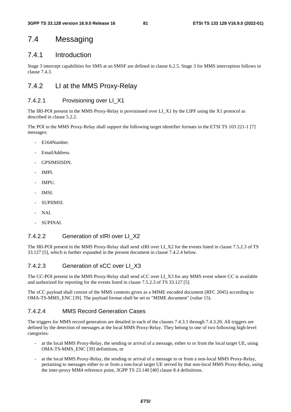# 7.4 Messaging

# 7.4.1 Introduction

Stage 3 intercept capabilities for SMS at an SMSF are defined in clause 6.2.5. Stage 3 for MMS interception follows in clause 7.4.3.

# 7.4.2 LI at the MMS Proxy-Relay

## 7.4.2.1 Provisioning over LI\_X1

The IRI-POI present in the MMS Proxy-Relay is provisioned over LI\_X1 by the LIPF using the X1 protocol as described in clause 5.2.2.

The POI in the MMS Proxy-Relay shall support the following target identifier formats in the ETSI TS 103 221-1 [7] messages:

- E164Number.
- EmailAddress.
- GPSIMSISDN.
- IMPI.
- IMPU.
- IMSI.
- SUPIIMSI.
- NAI.
- SUPINAL

# 7.4.2.2 Generation of xIRI over LI\_X2

The IRI-POI present in the MMS Proxy-Relay shall send xIRI over LI\_X2 for the events listed in clause 7.5.2.3 of TS 33.127 [5], which is further expanded in the present document in clause 7.4.2.4 below.

# 7.4.2.3 Generation of xCC over LI\_X3

The CC-POI present in the MMS Proxy-Relay shall send xCC over LI\_X3 for any MMS event where CC is available and authorized for reporting for the events listed in clause 7.5.2.3 of TS 33.127 [5].

The xCC payload shall consist of the MMS contents given as a MIME encoded document (RFC 2045) according to OMA-TS-MMS\_ENC [39]. The payload format shall be set to "MIME document" (value 15).

# 7.4.2.4 MMS Record Generation Cases

The triggers for MMS record generation are detailed in each of the clauses 7.4.3.1 through 7.4.3.20. All triggers are defined by the detection of messages at the local MMS Proxy-Relay. They belong to one of two following high-level categories:

- at the local MMS Proxy-Relay, the sending or arrival of a message, either to or from the local target UE, using OMA-TS-MMS\_ENC [39] definitions, or
- at the local MMS Proxy-Relay, the sending or arrival of a message to or from a non-local MMS Proxy-Relay, pertaining to messages either to or from a non-local target UE served by that non-local MMS Proxy-Relay, using the inter-proxy MM4 reference point, 3GPP TS 23.140 [40] clause 8.4 definitions.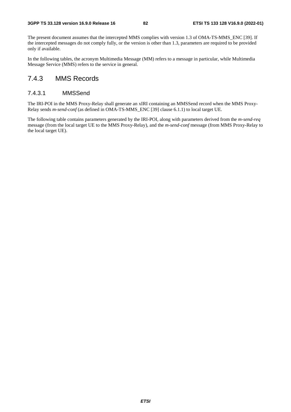The present document assumes that the intercepted MMS complies with version 1.3 of OMA-TS-MMS\_ENC [39]. If the intercepted messages do not comply fully, or the version is other than 1.3, parameters are required to be provided only if available.

In the following tables, the acronym Multimedia Message (MM) refers to a message in particular, while Multimedia Message Service (MMS) refers to the service in general.

# 7.4.3 MMS Records

### 7.4.3.1 MMSSend

The IRI-POI in the MMS Proxy-Relay shall generate an xIRI containing an MMSSend record when the MMS Proxy-Relay sends *m-send-conf* (as defined in OMA-TS-MMS\_ENC [39] clause 6.1.1) to local target UE.

The following table contains parameters generated by the IRI-POI, along with parameters derived from the *m-send-req* message (from the local target UE to the MMS Proxy-Relay), and the *m-send-conf* message (from MMS Proxy-Relay to the local target UE).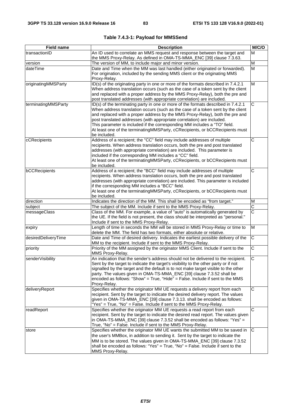| <b>Field name</b>   | <b>Description</b>                                                                                                                                           | M/C/O                   |
|---------------------|--------------------------------------------------------------------------------------------------------------------------------------------------------------|-------------------------|
| transactionID       | An ID used to correlate an MMS request and response between the target and<br>the MMS Proxy-Relay. As defined in OMA-TS-MMA_ENC [39] clause 7.3.63.          | М                       |
| version             | The version of MM, to include major and minor version.                                                                                                       | M                       |
| dateTime            | Date and Time when the MM was last handled (either originated or forwarded).                                                                                 | M                       |
|                     | For origination, included by the sending MMS client or the originating MMS<br>Proxy-Relay.                                                                   |                         |
| originatingMMSParty | ID(s) of the originating party in one or more of the formats described in 7.4.2.1                                                                            | $\overline{\mathsf{M}}$ |
|                     | When address translation occurs (such as the case of a token sent by the client                                                                              |                         |
|                     | and replaced with a proper address by the MMS Proxy-Relay), both the pre and                                                                                 |                         |
|                     | post translated addresses (with appropriate correlation) are included.                                                                                       |                         |
| terminatingMMSParty | ID(s) of the terminating party in one or more of the formats described in 7.4.2.1                                                                            | $\overline{C}$          |
|                     | When address translation occurs (such as the case of a token sent by the client                                                                              |                         |
|                     | and replaced with a proper address by the MMS Proxy-Relay), both the pre and                                                                                 |                         |
|                     | post translated addresses (with appropriate correlation) are included.                                                                                       |                         |
|                     | This parameter is included if the corresponding MM includes a "TO" field.                                                                                    |                         |
|                     | At least one of the terminatingMMSParty, cCRecipients, or bCCRecipients must<br>be included.                                                                 |                         |
| cCRecipients        | Address of a recipient; the "CC" field may include addresses of multiple                                                                                     | C                       |
|                     | recipients. When address translation occurs, both the pre and post translated                                                                                |                         |
|                     | addresses (with appropriate correlation) are included. This parameter is                                                                                     |                         |
|                     | included if the corresponding MM includes a "CC" field.                                                                                                      |                         |
|                     | At least one of the terminatingMMSParty, cCRecipients, or bCCRecipients must                                                                                 |                         |
|                     | be included.                                                                                                                                                 |                         |
| bCCRecipients       | Address of a recipient; the "BCC" field may include addresses of multiple                                                                                    | C                       |
|                     | recipients. When address translation occurs, both the pre and post translated                                                                                |                         |
|                     | addresses (with appropriate correlation) are included. This parameter is included                                                                            |                         |
|                     | if the corresponding MM includes a "BCC" field.                                                                                                              |                         |
|                     | At least one of the terminatingMMSParty, cCRecipients, or bCCRecipients must                                                                                 |                         |
|                     | be included.                                                                                                                                                 |                         |
| direction           | Indicates the direction of the MM. This shall be encoded as "from target."                                                                                   | M                       |
| subject             | The subject of the MM. Include if sent to the MMS Proxy-Relay.                                                                                               | $\overline{\text{c}}$   |
| messageClass        | Class of the MM. For example, a value of "auto" is automatically generated by                                                                                | $\overline{\text{c}}$   |
|                     | the UE. If the field is not present, the class should be interpreted as "personal."                                                                          |                         |
|                     | Include if sent to the MMS Proxy-Relay.                                                                                                                      |                         |
| expiry              | Length of time in seconds the MM will be stored in MMS Proxy-Relay or time to                                                                                | M                       |
|                     | delete the MM. The field has two formats, either absolute or relative.<br>Date and Time of desired delivery. Indicates the earliest possible delivery of the | $\overline{C}$          |
| desiredDeliveryTime | MM to the recipient. Include if sent to the MMS Proxy-Relay.                                                                                                 |                         |
| priority            | Priority of the MM assigned by the originator MMS Client. Include if sent to the                                                                             | $\overline{C}$          |
|                     | MMS Proxy-Relay.                                                                                                                                             |                         |
| senderVisibility    | An indication that the sender's address should not be delivered to the recipient.                                                                            | $\overline{\text{c}}$   |
|                     | Sent by the target to indicate the target's visibility to the other party or if not                                                                          |                         |
|                     | signalled by the target and the default is to not make target visible to the other                                                                           |                         |
|                     | party. The values given in OMA-TS-MMA_ENC [39] clause 7.3.52 shall be<br>encoded as follows: "Show" = True, "Hide" = False. Include if sent to the MMS       |                         |
|                     | Proxy-Relay.                                                                                                                                                 |                         |
| deliveryReport      | Specifies whether the originator MM UE requests a delivery report from each                                                                                  | C                       |
|                     | recipient. Sent by the target to indicate the desired delivery report. The values                                                                            |                         |
|                     | given in OMA-TS-MMA_ENC [39] clause 7.3.13. shall be encoded as follows:                                                                                     |                         |
|                     | "Yes" = True, "No" = False. Include if sent to the MMS Proxy-Relay.                                                                                          |                         |
| readReport          | Specifies whether the originator MM UE requests a read report from each                                                                                      | $\overline{\text{c}}$   |
|                     | recipient. Sent by the target to indicate the desired read report. The values given                                                                          |                         |
|                     | in OMA-TS-MMA_ENC [39] clause 7.3.52 shall be encoded as follows: "Yes" =                                                                                    |                         |
|                     | True, "No" = False. Include if sent to the MMS Proxy-Relay.                                                                                                  |                         |
| store               | Specifies whether the originator MM UE wants the submitted MM to be saved in                                                                                 | C                       |
|                     | the user's MMBox, in addition to sending it. Sent by the target to indicate the                                                                              |                         |
|                     | MM is to be stored. The values given in OMA-TS-MMA_ENC [39] clause 7.3.52                                                                                    |                         |
|                     | shall be encoded as follows: "Yes" = $True$ , "No" = $False$ . Include if sent to the                                                                        |                         |
|                     | MMS Proxy-Relay.                                                                                                                                             |                         |

**Table 7.4.3-1: Payload for MMSSend**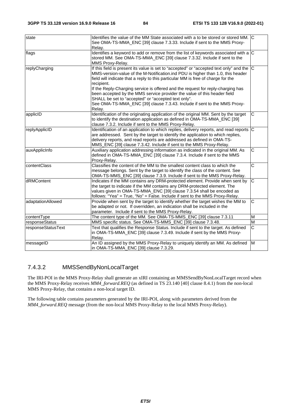| state              | Identifies the value of the MM State associated with a to be stored or stored MM. C<br>See OMA-TS-MMA_ENC [39] clause 7.3.33. Include if sent to the MMS Proxy-<br>Relay.                                                                                                                                                                                                                                                                                                                                                                                                                  |                         |
|--------------------|--------------------------------------------------------------------------------------------------------------------------------------------------------------------------------------------------------------------------------------------------------------------------------------------------------------------------------------------------------------------------------------------------------------------------------------------------------------------------------------------------------------------------------------------------------------------------------------------|-------------------------|
| flags              | Identifies a keyword to add or remove from the list of keywords associated with a $ C $<br>stored MM. See OMA-TS-MMA_ENC [39] clause 7.3.32. Include if sent to the<br>MMS Proxy-Relay.                                                                                                                                                                                                                                                                                                                                                                                                    |                         |
| replyCharging      | If this field is present its value is set to "accepted" or "accepted text only" and the C<br>MMS-version-value of the M-Notification.ind PDU is higher than 1.0, this header<br>field will indicate that a reply to this particular MM is free of charge for the<br>recipient.<br>If the Reply-Charging service is offered and the request for reply-charging has<br>been accepted by the MMS service provider the value of this header field<br>SHALL be set to "accepted" or "accepted text only".<br>See OMA-TS-MMA_ENC [39] clause 7.3.43. Include if sent to the MMS Proxy-<br>Relay. |                         |
| applicID           | Identification of the originating application of the original MM. Sent by the target<br>to identify the destination application as defined in OMA-TS-MMA_ENC [39]<br>clause 7.3.2. Include if sent to the MMS Proxy-Relay.                                                                                                                                                                                                                                                                                                                                                                 | $\mathsf C$             |
| replyApplicID      | Identification of an application to which replies, delivery reports, and read reports $ C $<br>are addressed. Sent by the target to identify the application to which replies,<br>delivery reports, and read reports are addressed as defined in OMA-TS-<br>MMS_ENC [39] clause 7.3.42. Include if sent to the MMS Proxy-Relay.                                                                                                                                                                                                                                                            |                         |
| auxApplicInfo      | Auxiliary application addressing information as indicated in the original MM. As<br>defined in OMA-TS-MMA_ENC [39] clause 7.3.4. Include if sent to the MMS<br>Proxy-Relay.                                                                                                                                                                                                                                                                                                                                                                                                                | $\overline{\text{c}}$   |
| contentClass       | Classifies the content of the MM to the smallest content class to which the<br>message belongs. Sent by the target to identify the class of the content. See<br>OMA-TS-MMS_ENC [39] clause 7.3.9. Include if sent to the MMS Proxy-Relay.                                                                                                                                                                                                                                                                                                                                                  | C                       |
| dRMContent         | Indicates if the MM contains any DRM-protected element. Provide when sent by<br>the target to indicate if the MM contains any DRM-protected element. The<br>values given in OMA-TS-MMA_ENC [39] clause 7.3.54 shall be encoded as<br>follows: "Yea" = True, "No" = False. Include if sent to the MMS Proxy-Relay.                                                                                                                                                                                                                                                                          | C                       |
| adaptationAllowed  | Provide when sent by the target to identify whether the target wishes the MM to<br>be adapted or not. If overridden, an indication shall be included in the<br>parameter. Include if sent to the MMS Proxy-Relay.                                                                                                                                                                                                                                                                                                                                                                          | $\overline{\mathsf{C}}$ |
| contentType        | The content type of the MM. See OMA-TS-MMS_ENC [39] clause 7.3.11                                                                                                                                                                                                                                                                                                                                                                                                                                                                                                                          | M                       |
| responseStatus     | MMS specific status. See OMA-TS-MMS_ENC [39] clause 7.3.48.                                                                                                                                                                                                                                                                                                                                                                                                                                                                                                                                | $\overline{M}$          |
| responseStatusText | Text that qualifies the Response Status. Include if sent to the target. As defined<br>in OMA-TS-MMA_ENC [39] clause 7.3.49. Include if sent by the MMS Proxy-<br>Relay.                                                                                                                                                                                                                                                                                                                                                                                                                    | $\overline{C}$          |
| messageID          | An ID assigned by the MMS Proxy-Relay to uniquely identify an MM. As defined<br>in OMA-TS-MMA_ENC [39] clause 7.3.29.                                                                                                                                                                                                                                                                                                                                                                                                                                                                      | M                       |

# 7.4.3.2 MMSSendByNonLocalTarget

The IRI-POI in the MMS Proxy-Relay shall generate an xIRI containing an MMSSendByNonLocalTarget record when the MMS Proxy-Relay receives *MM4\_forward.REQ* (as defined in TS 23.140 [40] clause 8.4.1) from the non-local MMS Proxy-Relay, that contains a non-local target ID.

The following table contains parameters generated by the IRI-POI, along with parameters derived from the *MM4\_forward.REQ* message (from the non-local MMS Proxy-Relay to the local MMS Proxy-Relay).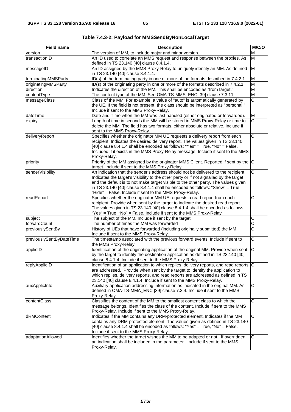| <b>Field name</b>        | <b>Description</b>                                                                                                                                                                                                                                                                                                                                                                                           | M/C/O                   |
|--------------------------|--------------------------------------------------------------------------------------------------------------------------------------------------------------------------------------------------------------------------------------------------------------------------------------------------------------------------------------------------------------------------------------------------------------|-------------------------|
| version                  | The version of MM, to include major and minor version.                                                                                                                                                                                                                                                                                                                                                       | M                       |
| transactionID            | An ID used to correlate an MMS request and response between the proxies. As<br>defined in TS 23.140 [40] clause 8.4.1.4.                                                                                                                                                                                                                                                                                     | M                       |
| messageID                | An ID assigned by the MMS Proxy-Relay to uniquely identify an MM. As defined<br>in TS 23.140 [40] clause 8.4.1.4.                                                                                                                                                                                                                                                                                            | M                       |
| terminatingMMSParty      | ID(s) of the terminating party in one or more of the formats described in 7.4.2.1.                                                                                                                                                                                                                                                                                                                           | M                       |
| originatingMMSParty      | ID(s) of the originating party in one or more of the formats described in 7.4.2.1.                                                                                                                                                                                                                                                                                                                           | M                       |
| direction                | Indicates the direction of the MM. This shall be encoded as "from target."                                                                                                                                                                                                                                                                                                                                   | M                       |
| contentType              | The content type of the MM. See OMA-TS-MMS_ENC [39] clause 7.3.11                                                                                                                                                                                                                                                                                                                                            | $\overline{\mathsf{M}}$ |
| messageClass             | Class of the MM. For example, a value of "auto" is automatically generated by<br>the UE. If the field is not present, the class should be interpreted as "personal."<br>Include if sent to the MMS Proxy-Relay.                                                                                                                                                                                              | $\overline{\text{c}}$   |
| dateTime                 | Date and Time when the MM was last handled (either originated or forwarded).                                                                                                                                                                                                                                                                                                                                 | M                       |
| expiry                   | Length of time in seconds the MM will be stored in MMS Proxy-Relay or time to<br>delete the MM. The field has two formats, either absolute or relative. Include if<br>sent to the MMS Proxy-Relay.                                                                                                                                                                                                           | C                       |
| deliveryReport           | Specifies whether the originator MM UE requests a delivery report from each<br>recipient. Indicates the desired delivery report. The values given in TS 23.140<br>[40] clause 8.4.1.4 shall be encoded as follows: "Yes" = True, "No" = False.<br>Included if it exists in the MMS Proxy-Relay message. Include if sent to the MMS<br>Proxy-Relay.                                                           | $\overline{\mathsf{C}}$ |
| priority                 | Priority of the MM assigned by the originator MMS Client. Reported if sent by the C<br>target. Include if sent to the MMS Proxy-Relay.                                                                                                                                                                                                                                                                       |                         |
| senderVisibility         | An indication that the sender's address should not be delivered to the recipient.<br>Indicates the target's visibility to the other party or if not signalled by the target<br>and the default is to not make target visible to the other party. The values given<br>in TS 23.140 [40] clause 8.4.1.4 shall be encoded as follows: "Show" = True,<br>"Hide" = False. Include if sent to the MMS Proxy-Relay. | C                       |
| readReport               | Specifies whether the originator MM UE requests a read report from each<br>recipient. Provide when sent by the target to indicate the desired read report.<br>The values given in TS 23.140 [40] clause 8.4.1.4 shall be encoded as follows:<br>"Yes" = True, "No" = False. Include if sent to the MMS Proxy-Relay.                                                                                          | $\overline{\text{c}}$   |
| subject                  | The subject of the MM. Include if sent by the target.                                                                                                                                                                                                                                                                                                                                                        | C                       |
| forwardCount             | The number of times the MM was forwarded                                                                                                                                                                                                                                                                                                                                                                     | C                       |
| previouslySentBy         | History of UEs that have forwarded (including originally submitted) the MM.<br>Include if sent to the MMS Proxy-Relay.                                                                                                                                                                                                                                                                                       | $\overline{\text{c}}$   |
| previouslySentByDateTime | The timestamp associated with the previous forward events. Include if sent to<br>the MMS Proxy-Relay.                                                                                                                                                                                                                                                                                                        | $\overline{\text{c}}$   |
| applicID                 | Identification of the originating application of the original MM. Provide when sent<br>by the target to identify the destination application as defined in TS 23.140 [40]<br>clause 8.4.1.4. Include if sent to the MMS Proxy-Relay.                                                                                                                                                                         | C                       |
| replyApplicID            | Identification of an application to which replies, delivery reports, and read reports C<br>are addressed. Provide when sent by the target to identify the application to<br>which replies, delivery reports, and read reports are addressed as defined in TS<br>23.140 [40] clause 8.4.1.4. Include if sent to the MMS Proxy-Relay.                                                                          |                         |
| auxApplicInfo            | Auxiliary application addressing information as indicated in the original MM. As<br>defined in OMA-TS-MMA_ENC [39] clause 7.3.4. Include if sent to the MMS<br>Proxy-Relay.                                                                                                                                                                                                                                  | C                       |
| contentClass             | Classifies the content of the MM to the smallest content class to which the<br>message belongs. Identifies the class of the content. Include if sent to the MMS<br>Proxy-Relay. Include if sent to the MMS Proxy-Relay.                                                                                                                                                                                      | $\overline{C}$          |
| dRMContent               | Indicates if the MM contains any DRM-protected element. Indicates if the MM<br>contains any DRM-protected element. The values given as defined in TS 23.140<br>[40] clause 8.4.1.4 shall be encoded as follows: "Yes" = True, "No" = False.<br>Include if sent to the MMS Proxy-Relay.                                                                                                                       | $\mathsf C$             |
| adaptationAllowed        | Identifies whether the target wishes the MM to be adapted or not. If overridden,<br>an indication shall be included in the parameter. Include if sent to the MMS<br>Proxy-Relay.                                                                                                                                                                                                                             | C                       |

**Table 7.4.3-2: Payload for MMSSendByNonLocalTarget**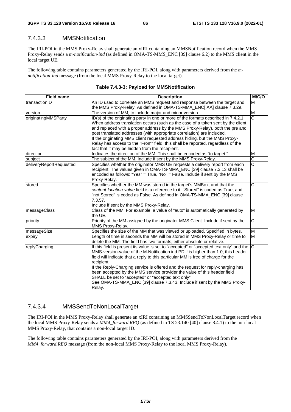# 7.4.3.3 MMSNotification

The IRI-POI in the MMS Proxy-Relay shall generate an xIRI containing an MMSNotification record when the MMS Proxy-Relay sends a *m-notification-ind* (as defined in OMA-TS-MMS\_ENC [39] clause 6.2) to the MMS client in the local target UE.

The following table contains parameters generated by the IRI-POI, along with parameters derived from the *mnotification-ind* message (from the local MMS Proxy-Relay to the local target).

| <b>Field name</b>       | <b>Description</b>                                                                                                                                                                                                                                                                                                                                                                                                                                                                                                                                                                             | M/C/O                 |
|-------------------------|------------------------------------------------------------------------------------------------------------------------------------------------------------------------------------------------------------------------------------------------------------------------------------------------------------------------------------------------------------------------------------------------------------------------------------------------------------------------------------------------------------------------------------------------------------------------------------------------|-----------------------|
| ItransactionID          | An ID used to correlate an MMS request and response between the target and<br>the MMS Proxy-Relay. As defined in OMA-TS-MMA_ENC[ AA] clause 7.3.29.                                                                                                                                                                                                                                                                                                                                                                                                                                            | M                     |
| version                 | The version of MM, to include major and minor version.                                                                                                                                                                                                                                                                                                                                                                                                                                                                                                                                         | M                     |
| originatingMMSParty     | ID(s) of the originating party in one or more of the formats described in 7.4.2.1<br>When address translation occurs (such as the case of a token sent by the client<br>and replaced with a proper address by the MMS Proxy-Relay), both the pre and<br>post translated addresses (with appropriate correlation) are included.<br>If the originating MMS client requested address hiding, but the MMS Proxy-<br>Relay has access to the "From" field, this shall be reported, regardless of the<br>fact that it may be hidden from the recepient.                                              | $\overline{\text{c}}$ |
| direction               | Indicates the direction of the MM. This shall be encoded as "to target."                                                                                                                                                                                                                                                                                                                                                                                                                                                                                                                       | M                     |
| subject                 | The subject of the MM. Include if sent by the MMS Proxy-Relay.                                                                                                                                                                                                                                                                                                                                                                                                                                                                                                                                 | C                     |
| deliveryReportRequested | Specifies whether the originator MMS UE requests a delivery report from each<br>recipient. The values given in OMA-TS-MMA_ENC [39] clause 7.3.13 shall be<br>encoded as follows: "Yes" = True, "No" = False. Include if sent by the MMS<br>Proxy-Relay.                                                                                                                                                                                                                                                                                                                                        | $\overline{\text{c}}$ |
| stored                  | Specifies whether the MM was stored in the target's MMBox, and that the<br>content-location-value field is a reference to it. "Stored" is coded as True, and<br>'not Stored" is coded as False. As defined in OMA-TS-MMA_ENC [39] clause<br>7.3.57.<br>Include if sent by the MMS Proxy-Relay.                                                                                                                                                                                                                                                                                                 | $\overline{\text{c}}$ |
| messageClass            | Class of the MM. For example, a value of "auto" is automatically generated by<br>the UE.                                                                                                                                                                                                                                                                                                                                                                                                                                                                                                       | M                     |
| priority                | Priority of the MM assigned by the originator MMS Client. Include if sent by the<br>MMS Proxy-Relay.                                                                                                                                                                                                                                                                                                                                                                                                                                                                                           | $\overline{\text{c}}$ |
| messageSize             | Specifies the size of the MM that was viewed or uploaded. Specified in bytes.                                                                                                                                                                                                                                                                                                                                                                                                                                                                                                                  | M                     |
| expiry                  | Length of time in seconds the MM will be stored in MMS Proxy-Relay or time to<br>delete the MM. The field has two formats, either absolute or relative.                                                                                                                                                                                                                                                                                                                                                                                                                                        | M                     |
| replyCharging           | If this field is present its value is set to "accepted" or "accepted text only" and the $ C $<br>MMS-version-value of the M-Notification.ind PDU is higher than 1.0, this header<br>field will indicate that a reply to this particular MM is free of charge for the<br>recipient.<br>If the Reply-Charging service is offered and the request for reply-charging has<br>been accepted by the MMS service provider the value of this header field<br>SHALL be set to "accepted" or "accepted text only".<br>See OMA-TS-MMA_ENC [39] clause 7.3.43. Include if sent by the MMS Proxy-<br>Relay. |                       |

## 7.4.3.4 MMSSendToNonLocalTarget

The IRI-POI in the MMS Proxy-Relay shall generate an xIRI containing an MMSSendToNonLocalTarget record when the local MMS Proxy-Relay sends a *MM4\_forward.REQ* (as defined in TS 23.140 [40] clause 8.4.1) to the non-local MMS Proxy-Relay, that contains a non-local target ID.

The following table contains parameters generated by the IRI-POI, along with parameters derived from the *MM4\_forward.REQ* message (from the non-local MMS Proxy-Relay to the local MMS Proxy-Relay).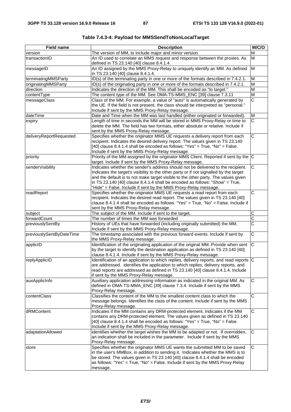| <b>Field name</b>        | <b>Description</b>                                                                                                                                                                                                                                                                                                                                                                                                  | M/C/O                   |
|--------------------------|---------------------------------------------------------------------------------------------------------------------------------------------------------------------------------------------------------------------------------------------------------------------------------------------------------------------------------------------------------------------------------------------------------------------|-------------------------|
| version                  | The version of MM, to include major and minor version.                                                                                                                                                                                                                                                                                                                                                              | M                       |
| transactionID            | An ID used to correlate an MMS request and response between the proxies. As<br>defined in TS 23.140 [40] clause 8.4.1.4.                                                                                                                                                                                                                                                                                            | М                       |
| messageID                | An ID assigned by the MMS Proxy-Relay to uniquely identify an MM. As defined<br>in TS 23.140 [40] clause 8.4.1.4.                                                                                                                                                                                                                                                                                                   | $\overline{\mathsf{M}}$ |
| terminatingMMSParty      | ID(s) of the terminating party in one or more of the formats described in 7.4.2.1.                                                                                                                                                                                                                                                                                                                                  | M                       |
| originatingMMSParty      | ID(s) of the originating party in one or more of the formats described in 7.4.2.1.                                                                                                                                                                                                                                                                                                                                  | M                       |
| direction                | Indicates the direction of the MM. This shall be encoded as "to target."                                                                                                                                                                                                                                                                                                                                            | M                       |
| contentType              | The content type of the MM. See OMA-TS-MMS_ENC [39] clause 7.3.11                                                                                                                                                                                                                                                                                                                                                   | M                       |
| messageClass             | Class of the MM. For example, a value of "auto" is automatically generated by<br>the UE. If the field is not present, the class should be interpreted as "personal."<br>Include if sent by the MMS Proxy-Relay message.                                                                                                                                                                                             | $\overline{\text{c}}$   |
| dateTime                 | Date and Time when the MM was last handled (either originated or forwarded).                                                                                                                                                                                                                                                                                                                                        | M                       |
| expiry                   | Length of time in seconds the MM will be stored in MMS Proxy-Relay or time to<br>delete the MM. The field has two formats, either absolute or relative. Include if<br>sent by the MMS Proxy-Relay message.                                                                                                                                                                                                          | C                       |
| deliveryReportRequested  | Specifies whether the originator MMS UE requests a delivery report from each<br>recipient. Indicates the desired delivery report. The values given in TS 23.140<br>[40] clause 8.4.1.4 shall be encoded as follows: "Yes" = True, "No" = False.<br>Include if sent by the MMS Proxy-Relay message.                                                                                                                  | $\overline{C}$          |
| priority                 | Priority of the MM assigned by the originator MMS Client. Reported if sent by the C<br>target. Include if sent by the MMS Proxy-Relay message.                                                                                                                                                                                                                                                                      |                         |
| senderVisibility         | Indicates whether the sender's address should not be delivered to the recipient.<br>Indicates the target's visibility to the other party or if not signalled by the target<br>and the default is to not make target visible to the other party. The values given<br>in TS 23.140 [40] clause 8.4.1.4 shall be encoded as follows: "Show" = True,<br>"Hide" = False. Include if sent by the MMS Proxy-Relay message. | C                       |
| readReport               | Specifies whether the originator MMS UE requests a read report from each<br>recipient. Indicates the desired read report. The values given in TS 23.140 [40]<br>clause 8.4.1.4 shall be encoded as follows: "Yes" = True, "No" = False. Include if<br>sent by the MMS Proxy-Relay message.                                                                                                                          | C                       |
| subject                  | The subject of the MM. Include if sent to the target.                                                                                                                                                                                                                                                                                                                                                               | C                       |
| forwardCount             | The number of times the MM was forwarded                                                                                                                                                                                                                                                                                                                                                                            | $\overline{\text{c}}$   |
| previouslySentBy         | History of UEs that have forwarded (including originally submitted) the MM.<br>Include if sent by the MMS Proxy-Relay message.                                                                                                                                                                                                                                                                                      | $\overline{\text{c}}$   |
| previouslySentByDateTime | The timestamp associated with the previous forward events. Include if sent by<br>the MMS Proxy-Relay message.                                                                                                                                                                                                                                                                                                       | $\overline{C}$          |
| applicID                 | Identification of the originating application of the original MM. Provide when sent<br>by the target to identify the destination application as defined in TS 23.140 [40]<br>clause 8.4.1.4. Include if sent by the MMS Proxy-Relay message.                                                                                                                                                                        | $\overline{\text{c}}$   |
| replyApplicID            | Identification of an application to which replies, delivery reports, and read reports C<br>are addressed. identifies the application to which replies, delivery reports, and<br>read reports are addressed as defined in TS 23.140 [40] clause 8.4.1.4. Include<br>if sent by the MMS Proxy-Relay message.                                                                                                          |                         |
| auxApplicInfo            | Auxiliary application addressing information as indicated in the original MM. As<br>defined in OMA-TS-MMA_ENC [39] clause 7.3.4. Include if sent by the MMS<br>Proxy-Relay message.                                                                                                                                                                                                                                 | C                       |
| contentClass             | Classifies the content of the MM to the smallest content class to which the<br>message belongs. Identifies the class of the content. Include if sent by the MMS<br>Proxy-Relay message.                                                                                                                                                                                                                             | C                       |
| dRMContent               | Indicates if the MM contains any DRM-protected element. Indicates if the MM<br>contains any DRM-protected element. The values given as defined in TS 23.140<br>[40] clause 8.4.1.4 shall be encoded as follows: "Yes" = True, "No" = False.<br>Include if sent by the MMS Proxy-Relay message.                                                                                                                      | C                       |
| adaptationAllowed        | identifies whether the target wishes the MM to be adapted or not. If overridden,<br>an indication shall be included in the parameter. Include if sent by the MMS<br>Proxy-Relay message.                                                                                                                                                                                                                            | $\mathsf C$             |
| store                    | Specifies whether the originator MMS UE wants the submitted MM to be saved<br>in the user's MMBox, in addition to sending it. Indicates whether the MMS is to<br>be stored. The values given in TS 23.140 [40] clause 8.4.1.4 shall be encoded<br>as follows: "Yes" = True, "No" = False. Include if sent by the MMS Proxy-Relay<br>message.                                                                        | C                       |

**Table 7.4.3-4: Payload for MMSSendToNonLocalTarget**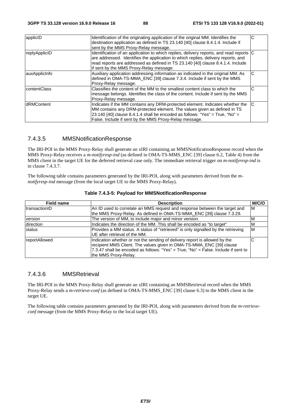| applicID           | Identification of the originating application of the original MM. Identifies the<br>destination application as defined in TS 23.140 [40] clause 8.4.1.4. Include if<br>sent by the MMS Proxy-Relay message.                                                                                                | C |
|--------------------|------------------------------------------------------------------------------------------------------------------------------------------------------------------------------------------------------------------------------------------------------------------------------------------------------------|---|
| replyApplicID      | Identification of an application to which replies, delivery reports, and read reports C<br>are addressed. Identifies the application to which replies, delivery reports, and<br>read reports are addressed as defined in TS 23.140 [40] clause 8.4.1.4. Include<br>if sent by the MMS Proxy-Relay message. |   |
| auxApplicInfo      | Auxiliary application addressing information as indicated in the original MM. As<br>defined in OMA-TS-MMA_ENC [39] clause 7.3.4. Include if sent by the MMS<br>Proxy-Relay message.                                                                                                                        | C |
| contentClass       | Classifies the content of the MM to the smallest content class to which the<br>message belongs. Identifies the class of the content. Include if sent by the MMS<br>Proxy-Relay message.                                                                                                                    | С |
| <b>IdRMContent</b> | Indicates if the MM contains any DRM-protected element. Indicates whether the<br>MM contains any DRM-protected element. The values given as defined in TS<br>23.140 [40] clause 8.4.1.4 shall be encoded as follows: "Yes" = True, "No" =<br>False. Include if sent by the MMS Proxy-Relay message.        | C |

## 7.4.3.5 MMSNotificationResponse

The IRI-POI in the MMS Proxy-Relay shall generate an xIRI containing an MMSNotificationResponse record when the MMS Proxy-Relay receives a *m-notifyresp-ind* (as defined in OMA-TS-MMS\_ENC [39] clause 6.2, Table 4) from the MMS client in the target UE for the deferred retrieval case only. The immediate retrieval trigger on *m-notifyresp-ind* is in clause 7.4.3.7.

The following table contains parameters generated by the IRI-POI, along with parameters derived from the *mnotifyresp-ind* message (from the local target UE to the MMS Proxy-Relay).

| <b>Field name</b> | <b>Description</b>                                                                                                                                                                                                                                               | M/C/O    |
|-------------------|------------------------------------------------------------------------------------------------------------------------------------------------------------------------------------------------------------------------------------------------------------------|----------|
| transactionID     | An ID used to correlate an MMS request and response between the target and<br>the MMS Proxy-Relay. As defined in OMA-TS-MMA_ENC [39] clause 7.3.29.                                                                                                              | ΙM       |
| version           | The version of MM, to include major and minor version.                                                                                                                                                                                                           | ιM       |
| direction         | Indicates the direction of the MM. This shall be encoded as "to target"                                                                                                                                                                                          | <b>M</b> |
| status            | Provides a MM status. A status of "retrieved" is only signalled by the retrieving<br>UE after retrieval of the MM.                                                                                                                                               | M        |
| reportAllowed     | Indication whether or not the sending of delivery report is allowed by the<br>recipient MMS Client. The values given in OMA-TS-MMA_ENC [39] clause<br>7.3.47 shall be encoded as follows: "Yes" = True, "No" = False. Include if sent to<br>the MMS Proxy-Relay. | IC       |

|  | Table 7.4.3-5: Payload for MMSNotificationResponse |  |
|--|----------------------------------------------------|--|
|  |                                                    |  |

## 7.4.3.6 MMSRetrieval

The IRI-POI in the MMS Proxy-Relay shall generate an xIRI containing an MMSRetrieval record when the MMS Proxy-Relay sends a *m-retrieve-conf* (as defined in OMA-TS-MMS\_ENC [39] clause 6.3) to the MMS client in the target UE.

The following table contains parameters generated by the IRI-POI, along with parameters derived from the *m-retrieveconf* message (from the MMS Proxy-Relay to the local target UE).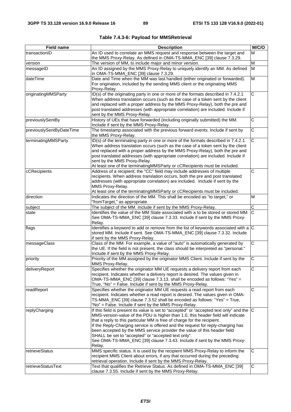| <b>Field name</b>        | <b>Description</b>                                                                                                                                                   | M/C/O                 |
|--------------------------|----------------------------------------------------------------------------------------------------------------------------------------------------------------------|-----------------------|
| transactionID            | An ID used to correlate an MMS request and response between the target and                                                                                           |                       |
|                          | the MMS Proxy-Relay. As defined in OMA-TS-MMA_ENC [39] clause 7.3.29.                                                                                                |                       |
| version                  | The version of MM, to include major and minor version.                                                                                                               |                       |
| messageID                | An ID assigned by the MMS Proxy-Relay to uniquely identify an MM. As defined                                                                                         | M                     |
|                          | in OMA-TS-MMA_ENC [39] clause 7.3.29.                                                                                                                                |                       |
| dateTime                 | Date and Time when the MM was last handled (either originated or forwarded).                                                                                         | M                     |
|                          | For origination, included by the sending MMS client or the originating MMS                                                                                           |                       |
|                          | Proxy-Relay.                                                                                                                                                         |                       |
| originatingMMSParty      | ID(s) of the originating party in one or more of the formats described in 7.4.2.1<br>When address translation occurs (such as the case of a token sent by the client | C                     |
|                          | and replaced with a proper address by the MMS Proxy-Relay), both the pre and                                                                                         |                       |
|                          | post translated addresses (with appropriate correlation) are included. Include if                                                                                    |                       |
|                          | sent by the MMS Proxy-Relay.                                                                                                                                         |                       |
| previouslySentBy         | History of UEs that have forwarded (including originally submitted) the MM.                                                                                          | $\overline{\text{c}}$ |
|                          | Include if sent by the MMS Proxy-Relay.                                                                                                                              |                       |
| previouslySentByDateTime | The timestamp associated with the previous forward events. Include if sent by                                                                                        | $\overline{\text{c}}$ |
|                          | the MMS Proxy-Relay.                                                                                                                                                 |                       |
| terminatingMMSParty      | ID(s) of the terminating party in one or more of the formats described in 7.4.2.1                                                                                    | $\overline{\text{c}}$ |
|                          | When address translation occurs (such as the case of a token sent by the client                                                                                      |                       |
|                          | and replaced with a proper address by the MMS Proxy-Relay), both the pre and                                                                                         |                       |
|                          | post translated addresses (with appropriate correlation) are included. Include if                                                                                    |                       |
|                          | sent by the MMS Proxy-Relay.                                                                                                                                         |                       |
| cCRecipients             | At least one of the terminatingMMSParty or cCRecipients must be included.<br>Address of a recipient; the "CC" field may include addresses of multiple                | $\overline{\text{c}}$ |
|                          | recipients. When address translation occurs, both the pre and post translated                                                                                        |                       |
|                          | addresses (with appropriate correlation) are included. Include if sent by the                                                                                        |                       |
|                          | MMS Proxy-Relay.                                                                                                                                                     |                       |
|                          | At least one of the terminatingMMSParty or cCRecipients must be included.                                                                                            |                       |
| direction                | Indicates the direction of the MM. This shall be encoded as "to target," or                                                                                          | M                     |
|                          | "fromTarget," as appropriate.                                                                                                                                        |                       |
| subject                  | The subject of the MM. Include if sent by the MMS Proxy-Relay.                                                                                                       | $\overline{C}$        |
| state                    | Identifies the value of the MM State associated with a to be stored or stored MM. C                                                                                  |                       |
|                          | See OMA-TS-MMA_ENC [39] clause 7.3.33. Include if sent by the MMS Proxy-                                                                                             |                       |
|                          | Relay.                                                                                                                                                               |                       |
| flags                    | Identifies a keyword to add or remove from the list of keywords associated with a $ C $                                                                              |                       |
|                          | stored MM. Include if sent. See OMA-TS-MMA_ENC [39] clause 7.3.32. Include                                                                                           |                       |
|                          | if sent by the MMS Proxy-Relay.                                                                                                                                      |                       |
| messageClass             | Class of the MM. For example, a value of "auto" is automatically generated by                                                                                        | $\overline{C}$        |
|                          | the UE. If the field is not present, the class should be interpreted as "personal."                                                                                  |                       |
| priority                 | Include if sent by the MMS Proxy-Relay.<br>Priority of the MM assigned by the originator MMS Client. Include if sent by the                                          | $\overline{\text{c}}$ |
|                          | MMS Proxy-Relay.                                                                                                                                                     |                       |
| deliveryReport           | Specifies whether the originator MM UE requests a delivery report from each                                                                                          | C                     |
|                          | recipient. Indicates whether a delivery report is desired. The values given in                                                                                       |                       |
|                          | OMA-TS-MMA_ENC [39] clause 7.3.13. shall be encoded as follows: "Yes" =                                                                                              |                       |
|                          | True, "No" = False. Include if sent by the MMS Proxy-Relay.                                                                                                          |                       |
| readReport               | Specifies whether the originator MM UE requests a read report from each                                                                                              | $\overline{C}$        |
|                          | recipient. Indicates whether a read report is desired. The values given in OMA-                                                                                      |                       |
|                          | TS-MMA_ENC [39] clause 7.3.52 shall be encoded as follows: "Yes" = True,                                                                                             |                       |
|                          | "No" = False. Include if sent by the MMS Proxy-Relay.                                                                                                                |                       |
| replyCharging            | If this field is present its value is set to "accepted" or "accepted text only" and the $ C $                                                                        |                       |
|                          | MMS-version-value of the PDU is higher than 1.0, this header field will indicate                                                                                     |                       |
|                          | that a reply to this particular MM is free of charge for the recipient.                                                                                              |                       |
|                          | If the Reply-Charging service is offered and the request for reply-charging has                                                                                      |                       |
|                          | been accepted by the MMS service provider the value of this header field                                                                                             |                       |
|                          | SHALL be set to "accepted" or "accepted text only".<br>See OMA-TS-MMA_ENC [39] clause 7.3.43. Include if sent by the MMS Proxy-                                      |                       |
|                          | Relay.                                                                                                                                                               |                       |
| retrieveStatus           | MMS specific status. It is used by the recipient MMS Proxy-Relay to inform the                                                                                       | С                     |
|                          | recipient MMS Client about errors, if any that occurred during the preceding                                                                                         |                       |
|                          | retrieval operation. Include if sent by the MMS Proxy-Relay.                                                                                                         |                       |
| retrieveStatusText       | Text that qualifies the Retrieve Status. As defined in OMA-TS-MMA_ENC [39]                                                                                           | С                     |
|                          | clause 7.3.55. Include if sent by the MMS Proxy-Relay.                                                                                                               |                       |

**Table 7.4.3-6: Payload for MMSRetrieval**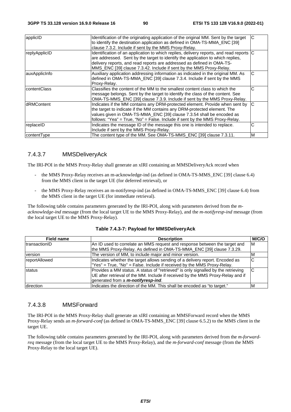| applicID          | Identification of the originating application of the original MM. Sent by the target<br>to identify the destination application as defined in OMA-TS-MMA_ENC [39]<br>clause 7.3.2. Include if sent by the MMS Proxy-Relay.                                                                                                | С |
|-------------------|---------------------------------------------------------------------------------------------------------------------------------------------------------------------------------------------------------------------------------------------------------------------------------------------------------------------------|---|
| replyApplicID     | Identification of an application to which replies, delivery reports, and read reports<br>are addressed. Sent by the target to identify the application to which replies,<br>delivery reports, and read reports are addressed as defined in OMA-TS-<br>MMS_ENC [39] clause 7.3.42. Include if sent by the MMS Proxy-Relay. | C |
| auxApplicInfo     | Auxiliary application addressing information as indicated in the original MM. As<br>defined in OMA-TS-MMA_ENC [39] clause 7.3.4. Include if sent by the MMS<br>Proxy-Relay.                                                                                                                                               | C |
| contentClass      | Classifies the content of the MM to the smallest content class to which the<br>message belongs. Sent by the target to identify the class of the content. See<br>OMA-TS-MMS_ENC [39] clause 7.3.9. Include if sent by the MMS Proxy-Relay.                                                                                 | С |
| <b>dRMContent</b> | Indicates if the MM contains any DRM-protected element. Provide when sent by<br>the target to indicate if the MM contains any DRM-protected element. The<br>values given in OMA-TS-MMA_ENC [39] clause 7.3.54 shall be encoded as<br>follows: "Yea" = True, "No" = False. Include if sent by the MMS Proxy-Relay.         | C |
| replaceID         | Indicates the message ID of the message this one is intended to replace.<br>Include if sent by the MMS Proxy-Relay.                                                                                                                                                                                                       | С |
| contentType       | The content type of the MM. See OMA-TS-MMS_ENC [39] clause 7.3.11.                                                                                                                                                                                                                                                        | M |

#### 7.4.3.7 MMSDeliveryAck

The IRI-POI in the MMS Proxy-Relay shall generate an xIRI containing an MMSDeliveryAck record when

- the MMS Proxy-Relay receives an m-acknowledge-ind (as defined in OMA-TS-MMS\_ENC [39] clause 6.4) from the MMS client in the target UE (for deferred retrieval), or
- the MMS Proxy-Relay receives an m-notifyresp-ind (as defined in OMA-TS-MMS ENC [39] clause 6.4) from the MMS client in the target UE (for immediate retrieval).

The following table contains parameters generated by the IRI-POI, along with parameters derived from the *macknowledge-ind* message (from the local target UE to the MMS Proxy-Relay), and the *m-notifyresp-ind* message (from the local target UE to the MMS Proxy-Relay).

| Field name    | <b>Description</b>                                                                | M/C/O |
|---------------|-----------------------------------------------------------------------------------|-------|
| transactionID | An ID used to correlate an MMS request and response between the target and        | ΙM    |
|               | the MMS Proxy-Relay. As defined in OMA-TS-MMA_ENC [39] clause 7.3.29.             |       |
| version       | The version of MM, to include major and minor version.                            | ıм    |
| reportAllowed | Indicates whether the target allows sending of a delivery report. Encoded as      | C     |
|               | "Yes" = $True$ , "No" = $False$ . Include if received by the MMS Proxy-Relay.     |       |
| status        | Provides a MM status. A status of "retrieved" is only signalled by the retrieving | ІC    |
|               | UE after retrieval of the MM. Include if received by the MMS Proxy-Relay and if   |       |
|               | generated from a <i>m-notifyresp-ind</i> .                                        |       |
| direction     | Indicates the direction of the MM. This shall be encoded as "to target."          | ıΜ    |

#### **Table 7.4.3-7: Payload for MMSDeliveryAck**

#### 7.4.3.8 MMSForward

The IRI-POI in the MMS Proxy-Relay shall generate an xIRI containing an MMSForward record when the MMS Proxy-Relay sends an *m-forward-conf* (as defined in OMA-TS-MMS\_ENC [39] clause 6.5.2) to the MMS client in the target UE.

The following table contains parameters generated by the IRI-POI, along with parameters derived from the *m-forwardreq* message (from the local target UE to the MMS Proxy-Relay), and the *m-forward-conf* message (from the MMS Proxy-Relay to the local target UE).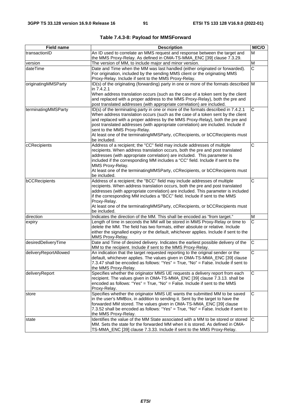| <b>Field name</b>     | <b>Description</b>                                                                                                                                                                                                                                                                                                                                                                                                                                                        | M/C/O                 |
|-----------------------|---------------------------------------------------------------------------------------------------------------------------------------------------------------------------------------------------------------------------------------------------------------------------------------------------------------------------------------------------------------------------------------------------------------------------------------------------------------------------|-----------------------|
| transactionID         | An ID used to correlate an MMS request and response between the target and<br>the MMS Proxy-Relay. As defined in OMA-TS-MMA_ENC [39] clause 7.3.29.                                                                                                                                                                                                                                                                                                                       |                       |
| version               | The version of MM, to include major and minor version.                                                                                                                                                                                                                                                                                                                                                                                                                    | M                     |
| dateTime              | Date and Time when the MM was last handled (either originated or forwarded).<br>For origination, included by the sending MMS client or the originating MMS<br>Proxy-Relay. Include if sent to the MMS Proxy-Relay.                                                                                                                                                                                                                                                        | C                     |
| originatingMMSParty   | ID(s) of the originating (forwarding) party in one or more of the formats described M<br>in 7.4.2.1<br>When address translation occurs (such as the case of a token sent by the client<br>and replaced with a proper address to the MMS Proxy-Relay), both the pre and<br>post translated addresses (with appropriate correlation) are included.                                                                                                                          |                       |
| terminatingMMSParty   | ID(s) of the terminating party in one or more of the formats described in 7.4.2.1<br>When address translation occurs (such as the case of a token sent by the client<br>and replaced with a proper address by the MMS Proxy-Relay), both the pre and<br>post translated addresses (with appropriate correlation) are included. Include if<br>sent to the MMS Proxy-Relay.<br>At least one of the terminatingMMSParty, cCRecipients, or bCCRecipients must<br>be included. | C                     |
| cCRecipients          | Address of a recipient; the "CC" field may include addresses of multiple<br>recipients. When address translation occurs, both the pre and post translated<br>addresses (with appropriate correlation) are included. This parameter is<br>included if the corresponding MM includes a "CC" field. Include if sent to the<br>MMS Proxy-Relay.<br>At least one of the terminating MMSParty, cCRecipients, or bCCRecipients must<br>be included.                              | $\overline{C}$        |
| bCCRecipients         | Address of a recipient; the "BCC" field may include addresses of multiple<br>recipients. When address translation occurs, both the pre and post translated<br>addresses (with appropriate correlation) are included. This parameter is included<br>if the corresponding MM includes a "BCC" field. Include if sent to the MMS<br>Proxy-Relay.<br>At least one of the terminating MMSParty, cCRecipients, or bCCRecipients must<br>be included.                            | $\overline{\text{c}}$ |
| direction             | Indicates the direction of the MM. This shall be encoded as "from target."                                                                                                                                                                                                                                                                                                                                                                                                | M                     |
| expiry                | Length of time in seconds the MM will be stored in MMS Proxy-Relay or time to<br>delete the MM. The field has two formats, either absolute or relative. Include<br>either the signalled expiry or the default, whichever applies. Include if sent to the<br>MMS Proxy-Relay.                                                                                                                                                                                              | $\overline{\text{c}}$ |
| desiredDeliveryTime   | Date and Time of desired delivery. Indicates the earliest possible delivery of the<br>MM to the recipient. Include if sent to the MMS Proxy-Relay.                                                                                                                                                                                                                                                                                                                        | C                     |
| deliveryReportAllowed | An indication that the target requested reporting to the original sender or the<br>default, whichever applies. The values given in OMA-TS-MMA_ENC [39] clause<br>7.3.47 shall be encoded as follows: "Yes" = True, "No" = False. Include if sent to<br>the MMS Proxy-Relay.                                                                                                                                                                                               | $\overline{\text{c}}$ |
| deliveryReport        | Specifies whether the originator MMS UE requests a delivery report from each<br>recipient. The values given in OMA-TS-MMA_ENC [39] clause 7.3.13. shall be<br>encoded as follows: "Yes" = True, "No" = False. Include if sent to the MMS<br>Proxy-Relay.                                                                                                                                                                                                                  | C                     |
| store                 | Specifies whether the originator MMS UE wants the submitted MM to be saved<br>in the user's MMBox, in addition to sending it. Sent by the target to have the<br>forwarded MM stored. The values given in OMA-TS-MMA_ENC [39] clause<br>7.3.52 shall be encoded as follows: "Yes" = True, "No" = False. Include if sent to<br>the MMS Proxy-Relay.                                                                                                                         | $\overline{C}$        |
| state                 | Identifies the value of the MM State associated with a MM to be stored or stored<br>MM. Sets the state for the forwarded MM when it is stored. As defined in OMA-<br>TS-MMA_ENC [39] clause 7.3.33. Include if sent to the MMS Proxy-Relay.                                                                                                                                                                                                                               | С                     |

|  |  |  |  | Table 7.4.3-8: Payload for MMSForward |
|--|--|--|--|---------------------------------------|
|--|--|--|--|---------------------------------------|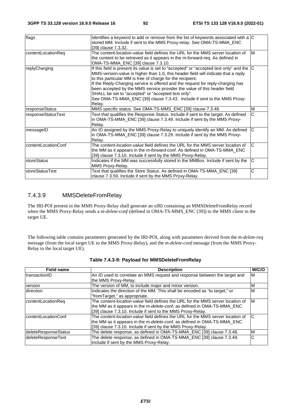| flags               | Identifies a keyword to add or remove from the list of keywords associated with a $ C $<br>stored MM. Include if sent to the MMS Proxy-relay. See OMA-TS-MMA_ENC<br>[39] clause 7.3.32.                                                                                                                                                                                                                                                                                                                                                                   |   |
|---------------------|-----------------------------------------------------------------------------------------------------------------------------------------------------------------------------------------------------------------------------------------------------------------------------------------------------------------------------------------------------------------------------------------------------------------------------------------------------------------------------------------------------------------------------------------------------------|---|
| contentLocationReq  | The content-location-value field defines the URL for the MMS server location of<br>the content to be retrieved as it appears in the m-forward-req. As defined in<br>OMA-TS-MMA_ENC [39] clause 7.3.10.                                                                                                                                                                                                                                                                                                                                                    | M |
| replyCharging       | If this field is present its value is set to "accepted" or "accepted text only" and the C<br>MMS-version-value is higher than 1.0, this header field will indicate that a reply<br>to this particular MM is free of charge for the recipient.<br>If the Reply-Charging service is offered and the request for reply-charging has<br>been accepted by the MMS service provider the value of this header field<br>SHALL be set to "accepted" or "accepted text only".<br>See OMA-TS-MMA_ENC [39] clause 7.3.43. Include if sent to the MMS Proxy-<br>Relay. |   |
| responseStatus      | MMS specific status. See OMA-TS-MMS_ENC [39] clause 7.3.48.                                                                                                                                                                                                                                                                                                                                                                                                                                                                                               | M |
| responseStatusText  | Text that qualifies the Response Status. Include if sent to the target. As defined<br>in OMA-TS-MMA_ENC [39] clause 7.3.49. Include if sent by the MMS Proxy-<br>Relay.                                                                                                                                                                                                                                                                                                                                                                                   | С |
| messageID           | An ID assigned by the MMS Proxy-Relay to uniquely identify an MM. As defined<br>in OMA-TS-MMA_ENC [39] clause 7.3.29. Include if sent by the MMS Proxy-<br>Relay.                                                                                                                                                                                                                                                                                                                                                                                         | C |
| contentLocationConf | The content-location-value field defines the URL for the MMS server location of<br>the MM as it appears in the m-forward-conf. As defined in OMA-TS-MMA_ENC<br>[39] clause 7.3.10. Include if sent by the MMS Proxy-Relay.                                                                                                                                                                                                                                                                                                                                | C |
| storeStatus         | Indicates if the MM was successfully stored in the MMBox. Include if sent by the<br>MMS Proxy-Relay.                                                                                                                                                                                                                                                                                                                                                                                                                                                      | C |
| storeStatusText     | Text that qualifies the Store Status. As defined in OMA-TS-MMA_ENC [39]<br>clause 7.3.59. Include if sent by the MMS Proxy-Relay.                                                                                                                                                                                                                                                                                                                                                                                                                         | С |

# 7.4.3.9 MMSDeleteFromRelay

The IRI-POI present in the MMS Proxy-Relay shall generate an xIRI containing an MMSDeleteFromRelay record when the MMS Proxy-Relay sends a *m-delete-conf* (defined in OMA-TS-MMS\_ENC [39]) to the MMS client in the target UE.

The following table contains parameters generated by the IRI-POI, along with parameters derived from the *m-delete-req* message (from the local target UE to the MMS Proxy-Relay), and the *m-delete-conf* message (from the MMS Proxy-Relay to the local target UE).

| Field name           | <b>Description</b>                                                                                                                                                                                                                | M/C/O |
|----------------------|-----------------------------------------------------------------------------------------------------------------------------------------------------------------------------------------------------------------------------------|-------|
| transactionID        | An ID used to correlate an MMS request and response between the target and<br>the MMS Proxy-Relay.                                                                                                                                | ΙM    |
| version              | The version of MM, to include major and minor version.                                                                                                                                                                            | M     |
| direction            | Indicates the direction of the MM. This shall be encoded as "to target," or<br>"fromTarget," as appropriate.                                                                                                                      | M     |
| contentLocationReq   | The content-location-value field defines the URL for the MMS server location of<br>the MM as it appears in the m-delete-conf, as defined in OMA-TS-MMA_ENC<br>[39] clause 7.3.10. Include if sent to the MMS Proxy-Relay.         | M     |
| contentLocationConf  | The content-location-value field defines the URL for the MMS server location of<br>the MM as it appears in the <i>m-delete-conf</i> , as defined in OMA-TS-MMA ENC<br>[39] clause 7.3.10. Include if sent by the MMS Proxy-Relay. | C     |
| deleteResponseStatus | The delete response, as defined in OMA-TS-MMA_ENC [39] clause 7.3.48.                                                                                                                                                             | M     |
| deleteResponseText   | The delete response, as defined in OMA-TS-MMA_ENC [39] clause 7.3.49.<br>Include if sent by the MMS Proxy-Relay.                                                                                                                  | C     |

|  | Table 7.4.3-9: Payload for MMSDeleteFromRelay |
|--|-----------------------------------------------|
|  |                                               |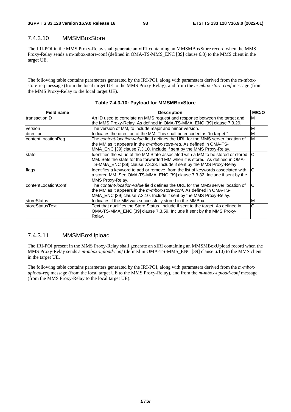### 7.4.3.10 MMSMBoxStore

The IRI-POI in the MMS Proxy-Relay shall generate an xIRI containing an MMSMBoxStore record when the MMS Proxy-Relay sends a m-mbox-store-conf (defined in OMA-TS-MMS\_ENC [39] clause 6.8) to the MMS client in the target UE.

The following table contains parameters generated by the IRI-POI, along with parameters derived from the m-mboxstore-req message (from the local target UE to the MMS Proxy-Relay), and from the *m-mbox-store-conf* message (from the MMS Proxy-Relay to the local target UE).

| <b>Field name</b>      | <b>Description</b>                                                                     | M/C/O |
|------------------------|----------------------------------------------------------------------------------------|-------|
| ItransactionID         | An ID used to correlate an MMS request and response between the target and             | M     |
|                        | the MMS Proxy-Relay. As defined in OMA-TS-MMA_ENC [39] clause 7.3.29.                  |       |
| version                | The version of MM, to include major and minor version.                                 | M     |
| direction              | Indicates the direction of the MM. This shall be encoded as "to target."               | M     |
| contentLocationReg     | The content-location-value field defines the URL for the MMS server location of        | M     |
|                        | the MM as it appears in the <i>m-mbox-store-reg</i> . As defined in OMA-TS-            |       |
|                        | MMA_ENC [39] clause 7.3.10. Include if sent by the MMS Proxy-Relay.                    |       |
| state                  | Identifies the value of the MM State associated with a MM to be stored or stored       | C     |
|                        | MM. Sets the state for the forwarded MM when it is stored. As defined in OMA-          |       |
|                        | TS-MMA_ENC [39] clause 7.3.33. Include if sent by the MMS Proxy-Relay.                 |       |
| flags                  | Identifies a keyword to add or remove from the list of keywords associated with        | C     |
|                        | a stored MM. See OMA-TS-MMA_ENC [39] clause 7.3.32. Include if sent by the             |       |
|                        | MMS Proxy-Relay.                                                                       |       |
| contentLocationConf    | The <i>content-location-value</i> field defines the URL for the MMS server location of | C     |
|                        | the MM as it appears in the <i>m-mbox-store-conf</i> . As defined in OMA-TS-           |       |
|                        | MMA_ENC [39] clause 7.3.10. Include if sent by the MMS Proxy-Relay.                    |       |
| storeStatus            | Indicates if the MM was successfully stored in the MMBox.                              | M     |
| <b>storeStatusText</b> | Text that qualifies the Store Status. Include if sent to the target. As defined in     | С     |
|                        | OMA-TS-MMA_ENC [39] clause 7.3.59. Include if sent by the MMS Proxy-                   |       |
|                        | Relay.                                                                                 |       |

#### **Table 7.4.3-10: Payload for MMSMBoxStore**

#### 7.4.3.11 MMSMBoxUpload

The IRI-POI present in the MMS Proxy-Relay shall generate an xIRI containing an MMSMBoxUpload record when the MMS Proxy-Relay sends a *m-mbox-upload-conf* (defined in OMA-TS-MMS\_ENC [39] clause 6.10) to the MMS client in the target UE.

The following table contains parameters generated by the IRI-POI, along with parameters derived from the *m-mboxupload-req* message (from the local target UE to the MMS Proxy-Relay), and from the *m-mbox-upload-conf* message (from the MMS Proxy-Relay to the local target UE).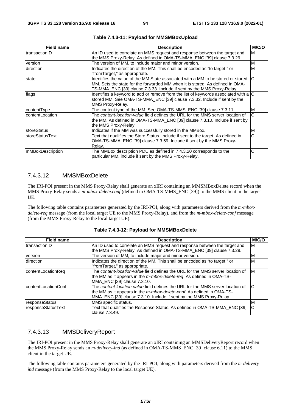| <b>Field name</b>       | <b>Description</b>                                                                                                                                                                                                                          | M/C/O |
|-------------------------|---------------------------------------------------------------------------------------------------------------------------------------------------------------------------------------------------------------------------------------------|-------|
| transactionID           | An ID used to correlate an MMS request and response between the target and<br>the MMS Proxy-Relay. As defined in OMA-TS-MMA_ENC [39] clause 7.3.29.                                                                                         | M     |
| version                 | The version of MM, to include major and minor version.                                                                                                                                                                                      | M     |
| <b>Idirection</b>       | Indicates the direction of the MM. This shall be encoded as "to target," or<br>"fromTarget," as appropriate.                                                                                                                                | M     |
| state                   | Identifies the value of the MM State associated with a MM to be stored or stored<br>MM. Sets the state for the forwarded MM when it is stored. As defined in OMA-<br>TS-MMA_ENC [39] clause 7.3.33. Include if sent by the MMS Proxy-Relay. | C     |
| flags                   | Identifies a keyword to add or remove from the list of keywords associated with a $ C $<br>stored MM. See OMA-TS-MMA ENC [39] clause 7.3.32. Include if sent by the<br>MMS Proxy-Relay.                                                     |       |
| contentType             | The content type of the MM. See OMA-TS-MMS_ENC [39] clause 7.3.11                                                                                                                                                                           | M     |
| IcontentLocation        | The content-location-value field defines the URL for the MMS server location of<br>the MM. As defined in OMA-TS-MMA_ENC [39] clause 7.3.10. Include if sent by<br>the MMS Proxy-Relay.                                                      | C     |
| <b>IstoreStatus</b>     | Indicates if the MM was successfully stored in the MMBox.                                                                                                                                                                                   | M     |
| IstoreStatusText        | Text that qualifies the Store Status. Include if sent to the target. As defined in<br>OMA-TS-MMA_ENC [39] clause 7.3.59. Include if sent by the MMS Proxy-<br>Relay.                                                                        | C     |
| <b>mMBoxDescription</b> | The MMBox description PDU as defined in 7.4.3.20 corresponds to the<br>particular MM. include if sent by the MMS Proxy-Relay.                                                                                                               | С     |

|  |  | Table 7.4.3-11: Payload for MMSMBoxUpload |
|--|--|-------------------------------------------|
|--|--|-------------------------------------------|

## 7.4.3.12 MMSMBoxDelete

The IRI-POI present in the MMS Proxy-Relay shall generate an xIRI containing an MMSMBoxDelete record when the MMS Proxy-Relay sends a *m-mbox-delete.conf* (defined in OMA-TS-MMS\_ENC [39]) to the MMS client in the target UE.

The following table contains parameters generated by the IRI-POI, along with parameters derived from the *m-mboxdelete-req* message (from the local target UE to the MMS Proxy-Relay), and from the *m-mbox-delete-conf* message (from the MMS Proxy-Relay to the local target UE).

| <b>Field name</b>    | <b>Description</b>                                                              | M/C/O |
|----------------------|---------------------------------------------------------------------------------|-------|
| transactionID        | An ID used to correlate an MMS request and response between the target and      | M     |
|                      | the MMS Proxy-Relay. As defined in OMA-TS-MMA_ENC [39] clause 7.3.29.           |       |
| version              | The version of MM, to include major and minor version.                          | ΙM    |
| direction            | Indicates the direction of the MM. This shall be encoded as "to target," or     | M     |
|                      | "fromTarget," as appropriate.                                                   |       |
| contentLocationReq   | The content-location-value field defines the URL for the MMS server location of | ΙM    |
|                      | the MM as it appears in the <i>m-mbox-delete-req</i> . As defined in OMA-TS-    |       |
|                      | MMA ENC [39] clause 7.3.10.                                                     |       |
| IcontentLocationConf | The content-location-value field defines the URL for the MMS server location of | C     |
|                      | the MM as it appears in the <i>m-mbox-delete-conf</i> . As defined in OMA-TS-   |       |
|                      | MMA_ENC [39] clause 7.3.10. Include if sent by the MMS Proxy-Relay.             |       |
| responseStatus       | MMS specific status.                                                            | ΙM    |
| responseStatusText   | Text that qualifies the Response Status. As defined in OMA-TS-MMA_ENC [39]      | C     |
|                      | clause 7.3.49.                                                                  |       |

#### **Table 7.4.3-12: Payload for MMSMBoxDelete**

#### 7.4.3.13 MMSDeliveryReport

The IRI-POI present in the MMS Proxy-Relay shall generate an xIRI containing an MMSDeliveryReport record when the MMS Proxy-Relay sends an *m-delivery-ind* (as defined in OMA-TS-MMS\_ENC [39] clause 6.11) to the MMS client in the target UE.

The following table contains parameters generated by the IRI-POI, along with parameters derived from the *m-deliveryind* message (from the MMS Proxy-Relay to the local target UE).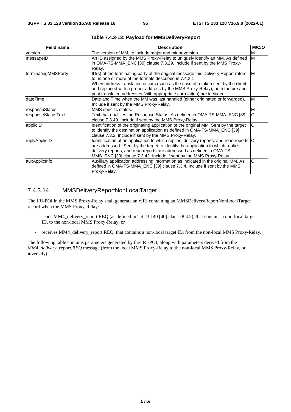| <b>Field name</b>   | <b>Description</b>                                                                                                                                                                                                                                                                                                                                                                        | M/C/O                 |
|---------------------|-------------------------------------------------------------------------------------------------------------------------------------------------------------------------------------------------------------------------------------------------------------------------------------------------------------------------------------------------------------------------------------------|-----------------------|
| version             | The version of MM, to include major and minor version.                                                                                                                                                                                                                                                                                                                                    | M                     |
| messageID           | An ID assigned by the MMS Proxy-Relay to uniquely identify an MM. As defined<br>in OMA-TS-MMA_ENC [39] clause 7.3.29. Include if sent by the MMS Proxy-<br>Relay.                                                                                                                                                                                                                         | M                     |
| terminatingMMSParty | ID(s) of the terminating party of the original message this Delivery Report refers<br>to, in one or more of the formats described in 7.4.2.1<br>When address translation occurs (such as the case of a token sent by the client<br>and replaced with a proper address by the MMS Proxy-Relay), both the pre and<br>post translated addresses (with appropriate correlation) are included. | M                     |
| dateTime            | Date and Time when the MM was last handled (either originated or forwarded)<br>Include if sent by the MMS Proxy-Relay.                                                                                                                                                                                                                                                                    | ΙM                    |
| responseStatus      | MMS specific status.                                                                                                                                                                                                                                                                                                                                                                      | M                     |
| responseStatusText  | Text that qualifies the Response Status. As defined in OMA-TS-MMA_ENC [39]<br>clause 7.3.49. Include if sent by the MMS Proxy-Relay.                                                                                                                                                                                                                                                      | С                     |
| applicID            | Identification of the originating application of the original MM. Sent by the target<br>to identify the destination application as defined in OMA-TS-MMA_ENC [39]<br>clause 7.3.2. Include if sent by the MMS Proxy-Relay.                                                                                                                                                                | $\overline{\text{c}}$ |
| replyApplicID       | Identification of an application to which replies, delivery reports, and read reports C<br>are addressed. Sent by the target to identify the application to which replies,<br>delivery reports, and read reports are addressed as defined in OMA-TS-<br>MMS_ENC [39] clause 7.3.42. Include if sent by the MMS Proxy-Relay.                                                               |                       |
| auxApplicInfo       | Auxiliary application addressing information as indicated in the original MM. As<br>defined in OMA-TS-MMA_ENC [39] clause 7.3.4. Include if sent by the MMS<br>Proxy-Relay.                                                                                                                                                                                                               | С                     |

**Table 7.4.3-13: Payload for MMSDeliveryReport** 

# 7.4.3.14 MMSDeliveryReportNonLocalTarget

The IRI-POI in the MMS Proxy-Relay shall generate an xIRI containing an MMSDeliveryReportNonLocalTarget record when the MMS Proxy-Relay:

- sends MM4\_delivery\_report.REQ (as defined in TS 23.140 [40] clause 8.4.2), that contains a non-local target ID, to the non-local MMS Proxy-Relay, or
- receives MM4\_delivery\_report.REQ, that contains a non-local target ID, from the non-local MMS Proxy-Relay.

The following table contains parameters generated by the IRI-POI, along with parameters derived from the *MM4\_delivery\_report.REQ* message (from the local MMS Proxy-Relay to the non-local MMS Proxy-Relay, or inversely).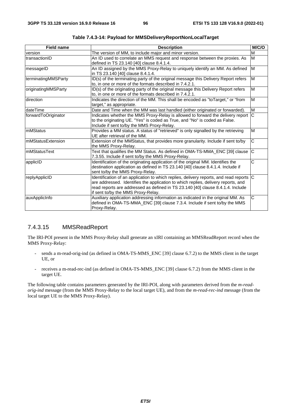| <b>Field name</b>   | <b>Description</b>                                                                                                                                                                                                                                                                                    | M/C/O                 |
|---------------------|-------------------------------------------------------------------------------------------------------------------------------------------------------------------------------------------------------------------------------------------------------------------------------------------------------|-----------------------|
| version             | The version of MM, to include major and minor version.                                                                                                                                                                                                                                                | M                     |
| transactionID       | An ID used to correlate an MMS request and response between the proxies. As<br>defined in TS 23.140 [40] clause 8.4.1.4.                                                                                                                                                                              | M                     |
| messageID           | An ID assigned by the MMS Proxy-Relay to uniquely identify an MM. As defined<br>in TS 23.140 [40] clause 8.4.1.4.                                                                                                                                                                                     | M                     |
| terminatingMMSParty | ID(s) of the terminating party of the original message this Delivery Report refers<br>to, in one or more of the formats described in 7.4.2.1.                                                                                                                                                         | M                     |
| originatingMMSParty | ID(s) of the originating party of the original message this Delivery Report refers<br>to, in one or more of the formats described in 7.4.2.1.                                                                                                                                                         | M                     |
| direction           | Indicates the direction of the MM. This shall be encoded as "toTarget," or "from<br>target," as appropriate.                                                                                                                                                                                          | M                     |
| dateTime            | Date and Time when the MM was last handled (either originated or forwarded).                                                                                                                                                                                                                          | M                     |
| forwardToOriginator | Indicates whether the MMS Proxy-Relay is allowed to forward the delivery report<br>to the originating UE. "Yes" is coded as True, and "No" is coded as False.<br>Include if sent to/by the MMS Proxy-Relay.                                                                                           | lC.                   |
| <b>mMStatus</b>     | Provides a MM status. A status of "retrieved" is only signalled by the retrieving<br>UE after retrieval of the MM.                                                                                                                                                                                    | M                     |
| ImMStatusExtension  | Extension of the MMStatus, that provides more granularity. Include if sent to/by<br>the MMS Proxy-Relay.                                                                                                                                                                                              | C                     |
| mMStatusText        | Text that qualifies the MM Status. As defined in OMA-TS-MMA_ENC [39] clause<br>7.3.55. Include if sent to/by the MMS Proxy-Relay.                                                                                                                                                                     | C                     |
| applicID            | Identification of the originating application of the original MM. Identifies the<br>destination application as defined in TS 23.140 [40] clause 8.4.1.4. Include if<br>sent to/by the MMS Proxy-Relay.                                                                                                | $\overline{\text{c}}$ |
| replyApplicID       | Identification of an application to which replies, delivery reports, and read reports C<br>are addressed. Identifies the application to which replies, delivery reports, and<br>read reports are addressed as defined in TS 23.140 [40] clause 8.4.1.4. Include<br>if sent to/by the MMS Proxy-Relay. |                       |
| auxApplicInfo       | Auxiliary application addressing information as indicated in the original MM. As<br>defined in OMA-TS-MMA_ENC [39] clause 7.3.4. Include if sent to/by the MMS<br>Proxy-Relay.                                                                                                                        | $\overline{\text{c}}$ |

**Table 7.4.3-14: Payload for MMSDeliveryReportNonLocalTarget** 

## 7.4.3.15 MMSReadReport

The IRI-POI present in the MMS Proxy-Relay shall generate an xIRI containing an MMSReadReport record when the MMS Proxy-Relay:

- sends a m-read-orig-ind (as defined in OMA-TS-MMS\_ENC [39] clause 6.7.2) to the MMS client in the target UE, or
- receives a m-read-rec-ind (as defined in OMA-TS-MMS\_ENC [39] clause 6.7.2) from the MMS client in the target UE.

The following table contains parameters generated by the IRI-POI, along with parameters derived from the *m-readorig-ind* message (from the MMS Proxy-Relay to the local target UE), and from the *m-read-rec-ind* message (from the local target UE to the MMS Proxy-Relay).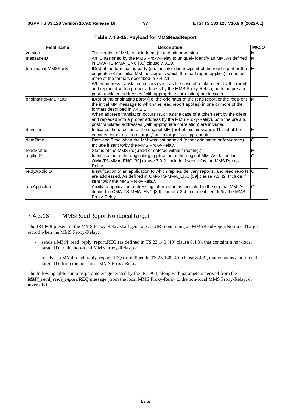| <b>Field name</b>   | <b>Description</b>                                                                                                                                                                                                                                                                                                                                                                                                                                                 | M/C/O                 |
|---------------------|--------------------------------------------------------------------------------------------------------------------------------------------------------------------------------------------------------------------------------------------------------------------------------------------------------------------------------------------------------------------------------------------------------------------------------------------------------------------|-----------------------|
| version             | The version of MM, to include major and minor version.                                                                                                                                                                                                                                                                                                                                                                                                             | M                     |
| messageID           | An ID assigned by the MMS Proxy-Relay to uniquely identify an MM. As defined<br>in OMA-TS-MMA_ENC [39] clause 7.3.29.                                                                                                                                                                                                                                                                                                                                              | M                     |
| terminatingMMSParty | ID(s) of the terminating party (i.e. the intended recipient of the read report or the<br>originator of the initial MM message to which the read report applies) in one or<br>more of the formats described in 7.4.2.1<br>When address translation occurs (such as the case of a token sent by the client<br>and replaced with a proper address by the MMS Proxy-Relay), both the pre and<br>post translated addresses (with appropriate correlation) are included. | M                     |
| originatingMMSParty | ID(s) of the originating party (i.e. the originator of the read report or the recipient<br>the initial MM message to which the read report applies) in one or more of the<br>formats described in 7.4.2.1<br>When address translation occurs (such as the case of a token sent by the client<br>and replaced with a proper address by the MMS Proxy-Relay), both the pre and<br>post translated addresses (with appropriate correlation) are included.             | M                     |
| direction           | Indicates the direction of the original MM (not of this message). This shall be<br>encoded either as "from target," or "to target," as appropriate.                                                                                                                                                                                                                                                                                                                | M                     |
| dateTime            | Date and Time when the MM was last handled (either originated or forwarded).<br>Include if sent to/by the MMS Proxy-Relay.                                                                                                                                                                                                                                                                                                                                         | $\overline{\text{c}}$ |
| readStatus          | Status of the MMS (e.g.read or deleted without reading.)                                                                                                                                                                                                                                                                                                                                                                                                           | M                     |
| applicID            | Identification of the originating application of the original MM. As defined in<br>OMA-TS-MMA_ENC [39] clause 7.3.2. Include if sent to/by the MMS Proxy-<br>Relay.                                                                                                                                                                                                                                                                                                | $\overline{\text{c}}$ |
| replyApplicID       | Identification of an application to which replies, delivery reports, and read reports $ C $<br>are addressed. As defined in OMA-TS-MMA_ENC [39] clause 7.3.42. Include if<br>sent to/by the MMS Proxy-Relay.                                                                                                                                                                                                                                                       |                       |
| auxApplicInfo       | Auxiliary application addressing information as indicated in the original MM. As<br>defined in OMA-TS-MMA_ENC [39] clause 7.3.4. Include if sent to/by the MMS<br>Proxy-Relay.                                                                                                                                                                                                                                                                                     | $\overline{\text{c}}$ |

**Table 7.4.3-15: Payload for MMSReadReport** 

# 7.4.3.16 MMSReadReportNonLocalTarget

The IRI-POI present in the MMS Proxy-Relay shall generate an xIRI containing an MMSReadReportNonLocalTarget record when the MMS Proxy-Relay:

- sends a MM4\_read\_reply\_report.REQ (as defined in TS 23.140 [40] clause 8.4.3), that contains a non-local target ID, to the non-local MMS Proxy-Relay, or
- receives a MM4\_read\_reply\_report.REQ (as defined in TS 23.140 [40] clause 8.4.3), that contains a non-local target ID, from the non-local MMS Proxy-Relay.

The following table contains parameters generated by the IRI-POI, along with parameters derived from the *MM4\_read\_reply\_report.REQ* message (from the local MMS Proxy-Relay to the non-local MMS Proxy-Relay, or inversely).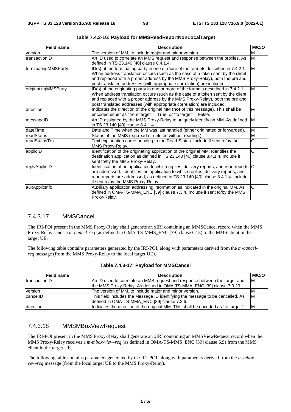| <b>Field name</b>   | <b>Description</b>                                                                                                                                                                                                                                                                                                             | M/C/O                 |
|---------------------|--------------------------------------------------------------------------------------------------------------------------------------------------------------------------------------------------------------------------------------------------------------------------------------------------------------------------------|-----------------------|
| version             | The version of MM, to include major and minor version.                                                                                                                                                                                                                                                                         | M                     |
| transactionID       | An ID used to correlate an MMS request and response between the proxies. As<br>defined in TS 23.140 [40] clause 8.4.1.4.                                                                                                                                                                                                       | M                     |
| terminatingMMSParty | ID(s) of the terminating party in one or more of the formats described in 7.4.2.1<br>When address translation occurs (such as the case of a token sent by the client<br>and replaced with a proper address by the MMS Proxy-Relay), both the pre and<br>post translated addresses (with appropriate correlation) are included. | M                     |
| originatingMMSParty | ID(s) of the originating party in one or more of the formats described in 7.4.2.1<br>When address translation occurs (such as the case of a token sent by the client<br>and replaced with a proper address by the MMS Proxy-Relay), both the pre and<br>post translated addresses (with appropriate correlation) are included. | M                     |
| direction           | Indicates the direction of the original MM (not of this message). This shall be<br>encoded either as "from target" = True, or "to target" = False.                                                                                                                                                                             | M                     |
| messageID           | An ID assigned by the MMS Proxy-Relay to uniquely identify an MM. As defined<br>in TS 23.140 [40] clause 8.4.1.4.                                                                                                                                                                                                              | M                     |
| dateTime            | Date and Time when the MM was last handled (either originated or forwarded).                                                                                                                                                                                                                                                   | M                     |
| readStatus          | Status of the MMS (e.g.read or deleted without reading.)                                                                                                                                                                                                                                                                       | M                     |
| readStatusText      | Text explanation corresponding to the Read Status. Include if sent to/by the<br>MMS Proxy-Relay.                                                                                                                                                                                                                               | $\overline{\text{c}}$ |
| applicID            | Identification of the originating application of the original MM. Identifies the<br>destination application as defined in TS 23.140 [40] clause 8.4.1.4. Include if<br>sent to/by the MMS Proxy-Relay.                                                                                                                         | Ć                     |
| replyApplicID       | Identification of an application to which replies, delivery reports, and read reports C<br>are addressed. Identifies the application to which replies, delivery reports, and<br>read reports are addressed, as defined in TS 23.140 [40] clause 8.4.1.4. Include<br>if sent to/by the MMS Proxy-Relay.                         |                       |
| auxApplicInfo       | Auxiliary application addressing information as indicated in the original MM. As<br>defined in OMA-TS-MMA_ENC [39] clause 7.3.4. Include if sent to/by the MMS<br>Proxy-Relay.                                                                                                                                                 | C                     |

**Table 7.4.3-16: Payload for MMSReadReportNonLocalTarget** 

## 7.4.3.17 MMSCancel

The IRI-POI present in the MMS Proxy-Relay shall generate an xIRI containing an MMSCancel record when the MMS Proxy-Relay sends a *m-cancel-req* (as defined in OMA-TS-MMS\_ENC [39] clause 6.13) to the MMS client in the target UE.

The following table contains parameters generated by the IRI-POI, along with parameters derived from the *m-cancelreq* message (from the MMS Proxy-Relay to the local target UE).

| <b>Field name</b> | <b>Description</b>                                                                | M/C/O |
|-------------------|-----------------------------------------------------------------------------------|-------|
| transactionID     | An ID used to correlate an MMS request and response between the target and        | ΙM    |
|                   | the MMS Proxy-Relay. As defined in OMA-TS-MMA_ENC [39] clause 7.3.29.             |       |
| version           | The version of MM, to include major and minor version.                            | ΙM    |
| cancelID          | This field includes the Message ID identifying the message to be cancelled. As    | IM.   |
|                   | defined in OMA-TS-MMA_ENC [39] clause 7.3.6.                                      |       |
| direction         | Indicates the direction of the original MM. This shall be encoded as "to target." | ΙM    |

**Table 7.4.3-17: Payload for MMSCancel** 

## 7.4.3.18 MMSMBoxViewRequest

The IRI-POI present in the MMS Proxy-Relay shall generate an xIRI containing an MMSViewRequest record when the MMS Proxy-Relay receives a *m-mbox-view-req* (as defined in OMA-TS-MMS\_ENC [39] clause 6.9) from the MMS client in the target UE.

The following table contains parameters generated by the IRI-POI, along with parameters derived from the *m-mboxvew-req* message (from the local target UE to the MMS Proxy-Relay).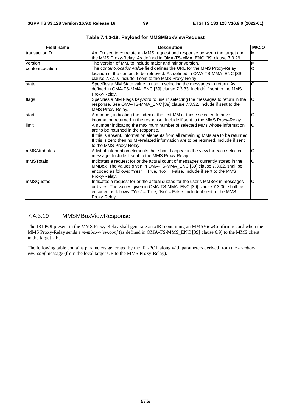| <b>Field name</b> | <b>Description</b>                                                                                                                                                                                                                                                                                                     | M/C/O                 |
|-------------------|------------------------------------------------------------------------------------------------------------------------------------------------------------------------------------------------------------------------------------------------------------------------------------------------------------------------|-----------------------|
| transactionID     | An ID used to correlate an MMS request and response between the target and<br>the MMS Proxy-Relay. As defined in OMA-TS-MMA_ENC [39] clause 7.3.29.                                                                                                                                                                    | M                     |
| version           | The version of MM, to include major and minor version.                                                                                                                                                                                                                                                                 | M                     |
| contentLocation   | The content-location-value field defines the URL for the MMS Proxy-Relay<br>location of the content to be retrieved. As defined in OMA-TS-MMA_ENC [39]<br>clause 7.3.10. Include if sent to the MMS Proxy-Relay.                                                                                                       | $\overline{\text{c}}$ |
| state             | Specifies a MM State value to use in selecting the messages to return. As<br>defined in OMA-TS-MMA_ENC [39] clause 7.3.33. Include if sent to the MMS<br>Proxy-Relay.                                                                                                                                                  | $\overline{\text{c}}$ |
| flags             | Specifies a MM Flags keyword to use in selecting the messages to return in the<br>response. See OMA-TS-MMA_ENC [39] clause 7.3.32. Include if sent to the<br>MMS Proxy-Relay.                                                                                                                                          | C                     |
| start             | A number, indicating the index of the first MM of those selected to have<br>information returned in the response. Include if sent to the MMS Proxy-Relay.                                                                                                                                                              | C                     |
| limit             | A number indicating the maximum number of selected MMs whose information<br>are to be returned in the response.<br>If this is absent, information elements from all remaining MMs are to be returned.<br>If this is zero then no MM-related information are to be returned. Include if sent<br>to the MMS Proxy-Relay. | $\overline{\text{c}}$ |
| mMSAttributes     | A list of information elements that should appear in the view for each selected<br>message. Include if sent to the MMS Proxy-Relay.                                                                                                                                                                                    | C                     |
| ImMSTotals        | Indicates a request for or the actual count of messages currently stored in the<br>MMBox. The values given in OMA-TS-MMA_ENC [39] clause 7.3.62. shall be<br>encoded as follows: "Yes" = True, "No" = False. Include if sent to the MMS<br>Proxy-Relay.                                                                | $\overline{\text{c}}$ |
| <b>mMSQuotas</b>  | Indicates a request for or the actual quotas for the user's MMBox in messages<br>or bytes. The values given in OMA-TS-MMA_ENC [39] clause 7.3.36. shall be<br>encoded as follows: "Yes" = True, "No" = False. Include if sent to the MMS<br>Proxy-Relay.                                                               | Ć                     |

**Table 7.4.3-18: Payload for MMSMBoxViewRequest** 

## 7.4.3.19 MMSMBoxViewResponse

The IRI-POI present in the MMS Proxy-Relay shall generate an xIRI containing an MMSViewConfirm record when the MMS Proxy-Relay sends a *m-mbox-view.conf* (as defined in OMA-TS-MMS\_ENC [39] clause 6.9) to the MMS client in the target UE.

The following table contains parameters generated by the IRI-POI, along with parameters derived from the *m-mboxvew-conf* message (from the local target UE to the MMS Proxy-Relay).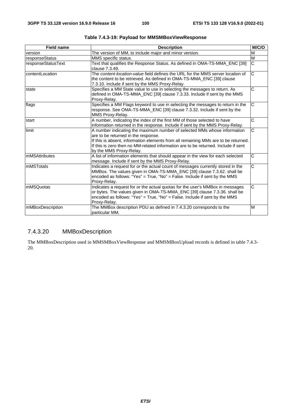| <b>Field name</b>  | <b>Description</b>                                                                                                                                                                                                                                                                                                     | M/C/O                   |
|--------------------|------------------------------------------------------------------------------------------------------------------------------------------------------------------------------------------------------------------------------------------------------------------------------------------------------------------------|-------------------------|
| version            | The version of MM, to include major and minor version.                                                                                                                                                                                                                                                                 | M                       |
| responseStatus     | MMS specific status.                                                                                                                                                                                                                                                                                                   | $\overline{\mathsf{M}}$ |
| responseStatusText | Text that qualifies the Response Status. As defined in OMA-TS-MMA_ENC [39]<br>clause 7.3.49.                                                                                                                                                                                                                           | $\overline{\mathsf{C}}$ |
| contentLocation    | The content-location-value field defines the URL for the MMS server location of<br>the content to be retrieved. As defined in OMA-TS-MMA_ENC [39] clause<br>7.3.10. Include if sent by the MMS Proxy-Relay.                                                                                                            | $\overline{\text{c}}$   |
| state              | Specifies a MM State value to use in selecting the messages to return. As<br>defined in OMA-TS-MMA_ENC [39] clause 7.3.33. Include if sent by the MMS<br>Proxy-Relay.                                                                                                                                                  | C                       |
| flags              | Specifies a MM Flags keyword to use in selecting the messages to return in the<br>response. See OMA-TS-MMA_ENC [39] clause 7.3.32. Include if sent by the<br>MMS Proxy-Relay.                                                                                                                                          | $\overline{C}$          |
| start              | A number, indicating the index of the first MM of those selected to have<br>information returned in the response. Include if sent by the MMS Proxy-Relay.                                                                                                                                                              | $\overline{\text{c}}$   |
| limit              | A number indicating the maximum number of selected MMs whose information<br>are to be returned in the response.<br>If this is absent, information elements from all remaining MMs are to be returned.<br>If this is zero then no MM-related information are to be returned. Include if sent<br>by the MMS Proxy-Relay. | $\overline{C}$          |
| mMSAttributes      | A list of information elements that should appear in the view for each selected<br>message. Include if sent by the MMS Proxy-Relay.                                                                                                                                                                                    | $\overline{C}$          |
| mMSTotals          | Indicates a request for or the actual count of messages currently stored in the<br>MMBox. The values given in OMA-TS-MMA_ENC [39] clause 7.3.62. shall be<br>encoded as follows: "Yes" = $True$ , "No" = $False$ . Include if sent by the MMS<br>Proxy-Relay.                                                          | $\overline{\text{c}}$   |
| mMSQuotas          | Indicates a request for or the actual quotas for the user's MMBox in messages<br>or bytes. The values given in OMA-TS-MMA_ENC [39] clause 7.3.36. shall be<br>encoded as follows: "Yes" = $True$ , "No" = $False$ . Include if sent by the MMS<br>Proxy-Relay.                                                         | $\overline{\text{c}}$   |
| mMBoxDescription   | The MMBox description PDU as defined in 7.4.3.20 corresponds to the<br>particular MM.                                                                                                                                                                                                                                  | M                       |

**Table 7.4.3-19: Payload for MMSMBoxViewResponse** 

# 7.4.3.20 MMBoxDescription

The MMBoxDescription used in MMSMBoxViewResponse and MMSMBoxUpload records is defined in table 7.4.3- 20.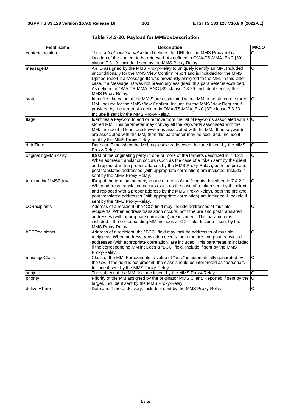| <b>Field name</b>   | <b>Description</b>                                                                                                                                                                                                                                                                                                                                                                                                            | M/C/O                   |
|---------------------|-------------------------------------------------------------------------------------------------------------------------------------------------------------------------------------------------------------------------------------------------------------------------------------------------------------------------------------------------------------------------------------------------------------------------------|-------------------------|
| contentLocation     | The content-location-value field defines the URL for the MMS Proxy-relay<br>location of the content to be retrieved. As defined in OMA-TS-MMA_ENC [39]<br>clause 7.3.10. Include if sent by the MMS Proxy-Relay.                                                                                                                                                                                                              | С                       |
| messageID           | An ID assigned by the MMS Proxy-Relay to uniquely identify an MM. Included<br>unconditionally for the MMS View Confirm report and is included for the MMS<br>Upload report if a Message ID was previously assigned to the MM. In this latter<br>case, if a Message ID was not previously assigned, this parameter is excluded.<br>As defined in OMA-TS-MMA_ENC [39] clause 7.3.29. Include if sent by the<br>MMS Proxy-Relay. | $\overline{\mathsf{C}}$ |
| state               | Identifies the value of the MM State associated with a MM to be stored or stored<br>MM. Include for the MMS View Confirm. Include for the MMS View Request if<br>provided by the target. As defined in OMA-TS-MMA_ENC [39] clause 7.3.33.<br>Include if sent by the MMS Proxy-Relay.                                                                                                                                          | C                       |
| flags               | Identifies a keyword to add or remove from the list of keywords associated with a $ C $<br>stored MM. This parameter may convey all the keywords associated with the<br>MM. Include if at least one keyword is associated with the MM. If no keywords<br>are associated with the MM, then this parameter may be excluded. Include if<br>sent by the MMS Proxy-Relay.                                                          |                         |
| dateTime            | Date and Time when the MM request was detected. Include if sent by the MMS<br>Proxy-Relay.                                                                                                                                                                                                                                                                                                                                    | C                       |
| originatingMMSParty | ID(s) of the originating party in one or more of the formats described in 7.4.2.1<br>When address translation occurs (such as the case of a token sent by the client<br>and replaced with a proper address by the MMS Proxy-Relay), both the pre and<br>post translated addresses (with appropriate correlation) are included. Include if<br>sent by the MMS Proxy-Relay.                                                     | $\overline{\text{c}}$   |
| terminatingMMSParty | ID(s) of the terminating party in one or more of the formats described in 7.4.2.1<br>When address translation occurs (such as the case of a token sent by the client<br>and replaced with a proper address by the MMS Proxy-Relay), both the pre and<br>post translated addresses (with appropriate correlation) are included. I Include if<br>sent by the MMS Proxy-Relay.                                                   | C                       |
| cCRecipients        | Address of a recipient; the "CC" field may include addresses of multiple<br>recipients. When address translation occurs, both the pre and post translated<br>addresses (with appropriate correlation) are included. This parameter is<br>included if the corresponding MM includes a "CC" field. Include if sent by the<br>MMS Proxy-Relay.                                                                                   | C                       |
| bCCRecipients       | Address of a recipient; the "BCC" field may include addresses of multiple<br>recipients. When address translation occurs, both the pre and post translated<br>addresses (with appropriate correlation) are included. This parameter is included<br>if the corresponding MM includes a "BCC" field. Include if sent by the MMS<br>Proxy-Relay.                                                                                 | C                       |
| messageClass        | Class of the MM. For example, a value of "auto" is automatically generated by<br>the UE. If the field is not present, the class should be interpreted as "personal".<br>Include if sent by the MMS Proxy-Relay.                                                                                                                                                                                                               | C                       |
| subject             | The subject of the MM. Include if sent by the MMS Proxy-Relay.                                                                                                                                                                                                                                                                                                                                                                | C                       |
| priority            | Priority of the MM assigned by the originator MMS Client. Reported if sent by the<br>target. Include if sent by the MMS Proxy-Relay.                                                                                                                                                                                                                                                                                          | ΙC                      |
| deliveryTime        | Date and Time of delivery. Include if sent by the MMS Proxy-Relay.                                                                                                                                                                                                                                                                                                                                                            | C                       |

**Table 7.4.3-20: Payload for MMBoxDescription**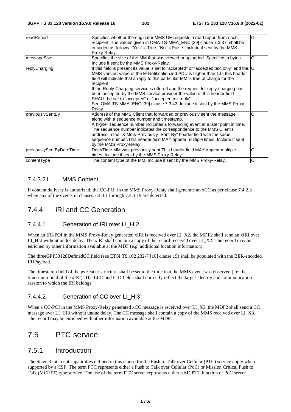| readReport               | Specifies whether the originator MMS UE requests a read report from each<br>recipient. The values given in OMA-TS-MMA_ENC [39] clause 7.3.37. shall be<br>encoded as follows: "Yes" = $True$ , "No" = $False$ . Include if sent by the MMS<br>Proxy-Relay.                                                                                                                                                                                                                                                                                                                                      | C |
|--------------------------|-------------------------------------------------------------------------------------------------------------------------------------------------------------------------------------------------------------------------------------------------------------------------------------------------------------------------------------------------------------------------------------------------------------------------------------------------------------------------------------------------------------------------------------------------------------------------------------------------|---|
| messageSize              | Specifies the size of the MM that was viewed or uploaded. Specified in bytes.<br>Include if sent by the MMS Proxy-Relay.                                                                                                                                                                                                                                                                                                                                                                                                                                                                        | С |
| replyCharging            | If this field is present its value is set to "accepted" or "accepted text only" and the $ C $<br>MMS-version-value of the M-Notification. ind PDU is higher than 1.0, this header<br>field will indicate that a reply to this particular MM is free of charge for the<br>recipient.<br>If the Reply-Charging service is offered and the request for reply-charging has<br>been accepted by the MMS service provider the value of this header field<br>SHALL be set to "accepted" or "accepted text only".<br>See OMA-TS-MMA_ENC [39] clause 7.3.43. Include if sent by the MMS Proxy-<br>Relay. |   |
| previouslySentBy         | Address of the MMS Client that forwarded or previously sent the message.<br>along with a sequence number and timestamp.<br>A higher sequence number indicates a forwarding event at a later point in time.<br>The sequence number indicates the correspondence to the MMS Client's<br>address in the "X-Mms-Previously- Sent-By" header field with the same<br>sequence number. This header field MAY appear multiple times. Include if sent<br>by the MMS Proxy-Relay.                                                                                                                         | C |
| previouslySentByDateTime | Date/Time MM was previously sent. This header field MAY appear multiple<br>times. Include if sent by the MMS Proxy-Relay.                                                                                                                                                                                                                                                                                                                                                                                                                                                                       | С |
| contentType              | The content type of the MM. Include if sent by the MMS Proxy-Relay.                                                                                                                                                                                                                                                                                                                                                                                                                                                                                                                             | Ć |

# 7.4.3.21 MMS Content

If content delivery is authorized, the CC-POI in the MMS Proxy-Relay shall generate an xCC as per clause 7.4.2.3 when any of the events in clauses 7.4.3.1 through 7.4.3.19 are detected.

# 7.4.4 IRI and CC Generation

## 7.4.4.1 Generation of IRI over LI\_HI2

When an IRI-POI in the MMS Proxy-Relay generated xIRI is received over LI\_X2, the MDF2 shall send an xIRI over LI\_HI2 without undue delay. The xIRI shall contain a copy of the record received over LI\_X2. The record may be enriched by other information available at the MDF (e.g. additional location information).

The threeGPP33128DefinedCC field (see ETSI TS 102 232-7 [10] clause 15) shall be populated with the BER-encoded IRIPayload.

The timestamp field of the psHeader structure shall be set to the time that the MMS event was observed (i.e. the timestamp field of the xIRI). The LIID and CID fields shall correctly reflect the target identity and communication session to which the IRI belongs.

## 7.4.4.2 Generation of CC over LI\_HI3

When a CC-POI in the MMS Proxy-Relay generated xCC message is received over LI\_X3, the MDF2 shall send a CC message over LI\_HI3 without undue delay. The CC message shall contain a copy of the MMS received over LI\_X3. The record may be enriched with other information available at the MDF.

# 7.5 PTC service

# 7.5.1 Introduction

The Stage 3 intercept capabilities defined in this clause for the Push to Talk over Cellular (PTC) service apply when supported by a CSP. The term PTC represents either a Push to Talk over Cellular (PoC) or Mission Critical Push to Talk (MCPTT) type service. The use of the term PTC server represents either a MCPTT function or PoC server.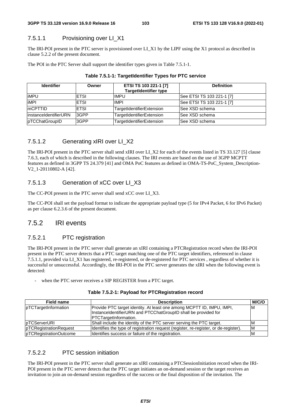## 7.5.1.1 Provisioning over LI\_X1

The IRI-POI present in the PTC server is provisioned over LI\_X1 by the LIPF using the X1 protocol as described in clause 5.2.2 of the present document.

The POI in the PTC Server shall support the identifier types given in Table 7.5.1-1.

| <b>Identifier</b>      | Owner       | ETSI TS 103 221-1 [7]<br><b>TargetIdentifier type</b> | <b>Definition</b>         |
|------------------------|-------------|-------------------------------------------------------|---------------------------|
| <b>iMPU</b>            | <b>ETSI</b> | <b>IMPU</b>                                           | See ETSI TS 103 221-1 [7] |
| <b>iMPI</b>            | <b>ETSI</b> | <b>IMPI</b>                                           | See ETSI TS 103 221-1 [7] |
| <b>ImCPTTID</b>        | <b>ETSI</b> | TargetIdentifierExtension                             | See XSD schema            |
| linstanceIdentifierURN | 3GPP        | TargetIdentifierExtension                             | <b>See XSD schema</b>     |
| pTCChatGroupID         | 3GPP        | TargetIdentifierExtension                             | <b>See XSD schema</b>     |

| Table 7.5.1-1: TargetIdentifier Types for PTC service |  |
|-------------------------------------------------------|--|
|-------------------------------------------------------|--|

# 7.5.1.2 Generating xIRI over LI\_X2

The IRI-POI present in the PTC server shall send xIRI over LI\_X2 for each of the events listed in TS 33.127 [5] clause 7.6.3, each of which is described in the following clauses. The IRI events are based on the use of 3GPP MCPTT features as defined in 3GPP TS 24.379 [41] and OMA PoC features as defined in OMA-TS-PoC\_System\_Description-V2\_1-20110802-A [42].

# 7.5.1.3 Generation of xCC over LI\_X3

The CC-POI present in the PTC server shall send xCC over LI\_X3.

The CC-POI shall set the payload format to indicate the appropriate payload type (5 for IPv4 Packet, 6 for IPv6 Packet) as per clause 6.2.3.6 of the present document.

# 7.5.2 IRI events

## 7.5.2.1 PTC registration

The IRI-POI present in the PTC server shall generate an xIRI containing a PTCRegistration record when the IRI-POI present in the PTC server detects that a PTC target matching one of the PTC target identifiers, referenced in clause 7.5.1.1, provided via LI\_X1 has registered, re-registered, or de-registered for PTC services , regardless of whether it is successful or unsuccessful. Accordingly, the IRI-POI in the PTC server generates the xIRI when the following event is detected:

when the PTC server receives a SIP REGISTER from a PTC target.

|  |  |  | Table 7.5.2-1: Payload for PTCRegistration record |  |
|--|--|--|---------------------------------------------------|--|
|--|--|--|---------------------------------------------------|--|

| <b>Field name</b>      | <b>Description</b>                                                                   | M/C/O |
|------------------------|--------------------------------------------------------------------------------------|-------|
| pTCTargetInformation   | Provide PTC target identity. At least one among MCPTT ID, IMPU, IMPI,                | ΙM    |
|                        | InstanceIdentifierURN and PTCChatGroupID shall be provided for                       |       |
|                        | PTCTargetInformation.                                                                |       |
| pTCServerURI           | Shall include the identity of the PTC server serving the PTC target.                 | ιM    |
| pTCRegistrationRequest | Identifies the type of registration request (register, re-register, or de-register). | ΙM    |
| pTCRegistrationOutcome | Identifies success or failure of the registration.                                   | ΙM    |

## 7.5.2.2 PTC session initiation

The IRI-POI present in the PTC server shall generate an xIRI containing a PTCSessionInitiation record when the IRI-POI present in the PTC server detects that the PTC target initiates an on-demand session or the target receives an invitation to join an on-demand session regardless of the success or the final disposition of the invitation. The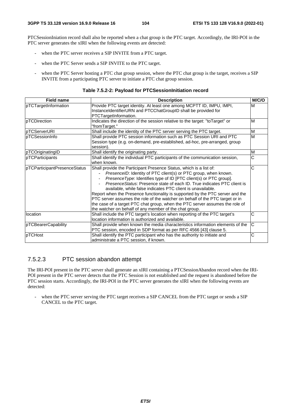PTCSessionIniation record shall also be reported when a chat group is the PTC target. Accordingly, the IRI-POI in the PTC server generates the xIRI when the following events are detected:

- when the PTC server receives a SIP INVITE from a PTC target.
- when the PTC Server sends a SIP INVITE to the PTC target.
- when the PTC Server hosting a PTC chat group session, where the PTC chat group is the target, receives a SIP INVITE from a participating PTC server to initiate a PTC chat group session.

#### **Table 7.5.2-2: Payload for PTCSessionInitiation record**

| <b>Field name</b>            | <b>Description</b>                                                                                                                                                                                                                                                                                                                                                                                                                                                                                                                                                                                                                                                | M/C/O |
|------------------------------|-------------------------------------------------------------------------------------------------------------------------------------------------------------------------------------------------------------------------------------------------------------------------------------------------------------------------------------------------------------------------------------------------------------------------------------------------------------------------------------------------------------------------------------------------------------------------------------------------------------------------------------------------------------------|-------|
| pTCTargetInformation         | Provide PTC target identity. At least one among MCPTT ID, IMPU, IMPI,<br>InstanceIdentifierURN and PTCChatGroupID shall be provided for<br>PTCTargetInformation.                                                                                                                                                                                                                                                                                                                                                                                                                                                                                                  | M     |
| pTCDirection                 | Indicates the direction of the session relative to the target: "toTarget" or<br>"fromTarget."                                                                                                                                                                                                                                                                                                                                                                                                                                                                                                                                                                     | M     |
| pTCServerURI                 | Shall include the identity of the PTC server serving the PTC target.                                                                                                                                                                                                                                                                                                                                                                                                                                                                                                                                                                                              | M     |
| pTCSessionInfo               | Shall provide PTC session information such as PTC Session URI and PTC<br>Session type (e.g. on-demand, pre-established, ad-hoc, pre-arranged, group<br>session).                                                                                                                                                                                                                                                                                                                                                                                                                                                                                                  | M     |
| pTCOriginatingID             | Shall identify the originating party.                                                                                                                                                                                                                                                                                                                                                                                                                                                                                                                                                                                                                             | M     |
| pTCParticipants              | Shall identify the individual PTC participants of the communication session,<br>when known.                                                                                                                                                                                                                                                                                                                                                                                                                                                                                                                                                                       | Č     |
| pTCParticipantPresenceStatus | Shall provide the Participant Presence Status, which is a list of:<br>PresenceID: Identity of PTC client(s) or PTC group, when known.<br>Presence Type: Identifies type of ID [PTC client(s) or PTC group].<br>Presence Status: Presence state of each ID. True indicates PTC client is<br>available, while false indicates PTC client is unavailable.<br>Report when the Presence functionality is supported by the PTC server and the<br>PTC server assumes the role of the watcher on behalf of the PTC target or in<br>the case of a target PTC chat group, when the PTC server assumes the role of<br>the watcher on behalf of any member of the chat group. | С     |
| location                     | Shall include the PTC target's location when reporting of the PTC target's<br>location information is authorized and available.                                                                                                                                                                                                                                                                                                                                                                                                                                                                                                                                   | C     |
| pTCBearerCapability          | Shall provide when known the media characteristics information elements of the<br>PTC session, encoded in SDP format as per RFC 4566 [43] clause 5.                                                                                                                                                                                                                                                                                                                                                                                                                                                                                                               | C     |
| pTCHost                      | Shall identify the PTC participant who has the authority to initiate and<br>administrate a PTC session, if known.                                                                                                                                                                                                                                                                                                                                                                                                                                                                                                                                                 | C     |

## 7.5.2.3 PTC session abandon attempt

The IRI-POI present in the PTC server shall generate an xIRI containing a PTCSessionAbandon record when the IRI-POI present in the PTC server detects that the PTC Session is not established and the request is abandoned before the PTC session starts. Accordingly, the IRI-POI in the PTC server generates the xIRI when the following events are detected:

when the PTC server serving the PTC target receives a SIP CANCEL from the PTC target or sends a SIP CANCEL to the PTC target.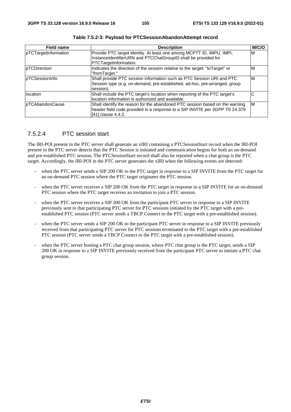| <b>Field name</b>    | <b>Description</b>                                                           | M/C/O |
|----------------------|------------------------------------------------------------------------------|-------|
| pTCTargetInformation | Provide PTC target identity. At least one among MCPTT ID, IMPU, IMPI,        | M     |
|                      | InstanceIdentifierURN and PTCChatGroupID shall be provided for               |       |
|                      | PTCTargetInformation.                                                        |       |
| pTCDirection         | Indicates the direction of the session relative to the target: "toTarget" or | M     |
|                      | "fromTarget."                                                                |       |
| pTCSessionInfo       | Shall provide PTC session information such as PTC Session URI and PTC        | ΙM    |
|                      | Session type (e.g. on-demand, pre-established, ad-hoc, pre-arranged, group   |       |
|                      | session).                                                                    |       |
| location             | Shall include the PTC target's location when reporting of the PTC target's   | С     |
|                      | location information is authorized and available.                            |       |
| pTCAbandonCause      | Shall identify the reason for the abandoned PTC session based on the warning | ΙM    |
|                      | header field code provided in a response to a SIP INVITE per 3GPP TS 24.379  |       |
|                      | [41] clause 4.4.2.                                                           |       |

**Table 7.5.2-3: Payload for PTCSessionAbandonAttempt record** 

## 7.5.2.4 PTC session start

The IRI-POI present in the PTC server shall generate an xIRI containing a PTCSessionStart record when the IRI-POI present in the PTC server detects that the PTC Session is initiated and communication begins for both an on-demand and pre-established PTC session. The PTCSessionStart record shall also be reported when a chat group is the PTC target. Accordingly, the IRI-POI in the PTC server generates the xIRI when the following events are detected:

- when the PTC server sends a SIP 200 OK to the PTC target in response to a SIP INVITE from the PTC target for an on-demand PTC session where the PTC target originates the PTC session.
- when the PTC server receives a SIP 200 OK from the PTC target in response to a SIP INVITE for an on-demand PTC session where the PTC target receives an invitation to join a PTC session.
- when the PTC server receives a SIP 200 OK from the participant PTC server in response to a SIP INVITE previously sent to that participating PTC server for PTC sessions initiated by the PTC target with a preestablished PTC session (PTC server sends a TBCP Connect to the PTC target with a pre-established session).
- when the PTC server sends a SIP 200 OK to the participant PTC server in response to a SIP INVITE previously received from that participating PTC server for PTC sessions terminated to the PTC target with a pre-established PTC session (PTC server sends a TBCP Connect to the PTC target with a pre-established session).
- when the PTC server hosting a PTC chat group session, where PTC chat group is the PTC target, sends a SIP 200 OK in response to a SIP INVITE previously received from the participant PTC server to initiate a PTC chat group session.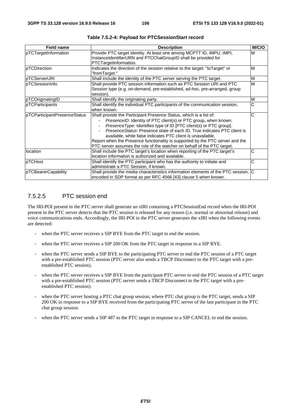| <b>Field name</b>            | <b>Description</b>                                                                                                                      | M/C/O |
|------------------------------|-----------------------------------------------------------------------------------------------------------------------------------------|-------|
| pTCTargetInformation         | Provide PTC target identity. At least one among MCPTT ID, IMPU, IMPI,<br>InstanceIdentifierURN and PTCChatGroupID shall be provided for | м     |
|                              | PTCTargetInformation.                                                                                                                   |       |
| pTCDirection                 | Indicates the direction of the session relative to the target: "toTarget" or<br>"fromTarget."                                           | M     |
| pTCServerURI                 | Shall include the identity of the PTC server serving the PTC target.                                                                    | M     |
| <u>IpTCSessionInfo</u>       | Shall provide PTC session information such as PTC Session URI and PTC                                                                   | M     |
|                              | Session type (e.g. on-demand, pre-established, ad-hoc, pre-arranged, group<br>session).                                                 |       |
| pTCOriginatingID             | Shall identify the originating party.                                                                                                   | M     |
| <b>pTCParticipants</b>       | Shall identify the individual PTC participants of the communication session,                                                            | С     |
|                              | when known.                                                                                                                             |       |
| pTCParticipantPresenceStatus | Shall provide the Participant Presence Status, which is a list of:                                                                      | C     |
|                              | PresenceID: Identity of PTC client(s) or PTC group, when known.                                                                         |       |
|                              | Presence Type: Identifies type of ID [PTC client(s) or PTC group].                                                                      |       |
|                              | <i>PresenceStatus:</i> Presence state of each ID. True indicates PTC client is                                                          |       |
|                              | available, while false indicates PTC client is unavailable.                                                                             |       |
|                              | Report when the Presence functionality is supported by the PTC server and the                                                           |       |
|                              | PTC server assumes the role of the watcher on behalf of the PTC target.                                                                 |       |
| location                     | Shall include the PTC target's location when reporting of the PTC target's                                                              | С     |
|                              | location information is authorized and available.                                                                                       |       |
| pTCHost                      | Shall identify the PTC participant who has the authority to initiate and                                                                | С     |
|                              | administrate a PTC Session, if known.                                                                                                   |       |
| pTCBearerCapability          | Shall provide the media characteristics information elements of the PTC session, C                                                      |       |
|                              | encoded in SDP format as per RFC 4566 [43] clause 5 when known.                                                                         |       |

**Table 7.5.2-4: Payload for PTCSessionStart record** 

# 7.5.2.5 PTC session end

The IRI-POI present in the PTC server shall generate an xIRI containing a PTCSessionEnd record when the IRI-POI present in the PTC server detects that the PTC session is released for any reason (i.e. normal or abnormal release) and voice communications ends. Accordingly, the IRI-POI in the PTC server generates the xIRI when the following events are detected:

- when the PTC server receives a SIP BYE from the PTC target to end the session.
- when the PTC server receives a SIP 200 OK from the PTC target in response to a SIP BYE.
- when the PTC server sends a SIP BYE to the participating PTC server to end the PTC session of a PTC target with a pre-established PTC session (PTC server also sends a TBCP Disconnect to the PTC target with a preestablished PTC session).
- when the PTC server receives a SIP BYE from the participant PTC server to end the PTC session of a PTC target with a pre-established PTC session (PTC server sends a TBCP Disconnect to the PTC target with a preestablished PTC session).
- when the PTC server hosting a PTC chat group session, where PTC chat group is the PTC target, sends a SIP 200 OK in response to a SIP BYE received from the participating PTC server of the last participant in the PTC chat group session.
- when the PTC server sends a SIP 487 to the PTC target in response to a SIP CANCEL to end the session.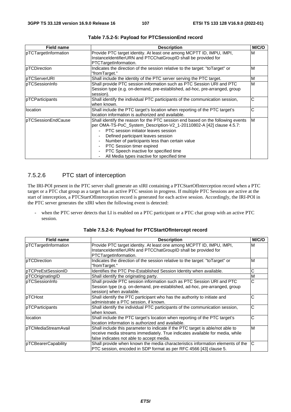| <b>Field name</b>      | <b>Description</b>                                                                                                                                                                                                                                                                                                                                                                                                   | M/C/O |
|------------------------|----------------------------------------------------------------------------------------------------------------------------------------------------------------------------------------------------------------------------------------------------------------------------------------------------------------------------------------------------------------------------------------------------------------------|-------|
| pTCTargetInformation   | Provide PTC target identity. At least one among MCPTT ID, IMPU, IMPI,<br>InstanceIdentifierURN and PTCChatGroupID shall be provided for<br>PTCTargetInformation.                                                                                                                                                                                                                                                     | M     |
| pTCDirection           | Indicates the direction of the session relative to the target: "toTarget" or<br>"fromTarget."                                                                                                                                                                                                                                                                                                                        | M     |
| pTCServerURI           | Shall include the identity of the PTC server serving the PTC target.                                                                                                                                                                                                                                                                                                                                                 | M     |
| IpTCSessionInfo        | Shall provide PTC session information such as PTC Session URI and PTC<br>Session type (e.g. on-demand, pre-established, ad-hoc, pre-arranged, group<br>session).                                                                                                                                                                                                                                                     | M     |
| <b>pTCParticipants</b> | Shall identify the individual PTC participants of the communication session,<br>when known.                                                                                                                                                                                                                                                                                                                          | С     |
| llocation              | Shall include the PTC target's location when reporting of the PTC target's<br>location information is authorized and available.                                                                                                                                                                                                                                                                                      | С     |
| pTCSessionEndCause     | Shall identify the reason for the PTC session end based on the following events<br>per OMA-TS-PoC_System_Description-V2_1-20110802-A [42] clause 4.5.7:<br>PTC session initiator leaves session<br>Defined participant leaves session<br>Number of participants less than certain value<br><b>PTC Session timer expired</b><br>PTC Speech inactive for specified time<br>All Media types inactive for specified time | M     |

**Table 7.5.2-5: Payload for PTCSessionEnd record** 

# 7.5.2.6 PTC start of interception

The IRI-POI present in the PTC server shall generate an xIRI containing a PTCStartOfInterception record when a PTC target or a PTC chat group as a target has an active PTC session in progress. If multiple PTC Sessions are active at the start of interception, a PTCStartOfInterception record is generated for each active session. Accordingly, the IRI-POI in the PTC server generates the xIRI when the following event is detected:

- when the PTC server detects that LI is enabled on a PTC participant or a PTC chat group with an active PTC session.

|  | Table 7.5.2-6: Payload for PTCStartOfIntercept record |  |
|--|-------------------------------------------------------|--|
|  |                                                       |  |

| <b>Field name</b>       | <b>Description</b>                                                             | M/C/O                 |
|-------------------------|--------------------------------------------------------------------------------|-----------------------|
| pTCTargetInformation    | Provide PTC target identity. At least one among MCPTT ID, IMPU, IMPI,          | M                     |
|                         | InstanceIdentifierURN and PTCChatGroupID shall be provided for                 |                       |
|                         | PTCTargetInformation.                                                          |                       |
| pTCDirection            | Indicates the direction of the session relative to the target: "toTarget" or   | M                     |
|                         | "fromTarget."                                                                  |                       |
| pTCPreEstSessionID      | Identifies the PTC Pre-Established Session Identity when available.            | С                     |
| pTCOriginatingID        | Shall identify the originating party.                                          | M                     |
| pTCSessionInfo          | Shall provide PTC session information such as PTC Session URI and PTC          | $\overline{\text{c}}$ |
|                         | Session type (e.g. on-demand, pre-established, ad-hoc, pre-arranged, group     |                       |
|                         | session) when available.                                                       |                       |
| pTCHost                 | Shall identify the PTC participant who has the authority to initiate and       | С                     |
|                         | administrate a PTC session, if known.                                          |                       |
| <b>IpTCParticipants</b> | Shall identify the individual PTC participants of the communication session,   | C                     |
|                         | when known.                                                                    |                       |
| location                | Shall include the PTC target's location when reporting of the PTC target's     | С                     |
|                         | location information is authorized and available.                              |                       |
| pTCMediaStreamAvail     | Shall include this parameter to indicate if the PTC target is able/not able to | M                     |
|                         | receive media streams immediately. True indicates available for media, while   |                       |
|                         | false indicates not able to accept media.                                      |                       |
| pTCBearerCapability     | Shall provide when known the media characteristics information elements of the | C                     |
|                         | PTC session, encoded in SDP format as per RFC 4566 [43] clause 5.              |                       |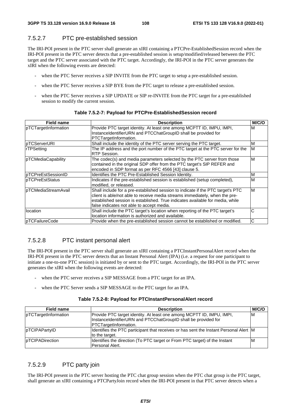## 7.5.2.7 PTC pre-established session

The IRI-POI present in the PTC server shall generate an xIRI containing a PTCPre-EstablishedSession record when the IRI-POI present in the PTC server detects that a pre-established session is setup/modified/released between the PTC target and the PTC server associated with the PTC target. Accordingly, the IRI-POI in the PTC server generates the xIRI when the following events are detected:

- when the PTC Server receives a SIP INVITE from the PTC target to setup a pre-established session.
- when the PTC Server receives a SIP BYE from the PTC target to release a pre-established session.
- when the PTC Server receives a SIP UPDATE or SIP re-INVITE from the PTC target for a pre-established session to modify the current session.

| <b>Field name</b>     | <b>Description</b>                                                                                                                                                                                                                                                                           | M/C/O |
|-----------------------|----------------------------------------------------------------------------------------------------------------------------------------------------------------------------------------------------------------------------------------------------------------------------------------------|-------|
| pTCTargetInformation  | Provide PTC target identity. At least one among MCPTT ID, IMPU, IMPI,<br>InstanceIdentifierURN and PTCChatGroupID shall be provided for<br>PTCTargetInformation.                                                                                                                             | M     |
| pTCServerURI          | Shall include the identity of the PTC server serving the PTC target.                                                                                                                                                                                                                         | M     |
| rTPSetting            | The IP address and the port number of the PTC target at the PTC server for the<br>RTP Session.                                                                                                                                                                                               | ΙM    |
| pTCMediaCapability    | The codec(s) and media parameters selected by the PTC server from those<br>contained in the original SDP offer from the PTC target's SIP REFER and<br>encoded in SDP format as per RFC 4566 [43] clause 5.                                                                                   | M     |
| pTCPreEstSessionID    | Identifies the PTC Pre-Established Session Identity.                                                                                                                                                                                                                                         | M     |
| pTCPreEstStatus       | Indicates if the pre-established session is established (setup completed),<br>modified, or released.                                                                                                                                                                                         | M     |
| pTCMediaStreamAvail   | Shall include for a pre-established session to indicate if the PTC target's PTC<br>client is able/not able to receive media streams immediately, when the pre-<br>established session is established. True indicates available for media, while<br>false indicates not able to accept media. | ΙM    |
| location              | Shall include the PTC target's location when reporting of the PTC target's<br>location information is authorized and available.                                                                                                                                                              | С     |
| <b>pTCFailureCode</b> | Provide when the pre-established session cannot be established or modified.                                                                                                                                                                                                                  | C     |

#### **Table 7.5.2-7: Payload for PTCPre-EstablishedSession record**

## 7.5.2.8 PTC instant personal alert

The IRI-POI present in the PTC server shall generate an xIRI containing a PTCInstantPersonalAlert record when the IRI-POI present in the PTC server detects that an Instant Personal Alert (IPA) (i.e. a request for one participant to initiate a one-to-one PTC session) is initiated by or sent to the PTC target. Accordingly, the IRI-POI in the PTC server generates the xIRI when the following events are detected:

- when the PTC server receives a SIP MESSAGE from a PTC target for an IPA.
- when the PTC Server sends a SIP MESSAGE to the PTC target for an IPA.

#### **Table 7.5.2-8: Payload for PTCInstantPersonalAlert record**

| Field name              | <b>Description</b>                                                                                                                                               | M/C/O |
|-------------------------|------------------------------------------------------------------------------------------------------------------------------------------------------------------|-------|
| pTCTargetInformation    | Provide PTC target identity. At least one among MCPTT ID, IMPU, IMPI,<br>InstanceIdentifierURN and PTCChatGroupID shall be provided for<br>PTCTargetInformation. | ΙM    |
| pTCIPAPartyID           | Identifies the PTC participant that receives or has sent the Instant Personal Alert M<br>to the target.                                                          |       |
| <b>IpTCIPADirection</b> | Identifies the direction (To PTC target or From PTC target) of the Instant<br>Personal Alert.                                                                    | ΙM    |

## 7.5.2.9 PTC party join

The IRI-POI present in the PTC server hosting the PTC chat group session when the PTC chat group is the PTC target, shall generate an xIRI containing a PTCPartyJoin record when the IRI-POI present in that PTC server detects when a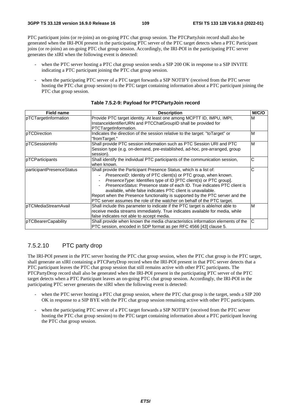PTC participant joins (or re-joins) an on-going PTC chat group session. The PTCPartyJoin record shall also be generated when the IRI-POI present in the participating PTC server of the PTC target detects when a PTC Participant joins (or re-joins) an on-going PTC chat group session. Accordingly, the IRI-POI in the participating PTC server generates the xIRI when the following event is detected:

- when the PTC server hosting a PTC chat group session sends a SIP 200 OK in response to a SIP INVITE indicating a PTC participant joining the PTC chat group session.
- when the participating PTC server of a PTC target forwards a SIP NOTIFY (received from the PTC server hosting the PTC chat group session) to the PTC target containing information about a PTC participant joining the PTC chat group session.

| <b>Field name</b>         | <b>Description</b>                                                                                                                                                                                                                                                                                                                                                                                                                                                                                                       | M/C/O |
|---------------------------|--------------------------------------------------------------------------------------------------------------------------------------------------------------------------------------------------------------------------------------------------------------------------------------------------------------------------------------------------------------------------------------------------------------------------------------------------------------------------------------------------------------------------|-------|
| pTCTargetInformation      | Provide PTC target identity. At least one among MCPTT ID, IMPU, IMPI,<br>InstanceIdentifierURN and PTCChatGroupID shall be provided for<br>PTCTargetInformation.                                                                                                                                                                                                                                                                                                                                                         | M     |
| pTCDirection              | Indicates the direction of the session relative to the target: "to Target" or<br>"fromTarget."                                                                                                                                                                                                                                                                                                                                                                                                                           | M     |
| pTCSessionInfo            | Shall provide PTC session information such as PTC Session URI and PTC<br>Session type (e.g. on-demand, pre-established, ad-hoc, pre-arranged, group<br>session).                                                                                                                                                                                                                                                                                                                                                         | M     |
| pTCParticipants           | Shall identify the individual PTC participants of the communication session,<br>when known.                                                                                                                                                                                                                                                                                                                                                                                                                              | С     |
| participantPresenceStatus | Shall provide the Participant Presence Status, which is a list of:<br>PresenceID: Identity of PTC client(s) or PTC group, when known.<br>Presence Type: Identifies type of ID [PTC client(s) or PTC group].<br><i>PresenceStatus:</i> Presence state of each ID. True indicates PTC client is<br>available, while false indicates PTC client is unavailable.<br>Report when the Presence functionality is supported by the PTC server and the<br>PTC server assumes the role of the watcher on behalf of the PTC target. | С     |
| pTCMediaStreamAvail       | Shall include this parameter to indicate if the PTC target is able/not able to<br>receive media streams immediately. True indicates available for media, while<br>false indicates not able to accept media.                                                                                                                                                                                                                                                                                                              | M     |
| pTCBearerCapability       | Shall provide when known the media characteristics information elements of the<br>PTC session, encoded in SDP format as per RFC 4566 [43] clause 5.                                                                                                                                                                                                                                                                                                                                                                      | ІС    |

#### **Table 7.5.2-9: Payload for PTCPartyJoin record**

# 7.5.2.10 PTC party drop

The IRI-POI present in the PTC server hosting the PTC chat group session, when the PTC chat group is the PTC target, shall generate an xIRI containing a PTCPartyDrop record when the IRI-POI present in that PTC server detects that a PTC participant leaves the PTC chat group session that still remains active with other PTC participants. The PTCPartyDrop record shall also be generated when the IRI-POI present in the participating PTC server of the PTC target detects when a PTC Participant leaves an on-going PTC chat group session. Accordingly, the IRI-POI in the participating PTC server generates the xIRI when the following event is detected:

- when the PTC server hosting a PTC chat group session, where the PTC chat group is the target, sends a SIP 200 OK in response to a SIP BYE with the PTC chat group session remaining active with other PTC participants.
- when the participating PTC server of a PTC target forwards a SIP NOTIFY (received from the PTC server hosting the PTC chat group session) to the PTC target containing information about a PTC participant leaving the PTC chat group session.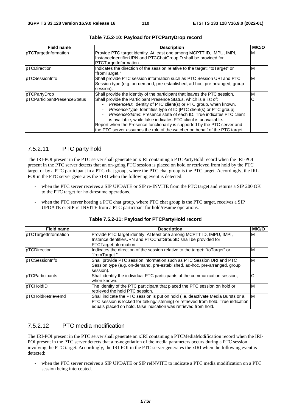| <b>Field name</b>            | <b>Description</b>                                                                                                                                                                                                                                                                                                                                                                                                                                                                                                               | M/C/O |
|------------------------------|----------------------------------------------------------------------------------------------------------------------------------------------------------------------------------------------------------------------------------------------------------------------------------------------------------------------------------------------------------------------------------------------------------------------------------------------------------------------------------------------------------------------------------|-------|
| pTCTargetInformation         | Provide PTC target identity. At least one among MCPTT ID, IMPU, IMPI,<br>InstanceIdentifierURN and PTCChatGroupID shall be provided for<br>PTCTargetInformation.                                                                                                                                                                                                                                                                                                                                                                 | M     |
| pTCDirection                 | Indicates the direction of the session relative to the target: "toTarget" or<br>"fromTarget."                                                                                                                                                                                                                                                                                                                                                                                                                                    | M     |
| pTCSessionInfo               | Shall provide PTC session information such as PTC Session URI and PTC<br>Session type (e.g. on-demand, pre-established, ad-hoc, pre-arranged, group<br>session).                                                                                                                                                                                                                                                                                                                                                                 | ΙM    |
| pTCPartyDrop                 | Shall provide the identity of the participant that leaves the PTC session.                                                                                                                                                                                                                                                                                                                                                                                                                                                       | M     |
| pTCParticipantPresenceStatus | Shall provide the Participant Presence Status, which is a list of:<br><i>PresenceID:</i> Identity of PTC client(s) or PTC group, when known.<br><i>Presence Type:</i> Identifies type of ID [PTC client(s) or PTC group].<br>Presence Status: Presence state of each ID. True indicates PTC client<br>is available, while false indicates PTC client is unavailable.<br>Report when the Presence functionality is supported by the PTC server and<br>the PTC server assumes the role of the watcher on behalf of the PTC target. | С     |

#### **Table 7.5.2-10: Payload for PTCPartyDrop record**

## 7.5.2.11 PTC party hold

The IRI-POI present in the PTC server shall generate an xIRI containing a PTCPartyHold record when the IRI-POI present in the PTC server detects that an on-going PTC session is placed on hold or retrieved from hold by the PTC target or by a PTC participant in a PTC chat group, where the PTC chat group is the PTC target. Accordingly, the IRI-POI in the PTC server generates the xIRI when the following event is detected:

- when the PTC server receives a SIP UPDATE or SIP re-INVITE from the PTC target and returns a SIP 200 OK to the PTC target for hold/resume operations.
- when the PTC server hosting a PTC chat group, where PTC chat group is the PTC target, receives a SIP UPDATE or SIP re-INVITE from a PTC participant for hold/resume operations.

| <b>Field name</b>          | <b>Description</b>                                                                                                                                                                                                                           | M/C/O |
|----------------------------|----------------------------------------------------------------------------------------------------------------------------------------------------------------------------------------------------------------------------------------------|-------|
| pTCTargetInformation       | Provide PTC target identity. At least one among MCPTT ID, IMPU, IMPI,<br>InstanceIdentifierURN and PTCChatGroupID shall be provided for<br>PTCTargetInformation.                                                                             | м     |
| <b>pTCDirection</b>        | Indicates the direction of the session relative to the target: "to Target" or<br>"fromTarget."                                                                                                                                               | M     |
| <b>pTCSessionInfo</b>      | Shall provide PTC session information such as PTC Session URI and PTC<br>Session type (e.g. on-demand, pre-established, ad-hoc, pre-arranged, group<br>session).                                                                             | M     |
| pTCParticipants            | Shall identify the individual PTC participants of the communication session,<br>when known.                                                                                                                                                  | С     |
| pTCHoldID                  | The identity of the PTC participant that placed the PTC session on hold or<br>retrieved the held PTC session.                                                                                                                                | M     |
| <b>IpTCHoldRetrieveInd</b> | Shall indicate the PTC session is put on hold (i.e. deactivate Media Bursts or a<br>PTC session is locked for talking/listening) or retrieved from hold. True indication<br>equals placed on hold, false indication was retrieved from hold. | M     |

#### **Table 7.5.2-11: Payload for PTCPartyHold record**

#### 7.5.2.12 PTC media modification

The IRI-POI present in the PTC server shall generate an xIRI containing a PTCMediaModification record when the IRI-POI present in the PTC server detects that a re-negotiation of the media parameters occurs during a PTC session involving the PTC target. Accordingly, the IRI-POI in the PTC server generates the xIRI when the following event is detected:

when the PTC server receives a SIP UPDATE or SIP reINVITE to indicate a PTC media modification on a PTC session being intercepted.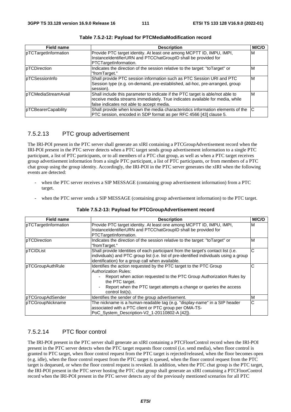| <b>Field name</b>    | <b>Description</b>                                                             | M/C/O |
|----------------------|--------------------------------------------------------------------------------|-------|
| pTCTargetInformation | Provide PTC target identity. At least one among MCPTT ID, IMPU, IMPI,          | ΙM    |
|                      | InstanceIdentifierURN and PTCChatGroupID shall be provided for                 |       |
|                      | PTCTargetInformation.                                                          |       |
| pTCDirection         | Indicates the direction of the session relative to the target: "toTarget" or   | ιM    |
|                      | "fromTarget."                                                                  |       |
| pTCSessionInfo       | Shall provide PTC session information such as PTC Session URI and PTC          | ΙM    |
|                      | Session type (e.g. on-demand, pre-established, ad-hoc, pre-arranged, group     |       |
|                      | session).                                                                      |       |
| pTCMediaStreamAvail  | Shall include this parameter to indicate if the PTC target is able/not able to | ΙM    |
|                      | receive media streams immediately. True indicates available for media, while   |       |
|                      | false indicates not able to accept media.                                      |       |
| pTCBearerCapability  | Shall provide when known the media characteristics information elements of the | IC    |
|                      | PTC session, encoded in SDP format as per RFC 4566 [43] clause 5.              |       |

#### 7.5.2.13 PTC group advertisement

The IRI-POI present in the PTC server shall generate an xIRI containing a PTCGroupAdvertisement record when the IRI-POI present in the PTC server detects when a PTC target sends group advertisement information to a single PTC participant, a list of PTC participants, or to all members of a PTC chat group, as well as when a PTC target receives group advertisement information from a single PTC participant, a list of PTC participants, or from members of a PTC chat group using the group identity. Accordingly, the IRI-POI in the PTC server generates the xIRI when the following events are detected:

- when the PTC server receives a SIP MESSAGE (containing group advertisement information) from a PTC target.
- when the PTC server sends a SIP MESSAGE (containing group advertisement information) to the PTC target.

| <b>Field name</b>    | <b>Description</b>                                                                                                                                                                                                                                                                     | M/C/O |
|----------------------|----------------------------------------------------------------------------------------------------------------------------------------------------------------------------------------------------------------------------------------------------------------------------------------|-------|
| pTCTargetInformation | Provide PTC target identity. At least one among MCPTT ID, IMPU, IMPI,<br>InstanceIdentifierURN and PTCChatGroupID shall be provided for<br>PTCTargetInformation.                                                                                                                       | M     |
| pTCDirection         | Indicates the direction of the session relative to the target: "to Target" or<br>"fromTarget."                                                                                                                                                                                         | M     |
| pTCIDList            | Shall provide Identities of each participant from the target's contact list (i.e.<br>individuals) and PTC group list (i.e. list of pre-identified individuals using a group<br>identification) for a group call when available.                                                        | С     |
| pTCGroupAuthRule     | Identifies the action requested by the PTC target to the PTC Group<br><b>Authorization Rules:</b><br>Report when action requested to the PTC Group Authorization Rules by<br>the PTC target.<br>Report when the PTC target attempts a change or queries the access<br>control list(s). | С     |
| pTCGroupAdSender     | Identifies the sender of the group advertisement.                                                                                                                                                                                                                                      | M     |
| pTCGroupNickname     | The nickname is a human-readable tag (e.g. "display-name" in a SIP header<br>associated with a PTC client or PTC group per OMA-TS-<br>PoC_System_Description-V2_1-20110802-A [42]).                                                                                                    | С     |

#### **Table 7.5.2-13: Payload for PTCGroupAdvertisement record**

#### 7.5.2.14 PTC floor control

The IRI-POI present in the PTC server shall generate an xIRI containing a PTCFloorControl record when the IRI-POI present in the PTC server detects when the PTC target requests floor control (i.e. send media), when floor control is granted to PTC target, when floor control request from the PTC target is rejected/released, when the floor becomes open (e.g. idle), when the floor control request from the PTC target is queued, when the floor control request from the PTC target is dequeued, or when the floor control request is revoked. In addition, when the PTC chat group is the PTC target, the IRI-POI present in the PTC server hosting the PTC chat group shall generate an xIRI containing a PTCFloorControl record when the IRI-POI present in the PTC server detects any of the previously mentioned scenarios for all PTC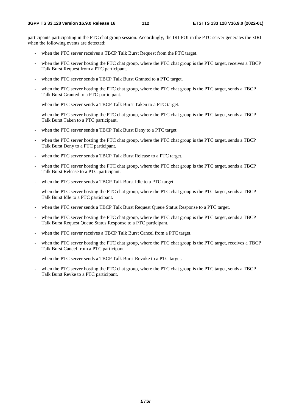participants participating in the PTC chat group session. Accordingly, the IRI-POI in the PTC server generates the xIRI when the following events are detected:

- when the PTC server receives a TBCP Talk Burst Request from the PTC target.
- when the PTC server hosting the PTC chat group, where the PTC chat group is the PTC target, receives a TBCP Talk Burst Request from a PTC participant.
- when the PTC server sends a TBCP Talk Burst Granted to a PTC target.
- when the PTC server hosting the PTC chat group, where the PTC chat group is the PTC target, sends a TBCP Talk Burst Granted to a PTC participant.
- when the PTC server sends a TBCP Talk Burst Taken to a PTC target.
- when the PTC server hosting the PTC chat group, where the PTC chat group is the PTC target, sends a TBCP Talk Burst Taken to a PTC participant.
- when the PTC server sends a TBCP Talk Burst Deny to a PTC target.
- when the PTC server hosting the PTC chat group, where the PTC chat group is the PTC target, sends a TBCP Talk Burst Deny to a PTC participant.
- when the PTC server sends a TBCP Talk Burst Release to a PTC target.
- when the PTC server hosting the PTC chat group, where the PTC chat group is the PTC target, sends a TBCP Talk Burst Release to a PTC participant.
- when the PTC server sends a TBCP Talk Burst Idle to a PTC target.
- when the PTC server hosting the PTC chat group, where the PTC chat group is the PTC target, sends a TBCP Talk Burst Idle to a PTC participant.
- when the PTC server sends a TBCP Talk Burst Request Oueue Status Response to a PTC target.
- when the PTC server hosting the PTC chat group, where the PTC chat group is the PTC target, sends a TBCP Talk Burst Request Queue Status Response to a PTC participant.
- when the PTC server receives a TBCP Talk Burst Cancel from a PTC target.
- when the PTC server hosting the PTC chat group, where the PTC chat group is the PTC target, receives a TBCP Talk Burst Cancel from a PTC participant.
- when the PTC server sends a TBCP Talk Burst Revoke to a PTC target.
- when the PTC server hosting the PTC chat group, where the PTC chat group is the PTC target, sends a TBCP Talk Burst Revke to a PTC participant.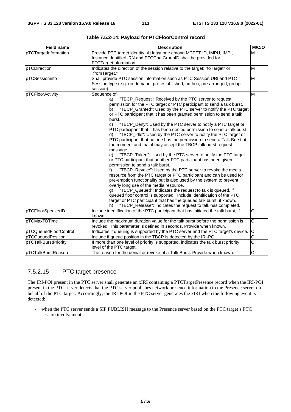| <b>Field name</b>     | <b>Description</b>                                                                                                                                                                                                                                                                                                                                                                                                                                                                                                                                                                                                                                                                                                                                                                                                                                                                                                                                                                                                                                                                                                                                                                                                                                                                                                                                                                                                                    | M/C/O                 |
|-----------------------|---------------------------------------------------------------------------------------------------------------------------------------------------------------------------------------------------------------------------------------------------------------------------------------------------------------------------------------------------------------------------------------------------------------------------------------------------------------------------------------------------------------------------------------------------------------------------------------------------------------------------------------------------------------------------------------------------------------------------------------------------------------------------------------------------------------------------------------------------------------------------------------------------------------------------------------------------------------------------------------------------------------------------------------------------------------------------------------------------------------------------------------------------------------------------------------------------------------------------------------------------------------------------------------------------------------------------------------------------------------------------------------------------------------------------------------|-----------------------|
| pTCTargetInformation  | Provide PTC target identity. At least one among MCPTT ID, IMPU, IMPI,<br>InstanceIdentifierURN and PTCChatGroupID shall be provided for<br>PTCTargetInformation.                                                                                                                                                                                                                                                                                                                                                                                                                                                                                                                                                                                                                                                                                                                                                                                                                                                                                                                                                                                                                                                                                                                                                                                                                                                                      | M                     |
| pTCDirection          | Indicates the direction of the session relative to the target: "toTarget" or<br>"fromTarget."                                                                                                                                                                                                                                                                                                                                                                                                                                                                                                                                                                                                                                                                                                                                                                                                                                                                                                                                                                                                                                                                                                                                                                                                                                                                                                                                         | M                     |
| pTCSessioninfo        | Shall provide PTC session information such as PTC Session URI and PTC<br>Session type (e.g. on-demand, pre-established, ad-hoc, pre-arranged, group<br>session).                                                                                                                                                                                                                                                                                                                                                                                                                                                                                                                                                                                                                                                                                                                                                                                                                                                                                                                                                                                                                                                                                                                                                                                                                                                                      | M                     |
| pTCFloorActivity      | Sequence of:<br>"TBCP_Request": Received by the PTC server to request<br>a)<br>permission for the PTC target or PTC participant to send a talk burst.<br>"TBCP_Granted": Used by the PTC server to notify the PTC target<br>b)<br>or PTC participant that it has been granted permission to send a talk<br>burst.<br>"TBCP_Deny": Used by the PTC server to notify a PTC target or<br>C)<br>PTC participant that it has been denied permission to send a talk burst.<br>"TBCP_Idle": Used by the PTC server to notify the PTC target or<br>d)<br>PTC participant that no one has the permission to send a Talk Burst at<br>the moment and that it may accept the TBCP talk burst request<br>message.<br>"TBCP_Taken": Used by the PTC server to notify the PTC target<br>e)<br>or PTC participant that another PTC participant has been given<br>permission to send a talk burst.<br>"TBCP_Revoke": Used by the PTC server to revoke the media<br>f)<br>resource from the PTC target or PTC participant and can be used for<br>pre-emption functionality but is also used by the system to prevent<br>overly long use of the media resource.<br>"TBCP_Queued": Indicates the request to talk is queued, if<br>g)<br>queued floor control is supported. Include identification of the PTC<br>target or PTC participant that has the queued talk burst, if known.<br>"TBCP_Release": Indicates the request to talk has completed.<br>h) | M                     |
| pTCFloorSpeakerID     | Include identification of the PTC participant that has initiated the talk burst, if<br>known.                                                                                                                                                                                                                                                                                                                                                                                                                                                                                                                                                                                                                                                                                                                                                                                                                                                                                                                                                                                                                                                                                                                                                                                                                                                                                                                                         | C                     |
| pTCMaxTBTime          | Include the maximum duration value for the talk burst before the permission is<br>revoked. This parameter is defined in seconds. Provide when known.                                                                                                                                                                                                                                                                                                                                                                                                                                                                                                                                                                                                                                                                                                                                                                                                                                                                                                                                                                                                                                                                                                                                                                                                                                                                                  | $\overline{\text{c}}$ |
| pTCQueuedFloorControl | Indicates if queuing is supported by the PTC server and the PTC target's device.                                                                                                                                                                                                                                                                                                                                                                                                                                                                                                                                                                                                                                                                                                                                                                                                                                                                                                                                                                                                                                                                                                                                                                                                                                                                                                                                                      | $\overline{\text{c}}$ |
| pTCQueuedPosition     | Include if queue position in the TBCP is detected by the IRI-POI.                                                                                                                                                                                                                                                                                                                                                                                                                                                                                                                                                                                                                                                                                                                                                                                                                                                                                                                                                                                                                                                                                                                                                                                                                                                                                                                                                                     | $\overline{\text{c}}$ |
| pTCTalkBurstPriority  | If more than one level of priority is supported, indicates the talk burst priority<br>level of the PTC target.                                                                                                                                                                                                                                                                                                                                                                                                                                                                                                                                                                                                                                                                                                                                                                                                                                                                                                                                                                                                                                                                                                                                                                                                                                                                                                                        | $\overline{\text{c}}$ |
| pTCTalkBurstReason    | The reason for the denial or revoke of a Talk Burst. Provide when known.                                                                                                                                                                                                                                                                                                                                                                                                                                                                                                                                                                                                                                                                                                                                                                                                                                                                                                                                                                                                                                                                                                                                                                                                                                                                                                                                                              | C                     |

**Table 7.5.2-14: Payload for PTCFloorControl record** 

# 7.5.2.15 PTC target presence

The IRI-POI present in the PTC server shall generate an xIRI containing a PTCTargetPresence record when the IRI-POI present in the PTC server detects that the PTC server publishes network presence information to the Presence server on behalf of the PTC target. Accordingly, the IRI-POI in the PTC server generates the xIRI when the following event is detected:

- when the PTC server sends a SIP PUBLISH message to the Presence server based on the PTC target's PTC session involvement.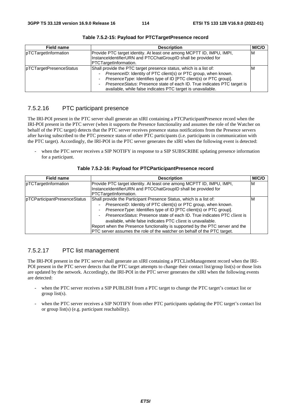| <b>Field name</b>       | <b>Description</b>                                                                                                                                                                                                                                                                                                                                   | <b>M/C/O</b> |
|-------------------------|------------------------------------------------------------------------------------------------------------------------------------------------------------------------------------------------------------------------------------------------------------------------------------------------------------------------------------------------------|--------------|
| pTCTargetInformation    | Provide PTC target identity. At least one among MCPTT ID, IMPU, IMPI,<br>InstanceIdentifierURN and PTCChatGroupID shall be provided for<br>PTCTargetInformation.                                                                                                                                                                                     | ΙM           |
| pTCTargetPresenceStatus | Shall provide the PTC target presence status, which is a list of:<br>PresenceID: Identity of PTC client(s) or PTC group, when known.<br>Presence Type: Identifies type of ID [PTC client(s) or PTC group].<br>PresenceStatus: Presence state of each ID. True indicates PTC target is<br>available, while false indicates PTC target is unavailable. | ΙM           |

**Table 7.5.2-15: Payload for PTCTargetPresence record** 

# 7.5.2.16 PTC participant presence

The IRI-POI present in the PTC server shall generate an xIRI containing a PTCParticipantPresence record when the IRI-POI present in the PTC server (when it supports the Presence functionality and assumes the role of the Watcher on behalf of the PTC target) detects that the PTC server receives presence status notifications from the Presence servers after having subscribed to the PTC presence status of other PTC participants (i.e. participants in communication with the PTC target). Accordingly, the IRI-POI in the PTC server generates the xIRI when the following event is detected:

when the PTC server receives a SIP NOTIFY in response to a SIP SUBSCRIBE updating presence information for a participant.

| <b>Field name</b>            | <b>Description</b>                                                                                                                                                                                                                                                                                                                                                                                                                                                                                                | M/C/O |
|------------------------------|-------------------------------------------------------------------------------------------------------------------------------------------------------------------------------------------------------------------------------------------------------------------------------------------------------------------------------------------------------------------------------------------------------------------------------------------------------------------------------------------------------------------|-------|
| pTCTargetInformation         | Provide PTC target identity. At least one among MCPTT ID, IMPU, IMPI,<br>InstanceIdentifierURN and PTCChatGroupID shall be provided for<br>PTCTargetInformation.                                                                                                                                                                                                                                                                                                                                                  | ΙM    |
| pTCParticipantPresenceStatus | Shall provide the Participant Presence Status, which is a list of:<br>PresenceID: Identity of PTC client(s) or PTC group, when known.<br>Presence Type: Identifies type of ID [PTC client(s) or PTC group].<br>PresenceStatus: Presence state of each ID. True indicates PTC client is<br>available, while false indicates PTC client is unavailable.<br>Report when the Presence functionality is supported by the PTC server and the<br>PTC server assumes the role of the watcher on behalf of the PTC target. | ιM    |

## 7.5.2.17 PTC list management

The IRI-POI present in the PTC server shall generate an xIRI containing a PTCListManagement record when the IRI-POI present in the PTC server detects that the PTC target attempts to change their contact list/group list(s) or those lists are updated by the network. Accordingly, the IRI-POI in the PTC server generates the xIRI when the following events are detected:

- when the PTC server receives a SIP PUBLISH from a PTC target to change the PTC target's contact list or group list(s).
- when the PTC server receives a SIP NOTIFY from other PTC participants updating the PTC target's contact list or group list(s) (e.g. participant reachability).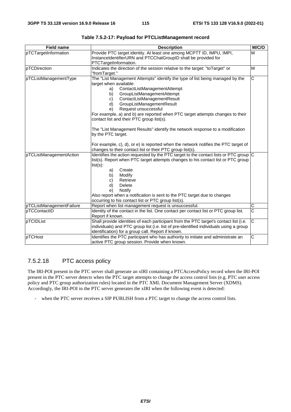| <b>Field name</b>        | <b>Description</b>                                                                                                                                                                                                                                                                                                                                                                                                                                                                                                                                                                                                                                                              | M/C/O                 |
|--------------------------|---------------------------------------------------------------------------------------------------------------------------------------------------------------------------------------------------------------------------------------------------------------------------------------------------------------------------------------------------------------------------------------------------------------------------------------------------------------------------------------------------------------------------------------------------------------------------------------------------------------------------------------------------------------------------------|-----------------------|
| pTCTargetInformation     | Provide PTC target identity. At least one among MCPTT ID, IMPU, IMPI,<br>InstanceIdentifierURN and PTCChatGroupID shall be provided for<br>PTCTargetInformation.                                                                                                                                                                                                                                                                                                                                                                                                                                                                                                                | M                     |
| pTCDirection             | Indicates the direction of the session relative to the target: "toTarget" or<br>"fromTarget."                                                                                                                                                                                                                                                                                                                                                                                                                                                                                                                                                                                   | M                     |
| pTCListManagementType    | The "List Management Attempts" identify the type of list being managed by the<br>target when available:<br>ContactListManagementAttempt<br>a)<br>GroupListManagementAttempt<br>b)<br>ContactListManagementResult<br>C)<br>GroupListManagementResult<br>d)<br>Request unsuccessful<br>e)<br>For example, a) and b) are reported when PTC target attempts changes to their<br>contact list and their PTC group list(s).<br>The "List Management Results" identify the network response to a modification<br>by the PTC target.<br>For example, c), d), or e) is reported when the network notifies the PTC target of<br>changes to their contact list or their PTC group list(s). | $\overline{\text{c}}$ |
| pTCListManagementAction  | Identifies the action requested by the PTC target to the contact lists or PTC group $ C $<br>list(s). Report when PTC target attempts changes to his contact list or PTC group<br>$list(s)$ :<br>Create<br>a)<br>Modify<br>b)<br>Retrieve<br>C)<br><b>Delete</b><br>d)<br>Notify<br>e)<br>Also report when a notification is sent to the PTC target due to changes<br>occurring to his contact list or PTC group list(s).                                                                                                                                                                                                                                                       |                       |
| pTCListManagementFailure | Report when list management request is unsuccessful.                                                                                                                                                                                                                                                                                                                                                                                                                                                                                                                                                                                                                            | $\overline{C}$        |
| pTCContactID             | Identity of the contact in the list. One contact per contact list or PTC group list.<br>Report if known.                                                                                                                                                                                                                                                                                                                                                                                                                                                                                                                                                                        | $\overline{\text{c}}$ |
| pTCIDList                | Shall provide identities of each participant from the PTC target's contact list (i.e.<br>individuals) and PTC group list (i.e. list of pre-identified individuals using a group<br>identification) for a group call. Report if known.                                                                                                                                                                                                                                                                                                                                                                                                                                           | $\overline{\text{c}}$ |
| pTCHost                  | Identifies the PTC participant who has authority to initiate and administrate an<br>active PTC group session. Provide when known.                                                                                                                                                                                                                                                                                                                                                                                                                                                                                                                                               | C                     |

#### **Table 7.5.2-17: Payload for PTCListManagement record**

### 7.5.2.18 PTC access policy

The IRI-POI present in the PTC server shall generate an xIRI containing a PTCAccessPolicy record when the IRI-POI present in the PTC server detects when the PTC target attempts to change the access control lists (e.g. PTC user access policy and PTC group authorization rules) located in the PTC XML Document Management Server (XDMS). Accordingly, the IRI-POI in the PTC server generates the xIRI when the following event is detected:

- when the PTC server receives a SIP PUBLISH from a PTC target to change the access control lists.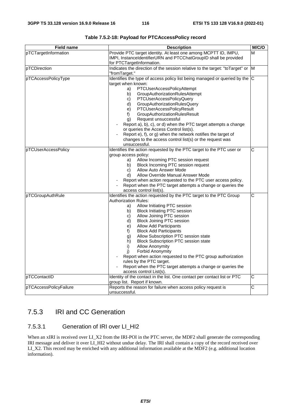| <b>Field name</b>      | <b>Description</b>                                                                                     | M/C/O                 |
|------------------------|--------------------------------------------------------------------------------------------------------|-----------------------|
| pTCTargetInformation   | Provide PTC target identity. At least one among MCPTT ID, IMPU,                                        | M                     |
|                        | IMPI, InstanceIdentifierURN and PTCChatGroupID shall be provided                                       |                       |
|                        | for PTCTargetInformation.                                                                              |                       |
| pTCDirection           | Indicates the direction of the session relative to the target: "toTarget" or M                         |                       |
|                        | "fromTarget."                                                                                          |                       |
| pTCAccessPolicyType    | Identifies the type of access policy list being managed or queried by the $ C $                        |                       |
|                        | target when known:                                                                                     |                       |
|                        | PTCUserAccessPolicyAttempt<br>a)                                                                       |                       |
|                        | GroupAuthorizationRulesAttempt<br>b)                                                                   |                       |
|                        | PTCUserAccessPolicyQuery<br>C)                                                                         |                       |
|                        | GroupAuthorizationRulesQuery<br>d)                                                                     |                       |
|                        | PTCUserAccessPolicyResult<br>e)                                                                        |                       |
|                        | GroupAuthorizationRulesResult<br>f)                                                                    |                       |
|                        | Request unsuccessful<br>g)                                                                             |                       |
|                        | Report a), b), c), or d) when the PTC target attempts a change                                         |                       |
|                        | or queries the Access Control list(s).<br>Report e), f), or g) when the network notifies the target of |                       |
|                        | changes to the access control list(s) or the request was                                               |                       |
|                        | unsuccessful.                                                                                          |                       |
| pTCUserAccessPolicy    | Identifies the action requested by the PTC target to the PTC user or                                   | C                     |
|                        | group access policy:                                                                                   |                       |
|                        | Allow Incoming PTC session request<br>a)                                                               |                       |
|                        | Block Incoming PTC session request<br>b)                                                               |                       |
|                        | Allow Auto Answer Mode<br>C)                                                                           |                       |
|                        | Allow Override Manual Answer Mode<br>d)                                                                |                       |
|                        | Report when action requested to the PTC user access policy.                                            |                       |
|                        | Report when the PTC target attempts a change or queries the                                            |                       |
|                        | access control list(s).                                                                                |                       |
| pTCGroupAuthRule       | Identifies the action requested by the PTC target to the PTC Group                                     | C                     |
|                        | <b>Authorization Rules:</b>                                                                            |                       |
|                        | Allow Initiating PTC session<br>a)                                                                     |                       |
|                        | <b>Block Initiating PTC session</b><br>b)                                                              |                       |
|                        | Allow Joining PTC session<br>C)                                                                        |                       |
|                        | <b>Block Joining PTC session</b><br>d)                                                                 |                       |
|                        | <b>Allow Add Participants</b><br>e)                                                                    |                       |
|                        | f)<br><b>Block Add Participants</b>                                                                    |                       |
|                        | Allow Subscription PTC session state<br>g)                                                             |                       |
|                        | <b>Block Subscription PTC session state</b><br>h)                                                      |                       |
|                        | <b>Allow Anonymity</b><br>i)                                                                           |                       |
|                        | <b>Forbid Anonymity</b><br>i)                                                                          |                       |
|                        | Report when action requested to the PTC group authorization                                            |                       |
|                        | rules by the PTC target.                                                                               |                       |
|                        | Report when the PTC target attempts a change or queries the                                            |                       |
|                        | access control List(s).                                                                                |                       |
| pTCContactID           | Identity of the contact in the list. One contact per contact list or PTC                               | $\overline{\text{c}}$ |
|                        | group list. Report if known.                                                                           |                       |
| pTCAccessPolicyFailure | Reports the reason for failure when access policy request is                                           | $\overline{C}$        |
|                        | unsuccessful.                                                                                          |                       |

**Table 7.5.2-18: Payload for PTCAccessPolicy record** 

# 7.5.3 IRI and CC Generation

# 7.5.3.1 Generation of IRI over LI\_HI2

When an xIRI is received over LI\_X2 from the IRI-POI in the PTC server, the MDF2 shall generate the corresponding IRI message and deliver it over LI\_HI2 without undue delay. The IRI shall contain a copy of the record received over LI\_X2. This record may be enriched with any additional information available at the MDF2 (e.g. additional location information).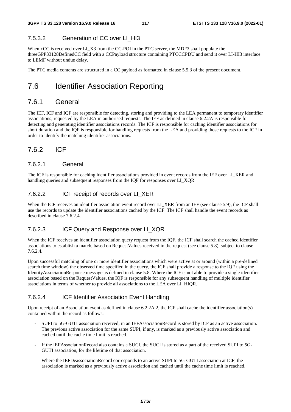## 7.5.3.2 Generation of CC over LI\_HI3

When xCC is received over LI\_X3 from the CC-POI in the PTC server, the MDF3 shall populate the threeGPP33128DefinedCC field with a CCPayload structure containing PTCCCPDU and send it over LI-HI3 interface to LEMF without undue delay.

The PTC media contents are structured in a CC payload as formatted in clause 5.5.3 of the present document.

# 7.6 Identifier Association Reporting

# 7.6.1 General

The IEF, ICF and IQF are responsible for detecting, storing and providing to the LEA permanent to temporary identifier associations, requested by the LEA in authorised requests. The IEF as defined in clause 6.2.2A is responsible for detecting and generating identifier associations records. The ICF is responsible for caching identifier associations for short duration and the IQF is responsible for handling requests from the LEA and providing those requests to the ICF in order to identify the matching identifier associations.

# 7.6.2 ICF

#### 7.6.2.1 General

The ICF is responsible for caching identifier associations provided in event records from the IEF over LI\_XER and handling queries and subsequent responses from the IQF for responses over LI\_XOR.

#### 7.6.2.2 ICF receipt of records over LI\_XER

When the ICF receives an identifier association event record over LI\_XER from an IEF (see clause 5.9), the ICF shall use the records to update the identifier associations cached by the ICF. The ICF shall handle the event records as described in clause 7.6.2.4.

## 7.6.2.3 **ICF Query and Response over LI\_XQR**

When the ICF receives an identifier association query request from the IOF, the ICF shall search the cached identifier associations to establish a match, based on RequestValues received in the request (see clause 5.8), subject to clause 7.6.2.4.

Upon successful matching of one or more identifier associations which were active at or around (within a pre-defined search time window) the observed time specified in the query, the ICF shall provide a response to the IQF using the IdentityAssociationResponse message as defined in clause 5.8. Where the ICF is not able to provide a single identifier association based on the RequestValues, the IQF is responsible for any subsequent handling of multiple identifier associations in terms of whether to provide all associations to the LEA over LI\_HIQR.

#### 7.6.2.4 ICF Identifier Association Event Handling

Upon receipt of an Association event as defined in clause 6.2.2A.2, the ICF shall cache the identifier association(s) contained within the record as follows:

- SUPI to 5G-GUTI association received, in an IEFAssociationRecord is stored by ICF as an active association. The previous active association for the same SUPI, if any, is marked as a previously active association and cached until the cache time limit is reached.
- If the IEFAssociationRecord also contains a SUCI, the SUCI is stored as a part of the received SUPI to 5G-GUTI association, for the lifetime of that association.
- Where the IEFDeassociationRecord corresponds to an active SUPI to 5G-GUTI association at ICF, the association is marked as a previously active association and cached until the cache time limit is reached.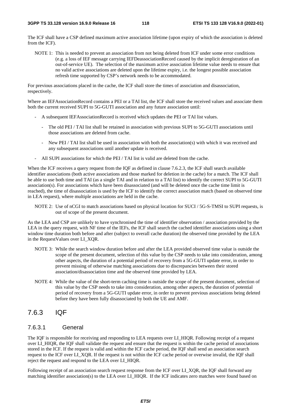The ICF shall have a CSP defined maximum active association lifetime (upon expiry of which the association is deleted from the ICF).

NOTE 1: This is needed to prevent an association from not being deleted from ICF under some error conditions (e.g. a loss of IEF message carrying IEFDeassociationRecord caused by the implicit deregistration of an out-of-service UE). The selection of the maximum active association lifetime value needs to ensure that no valid active associations are deleted upon the lifetime expiry, i.e. the longest possible association refresh time supported by CSP's network needs to be accommodated.

For previous associations placed in the cache, the ICF shall store the times of association and disassociation, respectively.

Where an IEFAssociationRecord contains a PEI or a TAI list, the ICF shall store the received values and associate them both the current received SUPI to 5G-GUTI association and any future association until:

- A subsequent IEFAssociationRecord is received which updates the PEI or TAI list values.
	- The old PEI / TAI list shall be retained in association with previous SUPI to 5G-GUTI associations until those associations are deleted from cache.
	- New PEI / TAI list shall be used in association with both the association(s) with which it was received and any subsequent associations until another update is received.
- All SUPI associations for which the PEI / TAI list is valid are deleted from the cache.

When the ICF receives a query request from the IQF as defined in clause 7.6.2.3, the ICF shall search available identifier associations (both active associations and those marked for deletion in the cache) for a match. The ICF shall be able to use both time and TAI (as a single TAI and in relation to a TAI list) to identify the correct SUPI to 5G-GUTI association(s). For associations which have been disassociated (and will be deleted once the cache time limit is reached), the time of disassociation is used by the ICF to identify the correct association match (based on observed time in LEA request), where multiple associations are held in the cache.

NOTE 2: Use of nCGI to match associations based on physical location for SUCI / 5G-S-TMSI to SUPI requests, is out of scope of the present document.

As the LEA and CSP are unlikely to have synchronised the time of identifier observation / association provided by the LEA in the query request, with NF time of the IEFs, the ICF shall search the cached identifier associations using a short window time duration both before and after (subject to overall cache duration) the observed time provided by the LEA in the RequestValues over LI\_XQR.

- NOTE 3: While the search window duration before and after the LEA provided observed time value is outside the scope of the present document, selection of this value by the CSP needs to take into consideration, among other aspects, the duration of a potential period of recovery from a 5G-GUTI update error, in order to prevent missing of otherwise matching associations due to discrepancies between their stored association/disassociation time and the observed time provided by LEA.
- NOTE 4: While the value of the short-term caching time is outside the scope of the present document, selection of this value by the CSP needs to take into consideration, among other aspects, the duration of potential period of recovery from a 5G-GUTI update error, in order to prevent previous associations being deleted before they have been fully disassociated by both the UE and AMF.

# 7.6.3 IQF

## 7.6.3.1 General

The IQF is responsible for receiving and responding to LEA requests over LI\_HIQR. Following receipt of a request over LI\_HIQR, the IQF shall validate the request and ensure that the request is within the cache period of associations stored in the ICF. If the request is valid and within the ICF cache period, the IQF shall send an association search request to the ICF over LI\_XQR. If the request is not within the ICF cache period or overwise invalid, the IQF shall reject the request and respond to the LEA over LI\_HIQR.

Following receipt of an association search request response from the ICF over LI\_XQR, the IQF shall forward any matching identifier association(s) to the LEA over LI\_HIQR. If the ICF indicates zero matches were found based on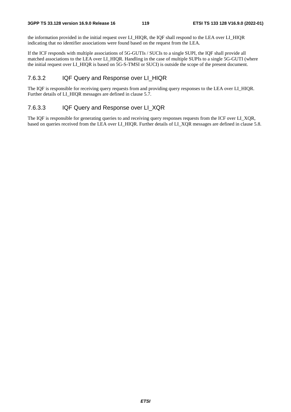the information provided in the initial request over LI\_HIQR, the IQF shall respond to the LEA over LI\_HIQR indicating that no identifier associations were found based on the request from the LEA.

If the ICF responds with multiple associations of 5G-GUTIs / SUCIs to a single SUPI, the IQF shall provide all matched associations to the LEA over LI\_HIQR. Handling in the case of multiple SUPIs to a single 5G-GUTI (where the initial request over LI\_HIQR is based on 5G-S-TMSI or SUCI) is outside the scope of the present document.

#### 7.6.3.2 IQF Query and Response over LI\_HIQR

The IQF is responsible for receiving query requests from and providing query responses to the LEA over LI\_HIQR. Further details of LI\_HIQR messages are defined in clause 5.7.

#### 7.6.3.3 IQF Query and Response over LI\_XQR

The IQF is responsible for generating queries to and receiving query responses requests from the ICF over LI\_XQR, based on queries received from the LEA over LI\_HIQR. Further details of LI\_XQR messages are defined in clause 5.8.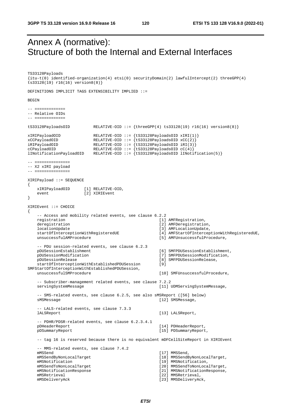# Annex A (normative): Structure of both the Internal and External Interfaces

TS33128Payloads {itu-t(0) identified-organization(4) etsi(0) securityDomain(2) lawfulIntercept(2) threeGPP(4) ts33128(19) r16(16) version8(8)} DEFINITIONS IMPLICIT TAGS EXTENSIBILITY IMPLIED ::= BEGIN  $-$  ============= -- Relative OIDs -- ============= tS33128PayloadsOID RELATIVE-OID ::= {threeGPP(4) ts33128(19) r16(16) version8(8)} xIRIPayloadOID RELATIVE-OID ::= {tS33128PayloadsOID xIRI(1)} xCCPayloadOID RELATIVE-OID ::= {tS33128PayloadsOID xCC(2)} iRIPayloadOID RELATIVE-OID ::= {tS33128PayloadsOID iRI(3)} cCPayloadOID RELATIVE-OID ::= {tS33128PayloadsOID cC(4)} lINotificationPayloadOID RELATIVE-OID ::= {tS33128PayloadsOID lINotification(5)} -- =============== -- X2 xIRI payload -- =============== XIRIPayload ::= SEQUENCE { xIRIPayloadOID [1] RELATIVE-OID, event [2] XIRIEvent } XIRIEvent ::= CHOICE { -- Access and mobility related events, see clause 6.2.2 registration and the contract of the contract of the contract of the contract of the contract of the contract of the contract of the contract of the contract of the contract of the contract of the contract of the contract deregistration  $[2]$  AMFDeregistration, locationUpdate<br>startOfInterceptionWithRegisteredUE [4] AMFStartOfIntercep startOfInterceptionWithRegisteredUE [4] AMFStartOfInterceptionWithRegisteredUE,<br>unsuccessfulAMProcedure [5] AMFUnsuccessfulProcedure, [5] AMFUnsuccessfulProcedure, -- PDU session-related events, see clause 6.2.3 pDUSessionEstablishment [6] SMFPDUSessionEstablishment, pDUSessionModification [7] SMFPDUSessionModification, pDUSessionRelease [8] SMFPDUSessionRelease, startOfInterceptionWithEstablishedPDUSession [9] SMFStartOfInterceptionWithEstablishedPDUSession, [10] SMFUnsuccessfulProcedure, -- Subscriber-management related events, see clause 7.2.2 servingSystemMessage [11] UDMServingSystemMessage, -- SMS-related events, see clause 6.2.5, see also sMSReport ([56] below) sMSMessage [12] SMSMessage, -- LALS-related events, see clause 7.3.3 lALSReport [13] LALSReport, -- PDHR/PDSR-related events, see clause 6.2.3.4.1 pDHeaderReport [14] PDHeaderReport [15] PDHeaderReport, pDSummaryReport [15] PDSummaryReport, -- tag 16 is reserved because there is no equivalent mDFCellSiteReport in XIRIEvent -- MMS-related events, see clause 7.4.2 mMSSend [17] MMSSend, mMSSendByNonLocalTarget [18] MMSSendByNonLocalTarget, mMSNotification  $[19]$  MMSNotification, mMSSendToNonLocalTarget [20] MMSSendToNonLocalTarget, mMSNotificationResponse [21] MMSNotificationResponse, mMSRetrieval [22] MMSRetrieval, mMSDeliveryAck [23] MMSDeliveryAck,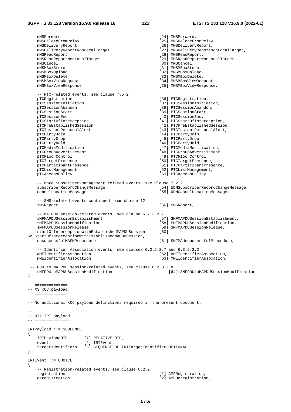}

{

}

{

 mMSForward [24] MMSForward, mMSDeleteFromRelay [25] MMSDeleteFromRelay, mMSDeliveryReport [26] MMSDeliveryReport, mMSDeliveryReportNonLocalTarget [27] MMSDeliveryReportNonLocalTarget, mMSReadReport [28] MMSReadReport, mMSReadReportNonLocalTarget [29] MMSReadReportNonLocalTarget,<br>mMSCancel [30] MMSCancel, mMSCancel [30] MMSCancel [30] MMSCancel, mMSMRoxStore [30] MMSCancel, mMSMRoxSto [31] MMSMBoxStore, mMSMBoxUpload [32] MMSMBoxUpload, mMSMBoxDelete [33] MMSMBoxDelete, mMSMBoxViewRequest [34] MMSMBoxViewRequest, mMSMBoxViewResponse (35) MMSMBoxViewResponse, -- PTC-related events, see clause 7.5.2<br>pTCRegistration [36] PTCRegistration, pTCSessionInitiation [37] PTCSessionInitiation,<br>pTCSessionAbandon [38] PTCSessionAbandon. pTCSessionAbandon [38] PTCSessionAbandon, pTCSessionStart, [39] PTCSessionStart, pTCSessionStart [39] PTCSessionStart, pTCSessionEnd, [40] PTCSessionEnd, pTCSessionEnd [40] PTCSessionEnd,<br>pTCStartOfInterception [41] PTCStartOfInte pTCStartOfInterception [41] PTCStartOfInterception,<br>pTCPreEstablishedSession [42] PTCPreEstablishedSessio [42] PTCPreEstablishedSession, pTCInstantPersonalAlert [43] PTCInstantPersonalAlert, pTCPartyJoin [44] PTCPartyJoin, pTCPartyDrop [45] PTCPartyDrop, [45] PTCPartyDrop, [46] PTCPartyHold, [46] PTCPartyHold, pTCMediaModification [47] PTCMediaModification, pTCGroupAdvertisement [48] PTCGroupAdvertisement, pTCFloorControl [49] PTCFloorControl, pTCTargetPresence [50] PTCTargetPresence,<br>pTCParticipantPresence [51] PTCParticipantPres [51] PTCParticipantPresence. pTCListManagement [52] PTCListManagement, pTCAccessPolicy [53] PTCAccessPolicy, -- More Subscriber-management related events, see clause 7.2.2 subscriberRecordChangeMessage [54] UDMSubscriberRecordChangeMessage, cancelLocationMessage [55] UDMCancelLocationMessage, -- SMS-related events continued from choice 12 sMSReport [56] SMSReport, -- MA PDU session-related events, see clause 6.2.3.2.7<br>sMFMAPDUSessionEstablishment sMFMAPDUSessionEstablishment<br>sMFMAPDUSessionModification<br>[58] SMFMAPDUSessionModification, solared SMFMAPDUSessionModification, sMFMAPDUSessionRelease [59] SMFMAPDUSessionRelease, startOfInterceptionWithEstablishedMAPDUSession [60] SMFStartOfInterceptionWithEstablishedMAPDUSession, [61] SMFMAUnsuccessfulProcedure, -- Identifier Association events, see clauses 6.2.2.2.7 and 6.3.2.2.2<br>aMFIdentifierAssocation [62] AMFIdentifie: [62] AMFIdentifierAssocation, mMEIdentifierAssocation [63] MMEIdentifierAssocation, -- PDU to MA PDU session-related events, see clause 6.2.3.2.8<br>sMFPDUtoMAPDUSessionModification [64] [64] SMFPDUtoMAPDUSessionModification -- ============== -- X3 xCC payload  $--$  ============== -- No additional xCC payload definitions required in the present document. -- =============== -- HI2 IRI payload -- =============== IRIPayload ::= SEQUENCE iRIPayloadOID [1] RELATIVE-OID, event [2] IRIEvent, targetIdentifiers [3] SEQUENCE OF IRITargetIdentifier OPTIONAL IRIEvent ::= CHOICE -- Registration-related events, see clause 6.2.2 [1] AMFRegistration, deregistration [2] AMFDeregistration,

*ETSI*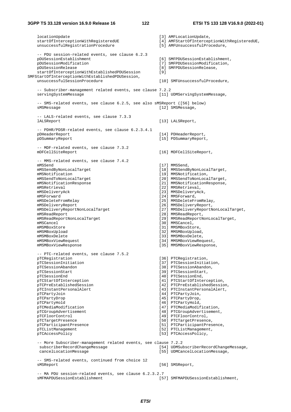#### **3GPP TS 33.128 version 16.9.0 Release 16 122 ETSI TS 133 128 V16.9.0 (2022-01)**

 locationUpdate [3] AMFLocationUpdate, startOfInterceptionWithRegisteredUE [4] AMFStartOfInterceptionWithRegisteredUE, unsuccessfulRegistrationProcedure [5] AMFUnsuccessfulProcedure, -- PDU session-related events, see clause 6.2.3<br>pDUSessionEstablishment pDUSessionEstablishment [6] SMFPDUSessionEstablishment,<br>pDUSessionModification [7] SMFPDUSessionModification, pDUSessionModification [7] SMFPDUSessionModification,<br>pDUSessionRelease [8] SMFPDUSessionRelease. ppod<br>
[8] SMFPDUSessionRelease, startOfInterceptionWithEstablishedPDUSession [9] SMFStartOfInterceptionWithEstablishedPDUSession, unsuccessfulSessionProcedure [10] SMFUnsuccessfulProcedure, -- Subscriber-management related events, see clause 7.2.2 servingSystemMessage [11] UDMServingSystemMessage, -- SMS-related events, see clause 6.2.5, see also sMSReport ([56] below) sMSMessage [12] SMSMessage, -- LALS-related events, see clause 7.3.3 [13] LALSReport, -- PDHR/PDSR-related events, see clause 6.2.3.4.1 pDHeaderReport [14] PDHeaderReport, pDSummaryReport [15] PDSummaryReport, -- MDF-related events, see clause 7.3.2 mDFCellSiteReport [16] MDFCellSiteReport, -- MMS-related events, see clause 7.4.2 mMSSend [17] MMSSend, mMSSendByNonLocalTarget [18] MMSSendByNonLocalTarget,<br>mMSNotification [19] MMSNotification, mMSNotification<br>
mMSSendToNonLocalTarget
19] MMSSendToNonLocalTarget
[20] MMSSendToNonLoca [20] MMSSendToNonLocalTarget, mMSNotificationResponse [21] MMSNotificationResponse, mMSRetrieval [22] MMSRetrieval, mMSDeliveryAck [23] MMSDeliveryAck, mMSForward [24] MMSForward, mMSDeleteFromRelay [25] MMSDeleteFromRelay, mMSDeliveryReport [26] MMSDeliveryReport, mMSDeliveryReportNonLocalTarget [27] MMSDeliveryReportNonLocalTarget, mMSReadReport [28] MMSReadReport, mMSReadReportNonLocalTarget [29] MMSReadReportNonLocalTarget,<br>mMSCancel [30] MMSCancel, mMSMBoxStore [31] MMSMBoxStore, mMSMBoxUpload [32] MMSMBoxUpload, mMSMBoxDelete [33] MMSMBoxDelete, mMSMBoxViewRequest [34] MMSMBoxViewRequest, mMSMBoxViewResponse [35] MMSMBoxViewResponse, -- PTC-related events, see clause 7.5.2 pTCRegistration [36] PTCRegistration,<br>pTCSessionInitiation [37] PTCSessionInitia [37] PTCSessionInitiation, pTCSessionAbandon [38] PTCSessionAbandon, pTCSessionStart, [39] PTCSessionStart, pTCSessionStart [39] PTCSessionStart, pTCSessionEnd, [39] PTCSessionEnd, [39] PTCSessionEnd, pTCSessionEnd [40] PTCSessionEnd,<br>pTCStartOfInterception [41] PTCStartOfInte [41] PTCStartOfInterception, pTCPreEstablishedSession [42] PTCPreEstablishedSession, pTCInstantPersonalAlert [43] PTCInstantPersonalAlert, pTCPartyJoin [44] PTCPartyJoin, pTCPartyDrop [45] PTCPartyDrop, pTCPartyHold [46] PTCPartyHold, pTCMediaModification [47] PTCMediaModification, pTCGroupAdvertisement  $[48]$  PTCGroupAdvertisement,<br>pTCFloorControl [49] PTCFloorControl, [49] PTCFloorControl, pTCTargetPresence [50] PTCTargetPresence, pTCParticipantPresence  $\begin{array}{c}$  [51] PTCParticipantPresence,  $\end{array}$  [52] PTCListManagement, pTCListManagement [52] PTCListManagement,<br>pTCAccessPolicy [53] PTCAccessPolicy, [53] PTCAccessPolicy, -- More Subscriber-management related events, see clause 7.2.2 subscriberRecordChangeMessage [54] UDMSubscriberRecordChangeMessage, cancelLocationMessage [55] UDMCancelLocationMessage, -- SMS-related events, continued from choice 12 sMSReport [56] SMSReport, -- MA PDU session-related events, see clause 6.2.3.2.7<br>sMFMAPDUSessionEstablishment [57] SMFMAPDUSessionEstablishment,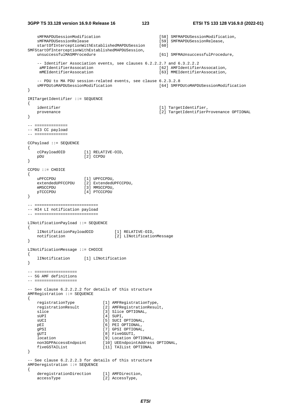```
 sMFMAPDUSessionModification [58] SMFMAPDUSessionModification, 
    sMFMAPDUSessionRelease [59] SMFMAPDUSessionRelease, 
   startOfInterceptionWithEstablishedMAPDUSession [60]
SMFStartOfInterceptionWithEstablishedMAPDUSession, 
    unsuccessfulMASMProcedure [61] SMFMAUnsuccessfulProcedure, 
    -- Identifier Association events, see clauses 6.2.2.2.7 and 6.3.2.2.2<br>aMFIdentifierAssocation [62] AMFIdentifies
    aMFIdentifierAssocation [62] AMFIdentifierAssocation,<br>mMEIdentifierAssocation [63] MMEIdentifierAssocation.
                                                      [63] MMEIdentifierAssocation,
    -- PDU to MA PDU session-related events, see clause 6.2.3.2.8 
    sMFPDUtoMAPDUSessionModification [64] SMFPDUtoMAPDUSessionModification 
} 
IRITargetIdentifier ::= SEQUENCE 
{ 
   identifier [1] TargetIdentifier, provenance [2] TargetIdentifier, provenance [2] TargetIdentifierP
                                                      [2] TargetIdentifierProvenance OPTIONAL
} 
-- ============== 
-- HI3 CC payload 
-- ============== 
CCPayload ::= SEQUENCE 
{ 
    cCPayloadOID [1] RELATIVE-OID, 
    pDU [2] CCPDU 
} 
CCPDU ::= CHOICE 
{ 
uPFCCPDU [1] UPFCCPDU,
 extendedUPFCCPDU [2] ExtendedUPFCCPDU, 
   mMSCCPDU [3] MMSCCPDU,
    pTCCCPDU [4] PTCCCPDU 
} 
-- =========================== 
-- HI4 LI notification payload 
-- =========================== 
LINotificationPayload ::= SEQUENCE 
{ 
   lINotificationPayloadOID [1] RELATIVE-OID,<br>notification [2] LINotificatio
                                   [2] LINotification Message
} 
LINotificationMessage ::= CHOICE 
{ 
    lINotification [1] LINotification 
} 
-- ================== 
-- 5G AMF definitions 
-- ================== 
-- See clause 6.2.2.2.2 for details of this structure 
AMFRegistration ::= SEQUENCE 
{ 
    registrationType [1] AMFRegistrationType, 
    registrationResult [2] AMFRegistrationResult, 
   slice [3] Slice OPTIONAL,
    sUPI [4] SUPI, 
                              suci optional,
   pEI [6] PEI OPTIONAL,<br>gPSI [7] GPSI OPTIONAL
   gPSI [7] GPSI OPTIONAL,<br>gUTI [8] FiveGGUTI,
                              [8] FiveGGUTI,
    location [9] Location OPTIONAL, 
    non3GPPAccessEndpoint [10] UEEndpointAddress OPTIONAL, 
    fiveGSTAIList [11] TAIList OPTIONAL 
} 
-- See clause 6.2.2.2.3 for details of this structure 
AMFDeregistration ::= SEQUENCE 
{ 
   deregistrationDirection [1] AMFDirection,
   accessType [2] AccessType,
```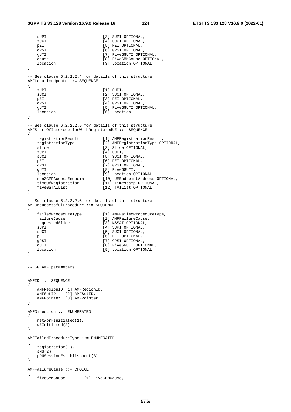```
sUPI [3] SUPI OPTIONAL,
   sUCI [4] SUCI OPTIONAL,
   pEI [5] PEI OPTIONAL,
   gPSI [6] GPSI OPTIONAL,
   gUTI [7] FiveGGUTI OPTIONAL,
   cause [8] FiveGMMCause OPTIONAL,<br>10cation [9] Location OPTIONAL
                            [9] Location OPTIONAL
} 
-- See clause 6.2.2.2.4 for details of this structure 
AMFLocationUpdate ::= SEQUENCE 
{ 
   sUPI [1] SUPI,
   sUCI [2] SUCI OPTIONAL,<br>pEI [3] PEI OPTIONAL,
                            [3] PEI OPTIONAL,
   qPSI [4] GPSI OPTIONAL,
   gUTI [5] FiveGGUTI OPTIONAL,
    location [6] Location 
} 
-- See clause 6.2.2.2.5 for details of this structure 
AMFStartOfInterceptionWithRegisteredUE ::= SEQUENCE 
{ 
   registrationResult [1] AMFRegistrationResult,<br>registrationType [2] AMFRegistrationType OP
                            [2] AMFRegistrationType OPTIONAL,
   slice [3] Slice OPTIONAL,
   sUPI [4] SUPI,
   sUCI [5] SUCI OPTIONAL,<br>pEI [6] PEI OPTIONAL,
   pEI [6] PEI OPTIONAL,<br>gPSI [7] GPSI OPTIONAL,
                            [7] GPSI OPTIONAL.
   gUTI [8] FiveGGUTI,<br>location [9] Location OPTIONAL,
 location [9] Location OPTIONAL, 
 non3GPPAccessEndpoint [10] UEEndpointAddress OPTIONAL, 
 timeOfRegistration [11] Timestamp OPTIONAL, 
 fiveGSTAIList [12] TAIList OPTIONAL 
} 
-- See clause 6.2.2.2.6 for details of this structure 
AMFUnsuccessfulProcedure ::= SEQUENCE 
{ 
   failedProcedureType [1] AMFFailedProcedureType,<br>failureCause [2] AMFFailureCause,
   Iailearico.<br>failureCause<br>requestedSlice
                            [3] NSSAI OPTIONAL,
   sUPI [4] SUPI OPTIONAL,
   sUCI [5] SUCI OPTIONAL,<br>pEI [6] PEI OPTIONAL,
                            [6] PEI OPTIONAL,
   gPSI [7] GPSI OPTIONAL.
   gUTI [8] FiveGGUTI OPTIONAL,
    location [9] Location OPTIONAL 
} 
-- ================= 
-- 5G AMF parameters 
-- ================= 
AMFID :: = SEOUENCE{ 
    aMFRegionID [1] AMFRegionID, 
 aMFSetID [2] AMFSetID, 
 aMFPointer [3] AMFPointer 
} 
AMFDirection ::= ENUMERATED 
{ 
    networkInitiated(1), 
    uEInitiated(2) 
} 
AMFFailedProcedureType ::= ENUMERATED 
{ 
    registration(1), 
    sMS(2), 
    pDUSessionEstablishment(3) 
} 
AMFFailureCause ::= CHOICE 
{ 
    fiveGMMCause [1] FiveGMMCause,
```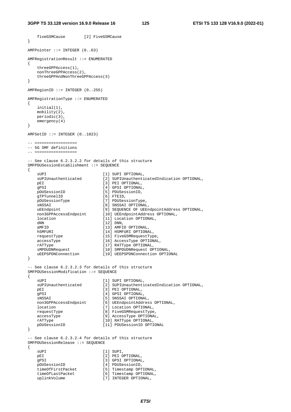fiveGSMCause [2] FiveGSMCause

```
} 
AMFPointer ::= INTEGER (0..63) 
AMFRegistrationResult ::= ENUMERATED 
{ 
    threeGPPAccess(1), 
    nonThreeGPPAccess(2), 
    threeGPPAndNonThreeGPPAccess(3) 
} 
AMFRegionID ::= INTEGER (0..255) 
AMFRegistrationType ::= ENUMERATED 
{ 
    initial(1), 
    mobility(2), 
    periodic(3), 
    emergency(4) 
} 
AMFSetID ::= INTEGER (0..1023) 
-- ================
-- 5G SMF definitions 
-- ================== 
-- See clause 6.2.3.2.2 for details of this structure 
SMFPDUSessionEstablishment ::= SEQUENCE 
{ 
   sUPI [1] SUPI OPTIONAL,<br>sUPIUnauthenticated [2] SUPIUnauthenti
 sUPIUnauthenticated [2] SUPIUnauthenticatedIndication OPTIONAL, 
pEI [3] PEI OPTIONAL,
   gPSI [4] GPSI OPTIONAL,<br>pDUSessionID [5] PDUSessionID,
                            [5] PDUSessionID,<br>[6] FTEID,
gTPTunnelID [6] FTEID,
 pDUSessionType [7] PDUSessionType, 
 sNSSAI [8] SNSSAI OPTIONAL, 
 uEEndpoint [9] SEQUENCE OF UEEndpointAddress OPTIONAL, 
 non3GPPAccessEndpoint [10] UEEndpointAddress OPTIONAL, 
 location [11] Location OPTIONAL, 
   dNN [12] DNN,
   aMFID [13] AMFID OPTIONAL,
   hSMFURI [14] HSMFURI OPTIONAL,
    requestType [15] FiveGSMRequestType, 
   accessType [16] AccessType OPTIONAL,
   rATType [17] RATType OPTIONAL,<br>sMPDUDNRequest [18] SMPDUDNRequest OP
 sMPDUDNRequest [18] SMPDUDNRequest OPTIONAL, 
 uEEPSPDNConnection [19] UEEPSPDNConnection OPTIONAL 
} 
-- See clause 6.2.3.2.3 for details of this structure 
SMFPDUSessionModification ::= SEQUENCE 
{ 
   sUPI [1] SUPI OPTIONAL,<br>sUPIUnauthenticated [2] SUPIUnauthenti
                             [2] SUPIUnauthenticatedIndication OPTIONAL,
   pEI [3] PEI OPTIONAL,
   gPSI [4] GPSI OPTIONAL,<br>sNSSAI [5] SNSSAI OPTIONAL,
sNSSAI [5] SNSSAI OPTIONAL,
 non3GPPAccessEndpoint [6] UEEndpointAddress OPTIONAL, 
 location [7] Location OPTIONAL, 
   [8] \text{ FiveGSMRequestType} \\ \text{accessType} \\ \text{[9] AccessType } \text{OPTIONAL} \end{split}[9] AccessType OPTIONAL,
   rATType (10) RATType OPTIONAL,<br>pDUSessionID [11] PDUSessionID OPTI
                              [11] PDUSessionID OPTIONAL
} 
-- See clause 6.2.3.2.4 for details of this structure 
SMFPDUSessionRelease ::= SEQUENCE 
{ 
   sUPI [1] SUPI,
   pEI [2] PEI OPTIONAL,<br>qPSI [3] GPSI OPTIONAL,
                             [3] GPSI OPTIONAL,
    pDUSessionID [4] PDUSessionID, 
   timeOfFirstPacket [5] Timestamp OPTIONAL,<br>timeOfLastPacket [6] Timestamp OPTIONAL,
                             [6] Timestamp OPTIONAL,
   uplinkVolume [7] INTEGER OPTIONAL,
```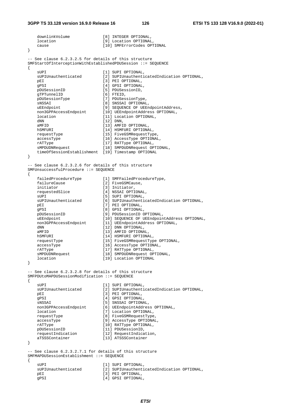#### **3GPP TS 33.128 version 16.9.0 Release 16 126 ETSI TS 133 128 V16.9.0 (2022-01)**

downlinkVolume [8] INTEGER OPTIONAL,

 location [9] Location OPTIONAL, cause [10] SMFErrorCodes OPTIONAL } -- See clause 6.2.3.2.5 for details of this structure SMFStartOfInterceptionWithEstablishedPDUSession ::= SEQUENCE { sUPI [1] SUPI OPTIONAL, sUPIUnauthenticated [2] SUPIUnauthenticatedIndication OPTIONAL, pEI [3] PEI OPTIONAL,<br>gPSI [4] GPSI OPTIONAL gPSI [4] GPSI OPTIONAL,<br>pDUSessionID [5] PDUSessionID, [5] PDUSessionID, gTPTunnelID [6] FTEID,<br>pDUSessionType [7] PDUSes [7] PDUSessionType, sNSSAI [8] SNSSAI OPTIONAL, uEEndpoint [9] SEQUENCE OF UEEndpointAddress, non3GPPAccessEndpoint [10] UEEndpointAddress OPTIONAL, non3GPPAccessEndpoint [10] UEEndpointAddress<br>location [11] Location OPTIONAL,<br>dNN [12] DNN. dNN [12] DNN,<br>aMFID [13] AMFI [13] AMFID OPTIONAL, hSMFURI [14] HSMFURI OPTIONAL, requestType [15] FiveGSMRequestType, accessType [16] AccessType OPTIONAL, rATType [17] RATType OPTIONAL, sMPDUDNRequest [18] SMPDUDNRequest OPTIONAL, timeOfSessionEstablishment [19] Timestamp OPTIONAL } -- See clause 6.2.3.2.6 for details of this structure SMFUnsuccessfulProcedure ::= SEQUENCE { failedProcedureType [1] SMFFailedProcedureType, failureCause [2] FiveGSMCause, initiator [3] Initiator, requestedSlice [4] NSSAI OPTIONAL, sUPI [5] SUPI OPTIONAL, sUPIUnauthenticated [6] SUPIUnauthenticatedIndication OPTIONAL, pEI [7] PEI OPTIONAL, gPSI [8] GPSI OPTIONAL,<br>pDUSessionID [9] PDUSessionID ( pDUSessionID [9] PDUSessionID OPTIONAL,<br>uEEndpoint [10] SEQUENCE OF UEEndpoin uEEndpoint [10] SEQUENCE OF UEEndpointAddress OPTIONAL,<br>non3GPPAccessEndpoint [11] UEEndpointAddress OPTIONAL, [11] UEEndpointAddress OPTIONAL, dNN  $\overline{121}$  DNN OPTIONAL, aMFID  $[13]$  AMFID OPTIONAL, hSMFURI [14] HSMFURI OPTIONAL, requestType [15] FiveGSMRequestType OPTIONAL, accessType [16] AccessType OPTIONAL, rATType  $[17]$  RATType OPTIONAL, sMPDUDNRequest [18] SMPDUDNRequest OPTIONAL, location [19] Location OPTIONAL } -- See clause 6.2.3.2.8 for details of this structure SMFPDUtoMAPDUSessionModification ::= SEQUENCE { sUPI [1] SUPI OPTIONAL, sUPIUnauthenticated [2] SUPIUnauthenticatedIndication OPTIONAL, pEI [3] PEI OPTIONAL, gPSI  $[4]$  GPSI OPTIONAL. sNSSAI [5] SNSSAI OPTIONAL, non3GPPAccessEndpoint [6] UEEndpointAddress OPTIONAL, location [7] Location OPTIONAL, requestType  $[8]$  FiveGSMRequestType,<br>accessType  $[9]$  AccessType OPTIONAL [9] AccessType OPTIONAL, rATType (10) RATType OPTIONAL,<br>pDUSessionID [11] PDUSessionID, pDUSessionID [11] PDUSessionID,<br>requestIndication [12] RequestIndica requestIndication [12] RequestIndication,<br>aTSSSContainer [13] ATSSSContainer [13] ATSSSContainer } -- See clause 6.2.3.2.7.1 for details of this structure SMFMAPDUSessionEstablishment ::= SEQUENCE { sUPI [1] SUPI OPTIONAL, sUPIUnauthenticated [2] SUPIUnauthenticatedIndication OPTIONAL,<br>
pEI (3) PEI OPTIONAL, [3] PEI OPTIONAL, gPSI [4] GPSI OPTIONAL,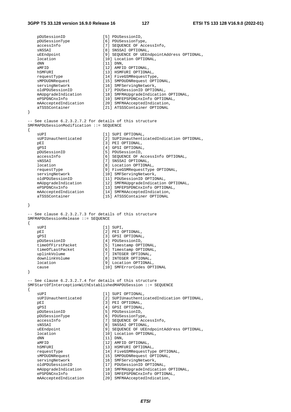pDUSessionID [5] PDUSessionID, p<br>pDUSessionType [6] PDUSessionType, accessInfo [7] SEQUENCE OF AccessInfo, sNSSAI [8] SNSSAI OPTIONAL, uEEndpoint [9] SEQUENCE OF UEEndpointAddress OPTIONAL, location [10] Location OPTIONAL,<br>
NN dNN [11] DNN,<br>ametdo [12] AMFID OPTIONAL, hSMFURI [13] HSMFURI OPTIONAL, requestType [14] FiveGSMRequestType,<br>sMPDUDNRequest [15] SMPDUDNRequest OPTIONAL, sMPDUDNRequest [15] SMPDUDNRequest OPTIONAL, servingNetwork [16] SMFServingNetwork, oldPDUSessionID [17] PDUSessionID OPTIONAL, mAUpgradeIndication [18] SMFMAUpgradeIndication OPTIONAL, ePSPDNCnxInfo [19] SMFEPSPDNCnxInfo OPTIONAL, mAAcceptedIndication [20] SMFMAAcceptedIndication, aTSSSContainer [21] ATSSSContainer OPTIONAL } -- See clause 6.2.3.2.7.2 for details of this structure SMFMAPDUSessionModification ::= SEQUENCE { sUPI [1] SUPI OPTIONAL,<br>sUPIUnauthenticated [2] SUPIUnauthenti [2] SUPIUnauthenticatedIndication OPTIONAL, pEI [3] PEI OPTIONAL, gPSI [4] GPSI OPTIONAL, pDUSessionID [5] PDUSessionID, accessInfo [6] SEQUENCE OF AccessInfo OPTIONAL, : 7<br>[7] SNSSAI OPTIONAL,<br>[8] Location OPTIONAL,<br>[9] FiveGSMRequestType OPTIONAL, location [8] Location OPTIONAL, requestType [9] FiveGSMRequestType OPTIONAL, servingNetwork [10] SMFServingNetwork, oldPDUSessionID [11] PDUSessionID OPTIONAL, mAUpgradeIndication [12] SMFMAUpgradeIndication OPTIONAL, ePSPDNCnxInfo [13] SMFEPSPDNCnxInfo OPTIONAL, mAAcceptedIndication [14] SMFMAAcceptedIndication, aTSSSContainer [15] ATSSSContainer OPTIONAL } -- See clause 6.2.3.2.7.3 for details of this structure SMFMAPDUSessionRelease ::= SEQUENCE { sUPI [1] SUPI, pEI [2] PEI OPTIONAL, q<br>PSI [3] GPSI OPTIONAL, pDUSessionID [4] PDUSessionID, timeOfFirstPacket [5] Timestamp OPTIONAL, timeOfLastPacket [6] Timestamp OPTIONAL, university<br>timeOfLastPacket [6] Timestamp OPTIONA<br>uplinkVolume [7] INTEGER OPTIONAL, downlinkVolume [8] INTEGER OPTIONAL, location [9] Location OPTIONAL, cause [10] SMFErrorCodes OPTIONAL } -- See clause 6.2.3.2.7.4 for details of this structure SMFStartOfInterceptionWithEstablishedMAPDUSession ::= SEQUENCE { sUPI [1] SUPI OPTIONAL,<br>sUPIUnauthenticated [2] SUPIUnauthenti [2] SUPIUnauthenticatedIndication OPTIONAL, pEI [3] PEI OPTIONAL, gPSI [4] GPSI OPTIONAL, pDUSessionID [5] PDUSessionID,<br>pDUSessionType [6] PDUSessionType [6] PDUSessionType, accessInfo **11** The contract of the contract of accessInfo, sNSSAI [8] SNSSAI OPTIONAL,<br>uEEndpoint [9] SEQUENCE OF UEEn uEEndpoint [9] SEQUENCE OF UEEndpointAddress OPTIONAL,<br>location [10] Location OPTIONAL, [10] Location OPTIONAL,  $[11] \text{ DNN}$ , aMFID  $[12]$  AMFID OPTIONAL, hSMFURI [13] HSMFURI OPTIONAL, requestType [14] FiveGSMRequestType OPTIONAL,<br>sMPDUDNRequest [15] SMPDUDNRequest OPTIONAL, sMPDUDNRequest [15] SMPDUDNRequest OPTIONAL, servingNetwork [16] SMFServingNetwork, oldPDUSessionID [17] PDUSessionID OPTIONAL, mAUpgradeIndication [18] SMFMAUpgradeIndication OPTIONAL, ePSPDNCnxInfo [19] SMFEPSPDNCnxInfo OPTIONAL, mAAcceptedIndication [20] SMFMAAcceptedIndication,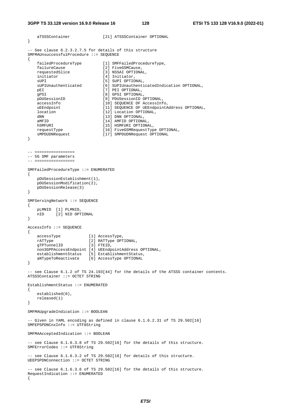#### **3GPP TS 33.128 version 16.9.0 Release 16 128 ETSI TS 133 128 V16.9.0 (2022-01)**

```
 aTSSSContainer [21] ATSSSContainer OPTIONAL 
} 
-- See clause 6.2.3.2.7.5 for details of this structure 
SMFMAUnsuccessfulProcedure ::= SEQUENCE 
{ 
   failedProcedureType [1] SMFFailedProcedureType,<br>failureCause [2] FiveGSMCause,
failureCause [2] FiveGSMCause,
 requestedSlice [3] NSSAI OPTIONAL, 
    initiator [4] Initiator,
   sUPI [5] SUPI OPTIONAL,<br>sUPIUnauthenticated [6] SUPIUnauthenti
                          [6] SUPIUnauthenticatedIndication OPTIONAL,
   pEI [7] PEI OPTIONAL,
   gPSI [8] GPSI OPTIONAL,<br>pDUSessionID [9] PDUSessionID (
                               [9] PDUSessionID OPTIONAL,
   accessInfo [10] SEQUENCE OF AccessInfo,<br>uEEndpoint [11] SEQUENCE OF UEEndpointA
    uEEndpoint [11] SEQUENCE OF UEEndpointAddress OPTIONAL,<br>location [12] Location OPTIONAL,
   location [12] Location OPTIONAL,<br>
dNN
   dNN (13) DNN OPTIONAL,<br>amfID (14) AmfID OPTIONAL
    aMFID [14] AMFID OPTIONAL, 
                              [15] HSMFURI OPTIONAL,
 requestType [16] FiveGSMRequestType OPTIONAL, 
 sMPDUDNRequest [17] SMPDUDNRequest OPTIONAL 
} 
-- ================= 
-- 5G SMF parameters 
-- ================= 
SMFFailedProcedureType ::= ENUMERATED 
{ 
    pDUSessionEstablishment(1), 
   pDUSessionModification(2),
    pDUSessionRelease(3) 
} 
SMFServingNetwork ::= SEQUENCE 
{ 
    pLMNID [1] PLMNID, 
    nID [2] NID OPTIONAL 
} 
AccessInfo ::= SEQUENCE 
{ 
 accessType [1] AccessType, 
 rATType [2] RATType OPTIONAL, 
gTPTunnelID [3] FTEID,
    non3GPPAccessEndpoint [4] UEEndpointAddress OPTIONAL, 
   establishmentStatus [5] EstablishmentStatus,
    aNTypeToReactivate [6] AccessType OPTIONAL 
} 
-- see Clause 6.1.2 of TS 24.193[44] for the details of the ATSSS container contents. 
ATSSSContainer ::= OCTET STRING 
EstablishmentStatus ::= ENUMERATED 
{ 
     established(0), 
    released(1) 
} 
SMFMAUpgradeIndication ::= BOOLEAN 
-- Given in YAML encoding as defined in clause 6.1.6.2.31 of TS 29.502[16] 
SMFEPSPDNCnxInfo ::= UTF8String 
SMFMAAcceptedIndication ::= BOOLEAN 
-- see Clause 6.1.6.3.8 of TS 29.502[16] for the details of this structure. 
SMFErrorCodes ::= UTF8String 
-- see Clause 6.1.6.3.2 of TS 29.502[16] for details of this structure. 
UEEPSPDNConnection ::= OCTET STRING 
-- see Clause 6.1.6.3.6 of TS 29.502[16] for the details of this structure. 
RequestIndication ::= ENUMERATED 
{
```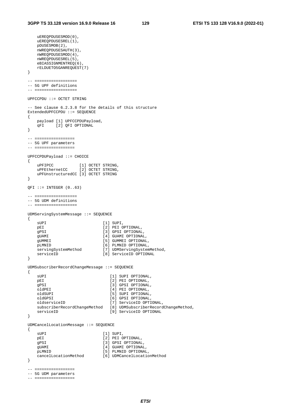uEREQPDUSESMOD(0),

```
uEREQPDUSESREL(1),
    pDUSESMOB(2), 
    nWREQPDUSESAUTH(3), 
    nWREQPDUSESMOD(4), 
    nWREQPDUSESREL(5), 
   eBIASSIGNMENTREQ(6)
    rELDUETO5GANREQUEST(7) 
} 
-- ================== 
-- 5G UPF definitions 
-- ================== 
UPFCCPDU ::= OCTET STRING 
-- See clause 6.2.3.8 for the details of this structure 
ExtendedUPFCCPDU ::= SEQUENCE 
{ 
    payload [1] UPFCCPDUPayload, 
    qFI [2] QFI OPTIONAL 
} 
-- ================= 
-- 5G UPF parameters 
-- ================= 
UPFCCPDUPayload ::= CHOICE 
{ 
uPFIPCC [1] OCTET STRING,
 uPFEthernetCC [2] OCTET STRING, 
    uPFUnstructuredCC [3] OCTET STRING 
} 
QFI ::= INTEGER (0..63)-- ================== 
-- 5G UDM definitions 
-- ================== 
UDMServingSystemMessage ::= SEQUENCE 
{ 
   sUPI [1] SUPI,
   pEI [2] PEI OPTIONAL,<br>gPSI [3] GPSI OPTIONAL
   gPSI [3] GPSI OPTIONAL,<br>gUAMI [4] GUAMI OPTIONAL
                           [4] GUAMI OPTIONAL,
    gUMMEI [5] GUMMEI OPTIONAL, 
    pLMNID [6] PLMNID OPTIONAL, 
   servingSystemMethod [7] UDMServingSystemMethod,
   serviceID [8] ServiceID OPTIONAL
} 
UDMSubscriberRecordChangeMessage ::= SEQUENCE 
{ 
   sUPI [1] SUPI OPTIONAL,<br>pEI [2] PEI OPTIONAL,
                              [2] PEI OPTIONAL,
   gPSI [3] GPSI OPTIONAL,
    oldPEI [4] PEI OPTIONAL, 
    oldSUPI [5] SUPI OPTIONAL, 
   oldGPSI [6] GPSI OPTIONAL,
    oldserviceID [7] ServiceID OPTIONAL, 
    subscriberRecordChangeMethod [8] UDMSubscriberRecordChangeMethod, 
   serviceID [9] ServiceID OPTIONAL
} 
UDMCancelLocationMessage ::= SEQUENCE 
{ 
   sUPI [1] SUPI,
   pEI [2] PEI OPTIONAL,
   gPSI [3] GPSI OPTIONAL,
    gUAMI [4] GUAMI OPTIONAL, 
    pLMNID [5] PLMNID OPTIONAL, 
    cancelLocationMethod [6] UDMCancelLocationMethod 
} 
-- ================= 
-- 5G UDM parameters
```

```
-- =================
```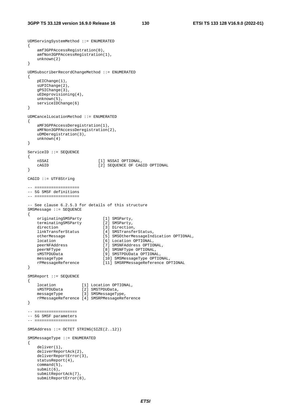UDMServingSystemMethod ::= ENUMERATED

```
{ 
     amf3GPPAccessRegistration(0), 
     amfNon3GPPAccessRegistration(1), 
     unknown(2) 
} 
UDMSubscriberRecordChangeMethod ::= ENUMERATED 
{ 
    pEIChange(1), 
     sUPIChange(2), 
     gPSIChange(3), 
     uEDeprovisioning(4), 
    unknown(5),
     serviceIDChange(6) 
} 
UDMCancelLocationMethod ::= ENUMERATED 
{ 
     aMF3GPPAccessDeregistration(1), 
     aMFNon3GPPAccessDeregistration(2), 
     uDMDeregistration(3), 
    unknown(4) 
} 
ServiceID ::= SEQUENCE 
{ 
   nSSAI [1] NSSAI OPTIONAL,
                               [2] SEQUENCE OF CAGID OPTIONAL
} 
CAGID ::= UTF8String 
-- =================== 
-- 5G SMSF definitions 
-- =================== 
-- See clause 6.2.5.3 for details of this structure 
SMSMessage ::= SEQUENCE 
{ 
 originatingSMSParty [1] SMSParty, 
     terminatingSMSParty [2] SMSParty, 
direction [3] Direction,
 linkTransferStatus [4] SMSTransferStatus, 
 otherMessage [5] SMSOtherMessageIndication OPTIONAL, 
    location [6] Location OPTIONAL, 
 peerNFAddress [7] SMSNFAddress OPTIONAL, 
 peerNFType [8] SMSNFType OPTIONAL, 
   edialization in the small of the small of the small of the small of the small of the small of the small of the small of the small of the small of the small of the small of the small of the small of the small of the small o
    messageType [10] SMSMessageType OPTIONAL,
     rPMessageReference [11] SMSRPMessageReference OPTIONAL 
} 
SMSReport ::= SEQUENCE 
{ 
    location [1] Location OPTIONAL, 
 sMSTPDUData [2] SMSTPDUData, 
 messageType [3] SMSMessageType, 
    rPMessageReference [4] SMSRPMessageReference 
} 
-- ================== 
-- 5G SMSF parameters 
-- ================== 
SMSAddress ::= OCTET STRING(SIZE(2..12)) 
SMSMessageType ::= ENUMERATED 
{ 
     deliver(1), 
     deliverReportAck(2), 
     deliverReportError(3), 
     statusReport(4), 
     command(5), 
     submit(6), 
     submitReportAck(7), 
     submitReportError(8),
```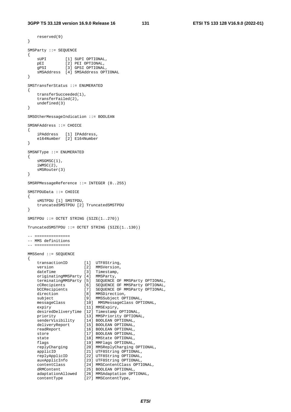```
 reserved(9) 
} 
SMSParty ::= SEQUENCE 
{ 
   sUPI [1] SUPI OPTIONAL,
 pEI [2] PEI OPTIONAL, 
 gPSI [3] GPSI OPTIONAL, 
    sMSAddress [4] SMSAddress OPTIONAL 
} 
SMSTransferStatus ::= ENUMERATED 
{ 
    transferSucceeded(1), 
    transferFailed(2), 
    undefined(3) 
} 
SMSOtherMessageIndication ::= BOOLEAN 
SMSNFAddress ::= CHOICE 
{ 
 iPAddress [1] IPAddress, 
 e164Number [2] E164Number 
} 
SMSNFType ::= ENUMERATED 
{ 
    sMSGMSC(1), 
   iWMSC(2).
    sMSRouter(3) 
} 
SMSRPMessageReference ::= INTEGER (0..255) 
SMSTPDUData ::= CHOICE 
{ 
    sMSTPDU [1] SMSTPDU, 
    truncatedSMSTPDU [2] TruncatedSMSTPDU 
} 
SMSTPDU ::= OCTET STRING (SIZE(1..270)) 
TruncatedSMSTPDU ::= OCTET STRING (SIZE(1..130)) 
-- =============== 
-- MMS definitions 
-- =============== 
MMSSend ::= SEQUENCE 
{ 
 transactionID [1] UTF8String, 
version [2] MMSVersion,
dateTime [3] Timestamp,
 originatingMMSParty [4] MMSParty, 
 terminatingMMSParty [5] SEQUENCE OF MMSParty OPTIONAL, 
 cCRecipients [6] SEQUENCE OF MMSParty OPTIONAL, 
 bCCRecipients [7] SEQUENCE OF MMSParty OPTIONAL, 
direction [8] MMSDirection,
 subject [9] MMSSubject OPTIONAL, 
 messageClass [10] MMSMessageClass OPTIONAL, 
expiry [11] MMSExpiry,
 desiredDeliveryTime [12] Timestamp OPTIONAL, 
 priority [13] MMSPriority OPTIONAL, 
 senderVisibility [14] BOOLEAN OPTIONAL, 
 deliveryReport [15] BOOLEAN OPTIONAL, 
 readReport [16] BOOLEAN OPTIONAL, 
store [17] BOOLEAN OPTIONAL,
state [18] MMState OPTIONAL,
 flags [19] MMFlags OPTIONAL, 
 replyCharging [20] MMSReplyCharging OPTIONAL, 
 applicID [21] UTF8String OPTIONAL, 
 replyApplicID [22] UTF8String OPTIONAL, 
 auxApplicInfo [23] UTF8String OPTIONAL, 
 contentClass [24] MMSContentClass OPTIONAL, 
 dRMContent [25] BOOLEAN OPTIONAL, 
 adaptationAllowed [26] MMSAdaptation OPTIONAL, 
 contentType [27] MMSContentType,
```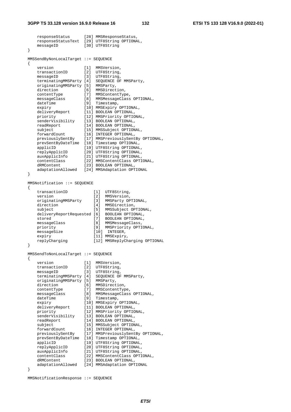#### **3GPP TS 33.128 version 16.9.0 Release 16 132 ETSI TS 133 128 V16.9.0 (2022-01)**

responseStatus [28] MMSResponseStatus,

```
 responseStatusText [29] UTF8String OPTIONAL, 
   messageID [30] UTF8String
} 
MMSSendByNonLocalTarget ::= SEQUENCE 
{ 
   version [1] MMSVersion,
 transactionID [2] UTF8String, 
messageID [3] UTF8String,
 terminatingMMSParty [4] SEQUENCE OF MMSParty, 
 originatingMMSParty [5] MMSParty, 
direction [6] MMSDirection,
 contentType [7] MMSContentType, 
 messageClass [8] MMSMessageClass OPTIONAL, 
dateTime [9] Timestamp,
 expiry [10] MMSExpiry OPTIONAL, 
 deliveryReport [11] BOOLEAN OPTIONAL, 
 priority [12] MMSPriority OPTIONAL, 
 senderVisibility [13] BOOLEAN OPTIONAL, 
 readReport [14] BOOLEAN OPTIONAL, 
 subject [15] MMSSubject OPTIONAL, 
 forwardCount [16] INTEGER OPTIONAL, 
 previouslySentBy [17] MMSPreviouslySentBy OPTIONAL, 
 prevSentByDateTime [18] Timestamp OPTIONAL, 
 applicID [19] UTF8String OPTIONAL, 
 replyApplicID [20] UTF8String OPTIONAL, 
 auxApplicInfo [21] UTF8String OPTIONAL, 
 contentClass [22] MMSContentClass OPTIONAL, 
 dRMContent [23] BOOLEAN OPTIONAL, 
    adaptationAllowed [24] MMSAdaptation OPTIONAL 
} 
MMSNotification ::= SEQUENCE 
{ 
   transactionID [1] UTF8String,
   version [2] MMSVersion,
 originatingMMSParty [3] MMSParty OPTIONAL, 
direction [4] MMSDirection,
 subject [5] MMSSubject OPTIONAL, 
   deliveryReportRequested [6] BOOLEAN OPTIONAL,<br>stored [7] BOOLEAN OPTIONAL,
stored [7] BOOLEAN OPTIONAL,
 messageClass [8] MMSMessageClass, 
 priority [9] MMSPriority OPTIONAL, 
messageSize [10] INTEGER,
   priority [9] MMSPriorit<br>
messageSize [10] INTEGER,<br>
expiry [11] MMSExpiry,
    replyCharging [12] MMSReplyCharging OPTIONAL 
} 
MMSSendToNonLocalTarget ::= SEQUENCE 
{ 
   version [1] MMSVersion,
 transactionID [2] UTF8String, 
messageID [3] UTF8String,
 terminatingMMSParty [4] SEQUENCE OF MMSParty, 
 originatingMMSParty [5] MMSParty, 
direction [6] MMSDirection,
 contentType [7] MMSContentType, 
 messageClass [8] MMSMessageClass OPTIONAL, 
 dateTime [9] Timestamp, 
 expiry [10] MMSExpiry OPTIONAL, 
 deliveryReport [11] BOOLEAN OPTIONAL, 
 priority [12] MMSPriority OPTIONAL, 
 senderVisibility [13] BOOLEAN OPTIONAL, 
 readReport [14] BOOLEAN OPTIONAL, 
 subject [15] MMSSubject OPTIONAL, 
 forwardCount [16] INTEGER OPTIONAL, 
 previouslySentBy [17] MMSPreviouslySentBy OPTIONAL, 
    prevSentByDateTime [18] Timestamp OPTIONAL, 
 applicID [19] UTF8String OPTIONAL, 
 replyApplicID [20] UTF8String OPTIONAL, 
 auxApplicInfo [21] UTF8String OPTIONAL, 
 contentClass [22] MMSContentClass OPTIONAL, 
 dRMContent [23] BOOLEAN OPTIONAL, 
    adaptationAllowed [24] MMSAdaptation OPTIONAL
```

```
}
```
MMSNotificationResponse ::= SEQUENCE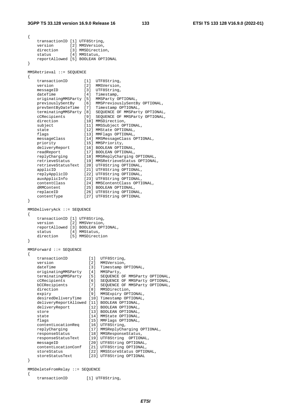{

```
 transactionID [1] UTF8String, 
    version [2] MMSVersion, 
   direction [3] MMSDirection,
   status [4] MMStatus,
    reportAllowed [5] BOOLEAN OPTIONAL 
} 
MMSRetrieval ::= SEQUENCE 
{ 
 transactionID [1] UTF8String, 
 version [2] MMSVersion, 
messageID [3] UTF8String,
dateTime [4] Timestamp,
 originatingMMSParty [5] MMSParty OPTIONAL, 
 previouslySentBy [6] MMSPreviouslySentBy OPTIONAL, 
 prevSentByDateTime [7] Timestamp OPTIONAL, 
 terminatingMMSParty [8] SEQUENCE OF MMSParty OPTIONAL, 
 cCRecipients [9] SEQUENCE OF MMSParty OPTIONAL, 
direction [10] MMSDirection,
 subject [11] MMSSubject OPTIONAL, 
state [12] MMState OPTIONAL,
 flags [13] MMFlags OPTIONAL, 
 messageClass [14] MMSMessageClass OPTIONAL, 
 priority [15] MMSPriority, 
 deliveryReport [16] BOOLEAN OPTIONAL, 
 readReport [17] BOOLEAN OPTIONAL, 
 replyCharging [18] MMSReplyCharging OPTIONAL, 
 retrieveStatus [19] MMSRetrieveStatus OPTIONAL, 
 retrieveStatusText [20] UTF8String OPTIONAL, 
 applicID [21] UTF8String OPTIONAL, 
 replyApplicID [22] UTF8String OPTIONAL, 
 auxApplicInfo [23] UTF8String OPTIONAL, 
 contentClass [24] MMSContentClass OPTIONAL, 
 dRMContent [25] BOOLEAN OPTIONAL, 
 replaceID [26] UTF8String OPTIONAL, 
 contentType [27] UTF8String OPTIONAL 
} 
MMSDeliveryAck ::= SEQUENCE 
{ 
    transactionID [1] UTF8String, 
   version [2] MMSVersion,
    reportAllowed [3] BOOLEAN OPTIONAL, 
status [4] MMStatus,
 direction [5] MMSDirection 
} 
MMSForward ::= SEQUENCE 
{ 
transactionID [1] UTF8String,
version [2] MMSVersion,
dateTime [3] Timestamp OPTIONAL,
 originatingMMSParty [4] MMSParty, 
 terminatingMMSParty [5] SEQUENCE OF MMSParty OPTIONAL, 
 cCRecipients [6] SEQUENCE OF MMSParty OPTIONAL, 
 bCCRecipients [7] SEQUENCE OF MMSParty OPTIONAL, 
direction [8] MMSDirection,
 expiry [9] MMSExpiry OPTIONAL, 
   expiry [9] MMSExpiry OPTIONAL,<br>desiredDeliveryTime [10] Timestamp OPTIONAL,
    deliveryReportAllowed [11] BOOLEAN OPTIONAL, 
 deliveryReport [12] BOOLEAN OPTIONAL, 
store [13] BOOLEAN OPTIONAL,
state [14] MMState OPTIONAL,
 flags [15] MMFlags OPTIONAL, 
 contentLocationReq [16] UTF8String, 
 replyCharging [17] MMSReplyCharging OPTIONAL, 
 responseStatus [18] MMSResponseStatus, 
 responseStatusText [19] UTF8String OPTIONAL, 
 messageID [20] UTF8String OPTIONAL, 
   messageID [20] UTF8String OPTIONAL,<br>contentLocationConf [21] UTF8String OPTIONAL,
 storeStatus [22] MMSStoreStatus OPTIONAL, 
 storeStatusText [23] UTF8String OPTIONAL 
} 
MMSDeleteFromRelay ::= SEQUENCE 
{ 
   transactionID [1] UTF8String,
```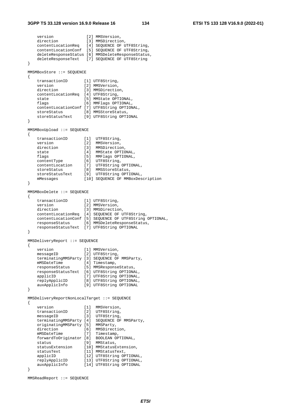```
version [2] MMSVersion,
   direction [3] MMSDirection,
    contentLocationReq [4] SEQUENCE OF UTF8String, 
   contentLocationConf [5] SEQUENCE OF UTF8String,
    deleteResponseStatus [6] MMSDeleteResponseStatus, 
    deleteResponseText [7] SEQUENCE OF UTF8String 
} 
MMSMBoxStore ::= SEQUENCE 
{ 
transactionID [1] UTF8String,
 version [2] MMSVersion, 
direction [3] MMSDirection,
    contentLocationReq [4] UTF8String, 
state [5] MMState OPTIONAL,
 flags [6] MMFlags OPTIONAL, 
    contentLocationConf [7] UTF8String OPTIONAL, 
storeStatus [8] MMSStoreStatus,
 storeStatusText [9] UTF8String OPTIONAL 
} 
MMSMBoxUpload ::= SEQUENCE 
{ 
 transactionID [1] UTF8String, 
 version [2] MMSVersion, 
direction [3] MMSDirection,
state [4] MMState OPTIONAL,
 flags [5] MMFlags OPTIONAL, 
 contentType [6] UTF8String, 
 contentLocation [7] UTF8String OPTIONAL, 
storeStatus [8] MMSStoreStatus,
 storeStatusText [9] UTF8String OPTIONAL, 
 mMessages [10] SEQUENCE OF MMBoxDescription 
} 
MMSMBoxDelete ::= SEQUENCE 
{ 
 transactionID [1] UTF8String, 
version [2] MMSVersion,
direction [3] MMSDirection,
 contentLocationReq [4] SEQUENCE OF UTF8String, 
    contentLocationConf [5] SEQUENCE OF UTF8String OPTIONAL, 
 responseStatus [6] MMSDeleteResponseStatus, 
 responseStatusText [7] UTF8String OPTIONAL 
} 
MMSDeliveryReport ::= SEQUENCE 
{ 
version [1] MMSVersion,
 messageID [2] UTF8String, 
    terminatingMMSParty [3] SEQUENCE OF MMSParty, 
mMSDateTime [4] Timestamp,
 responseStatus [5] MMSResponseStatus, 
 responseStatusText [6] UTF8String OPTIONAL, 
 applicID [7] UTF8String OPTIONAL, 
 replyApplicID [8] UTF8String OPTIONAL, 
 auxApplicInfo [9] UTF8String OPTIONAL 
} 
MMSDeliveryReportNonLocalTarget ::= SEQUENCE 
{ 
   version [1] MMSVersion,
   transactionID [2] UTF8String,
messageID [3] UTF8String,
 terminatingMMSParty [4] SEQUENCE OF MMSParty, 
    originatingMMSParty [5] MMSParty, 
direction [6] MMSDirection,
 mMSDateTime [7] Timestamp, 
 forwardToOriginator [8] BOOLEAN OPTIONAL, 
status [9] MMStatus,
 statusExtension [10] MMStatusExtension, 
statusText [11] MMStatusText,
   applicID [11] MMStatusText,<br>applicID [12] UTF8String OPTIONAL,
 replyApplicID [13] UTF8String OPTIONAL, 
 auxApplicInfo [14] UTF8String OPTIONAL 
}
```

```
MMSReadReport ::= SEQUENCE
```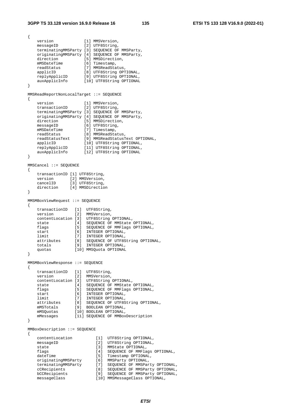```
{ 
 version [1] MMSVersion, 
messageID [2] UTF8String,
    terminatingMMSParty [3] SEQUENCE OF MMSParty, 
    originatingMMSParty [4] SEQUENCE OF MMSParty, 
direction [5] MMSDirection,
mMSDateTime [6] Timestamp,
 readStatus [7] MMSReadStatus, 
 applicID [8] UTF8String OPTIONAL, 
 replyApplicID [9] UTF8String OPTIONAL, 
 auxApplicInfo [10] UTF8String OPTIONAL 
} 
MMSReadReportNonLocalTarget ::= SEQUENCE 
{ 
version [1] MMSVersion,
 transactionID [2] UTF8String, 
 terminatingMMSParty [3] SEQUENCE OF MMSParty, 
    originatingMMSParty [4] SEQUENCE OF MMSParty, 
   direction [5] MMSDirection,<br>messageID [6] UTF8String,
messageID [6] UTF8String,
mMSDateTime [7] Timestamp,
 readStatus [8] MMSReadStatus, 
 readStatusText [9] MMSReadStatusText OPTIONAL, 
 applicID [10] UTF8String OPTIONAL, 
 replyApplicID [11] UTF8String OPTIONAL, 
 auxApplicInfo [12] UTF8String OPTIONAL 
} 
MMSCancel ::= SEQUENCE 
{ 
    transactionID [1] UTF8String, 
 version [2] MMSVersion, 
 cancelID [3] UTF8String, 
    direction [4] MMSDirection 
} 
MMSMBoxViewRequest ::= SEQUENCE 
{ 
    transactionID [1] UTF8String, 
 version [2] MMSVersion, 
 contentLocation [3] UTF8String OPTIONAL, 
 state [4] SEQUENCE OF MMState OPTIONAL, 
 flags [5] SEQUENCE OF MMFlags OPTIONAL, 
start [6] INTEGER OPTIONAL,
 limit [7] INTEGER OPTIONAL, 
 attributes [8] SEQUENCE OF UTF8String OPTIONAL, 
 totals [9] INTEGER OPTIONAL, 
 quotas [10] MMSQuota OPTIONAL 
} 
MMSMBoxViewResponse ::= SEQUENCE 
{ 
 transactionID [1] UTF8String, 
 version [2] MMSVersion, 
 contentLocation [3] UTF8String OPTIONAL, 
 state [4] SEQUENCE OF MMState OPTIONAL, 
   state [4] SEQUENCE OF MMState OPTIONAL,<br>flags [5] SEQUENCE OF MMFlags OPTIONAL,
start [6] INTEGER OPTIONAL,
 limit [7] INTEGER OPTIONAL, 
 attributes [8] SEQUENCE OF UTF8String OPTIONAL, 
 mMSTotals [9] BOOLEAN OPTIONAL, 
 mMSQuotas [10] BOOLEAN OPTIONAL, 
 mMessages [11] SEQUENCE OF MMBoxDescription 
} 
MMBoxDescription ::= SEQUENCE 
{ 
 contentLocation [1] UTF8String OPTIONAL, 
 messageID [2] UTF8String OPTIONAL, 
   state [3] MMState OPTIONAL,<br>
flags [4] SEQUENCE OF MMFlags OPTIONAL,<br>
dateTime [5] Timestamp OPTIONAL,
 flags [4] SEQUENCE OF MMFlags OPTIONAL, 
dateTime [5] Timestamp OPTIONAL,
 originatingMMSParty [6] MMSParty OPTIONAL, 
 terminatingMMSParty [7] SEQUENCE OF MMSParty OPTIONAL, 
 cCRecipients [8] SEQUENCE OF MMSParty OPTIONAL, 
 bCCRecipients [9] SEQUENCE OF MMSParty OPTIONAL, 
 messageClass [10] MMSMessageClass OPTIONAL,
```
*ETSI*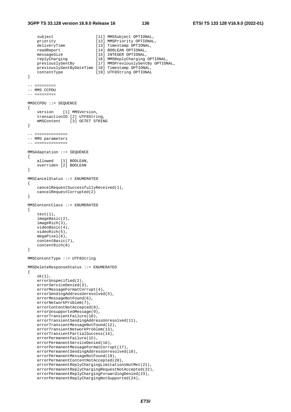#### **3GPP TS 33.128 version 16.9.0 Release 16 136 ETSI TS 133 128 V16.9.0 (2022-01)**

```
subject [11] MMSSubject OPTIONAL,
 priority [12] MMSPriority OPTIONAL, 
 deliveryTime [13] Timestamp OPTIONAL, 
 readReport [14] BOOLEAN OPTIONAL, 
 messageSize [15] INTEGER OPTIONAL, 
 replyCharging [16] MMSReplyCharging OPTIONAL, 
 previouslySentBy [17] MMSPreviouslySentBy OPTIONAL, 
    previouslySentByDateTime [18] Timestamp OPTIONAL, 
    contentType [19] UTF8String OPTIONAL
} 
-- ========= 
-- MMS CCPDU
-- ========= 
MMSCCPDU ::= SEQUENCE 
{ 
     version [1] MMSVersion, 
     transactionID [2] UTF8String, 
    mMSContent [3] OCTET STRING 
} 
-- ============== 
-- MMS parameters 
-- ==============
MMSAdaptation ::= SEQUENCE 
{ 
    allowed [1] BOOLEAN, 
     overriden [2] BOOLEAN 
} 
MMSCancelStatus ::= ENUMERATED 
{ 
     cancelRequestSuccessfullyReceived(1), 
     cancelRequestCorrupted(2) 
} 
MMSContentClass ::= ENUMERATED 
{ 
     text(1), 
     imageBasic(2), 
     imageRich(3), 
    videoBasic(4), 
    videoRich(5), 
    megaPixel(6), 
    contentBasic(7), 
     contentRich(8) 
} 
MMSContentType ::= UTF8String 
MMSDeleteResponseStatus ::= ENUMERATED 
{ 
    ok(1), 
   errorUnspecified(2),
     errorServiceDenied(3), 
     errorMessageFormatCorrupt(4), 
     errorSendingAddressUnresolved(5), 
   errorMessageNotFound(6),
     errorNetworkProblem(7), 
     errorContentNotAccepted(8), 
     errorUnsupportedMessage(9), 
     errorTransientFailure(10), 
     errorTransientSendingAddressUnresolved(11), 
     errorTransientMessageNotFound(12), 
     errorTransientNetworkProblem(13), 
     errorTransientPartialSuccess(14), 
    errorPermanentFailure(15),
     errorPermanentServiceDenied(16), 
     errorPermanentMessageFormatCorrupt(17), 
     errorPermanentSendingAddressUnresolved(18), 
     errorPermanentMessageNotFound(19), 
    errorPermanentContentNotAccepted(20),
     errorPermanentReplyChargingLimitationsNotMet(21), 
    errorPermanentReplyChargingRequestNotAccepted(22),
     errorPermanentReplyChargingForwardingDenied(23), 
     errorPermanentReplyChargingNotSupported(24),
```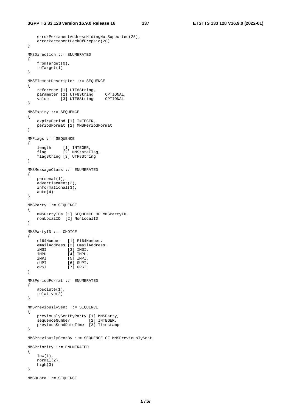```
 errorPermanentAddressHidingNotSupported(25), 
     errorPermanentLackOfPrepaid(26) 
} 
MMSDirection ::= ENUMERATED 
{ 
     fromTarget(0), 
     toTarget(1) 
} 
MMSElementDescriptor ::= SEQUENCE 
{ 
     reference [1] UTF8String, 
 parameter [2] UTF8String OPTIONAL, 
 value [3] UTF8String OPTIONAL 
} 
MMSExpiry ::= SEQUENCE 
{ 
     expiryPeriod [1] INTEGER, 
    periodFormat [2] MMSPeriodFormat 
} 
MMFlags ::= SEQUENCE 
{ 
 length [1] INTEGER, 
 flag [2] MMStateFlag, 
    flag [2] MMStateFla<br>flagString [3] UTF8String
} 
MMSMessageClass ::= ENUMERATED 
{ 
    personal(1), 
    advertisement(2), 
    informational(3), 
    auto(4) 
} 
MMSParty ::= SEQUENCE 
{ 
    mMSPartyIDs [1] SEQUENCE OF MMSPartyID, 
    nonLocalID [2] NonLocalID 
} 
MMSPartyID ::= CHOICE 
{ 
     e164Number [1] E164Number, 
     emailAddress [2] EmailAddress, 
 iMSI [3] IMSI, 
 iMPU [4] IMPU, 
 iMPI [5] IMPI, 
sUPI [6] SUPI,
    gPSI [7] GPSI 
} 
MMSPeriodFormat ::= ENUMERATED 
{ 
     absolute(1), 
    relative(2) 
} 
MMSPreviouslySent ::= SEQUENCE 
{ 
     previouslySentByParty [1] MMSParty, 
    sequenceNumber [2] INTEGER,
     previousSendDateTime [3] Timestamp 
} 
MMSPreviouslySentBy ::= SEQUENCE OF MMSPreviouslySent 
MMSPriority ::= ENUMERATED 
{ 
    low(1),
    normal(2), 
    high(3) 
} 
MMSQuota ::= SEQUENCE
```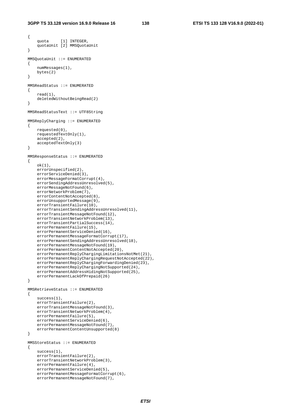```
{ 
     quota [1] INTEGER, 
     quotaUnit [2] MMSQuotaUnit 
} 
MMSQuotaUnit ::= ENUMERATED 
{ 
     numMessages(1), 
     bytes(2) 
} 
MMSReadStatus ::= ENUMERATED 
{ 
     read(1), 
     deletedWithoutBeingRead(2) 
} 
MMSReadStatusText ::= UTF8String 
MMSReplyCharging ::= ENUMERATED 
{ 
     requested(0), 
     requestedTextOnly(1), 
     accepted(2), 
     acceptedTextOnly(3) 
} 
MMSResponseStatus ::= ENUMERATED 
{ 
    ok(1),
     errorUnspecified(2), 
    errorServiceDenied(3),
     errorMessageFormatCorrupt(4), 
     errorSendingAddressUnresolved(5), 
     errorMessageNotFound(6), 
     errorNetworkProblem(7), 
     errorContentNotAccepted(8), 
    errorUnsupportedMessage(9),
     errorTransientFailure(10), 
     errorTransientSendingAddressUnresolved(11), 
     errorTransientMessageNotFound(12), 
     errorTransientNetworkProblem(13), 
     errorTransientPartialSuccess(14), 
    errorPermanentFailure(15),
     errorPermanentServiceDenied(16), 
     errorPermanentMessageFormatCorrupt(17), 
     errorPermanentSendingAddressUnresolved(18), 
     errorPermanentMessageNotFound(19), 
     errorPermanentContentNotAccepted(20), 
    errorPermanentReplyChargingLimitationsNotMet(21),
     errorPermanentReplyChargingRequestNotAccepted(22), 
     errorPermanentReplyChargingForwardingDenied(23), 
     errorPermanentReplyChargingNotSupported(24), 
     errorPermanentAddressHidingNotSupported(25), 
     errorPermanentLackOfPrepaid(26) 
} 
MMSRetrieveStatus ::= ENUMERATED 
{ 
    success(1).
     errorTransientFailure(2), 
     errorTransientMessageNotFound(3), 
     errorTransientNetworkProblem(4), 
    errorPermanentFailure(5),
     errorPermanentServiceDenied(6), 
     errorPermanentMessageNotFound(7), 
     errorPermanentContentUnsupported(8) 
} 
MMSStoreStatus ::= ENUMERATED 
{ 
     success(1), 
     errorTransientFailure(2), 
     errorTransientNetworkProblem(3), 
     errorPermanentFailure(4), 
    errorPermanentServiceDenied(5),
     errorPermanentMessageFormatCorrupt(6), 
     errorPermanentMessageNotFound(7),
```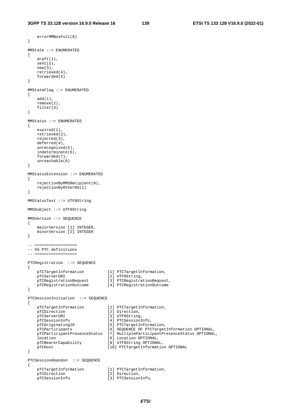```
 errorMMBoxFull(8) 
} 
MMState ::= ENUMERATED 
{ 
    draft(1), 
    sent(2), 
    new(3), 
    retrieved(4), 
    forwarded(5) 
} 
MMStateFlag ::= ENUMERATED 
{ 
    add(1), 
    remove(2), 
    filter(3) 
} 
MMStatus ::= ENUMERATED 
{ 
    expired(1), 
    retrieved(2), 
    rejected(3), 
    deferred(4), 
    unrecognized(5), 
    indeterminate(6), 
    forwarded(7), 
    unreachable(8) 
} 
MMStatusExtension ::= ENUMERATED 
{ 
    rejectionByMMSRecipient(0), 
    rejectionByOtherRS(1) 
} 
MMStatusText ::= UTF8String 
MMSSubject ::= UTF8String 
MMSVersion ::= SEQUENCE 
{ 
    majorVersion [1] INTEGER, 
    minorVersion [2] INTEGER 
} 
-- ================== 
-- 5G PTC definitions 
-- ================== 
PTCRegistration ::= SEQUENCE 
{ 
   pTCTargetInformation [1] PTCTargetInformation,<br>pTCServerURI [2] UTF8String,
pTCServerURI [2] UTF8String,
 pTCRegistrationRequest [3] PTCRegistrationRequest, 
 pTCRegistrationOutcome [4] PTCRegistrationOutcome 
} 
PTCSessionInitiation ::= SEQUENCE 
{ 
 pTCTargetInformation [1] PTCTargetInformation, 
pTCDirection [2] Direction,
pTCServerURI [3] UTF8String,
 pTCSessionInfo [4] PTCSessionInfo, 
 pTCOriginatingID [5] PTCTargetInformation, 
    pTCParticipants [6] SEQUENCE OF PTCTargetInformation OPTIONAL, 
    pTCParticipantPresenceStatus [7] MultipleParticipantPresenceStatus OPTIONAL, 
   location [8] Location OPTIONAL,
    pTCBearerCapability [9] UTF8String OPTIONAL, 
    pTCHost [10] PTCTargetInformation OPTIONAL 
} 
PTCSessionAbandon ::= SEQUENCE 
{ 
 pTCTargetInformation [1] PTCTargetInformation, 
pTCDirection [2] Direction,
 pTCSessionInfo [3] PTCSessionInfo,
```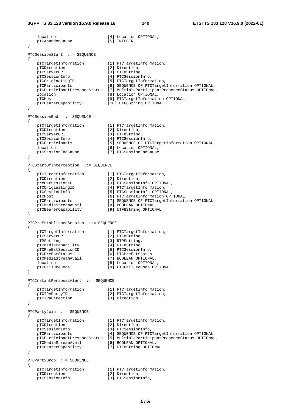location [4] Location OPTIONAL, pTCAbandonCause [5] INTEGER } PTCSessionStart ::= SEQUENCE { pTCTargetInformation [1] PTCTargetInformation, pTCDirection [2] Direction,<br>pTCServerURI [3] UTF8String [3] UTF8String, pTCSessionInfo [4] PTCSessionInfo, pTCOriginatingID [5] PTCTargetInformation, pTCParticipants [6] SEQUENCE OF PTCTargetInformation OPTIONAL, pTCParticipantPresenceStatus [7] MultipleParticipantPresenceStatus OPTIONAL, location [8] Location OPTIONAL,<br>pTCHost [9] PTCTargetInformation [9] PTCTargetInformation OPTIONAL, .<br>pTCBearerCapability [10] UTF8String OPTIONAL } PTCSessionEnd ::= SEQUENCE { pTCTargetInformation [1] PTCTargetInformation, pTCDirection [2] Direction, pTCServerURI [3] UTF8String, pTCSessionInfo [4] PTCSessionInfo, pTCParticipants [5] SEQUENCE OF PTCTargetInformation OPTIONAL, location [6] Location OPTIONAL, pTCSessionEndCause [7] PTCSessionEndCause } PTCStartOfInterception ::= SEQUENCE { pTCTargetInformation [1] PTCTargetInformation, pTCDirection [2] Direction, preEstSessionID [3] PTCSessionInfo OPTIONAL, pTCOriginatingID [4] PTCTargetInformation, pTCSessionInfo [5] PTCSessionInfo OPTIONAL, pTCHost [6] PTCTargetInformation OPTIONAL, pTCParticipants [7] SEQUENCE OF PTCTargetInformation OPTIONAL, pTCMediaStreamAvail [8] BOOLEAN OPTIONAL, pTCBearerCapability [9] UTF8String OPTIONAL } PTCPreEstablishedSession ::= SEQUENCE { pTCTargetInformation [1] PTCTargetInformation,<br>pTCServerURI [2] UTF8String, [2] UTF8String, rTPSetting [3] RTPSetting, pTCMediaCapability [4] UTF8String, pTCPreEstSessionID [5] PTCSessionInfo, provediacapability<br>
pTCMediacapability<br>
pTCPreEstSessionID [6] PTCSessionInfo,<br>
pTCPreEstStatus [6] PTCPreEstStatus, pTCMediaStreamAvail [7] BOOLEAN OPTIONAL, location [8] Location OPTIONAL, pTCFailureCode [9] PTCFailureCode OPTIONAL } PTCInstantPersonalAlert ::= SEQUENCE { pTCTargetInformation [1] PTCTargetInformation, pTCIPAPartyID [2] PTCTargetInformation, p<br>
pTCIPADirection [3] Direction } PTCPartyJoin ::= SEQUENCE { pTCTargetInformation [1] PTCTargetInformation,<br>pTCDirection [2] Direction, pTCDirection [2] Direction,<br>pTCSessionInfo [3] PTCSessionInfo, pTCSessionInfo [3] PTCSessionInfo, pTCParticipants [4] SEQUENCE OF PTCTargetInformation OPTIONAL, pTCParticipantPresenceStatus [5] MultipleParticipantPresenceStatus OPTIONAL, pTCMediaStreamAvail [6] BOOLEAN OPTIONAL, pTCBearerCapability [7] UTF8String OPTIONAL } PTCPartyDrop ::= SEQUENCE { pTCTargetInformation [1] PTCTargetInformation, pTCDirection [2] Direction, pTCSessionInfo [3] PTCSessionInfo,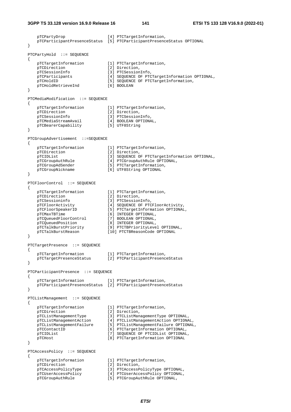```
 pTCPartyDrop [4] PTCTargetInformation, 
    pTCParticipantPresenceStatus [5] PTCParticipantPresenceStatus OPTIONAL 
} 
PTCPartyHold ::= SEQUENCE 
{ 
   pTCTargetInformation [1] PTCTargetInformation,<br>pTCDirection [2] Direction.
   pTCDirection [2] Direction,<br>pTCSessionInfo [3] PTCSession
                                [3] PTCSessionInfo,
    pTCParticipants [4] SEQUENCE OF PTCTargetInformation OPTIONAL, 
   pTCHoldID<br>pTCHoldRetrieveInd [5] SEQUENCE OF PTCTargetInformation,<br>[6] BOOLEAN
   pTCHoldRetrieveInd
} 
PTCMediaModification ::= SEQUENCE 
{ 
     pTCTargetInformation [1] PTCTargetInformation, 
   pTCDirection [2] Direction,<br>pTCSessionInfo [3] PTCSession
                                [3] PTCSessionInfo,<br>[4] BOOLEAN OPTIONAL,
   pTCMediaStreamAvail [4] BOOLEAN OPT<br>pTCBearerCapability [5] UTF8String
   pTCBearerCapability
} 
PTCGroupAdvertisement ::=SEQUENCE 
{ 
    pTCTargetInformation [1] PTCTargetInformation, 
   pTCDirection [2] Direction,
   pTCIDList [3] SEQUENCE OF PTCTargetInformation OPTIONAL,<br>pTCGroupAuthRule [4] PTCGroupAuthRule OPTIONAL,
   pTCGroupAuthRule [4] PTCGroupAuthRule OPTIONAL,<br>pTCGroupAdSender [5] PTCTargetInformation,
                                 [5] PTCTargetInformation,
     pTCGroupNickname [6] UTF8String OPTIONAL 
} 
PTCFloorControl ::= SEQUENCE 
{ 
 pTCTargetInformation [1] PTCTargetInformation, 
pTCDirection [2] Direction,
 pTCSessioninfo [3] PTCSessionInfo, 
 pTCFloorActivity [4] SEQUENCE OF PTCFloorActivity, 
 pTCFloorSpeakerID [5] PTCTargetInformation OPTIONAL, 
 pTCMaxTBTime [6] INTEGER OPTIONAL, 
 pTCQueuedFloorControl [7] BOOLEAN OPTIONAL, 
 pTCQueuedPosition [8] INTEGER OPTIONAL, 
 pTCTalkBurstPriority [9] PTCTBPriorityLevel OPTIONAL, 
 pTCTalkBurstReason [10] PTCTBReasonCode OPTIONAL 
} 
PTCTargetPresence ::= SEQUENCE 
{ 
    pTCTargetInformation [1] PTCTargetInformation, 
    pTCTargetPresenceStatus [2] PTCParticipantPresenceStatus 
} 
PTCParticipantPresence ::= SEQUENCE 
{ 
    pTCTargetInformation [1] PTCTargetInformation, 
     pTCParticipantPresenceStatus [2] PTCParticipantPresenceStatus 
} 
PTCListManagement ::= SEQUENCE 
{ 
    pTCTargetInformation [1] PTCTargetInformation, 
pTCDirection [2] Direction,
 pTCListManagementType [3] PTCListManagementType OPTIONAL, 
 pTCListManagementAction [4] PTCListManagementAction OPTIONAL, 
 pTCListManagementFailure [5] PTCListManagementFailure OPTIONAL, 
   pTCContactID [6] PTCTargetInformation OPTIONAL,<br>pTCIDList [7] SEQUENCE OF PTCIDList OPTIONAL
   pTCIDList [7] SEQUENCE OF PTCIDList OPTIONAL,<br>pTCHost [8] PTCTargetInformation OPTIONAL
                                 [8] PTCTargetInformation OPTIONAL
} 
PTCAccessPolicy ::= SEQUENCE 
{ 
     pTCTargetInformation [1] PTCTargetInformation, 
pTCDirection [2] Direction,
 pTCAccessPolicyType [3] PTCAccessPolicyType OPTIONAL, 
 pTCUserAccessPolicy [4] PTCUserAccessPolicy OPTIONAL, 
   pTCUserAccessPolicy [4] PTCUserAccessPolicy OPTION<br>pTCGroupAuthRule [5] PTCGroupAuthRule OPTIONAL,
```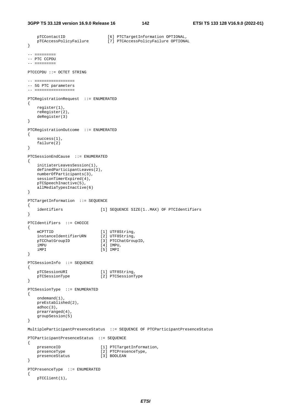```
pTCContactID [6] PTCTargetInformation OPTIONAL,<br>pTCAccessPolicyFailure [7] PTCAccessPolicyFailure OPTIONA
                                   ptcAccessPolicyFailure OPTIONAL
} 
-- ========= 
-- PTC CCPDU 
-- ========= 
PTCCCPDU ::= OCTET STRING 
-- ================= 
-- 5G PTC parameters 
-- ================= 
PTCRegistrationRequest ::= ENUMERATED 
{ 
     register(1), 
     reRegister(2), 
     deRegister(3) 
} 
PTCRegistrationOutcome ::= ENUMERATED 
{ 
     success(1), 
     failure(2) 
} 
PTCSessionEndCause ::= ENUMERATED 
{ 
     initiaterLeavesSession(1), 
     definedParticipantLeaves(2), 
    numberOfParticipants(3), 
    sessionTimerExpired(4),
    pTCSpeechInactive(5), 
     allMediaTypesInactive(6) 
} 
PTCTargetInformation ::= SEQUENCE 
{ 
     identifiers [1] SEQUENCE SIZE(1..MAX) OF PTCIdentifiers 
} 
PTCIdentifiers ::= CHOICE 
{ 
mCPTTID [1] UTF8String,
 instanceIdentifierURN [2] UTF8String, 
    pTCChatGroupID [3] PTCChatGroupID,
     iMPU [4] IMPU, 
     iMPI [5] IMPI 
} 
PTCSessionInfo ::= SEQUENCE 
{ 
    pTCSessionURI [1] UTF8String,<br>pTCSessionType [2] PTCSessionT
                              pTCSessionType [2] PTCSessionType 
} 
PTCSessionType ::= ENUMERATED 
{ 
     ondemand(1), 
     preEstablished(2), 
     adhoc(3), 
     prearranged(4), 
     groupSession(5) 
} 
MultipleParticipantPresenceStatus ::= SEQUENCE OF PTCParticipantPresenceStatus 
PTCParticipantPresenceStatus ::= SEQUENCE 
{ 
    presenceID [1] PTCTargetInformation,
    presenceType [2] PTCPresenceType,<br>presenceStatus [3] BOOLEAN
    presenceStatus
} 
PTCPresenceType ::= ENUMERATED 
{ 
     pTCClient(1),
```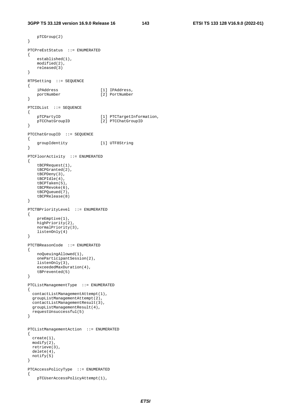```
 pTCGroup(2) 
} 
PTCPreEstStatus ::= ENUMERATED 
{ 
     established(1), 
    modified(2), 
    released(3) 
} 
RTPSetting ::= SEQUENCE 
{ 
 iPAddress [1] IPAddress, 
 portNumber [2] PortNumber 
} 
PTCIDList ::= SEQUENCE 
{ 
   pTCPartyID [1] PTCTargetInformation,<br>pTCChatGroupID [2] PTCChatGroupID
                                [2] PTCChatGroupID
} 
PTCChatGroupID ::= SEQUENCE 
{ 
     groupIdentity [1] UTF8String 
} 
PTCFloorActivity ::= ENUMERATED 
{ 
    tBCPRequest(1), 
     tBCPGranted(2), 
    tBCPDeny(3), 
    tBCPIdle(4), 
    tBCPTaken(5), 
    tBCPRevoke(6), 
     tBCPQueued(7), 
     tBCPRelease(8) 
} 
PTCTBPriorityLevel ::= ENUMERATED 
{ 
     preEmptive(1), 
     highPriority(2), 
    normalPriority(3), 
    listenOnly(4) 
} 
PTCTBReasonCode ::= ENUMERATED 
{ 
    noQueuingAllowed(1), 
     oneParticipantSession(2), 
     listenOnly(3), 
     exceededMaxDuration(4), 
     tBPrevented(5) 
} 
PTCListManagementType ::= ENUMERATED 
{ 
   contactListManagementAttempt(1), 
   groupListManagementAttempt(2), 
   contactListManagementResult(3), 
   groupListManagementResult(4), 
  requestUnsuccessful(5) 
} 
PTCListManagementAction ::= ENUMERATED 
{ 
   create(1), 
  modify(2), 
  retrieve(3), 
  delete(4), 
  notify(5) 
} 
PTCAccessPolicyType ::= ENUMERATED 
{ 
     pTCUserAccessPolicyAttempt(1),
```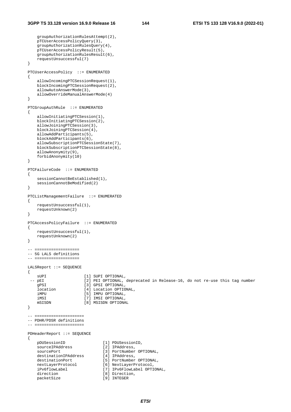groupAuthorizationRulesAttempt(2),

```
 pTCUserAccessPolicyQuery(3), 
     groupAuthorizationRulesQuery(4), 
     pTCUserAccessPolicyResult(5), 
     groupAuthorizationRulesResult(6), 
     requestUnsuccessful(7) 
} 
PTCUserAccessPolicy ::= ENUMERATED 
{ 
     allowIncomingPTCSessionRequest(1), 
     blockIncomingPTCSessionRequest(2), 
     allowAutoAnswerMode(3), 
     allowOverrideManualAnswerMode(4) 
} 
PTCGroupAuthRule ::= ENUMERATED 
{ 
     allowInitiatingPTCSession(1), 
    blockInitiatingPTCSession(2),
     allowJoiningPTCSession(3), 
     blockJoiningPTCSession(4), 
     allowAddParticipants(5), 
    blockAddParticipants(6), 
     allowSubscriptionPTCSessionState(7), 
     blockSubscriptionPTCSessionState(8), 
     allowAnonymity(9), 
     forbidAnonymity(10) 
} 
PTCFailureCode ::= ENUMERATED 
{ 
    sessionCannotBeEstablished(1),
     sessionCannotBeModified(2) 
} 
PTCListManagementFailure ::= ENUMERATED 
{ 
     requestUnsuccessful(1), 
     requestUnknown(2) 
} 
PTCAccessPolicyFailure ::= ENUMERATED 
{ 
     requestUnsuccessful(1), 
    requestUnknown(2) 
} 
-- =================== 
-- 5G LALS definitions 
-- =================== 
LALSReport ::= SEQUENCE 
{ 
 sUPI [1] SUPI OPTIONAL,<br>-- pEI [2] PEI OPTIONAL,
-- pEI [2] PEI OPTIONAL, deprecated in Release-16, do not re-use this tag number
gPSI [3] GPSI OPTIONAL,
     location [4] Location OPTIONAL, 
 iMPU [5] IMPU OPTIONAL, 
 iMSI [7] IMSI OPTIONAL, 
    mSISDN [8] MSISDN OPTIONAL 
} 
-- ===================== 
-- PDHR/PDSR definitions 
-- ===================== 
PDHeaderReport ::= SEQUENCE 
{ 
    pDUSessionID [1] PDUSessionID,<br>sourceIPAddress [2] IPAddress,
    -<br>sourceIPAddress
    sourcePort [3] PortNumber OPTIONAL,<br>destinationIPAddress [4] IPAddress,
     destinationIPAddress [4] IPAddress, 
 destinationPort [5] PortNumber OPTIONAL, 
 nextLayerProtocol [6] NextLayerProtocol, 
    iPv6flowLabel [7] IPv6FlowLabel OPTIONAL,<br>direction [8] Direction,
    direction [8] Direction,<br>
packetSize [9] INTEGER
                                 packet<br>[9] INTEGER
```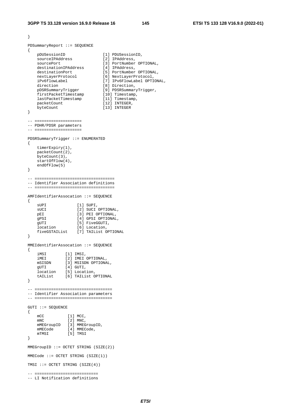```
} 
PDSummaryReport ::= SEQUENCE 
{ 
 pDUSessionID [1] PDUSessionID, 
 sourceIPAddress [2] IPAddress, 
sourcePort [3] PortNumber OPTIONAL,
 destinationIPAddress [4] IPAddress, 
 destinationPort [5] PortNumber OPTIONAL, 
 nextLayerProtocol [6] NextLayerProtocol, 
 iPv6flowLabel [7] IPv6FlowLabel OPTIONAL, 
direction [8] Direction,
 pDSRSummaryTrigger [9] PDSRSummaryTrigger, 
 firstPacketTimestamp [10] Timestamp, 
 lastPacketTimestamp [11] Timestamp, 
packetCount [12] INTEGER,
   byteCount [13] INTEGER
} 
-- ==================== 
-- PDHR/PDSR parameters 
-- ==================== 
PDSRSummaryTrigger ::= ENUMERATED 
{ 
    timerExpiry(1), 
    packetCount(2), 
    byteCount(3), 
    startOfFlow(4), 
    endOfFlow(5) 
} 
-- ================================== 
-- Identifier Association definitions 
-- ================================== 
AMFIdentifierAssocation ::= SEQUENCE 
{ 
   sUPI [1] SUPI,
   sUCI [2] SUCI OPTIONAL,
   pEI [3] PEI OPTIONAL,<br>qPSI [4] GPSI OPTIONAL
   er<br>gPSI [4] GPSI OPTIONAL,<br>gITT [5] FiveGGITT.
gUTI [5] FiveGGUTI,
 location [6] Location, 
    fiveGSTAIList [7] TAIList OPTIONAL 
} 
MMEIdentifierAssocation ::= SEQUENCE 
{ 
 iMSI [1] IMSI, 
 iMEI [2] IMEI OPTIONAL, 
 mSISDN [3] MSISDN OPTIONAL, 
gUTI [4] GUTI,
 location [5] Location, 
 tAIList [6] TAIList OPTIONAL 
} 
-- ================================= 
-- Identifier Association parameters 
-- ================================= 
GUTI ::= SEQUENCE 
{ 
   mCC [1] MCC,<br>mNC [2] MNC.
               \begin{bmatrix} 2 \end{bmatrix} MNC,
   mMEGroupID [3] MMEGroupID,<br>mMECode [4] MMECode,
 mMECode [4] MMECode, 
 mTMSI [5] TMSI 
} 
MMEGroupID ::= OCTET STRING (SIZE(2)) 
MMECode ::= OCTET STRING (SIZE(1)) 
TMSI ::= OCTET STRING (SIZE(4)) 
-- =========================== 
-- LI Notification definitions
```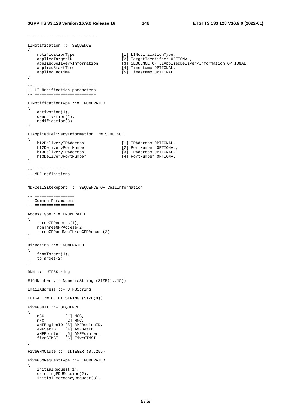-- ===========================

```
LINotification ::= SEQUENCE 
{ 
 notificationType [1] LINotificationType, 
 appliedTargetID [2] TargetIdentifier OPTIONAL, 
 appliedDeliveryInformation [3] SEQUENCE OF LIAppliedDeliveryInformation OPTIONAL, 
 appliedStartTime [4] Timestamp OPTIONAL, 
   appliedEndTime [5] Timestamp OPTIONAL
} 
-- ========================== 
-- LI Notification parameters 
-- ========================== 
LINotificationType ::= ENUMERATED 
{ 
    activation(1), 
    deactivation(2), 
    modification(3) 
} 
LIAppliedDeliveryInformation ::= SEQUENCE 
{ 
 hI2DeliveryIPAddress [1] IPAddress OPTIONAL, 
 hI2DeliveryPortNumber [2] PortNumber OPTIONAL, 
 hI3DeliveryIPAddress [3] IPAddress OPTIONAL, 
 hI3DeliveryPortNumber [4] PortNumber OPTIONAL 
} 
-- =============== 
-- MDF definitions 
-- =============== 
MDFCellSiteReport ::= SEQUENCE OF CellInformation 
-- ================= 
-- Common Parameters 
-- ================= 
AccessType ::= ENUMERATED 
{ 
    threeGPPAccess(1), 
    nonThreeGPPAccess(2), 
    threeGPPandNonThreeGPPAccess(3) 
} 
Direction ::= ENUMERATED 
{ 
    fromTarget(1), 
    toTarget(2) 
} 
DNN ::= UTF8String 
E164Number ::= NumericString (SIZE(1..15)) 
EmailAddress ::= UTF8String 
EUI64 ::= OCTET STRING (SIZE(8))FiveGGUTI ::= SEQUENCE 
{ 
mCC [1] MCC,
mNC [2] MNC,
    aMFRegionID [3] AMFRegionID, 
 aMFSetID [4] AMFSetID, 
 aMFPointer [5] AMFPointer, 
    fiveGTMSI [6] FiveGTMSI 
} 
FiveGMMCause ::= INTEGER (0..255) 
FiveGSMRequestType ::= ENUMERATED 
{ 
    initialRequest(1), 
    existingPDUSession(2), 
    initialEmergencyRequest(3),
```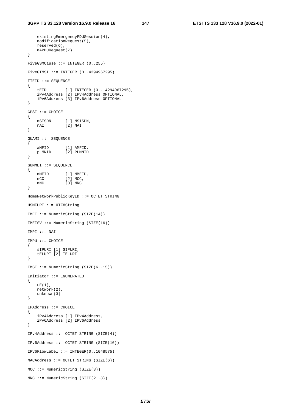existingEmergencyPDUSession(4),

```
 modificationRequest(5), 
    reserved(6), 
     mAPDURequest(7) 
} 
FiveGSMCause ::= INTEGER (0..255) 
FiveGTMSI ::= INTEGER (0..4294967295) 
FTEID ::= SEQUENCE 
{ 
    tEID [1] INTEGER (0.. 4294967295),
     iPv4Address [2] IPv4Address OPTIONAL, 
     iPv6Address [3] IPv6Address OPTIONAL 
} 
GPSI ::= CHOICE 
{ 
    mSISDN [1] MSISDN,<br>nAT [2] NAT
               \begin{bmatrix} 2 \end{bmatrix} NAI
} 
GUAMI ::= SEQUENCE 
{ 
 aMFID [1] AMFID, 
 pLMNID [2] PLMNID 
} 
GUMMEI ::= SEQUENCE 
{ 
    mMEID [1] MMEID,<br>mCC [2] MCC,
    mCC [2] MCC,<br>mNC [3] MNC
                \overline{31} MNC
} 
HomeNetworkPublicKeyID ::= OCTET STRING 
HSMFURI ::= UTF8String 
IMEI ::= NumericString (SIZE(14)) 
IMEISV ::= NumericString (SIZE(16)) 
IMPI ::= NAI 
IMPU ::= CHOICE 
{ 
     sIPURI [1] SIPURI, 
     tELURI [2] TELURI 
} 
IMSI ::= NumericString (SIZE(6..15)) 
Initiator ::= ENUMERATED 
{ 
    uE(1),
     network(2), 
     unknown(3) 
} 
IPAddress ::= CHOICE 
{ 
     iPv4Address [1] IPv4Address, 
     iPv6Address [2] IPv6Address 
} 
IPv4Address ::= OCTET STRING (SIZE(4)) 
IPv6Address ::= OCTET STRING (SIZE(16)) 
IPv6FlowLabel ::= INTEGER(0..1048575) 
MACAddress ::= OCTET STRING (SIZE(6)) 
MCC ::= NumericString (SIZE(3)) 
MNC := NumericString (SIZE(2..3))
```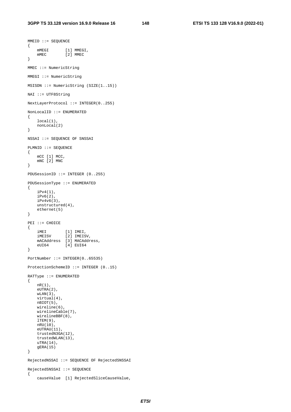```
MMEID :: = SEOUENCE{ 
mMEGI [1] MMEGI,
 mMEC [2] MMEC 
} 
MMEC ::= NumericString 
MMEGI ::= NumericString 
MSISDN ::= NumericString (SIZE(1..15)) 
NAI ::= UTF8String 
NextLayerProtocol ::= INTEGER(0..255) 
NonLocalID ::= ENUMERATED 
{ 
     local(1), 
    nonLocal(2) 
} 
NSSAI ::= SEQUENCE OF SNSSAI 
PLMNID ::= SEQUENCE 
{ 
     mCC [1] MCC, 
     mNC [2] MNC 
} 
PDUSessionID ::= INTEGER (0..255) 
PDUSessionType ::= ENUMERATED 
{ 
     iPv4(1), 
    iPv6(2), 
     iPv4v6(3), 
    unstructured(4), 
     ethernet(5) 
} 
PEI ::= CHOICE 
{ 
 iMEI [1] IMEI, 
 iMEISV [2] IMEISV, 
     mACAddress [3] MACAddress, 
     eUI64 [4] EUI64 
} 
PortNumber ::= INTEGER(0..65535) 
ProtectionSchemeID ::= INTEGER (0..15) 
RATType ::= ENUMERATED 
{ 
    nR(1), 
    eUTRA(2), 
    wLAN(3),
    virtual(4), 
    nBIOT(5), 
     wireline(6), 
    wirelineCable(7), 
    wirelineBBF(8),
    lTEM(9), 
    nRU(10), 
     eUTRAU(11), 
     trustedN3GA(12), 
    trustedWLAN(13), 
    uTRA(14), 
     gERA(15) 
} 
RejectedNSSAI ::= SEQUENCE OF RejectedSNSSAI 
RejectedSNSSAI ::= SEQUENCE 
{ 
     causeValue [1] RejectedSliceCauseValue,
```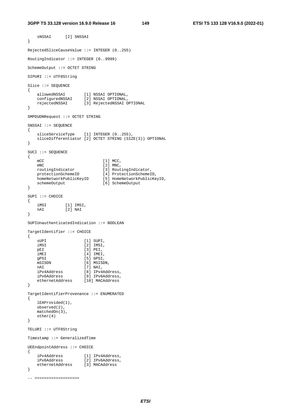sNSSAI [2] SNSSAI } RejectedSliceCauseValue ::= INTEGER (0..255) RoutingIndicator ::= INTEGER (0..9999) SchemeOutput ::= OCTET STRING SIPURI ::= UTF8String Slice ::= SEQUENCE { allowedNSSAI [1] NSSAI OPTIONAL, configuredNSSAI [2] NSSAI OPTIONAL, rejectedNSSAI [3] RejectedNSSAI OPTIONAL } SMPDUDNRequest ::= OCTET STRING SNSSAI ::= SEQUENCE { sliceServiceType [1] INTEGER (0..255), sliceDifferentiator [2] OCTET STRING (SIZE(3)) OPTIONAL } SUCI ::= SEQUENCE { mCC [1] MCC,  $mNC$  [2] MNC, routingIndicator [3] RoutingIndicator, protectionSchemeID [4] ProtectionSchemeID, homeNetworkPublicKeyID [5] HomeNetworkPublicKeyID, schemeOutput [6] SchemeOutput }  $SUPI :: = CHOICE$ { iMSI [1] IMSI, nAI [2] NAI } SUPIUnauthenticatedIndication ::= BOOLEAN TargetIdentifier ::= CHOICE { sUPI [1] SUPI, iMSI [2] IMSI, pEI [3] PEI, iMEI [4] IMEI, gPSI [5] GPSI, mSISDN [6] MSISDN, nAI [7] NAI, iPv4Address [8] IPv4Address, iPv6Address [9] IPv6Address, ethernetAddress [10] MACAddress } TargetIdentifierProvenance ::= ENUMERATED { lEAProvided(1), observed(2), matchedOn(3), other(4) } TELURI ::= UTF8String Timestamp ::= GeneralizedTime UEEndpointAddress ::= CHOICE { iPv4Address [1] IPv4Address, iPv6Address [2] IPv6Address, ethernetAddress [3] MACAddress } -- ===================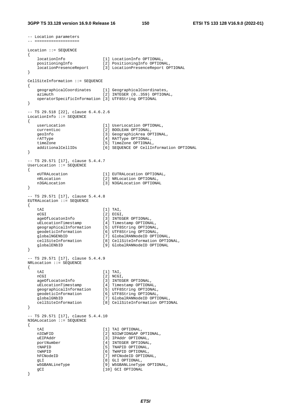```
-- Location parameters 
-- =================== 
Location ::= SEQUENCE 
{ 
 locationInfo [1] LocationInfo OPTIONAL, 
 positioningInfo [2] PositioningInfo OPTIONAL, 
 locationPresenceReport [3] LocationPresenceReport OPTIONAL 
} 
CellSiteInformation ::= SEQUENCE 
{ 
    geographicalCoordinates [1] GeographicalCoordinates, 
   azimuth [2] INTEGER (0..359) OPTIONAL,
    operatorSpecificInformation [3] UTF8String OPTIONAL 
} 
-- TS 29.518 [22], clause 6.4.6.2.6 
LocationInfo ::= SEQUENCE 
{ 
    userLocation [1] UserLocation OPTIONAL, 
   currentLoc [2] BOOLEAN OPTIONAL, 
   geoInfo [3] GeographicArea OPTIONAL,
    rATType [4] RATType OPTIONAL, 
 timeZone [5] TimeZone OPTIONAL, 
 additionalCellIDs [6] SEQUENCE OF CellInformation OPTIONAL 
} 
-- TS 29.571 [17], clause 5.4.4.7 
UserLocation ::= SEQUENCE 
{ 
   eUTRALocation [1] EUTRALocation OPTIONAL,<br>nRLocation [2] NRLocation OPTIONAL,
                           [2] NRLocation OPTIONAL,
    n3GALocation [3] N3GALocation OPTIONAL 
} 
-- TS 29.571 [17], clause 5.4.4.8 
EUTRALocation ::= SEQUENCE 
{ 
   tai (1) Tai,<br>eCGI (2) ECGI,
eCGI [2] ECGI,
 ageOfLocatonInfo [3] INTEGER OPTIONAL, 
 uELocationTimestamp [4] Timestamp OPTIONAL, 
 geographicalInformation [5] UTF8String OPTIONAL, 
 geodeticInformation [6] UTF8String OPTIONAL, 
 globalNGENbID [7] GlobalRANNodeID OPTIONAL, 
 cellSiteInformation [8] CellSiteInformation OPTIONAL, 
 globalENbID [9] GlobalRANNodeID OPTIONAL 
} 
-- TS 29.571 [17], clause 5.4.4.9 
NRLocation ::= SEQUENCE 
{ 
    tAI [1] TAI, 
   nCGI [2] NCGI,<br>ageOfLocatonInfo [3] INTEG
                          ageory<br>[3] INTEGER OPTIONAL,<br>[4] Timestamp OPTIONAL,
   uELocationTimestamp
 geographicalInformation [5] UTF8String OPTIONAL, 
 geodeticInformation [6] UTF8String OPTIONAL, 
 globalGNbID [7] GlobalRANNodeID OPTIONAL, 
    cellSiteInformation [8] CellSiteInformation OPTIONAL 
} 
-- TS 29.571 [17], clause 5.4.4.10 
N3GALocation ::= SEQUENCE 
{ 
   tAI [1] TAI OPTIONAL,<br>n3IWFID [2] N3IWFIDNGAP O
                          [2] N3IWFIDNGAP OPTIONAL,
    uEIPAddr [3] IPAddr OPTIONAL, 
    portNumber [4] INTEGER OPTIONAL, 
   tNAPID (5) TNAPID OPTIONAL,
   tWAPID [6] TWAPID OPTIONAL,
   hFCNodeID [7] HFCNodeID OPTIONAL,
   gLI [8] GLI OPTIONAL,
    w5GBANLineType [9] W5GBANLineType OPTIONAL, 
   gCI [10] GCI OPTIONAL
}
```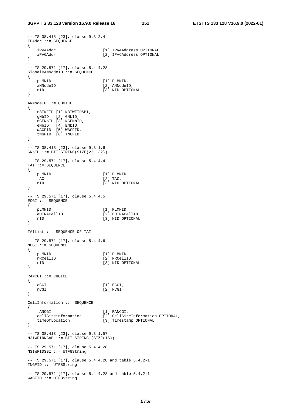```
-- TS 38.413 [23], clause 9.3.2.4 
IPAddr ::= SEQUENCE 
{ 
    iPv4Addr [1] IPv4Address OPTIONAL, 
    iPv6Addr [2] IPv6Address OPTIONAL 
} 
-- TS 29.571 [17], clause 5.4.4.28 
GlobalRANNodeID ::= SEQUENCE 
{ 
    pLMNID [1] PLMNID, 
   aNNodeID [2] ANNodeID,
    nID [3] NID OPTIONAL 
} 
ANNodeID ::= CHOICE 
{ 
    n3IWFID [1] N3IWFIDSBI, 
    gNbID [2] GNbID, 
    nGENbID [3] NGENbID, 
    eNbID [4] ENbID, 
    wAGFID [5] WAGFID, 
    tNGFID [6] TNGFID 
} 
-- TS 38.413 [23], clause 9.3.1.6 
GNbID ::= BIT STRING(SIZE(22..32)) 
-- TS 29.571 [17], clause 5.4.4.4 
TAI ::= SEQUENCE
{ 
   pLMNID [1] PLMNID,<br>tac [2] Tac,
                             [2] TAC,
   nID \overline{3} NID OPTIONAL
} 
-- TS 29.571 [17], clause 5.4.4.5 
ECGI ::= SEQUENCE 
{ 
   pLMNID [1] PLMNID,<br>eUTRACellID [2] EUTRACe
   eUTRACellID [2] EUTRACellID,<br>nID [3] NID OPTIONAL
                             [3] NID OPTIONAL
} 
TAIList ::= SEQUENCE OF TAI 
-- TS 29.571 [17], clause 5.4.4.6 
NCGI ::= SEQUENCE 
{ 
    pLMNID [1] PLMNID, 
   nRCellID [2] NRCellID,
    nID [3] NID OPTIONAL 
} 
RANCGI ::= CHOICE 
{ 
   eCGI [1] ECGI,
    nCGI [2] NCGI 
} 
CellInformation ::= SEQUENCE 
{ 
   rANCGI [1] RANCGI,<br>cellSiteinformation [2] CellSit
 cellSiteinformation [2] CellSiteInformation OPTIONAL, 
 timeOfLocation [3] Timestamp OPTIONAL 
} 
-- TS 38.413 [23], clause 9.3.1.57 
N3IWFIDNGAP ::= BIT STRING (SIZE(16)) 
-- TS 29.571 [17], clause 5.4.4.28 
N3IWFIDSBI ::= UTF8String 
-- TS 29.571 [17], clause 5.4.4.28 and table 5.4.2-1 
TNGFID ::= UTF8String 
-- TS 29.571 [17], clause 5.4.4.28 and table 5.4.2-1 
WAGFID ::= UTF8String
```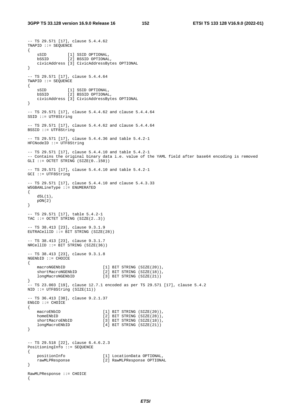-- TS 29.571 [17], clause 5.4.4.62

```
TNAPID ::= SEQUENCE 
{ 
sSID [1] SSID OPTIONAL,
 bSSID [2] BSSID OPTIONAL, 
     civicAddress [3] CivicAddressBytes OPTIONAL 
} 
-- TS 29.571 [17], clause 5.4.4.64 
TWAPID ::= SEQUENCE 
\mathcal{L} sSID [1] SSID OPTIONAL, 
 bSSID [2] BSSID OPTIONAL, 
     civicAddress [3] CivicAddressBytes OPTIONAL 
} 
-- TS 29.571 [17], clause 5.4.4.62 and clause 5.4.4.64 
SSID ::= UTF8String 
-- TS 29.571 [17], clause 5.4.4.62 and clause 5.4.4.64 
BSSID ::= UTF8String 
-- TS 29.571 [17], clause 5.4.4.36 and table 5.4.2-1 
HFCNodeID ::= UTF8String 
-- TS 29.571 [17], clause 5.4.4.10 and table 5.4.2-1 
-- Contains the original binary data i.e. value of the YAML field after base64 encoding is removed 
GLI ::= OCTET STRING (SIZE(0..150))
-- TS 29.571 [17], clause 5.4.4.10 and table 5.4.2-1 
GCI ::= UTF8String 
-- TS 29.571 [17], clause 5.4.4.10 and clause 5.4.3.33 
W5GBANLineType ::= ENUMERATED 
{ 
    dSL(1),
    pON(2) 
} 
 -- TS 29.571 [17], table 5.4.2-1 
TAC ::= OCTET STRING (SIZE(2..3))
-- TS 38.413 [23], clause 9.3.1.9 
EUTRACellID ::= BIT STRING (SIZE(28)) 
-- TS 38.413 [23], clause 9.3.1.7 
NRCellID ::= BIT STRING (SIZE(36)) 
-- TS 38.413 [23], clause 9.3.1.8 
NGENbID ::= CHOICE 
{ 
    macroNGENbID [1] BIT STRING (SIZE(20)),<br>shortMacroNGENbID [2] BIT STRING (SIZE(18)),
   shortMacroNGENbID [2] BIT STRING (SIZE(18)),<br>longMacroNGENbID [3] BIT STRING (SIZE(21))
                                [3] BIT STRING (SIZE(21))} 
-- TS 23.003 [19], clause 12.7.1 encoded as per TS 29.571 [17], clause 5.4.2 
NID ::= UTF8String (SIZE(11)) 
-- TS 36.413 [38], clause 9.2.1.37 
ENbID ::= CHOICE 
{ 
   macroENbID [1] BIT STRING (SIZE(20)),<br>homeENbID [2] BIT STRING (SIZE(28)),
   homeENbID [2] BIT STRING (SIZE(28)),<br>shortMacroENbID [3] BIT STRING (SIZE(18)),
                                 [3] BIT STRING (SIZE(18)),
     longMacroENbID [4] BIT STRING (SIZE(21)) 
} 
-- TS 29.518 [22], clause 6.4.6.2.3 
PositioningInfo ::= SEQUENCE 
{ 
     positionInfo [1] LocationData OPTIONAL, 
    rawMLPResponse [2] RawMLPResponse OPTIONAL 
} 
RawMLPResponse ::= CHOICE 
{
```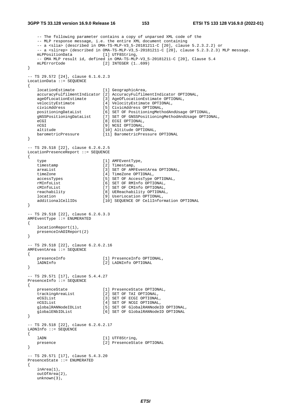#### **3GPP TS 33.128 version 16.9.0 Release 16 153 ETSI TS 133 128 V16.9.0 (2022-01)**

unknown(3),

```
 -- The following parameter contains a copy of unparsed XML code of the 
   -- MLP response message, i.e. the entire XML document containing
    -- a <slia> (described in OMA-TS-MLP-V3_5-20181211-C [20], clause 5.2.3.2.2) or 
    -- a <slirep> (described in OMA-TS-MLP-V3_5-20181211-C [20], clause 5.2.3.2.3) MLP message. 
    mLPPositionData [1] UTF8String, 
   -- OMA MLP result id, defined in OMA-TS-MLP-V3_5-20181211-C [20], Clause 5.4<br>mLPErrorCode [2] INTEGER (1.,699)[2] INTEGER (1..699)} 
-- TS 29.572 [24], clause 6.1.6.2.3 
LocationData ::= SEQUENCE 
{ 
    locationEstimate [1] GeographicArea, 
    accuracyFulfilmentIndicator [2] AccuracyFulfilmentIndicator OPTIONAL, 
   ageOfLocationEstimate [3] AgeOfLocationEstimate OPTIONAL,<br>velocityEstimate [4] VelocityEstimate OPTIONAL,
 velocityEstimate [4] VelocityEstimate OPTIONAL, 
 civicAddress [5] CivicAddress OPTIONAL, 
 positioningDataList [6] SET OF PositioningMethodAndUsage OPTIONAL, 
 gNSSPositioningDataList [7] SET OF GNSSPositioningMethodAndUsage OPTIONAL, 
   eCGI [8] ECGI OPTIONAL,<br>
nCGI 191 NCGI OPTIONAL,
                              [9] NCGI OPTIONAL,
   altitude [10] Altitude OPTIONAL,
    barometricPressure [11] BarometricPressure OPTIONAL 
} 
-- TS 29.518 [22], clause 6.2.6.2.5 
LocationPresenceReport ::= SEQUENCE 
{ 
   type [1] AMFEventType,
    timestamp [2] Timestamp, 
   areaList [3] SET OF AMFEventArea OPTIONAL,<br>timeZone [4] TimeZone OPTIONAL,
   timeZone (4) TimeZone OPTIONAL,<br>accessTypes (5) SET OF AccessType (
                              [5] SET OF AccessType OPTIONAL,
   rMInfoList [6] SET OF RMInfo OPTIONAL,
    cMInfoList [7] SET OF CMInfo OPTIONAL, 
    reachability [8] UEReachability OPTIONAL, 
   location [9] UserLocation OPTIONAL,<br>additionalCellIDs [10] SEQUENCE OF CellInform
                              [10] SEQUENCE OF CellInformation OPTIONAL
} 
-- TS 29.518 [22], clause 6.2.6.3.3 
AMFEventType ::= ENUMERATED 
{ 
    locationReport(1), 
    presenceInAOIReport(2) 
} 
-- TS 29.518 [22], clause 6.2.6.2.16 
AMFEventArea ::= SEQUENCE 
{ 
    presenceInfo [1] PresenceInfo OPTIONAL, 
    lADNInfo [2] LADNInfo OPTIONAL 
} 
-- TS 29.571 [17], clause 5.4.4.27 
PresenceInfo ::= SEQUENCE 
{ 
    presenceState [1] PresenceState OPTIONAL, 
    trackingAreaList [2] SET OF TAI OPTIONAL, 
   eCGIList [3] SET OF ECGI OPTIONAL,
   nCGIList [4] SET OF NCGI OPTIONAL,
    globalRANNodeIDList [5] SET OF GlobalRANNodeID OPTIONAL, 
    globalENbIDList [6] SET OF GlobalRANNodeID OPTIONAL 
} 
-- TS 29.518 [22], clause 6.2.6.2.17 
LADNInfo ::= SEQUENCE 
{ 
   lADN [1] UTF8String,
   presence [2] PresenceState OPTIONAL
} 
-- TS 29.571 [17], clause 5.4.3.20 
PresenceState ::= ENUMERATED 
{ 
    inArea(1), 
    outOfArea(2),
```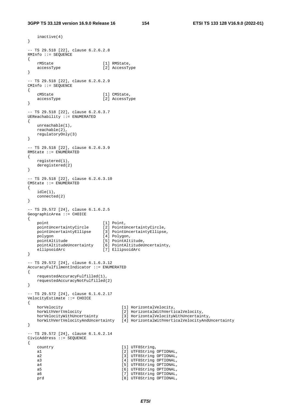inactive(4)

```
} 
-- TS 29.518 [22], clause 6.2.6.2.8 
RMInfo ::= SEQUENCE 
{ 
   rMState [1] RMState,<br>accessTvpe [2] AccessTv
                           .<br>[2] AccessType
} 
-- TS 29.518 [22], clause 6.2.6.2.9 
CMInfo ::= SEQUENCE 
{ 
   cMState [1] CMState,<br>accessType [2] AccessTy
                            accessType [2] AccessType 
} 
-- TS 29.518 [22], clause 6.2.6.3.7 
UEReachability ::= ENUMERATED 
{ 
    unreachable(1), 
   reachable(2), 
    regulatoryOnly(3) 
} 
-- TS 29.518 [22], clause 6.2.6.3.9 
RMState ::= ENUMERATED 
{ 
    registered(1), 
    deregistered(2) 
} 
-- TS 29.518 [22], clause 6.2.6.3.10 
CMState ::= ENUMERATED 
{ 
    idle(1), 
   connected(2) 
} 
-- TS 29.572 [24], clause 6.1.6.2.5 
GeographicArea ::= CHOICE 
{ 
point [1] Point,
 pointUncertaintyCircle [2] PointUncertaintyCircle, 
 pointUncertaintyEllipse [3] PointUncertaintyEllipse, 
 polygon [4] Polygon, 
    pointAltitude [5] PointAltitude, 
 pointAltitudeUncertainty [6] PointAltitudeUncertainty, 
 ellipsoidArc [7] EllipsoidArc 
} 
-- TS 29.572 [24], clause 6.1.6.3.12 
AccuracyFulfilmentIndicator ::= ENUMERATED 
{ 
    requestedAccuracyFulfilled(1), 
    requestedAccuracyNotFulfilled(2) 
} 
-- TS 29.572 [24], clause 6.1.6.2.17 
VelocityEstimate ::= CHOICE 
{ 
horVelocity [1] HorizontalVelocity,
 horWithVertVelocity [2] HorizontalWithVerticalVelocity, 
   horVelocityWithUncertainty [3] HorizontalVelocityWithUncertainty,
   horWithVertVelocityAndUncertainty [4] HorizontalWithVerticalVelocityAndUncertainty
} 
-- TS 29.572 [24], clause 6.1.6.2.14 
CivicAddress ::= SEQUENCE 
{ 
   country [1] UTF8String,
   a1 [2] UTF8String OPTIONAL,
   a2 [3] UTF8String OPTIONAL,
   a3 [4] UTF8String OPTIONAL,
   a4 [5] UTF8String OPTIONAL,
   a5 [6] UTF8String OPTIONAL,<br>a6 [7] UTF8String OPTIONAL,
                                   [7] UTF8String OPTIONAL,
   prd [8] UTF8String OPTIONAL,
```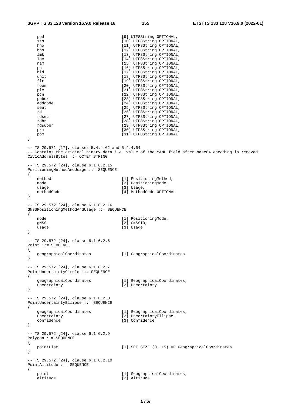| pod<br>sts<br>hno<br>hns<br>lmk<br>loc<br>nam<br>pc<br>bld<br>unit<br>flr<br>room<br>plc<br>pcn<br>pobox<br>addcode<br>seat<br>rd<br>rdsec<br>rdbr<br>rdsubbr<br>prm<br>pom<br>}<br>-- TS 29.571 [17], clauses $5.4.4.62$ and $5.4.4.64$ | [9] UTF8String OPTIONAL,<br>[10] UTF8String OPTIONAL,<br>[11] UTF8String OPTIONAL,<br>[12] UTF8String OPTIONAL,<br>[13] UTF8String OPTIONAL,<br>[14] UTF8String OPTIONAL,<br>[15] UTF8String OPTIONAL,<br>[16] UTF8String OPTIONAL,<br>[17] UTF8String OPTIONAL,<br>[18] UTF8String OPTIONAL,<br>[19] UTF8String OPTIONAL,<br>[20] UTF8String OPTIONAL,<br>[21] UTF8String OPTIONAL,<br>[22] UTF8String OPTIONAL,<br>[23] UTF8String OPTIONAL,<br>[24] UTF8String OPTIONAL,<br>[25] UTF8String OPTIONAL,<br>[26] UTF8String OPTIONAL,<br>[27] UTF8String OPTIONAL,<br>[28] UTF8String OPTIONAL,<br>[29] UTF8String OPTIONAL,<br>[30] UTF8String OPTIONAL,<br>[31] UTF8String OPTIONAL |
|------------------------------------------------------------------------------------------------------------------------------------------------------------------------------------------------------------------------------------------|---------------------------------------------------------------------------------------------------------------------------------------------------------------------------------------------------------------------------------------------------------------------------------------------------------------------------------------------------------------------------------------------------------------------------------------------------------------------------------------------------------------------------------------------------------------------------------------------------------------------------------------------------------------------------------------|
| CivicAddressBytes ::= OCTET STRING<br>-- TS 29.572 [24], clause 6.1.6.2.15                                                                                                                                                               | -- Contains the original binary data i.e. value of the YAML field after base64 encoding is removed                                                                                                                                                                                                                                                                                                                                                                                                                                                                                                                                                                                    |
| PositioningMethodAndUsage ::= SEQUENCE<br>$\{$<br>method<br>mode<br>usage<br>methodCode<br>}                                                                                                                                             | [1] PositioningMethod,<br>[2] PositioningMode,<br>$[3]$ Usage,<br>[4] MethodCode OPTIONAL                                                                                                                                                                                                                                                                                                                                                                                                                                                                                                                                                                                             |
| -- TS 29.572 [24], clause 6.1.6.2.16<br>GNSSPositioningMethodAndUsage ::= SEQUENCE<br>$\left\{ \right.$                                                                                                                                  |                                                                                                                                                                                                                                                                                                                                                                                                                                                                                                                                                                                                                                                                                       |
| mode<br>gNSS<br>usage<br>$\}$                                                                                                                                                                                                            | [1] PositioningMode,<br>[2] GNSSID,<br>[3] Usage                                                                                                                                                                                                                                                                                                                                                                                                                                                                                                                                                                                                                                      |
| -- TS 29.572 [24], clause 6.1.6.2.6<br>Point ::= SEQUENCE<br>$\left\{ \right.$<br>geographicalCoordinates                                                                                                                                | [1] GeographicalCoordinates                                                                                                                                                                                                                                                                                                                                                                                                                                                                                                                                                                                                                                                           |
| }<br>-- TS 29.572 [24], clause 6.1.6.2.7<br>PointUncertaintyCircle ::= SEQUENCE                                                                                                                                                          |                                                                                                                                                                                                                                                                                                                                                                                                                                                                                                                                                                                                                                                                                       |
| $\left\{ \right.$<br>geographicalCoordinates<br>uncertainty<br>}                                                                                                                                                                         | [1] GeographicalCoordinates,<br>[2] Uncertainty                                                                                                                                                                                                                                                                                                                                                                                                                                                                                                                                                                                                                                       |
| -- TS 29.572 [24], clause 6.1.6.2.8<br>PointUncertaintyEllipse ::= SEQUENCE<br>€<br>geographicalCoordinates<br>uncertainty<br>confidence<br>$\}$                                                                                         | [1] GeographicalCoordinates,<br>[2] UncertaintyEllipse,<br>[3] Confidence                                                                                                                                                                                                                                                                                                                                                                                                                                                                                                                                                                                                             |
| -- TS 29.572 [24], clause 6.1.6.2.9<br>Polygon ::= SEQUENCE<br>$\{$<br>pointList                                                                                                                                                         | [1] SET SIZE (315) OF GeographicalCoordinates                                                                                                                                                                                                                                                                                                                                                                                                                                                                                                                                                                                                                                         |
| }<br>-- TS 29.572 [24], clause 6.1.6.2.10<br>PointAltitude ::= SEQUENCE                                                                                                                                                                  |                                                                                                                                                                                                                                                                                                                                                                                                                                                                                                                                                                                                                                                                                       |
| $\mathcal{L}$<br>point<br>altitude                                                                                                                                                                                                       | [1] GeographicalCoordinates,<br>[2] Altitude                                                                                                                                                                                                                                                                                                                                                                                                                                                                                                                                                                                                                                          |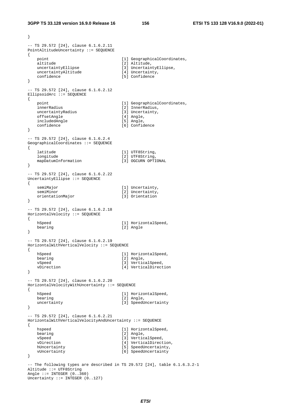```
} 
-- TS 29.572 [24], clause 6.1.6.2.11 
PointAltitudeUncertainty ::= SEQUENCE 
{ 
   point [1] GeographicalCoordinates,<br>altitude [2] Altitude,
   altitude [2] Altitude,<br>uncertaintyEllipse [3] Uncertain
                                 \overline{3}] UncertaintyEllipse,
   uncertaintyAltitude [4] Uncertainty,
    confidence [5] Confidence 
} 
-- TS 29.572 [24], clause 6.1.6.2.12 
EllipsoidArc ::= SEQUENCE 
{ 
   point [1] Geographical Coordinates,innerRadius [2] InnerRadius,
   uncertaintyRadius [3] Uncertainty,<br>
offsetAngle [4] Angle,
   offsetAngle [4] Angle,<br>includedAngle [5] Angle,
   includedAngle<br>confidence
                                   confidence [6] Confidence 
} 
-- TS 29.572 [24], clause 6.1.6.2.4 
GeographicalCoordinates ::= SEQUENCE 
{ 
   latitude [1] UTF8String,
   longitude [2] UTF8String,<br>mapDatumInformation [3] OGCURN OPTIONAL
   mapDatumInformation
} 
-- TS 29.572 [24], clause 6.1.6.2.22 
UncertaintyEllipse ::= SEQUENCE 
{ 
   semiMajor [1] Uncertainty,
   semiMinor [2] Uncertainty,
    orientationMajor [3] Orientation 
} 
-- TS 29.572 [24], clause 6.1.6.2.18 
HorizontalVelocity ::= SEQUENCE 
{ 
   hSpeed hSpeed and the control of the function of the horizontalSpeed,
   bearing [2] Angle
} 
-- TS 29.572 [24], clause 6.1.6.2.19 
HorizontalWithVerticalVelocity ::= SEQUENCE 
{ 
   hSpeed [1] HorizontalSpeed,
   bearing [2] Angle,<br>vSpeed [3] Vertic
                                  [3] VerticalSpeed,
    vDirection [4] VerticalDirection 
} 
-- TS 29.572 [24], clause 6.1.6.2.20 
HorizontalVelocityWithUncertainty ::= SEQUENCE 
{ 
   hSpeed [1] HorizontalSpeed,
   bearing [2] Angle,
   uncertainty [3] SpeedUncertainty
} 
-- TS 29.572 [24], clause 6.1.6.2.21 
HorizontalWithVerticalVelocityAndUncertainty ::= SEQUENCE 
{ 
   hspeed [1] HorizontalSpeed,<br>bearing [2] Angle,
                                  [2] Angle,
   vSpeed [3] VerticalSpeed,
   vDirection [4] VerticalDirection,
   hUncertainty [5] SpeedUncertainty,
    vUncertainty [6] SpeedUncertainty 
} 
-- The following types are described in TS 29.572 [24], table 6.1.6.3.2-1 
Altitude ::= UTF8String 
Angle ::= INTEGER (0..360)Uncertainty ::= INTEGER (0..127)
```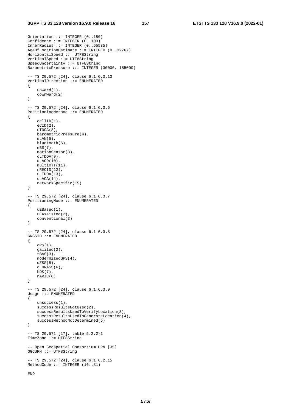```
Orientation ::= INTEGER (0..180) 
Confidence ::= INTEGER (0..100)InnerRadius ::= INTEGER (0..65535) 
AgeOfLocationEstimate ::= INTEGER (0..32767) 
HorizontalSpeed ::= UTF8String 
VerticalSpeed ::= UTF8String 
SpeedUncertainty ::= UTF8String 
BarometricPressure ::= INTEGER (30000..155000) 
 -- TS 29.572 [24], clause 6.1.6.3.13 
VerticalDirection ::= ENUMERATED 
{ 
     upward(1), 
     downward(2) 
} 
-- TS 29.572 [24], clause 6.1.6.3.6 
PositioningMethod ::= ENUMERATED 
{ 
     cellID(1), 
    eCTD(2).
     oTDOA(3), 
     barometricPressure(4), 
    wLAN(5),
     bluetooth(6), 
     mBS(7), 
     motionSensor(8), 
     dLTDOA(9), 
     dLAOD(10), 
    multiRTT(11).
     nRECID(12), 
    uLTDOA(13),
     uLAOA(14), 
     networkSpecific(15) 
} 
-- TS 29.572 [24], clause 6.1.6.3.7 
PositioningMode ::= ENUMERATED 
{ 
     uEBased(1), 
     uEAssisted(2), 
     conventional(3) 
} 
-- TS 29.572 [24], clause 6.1.6.3.8 
GNSSID ::= ENUMERATED 
{ 
     gPS(1), 
     galileo(2), 
    sBAS(3),
     modernizedGPS(4), 
    qZSS(5),
     gLONASS(6), 
    bDS(7),
     nAVIC(8) 
} 
-- TS 29.572 [24], clause 6.1.6.3.9 
Usage ::= ENUMERATED 
{ 
     unsuccess(1), 
     successResultsNotUsed(2), 
     successResultsUsedToVerifyLocation(3), 
     successResultsUsedToGenerateLocation(4), 
     successMethodNotDetermined(5) 
} 
-- TS 29.571 [17], table 5.2.2-1 
TimeZone ::= UTF8String 
-- Open Geospatial Consortium URN [35] 
OGCURN ::= UTF8String 
-- TS 29.572 [24], clause 6.1.6.2.15 
MethodCode ::= INTEGER (16..31) 
END
```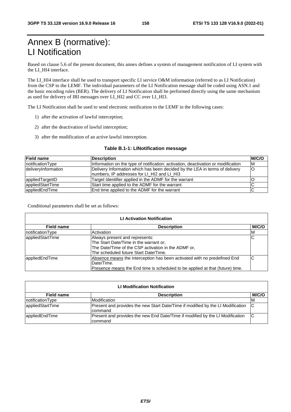# Annex B (normative): LI Notification

Based on clause 5.6 of the present document, this annex defines a system of management notification of LI system with the LI\_HI4 interface.

The LI\_HI4 interface shall be used to transport specific LI service O&M information (referred to as LI Notification) from the CSP to the LEMF. The individual parameters of the LI Notification message shall be coded using ASN.1 and the basic encoding rules (BER). The delivery of LI Notification shall be performed directly using the same mechanism as used for delivery of IRI messages over LI\_HI2 and CC over LI\_HI3.

The LI Notification shall be used to send electronic notification to the LEMF in the following cases:

- 1) after the activation of lawful interception;
- 2) after the deactivation of lawful interception;
- 3) after the modification of an active lawful interception.

### **Table B.1-1: LINotification message**

| <b>Field name</b>   | <b>Description</b>                                                                                                          | <b>M/C/O</b> |
|---------------------|-----------------------------------------------------------------------------------------------------------------------------|--------------|
| notificationType    | Information on the type of notification: activation, deactivation or modification                                           | ΙM           |
| deliveryInformation | Delivery Information which has been decided by the LEA in terms of delivery<br>Inumbers, IP addresses for LI HI2 and LI HI3 | lO           |
| appliedTargetID     | Target Identifier applied in the ADMF for the warrant                                                                       |              |
| appliedStartTime    | Start time applied to the ADMF for the warrant                                                                              |              |
| appliedEndTime      | End time applied to the ADMF for the warrant                                                                                |              |

Conditional parameters shall be set as follows:

| <b>LI Activation Notification</b> |                                                                                                                                                                          |       |  |  |  |
|-----------------------------------|--------------------------------------------------------------------------------------------------------------------------------------------------------------------------|-------|--|--|--|
| <b>Field name</b>                 | <b>Description</b>                                                                                                                                                       | M/C/O |  |  |  |
| notificationType                  | Activation                                                                                                                                                               | M     |  |  |  |
| lappliedStartTime                 | Always present and represents:<br>The Start Date/Time in the warrant or,<br>The Date/Time of the CSP activation in the ADMF or,<br>The scheduled future Start Date/Time. | IC    |  |  |  |
| appliedEndTime                    | Absence means the interception has been activated with no predefined End<br>Date/Time.<br>Presence means the End time is scheduled to be applied at that (future) time.  | C     |  |  |  |

| <b>LI Modification Notification</b> |                                                                                               |       |  |  |  |
|-------------------------------------|-----------------------------------------------------------------------------------------------|-------|--|--|--|
| <b>Field name</b>                   | <b>Description</b>                                                                            | M/C/O |  |  |  |
| notificationType                    | Modification                                                                                  | ΙM    |  |  |  |
| appliedStartTime                    | Present and provides the new Start Date/Time if modified by the LI Modification C<br>Icommand |       |  |  |  |
| lappliedEndTime                     | Present and provides the new End Date/Time if modified by the LI Modification<br>Icommand     | IC    |  |  |  |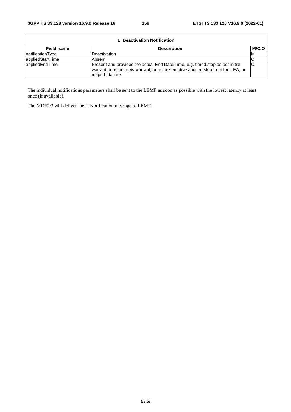| LI Deactivation Notification |                                                                                                                                                                                      |       |  |  |  |
|------------------------------|--------------------------------------------------------------------------------------------------------------------------------------------------------------------------------------|-------|--|--|--|
| Field name                   | <b>Description</b>                                                                                                                                                                   | M/C/O |  |  |  |
| notificationType             | Deactivation                                                                                                                                                                         | ΙM    |  |  |  |
| appliedStartTime             | Absent                                                                                                                                                                               |       |  |  |  |
| lappliedEndTime              | Present and provides the actual End Date/Time, e.g. timed stop as per initial<br>warrant or as per new warrant, or as pre-emptive audited stop from the LEA, or<br>major LI failure. |       |  |  |  |

The individual notifications parameters shall be sent to the LEMF as soon as possible with the lowest latency at least once (if available).

The MDF2/3 will deliver the LINotification message to LEMF.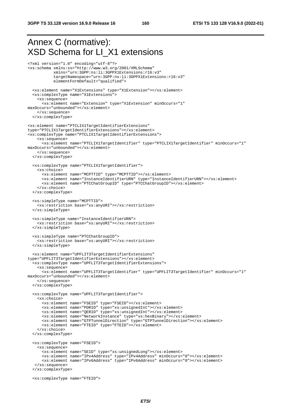#### Annex C (normative): XSD Schema for LI\_X1 extensions <?xml version="1.0" encoding="utf-8"?> <xs:schema xmlns:xs="http://www.w3.org/2001/XMLSchema" xmlns="urn:3GPP:ns:li:3GPPX1Extensions:r16:v3" targetNamespace="urn:3GPP:ns:li:3GPPX1Extensions:r16:v3" elementFormDefault="qualified"> <xs:element name="X1Extensions" type="X1Extension"></xs:element> <xs:complexType name="X1Extensions"> <xs:sequence> <xs:element name="Extension" type="X1Extension" minOccurs="1" maxOccurs="unbounded"></xs:element> </xs:sequence> </xs:complexType> <xs:element name="PTCLIX1TargetIdentifierExtensions" type="PTCLIX1TargetIdentifierExtensions"></xs:element> <xs:complexType name="PTCLIX1TargetIdentifierExtensions"> <xs:sequence> <xs:element name="PTCLIX1TargetIdentifier" type="PTCLIX1TargetIdentifier" minOccurs="1" maxOccurs="unbounded"></xs:element> </xs:sequence> </xs:complexType> <xs:complexType name="PTCLIX1TargetIdentifier"> <xs:choice> <xs:element name="MCPTTID" type="MCPTTID"></xs:element> <xs:element name="InstanceIdentifierURN" type="InstanceIdentifierURN"></xs:element> <xs:element name="PTCChatGroupID" type="PTCChatGroupID"></xs:element> </xs:choice> </xs:complexType> <xs:simpleType name="MCPTTID"> <xs:restriction base="xs:anyURI"></xs:restriction> </xs:simpleType> <xs:simpleType name="InstanceIdentifierURN"> <xs:restriction base="xs:anyURI"></xs:restriction> </xs:simpleType> <xs:simpleType name="PTCChatGroupID"> <xs:restriction base="xs:anyURI"></xs:restriction> </xs:simpleType> <xs:element name="UPFLIT3TargetIdentifierExtensions" type="UPFLIT3TargetIdentifierExtensions"></xs:element> <xs:complexType name="UPFLIT3TargetIdentifierExtensions"> <xs:sequence> <xs:element name="UPFLIT3TargetIdentifier" type="UPFLIT3TargetIdentifier" minOccurs="1" maxOccurs="unbounded"></xs:element> </xs:sequence> </xs:complexType> <xs:complexType name="UPFLIT3TargetIdentifier"> <xs:choice> <xs:element name="FSEID" type="FSEID"></xs:element> <xs:element name="PDRID" type="xs:unsignedInt"></xs:element> <xs:element name="QERID" type="xs:unsignedInt"></xs:element> <xs:element name="NetworkInstance" type="xs:hexBinary"></xs:element> <xs:element name="GTPTunnelDirection" type="GTPTunnelDirection"></xs:element> <xs:element name="FTEID" type="FTEID"></xs:element> </xs:choice> </xs:complexType> <xs:complexType name="FSEID"> <xs:sequence> <xs:element name="SEID" type="xs:unsignedLong"></xs:element> <xs:element name="IPv4Address" type="IPv4Address" minOccurs="0"></xs:element> <xs:element name="IPv6Address" type="IPv6Address" minOccurs="0"></xs:element> </xs:sequence> </xs:complexType> <xs:complexType name="FTEID">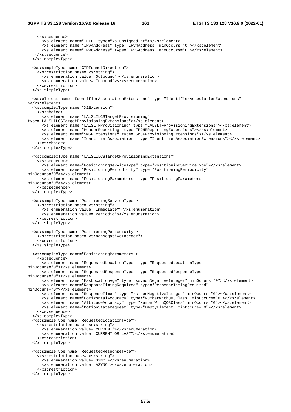```
 <xs:sequence> 
       <xs:element name="TEID" type="xs:unsignedInt"></xs:element> 
       <xs:element name="IPv4Address" type="IPv4Address" minOccurs="0"></xs:element> 
       <xs:element name="IPv6Address" type="IPv6Address" minOccurs="0"></xs:element> 
    </xs:sequence> 
   </xs:complexType> 
   <xs:simpleType name="GTPTunnelDirection"> 
     <xs:restriction base="xs:string"> 
       <xs:enumeration value="Outbound"></xs:enumeration> 
       <xs:enumeration value="Inbound"></xs:enumeration> 
     </xs:restriction> 
   </xs:simpleType> 
   <xs:element name="IdentifierAssociationExtensions" type="IdentifierAssociationExtensions" 
></xs:element> 
   <xs:complexType name="X1Extension"> 
     <xs:choice> 
       <xs:element name="LALSLILCSTargetProvisioning" 
type="LALSLILCSTargetProvisioningExtensions"></xs:element> 
       <xs:element name="LALSLTFProvisioning" type="LALSLTFProvisioningExtensions"></xs:element> 
       <xs:element name="HeaderReporting" type="PDHRReportingExtensions"></xs:element> 
       <xs:element name="SMSFExtensions" type="SMSFProvisioningExtensions"></xs:element> 
       <xs:element name="IdentifierAssociation" type="IdentifierAssociationExtensions"></xs:element> 
     </xs:choice> 
   </xs:complexType> 
   <xs:complexType name="LALSLILCSTargetProvisioningExtensions"> 
     <xs:sequence> 
 <xs:element name="PositioningServiceType" type="PositioningServiceType"></xs:element> 
 <xs:element name="PositioningPeriodicity" type="PositioningPeriodicity" 
minOccurs="0"></xs:element> 
       <xs:element name="PositioningParameters" type="PositioningParameters" 
minOccurs="0"></xs:element> 
     </xs:sequence> 
   </xs:complexType> 
   <xs:simpleType name="PositioningServiceType"> 
     <xs:restriction base="xs:string"> 
       <xs:enumeration value="Immediate"></xs:enumeration> 
       <xs:enumeration value="Periodic"></xs:enumeration> 
     </xs:restriction> 
   </xs:simpleType> 
   <xs:simpleType name="PositioningPeriodicity"> 
     <xs:restriction base="xs:nonNegativeInteger"> 
     </xs:restriction> 
   </xs:simpleType> 
   <xs:complexType name="PositioningParameters"> 
     <xs:sequence> 
       <xs:element name="RequestedLocationType" type="RequestedLocationType" 
minOccurs="0"></xs:element> 
       <xs:element name="RequestedResponseType" type="RequestedResponseType" 
minOccurs="0"></xs:element> 
       <xs:element name="MaxLocationAge" type="xs:nonNegativeInteger" minOccurs="0"></xs:element> 
       <xs:element name="ResponseTimingRequired" type="ResponseTimingRequired" 
minOccurs="0"></xs:element> 
       <xs:element name="ResponseTimer" type="xs:nonNegativeInteger" minOccurs="0"></xs:element> 
       <xs:element name="HorizontalAccuracy" type="NumberWithQOSClass" minOccurs="0"></xs:element> 
       <xs:element name="AltitudeAccuracy" type="NumberWithQOSClass" minOccurs="0"></xs:element> 
       <xs:element name="MotionStateRequest" type="EmptyElement" minOccurs="0"></xs:element> 
     </xs:sequence> 
   </xs:complexType> 
   <xs:simpleType name="RequestedLocationType"> 
     <xs:restriction base="xs:string"> 
       <xs:enumeration value="CURRENT"></xs:enumeration> 
       <xs:enumeration value="CURRENT_OR_LAST"></xs:enumeration> 
     </xs:restriction> 
   </xs:simpleType> 
   <xs:simpleType name="RequestedResponseType"> 
     <xs:restriction base="xs:string"> 
       <xs:enumeration value="SYNC"></xs:enumeration> 
       <xs:enumeration value="ASYNC"></xs:enumeration> 
     </xs:restriction> 
   </xs:simpleType>
```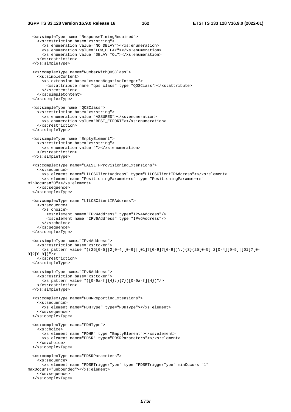```
 <xs:simpleType name="ResponseTimingRequired"> 
     <xs:restriction base="xs:string"> 
       <xs:enumeration value="NO_DELAY"></xs:enumeration> 
       <xs:enumeration value="LOW_DELAY"></xs:enumeration> 
       <xs:enumeration value="DELAY_TOL"></xs:enumeration> 
     </xs:restriction> 
   </xs:simpleType> 
   <xs:complexType name="NumberWithQOSClass"> 
     <xs:simpleContent> 
       <xs:extension base="xs:nonNegativeInteger"> 
         <xs:attribute name="qos_class" type="QOSClass"></xs:attribute> 
       </xs:extension> 
     </xs:simpleContent> 
   </xs:complexType> 
   <xs:simpleType name="QOSClass"> 
     <xs:restriction base="xs:string"> 
       <xs:enumeration value="ASSURED"></xs:enumeration> 
       <xs:enumeration value="BEST_EFFORT"></xs:enumeration> 
     </xs:restriction> 
   </xs:simpleType> 
   <xs:simpleType name="EmptyElement"> 
     <xs:restriction base="xs:string"> 
       <xs:enumeration value=""></xs:enumeration> 
     </xs:restriction> 
   </xs:simpleType> 
   <xs:complexType name="LALSLTFProvisioningExtensions"> 
     <xs:sequence> 
       <xs:element name="LILCSClientAddress" type="LILCSClientIPAddress"></xs:element> 
       <xs:element name="PositioningParameters" type="PositioningParameters" 
minOccurs="0"></xs:element> 
     </xs:sequence> 
   </xs:complexType> 
   <xs:complexType name="LILCSClientIPAddress"> 
     <xs:sequence> 
       <xs:choice> 
         <xs:element name="IPv4Address" type="IPv4Address"/> 
         <xs:element name="IPv6Address" type="IPv6Address"/> 
       </xs:choice> 
     </xs:sequence> 
   </xs:complexType> 
   <xs:simpleType name="IPv4Address"> 
     <xs:restriction base="xs:token"> 
       <xs:pattern value="((25[0-5]|2[0-4][0-9]|[01]?[0-9]?[0-9])\.){3}(25[0-5]|2[0-4][0-9]|[01]?[0-
9]?[0-9])"/> 
     </xs:restriction> 
   </xs:simpleType> 
   <xs:simpleType name="IPv6Address"> 
     <xs:restriction base="xs:token"> 
       <xs:pattern value="([0-9a-f]{4}:){7}([0-9a-f]{4})"/> 
     </xs:restriction> 
   </xs:simpleType> 
   <xs:complexType name="PDHRReportingExtensions"> 
     <xs:sequence> 
       <xs:element name="PDHType" type="PDHType"></xs:element> 
     </xs:sequence> 
   </xs:complexType> 
   <xs:complexType name="PDHType"> 
     <xs:choice> 
       <xs:element name="PDHR" type="EmptyElement"></xs:element> 
       <xs:element name="PDSR" type="PDSRParameters"></xs:element> 
     </xs:choice> 
   </xs:complexType> 
   <xs:complexType name="PDSRParameters"> 
     <xs:sequence> 
       <xs:element name="PDSRTriggerType" type="PDSRTriggerType" minOccurs="1" 
maxOccurs="unbounded"></xs:element> 
     </xs:sequence> 
   </xs:complexType>
```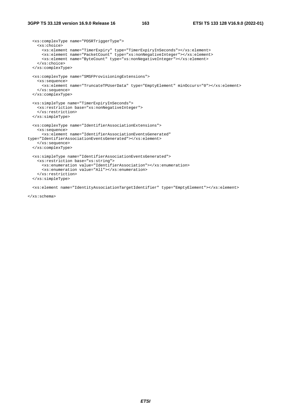```
 <xs:complexType name="PDSRTriggerType"> 
     <xs:choice> 
 <xs:element name="TimerExpiry" type="TimerExpiryInSeconds"></xs:element> 
 <xs:element name="PacketCount" type="xs:nonNegativeInteger"></xs:element> 
       <xs:element name="ByteCount" type="xs:nonNegativeInteger"></xs:element> 
     </xs:choice> 
   </xs:complexType> 
   <xs:complexType name="SMSFProvisioningExtensions"> 
     <xs:sequence> 
       <xs:element name="TruncateTPUserData" type="EmptyElement" minOccurs="0"></xs:element> 
     </xs:sequence> 
   </xs:complexType> 
   <xs:simpleType name="TimerExpiryInSeconds"> 
     <xs:restriction base="xs:nonNegativeInteger"> 
     </xs:restriction> 
   </xs:simpleType> 
   <xs:complexType name="IdentifierAssociationExtensions"> 
     <xs:sequence> 
       <xs:element name="IdentifierAssociationEventsGenerated" 
type="IdentifierAssociationEventsGenerated"></xs:element> 
     </xs:sequence> 
   </xs:complexType> 
   <xs:simpleType name="IdentifierAssociationEventsGenerated"> 
     <xs:restriction base="xs:string"> 
       <xs:enumeration value="IdentifierAssociation"></xs:enumeration> 
       <xs:enumeration value="All"></xs:enumeration> 
     </xs:restriction> 
   </xs:simpleType>
```
<xs:element name="IdentityAssociationTargetIdentifier" type="EmptyElement"></xs:element>

</xs:schema>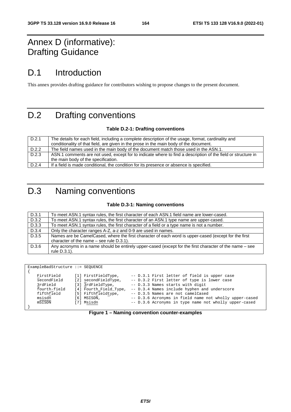### Annex D (informative): Drafting Guidance

### D.1 Introduction

This annex provides drafting guidance for contributors wishing to propose changes to the present document.

## D.2 Drafting conventions

### **Table D.2-1: Drafting conventions**

| The details for each field, including a complete description of the usage, format, cardinality and           |
|--------------------------------------------------------------------------------------------------------------|
| conditionality of that field, are given in the prose in the main body of the document.                       |
| The field names used in the main body of the document match those used in the ASN.1.                         |
| ASN.1 comments are not used, except for to indicate where to find a description of the field or structure in |
| the main body of the specification.                                                                          |
| If a field is made conditional, the condition for its presence or absence is specified.                      |
|                                                                                                              |

# D.3 Naming conventions

### **Table D.3-1: Naming conventions**

| D.3.1 | To meet ASN.1 syntax rules, the first character of each ASN.1 field name are lower-cased.                                                             |
|-------|-------------------------------------------------------------------------------------------------------------------------------------------------------|
| D.3.2 | To meet ASN.1 syntax rules, the first character of an ASN.1 type name are upper-cased.                                                                |
| D.3.3 | To meet ASN.1 syntax rules, the first character of a field or a type name is not a number.                                                            |
| D.3.4 | Only the character ranges A-Z, a-z and 0-9 are used in names.                                                                                         |
| D.3.5 | Names are be CamelCased, where the first character of each word is upper-cased (except for the first<br>character of the name $-$ see rule $D.3.1$ ). |
| D.3.6 | Any acronyms in a name should be entirely upper-cased (except for the first character of the name – see<br>rule D.3.1).                               |

| ExampleBadStructure ::= SEOUENCE |                        |                                                        |
|----------------------------------|------------------------|--------------------------------------------------------|
|                                  |                        |                                                        |
| FirstField                       | [1] FirstFieldType,    | -- D.3.1 First letter of field is upper case           |
| secondField                      | [2] secondFieldType,   | -- D.3.2 First letter of type is lower case            |
| 3rdField                         | [3] 3rdFieldType,      | -- D.3.3 Names starts with digit                       |
| fourth-field                     | [4] Fourth_Field_Type, | -- D.3.4 Names include hyphen and underscore           |
| fifthfield                       | [5] Fifthfieldtype,    | -- D.3.5 Names are not camelCased                      |
| msisdn                           | $[6]$ MSISDN,          | -- D.3.6 Acronyms in field name not wholly upper-cased |
| mSISDN                           | [7] Msisdn             | -- D.3.6 Acronyms in type name not wholly upper-cased  |
|                                  |                        |                                                        |

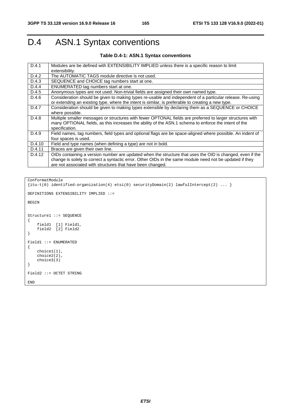# D.4 ASN.1 Syntax conventions

### **Table D.4-1: ASN.1 Syntax conventions**

| D.4.1  | Modules are be defined with EXTENSIBILITY IMPLIED unless there is a specific reason to limit                                                                                                                      |
|--------|-------------------------------------------------------------------------------------------------------------------------------------------------------------------------------------------------------------------|
|        | extensibility.                                                                                                                                                                                                    |
| D.4.2  | The AUTOMATIC TAGS module directive is not used.                                                                                                                                                                  |
| D.4.3  | SEQUENCE and CHOICE tag numbers start at one.                                                                                                                                                                     |
| D.4.4  | ENUMERATED tag numbers start at one.                                                                                                                                                                              |
| D.4.5  | Anonymous types are not used. Non-trivial fields are assigned their own named type.                                                                                                                               |
| D.4.6  | Consideration should be given to making types re-usable and independent of a particular release. Re-using                                                                                                         |
|        | or extending an existing type, where the intent is similar, is preferable to creating a new type.                                                                                                                 |
| D.4.7  | Consideration should be given to making types extensible by declaring them as a SEQUENCE or CHOICE<br>where possible.                                                                                             |
|        |                                                                                                                                                                                                                   |
| D.4.8  | Multiple smaller messages or structures with fewer OPTONAL fields are preferred to larger structures with<br>many OPTIONAL fields, as this increases the ability of the ASN.1 schema to enforce the intent of the |
|        | specification.                                                                                                                                                                                                    |
| D.4.9  | Field names, tag numbers, field types and optional flags are be space-aligned where possible. An indent of                                                                                                        |
|        | four spaces is used.                                                                                                                                                                                              |
| D.4.10 | Field and type names (when defining a type) are not in bold.                                                                                                                                                      |
| D.4.11 | Braces are given their own line.                                                                                                                                                                                  |
| D.4.12 | OIDs containing a version number are updated when the structure that uses the OID is changed, even if the                                                                                                         |
|        | change is solely to correct a syntactic error. Other OIDs in the same module need not be updated if they                                                                                                          |
|        | are not associated with structures that have been changed.                                                                                                                                                        |

ConformatModule

```
{itu-t(0) identified-organization(4) etsi(0) securityDomain(2) lawfulIntercept(2) ... } 
DEFINITIONS EXTENSIBILITY IMPLIED ::= 
BEGIN 
Structure1 ::= SEQUENCE 
{ 
 field1 [1] Field1, 
 field2 [2] Field2 
} 
Field1 ::= ENUMERATED 
{ 
     choice1(1), 
    choice2(2) choice3(3) 
} 
Field2 ::= OCTET STRING
END
```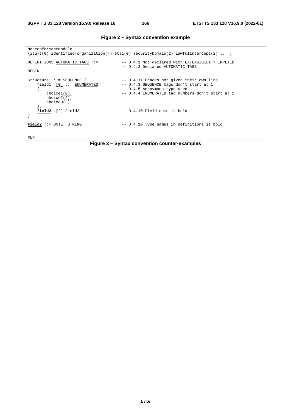| NonconformantModule                                                                                        |                                                                                                                                                                          |
|------------------------------------------------------------------------------------------------------------|--------------------------------------------------------------------------------------------------------------------------------------------------------------------------|
|                                                                                                            | $\{$ itu-t(0) identified-organization(4) etsi(0) securityDomain(2) lawfulIntercept(2)                                                                                    |
| DEFINITIONS AUTOMATIC TAGS $::=$<br><b>BEGIN</b>                                                           | -- D.4.1 Not declared with EXTENSIBILITY IMPLIED<br>-- D.4.2 Declared AUTOMATIC TAGS                                                                                     |
| Structure1 ::= SEQUENCE {<br>$field1 [0] ::= ENUMERATED$<br>$choice1(0)$ ,<br>$choice2(2)$ ,<br>choice3(3) | -- D.4.11 Braces not given their own line<br>-- D.4.3 SEQUENCE tags don't start at 1<br>-- D.4.5 Anonymous type used<br>-- D.4.4 ENUMERATED tag numbers don't start at 1 |
| field2 [2] Field2                                                                                          | -- D.4.10 Field name is bold                                                                                                                                             |
| $Field2 ::=$ OCTET STRING                                                                                  | -- D.4.10 Type names in definitions is bold                                                                                                                              |
| <b>END</b>                                                                                                 |                                                                                                                                                                          |

**Figure 2 – Syntax convention example** 

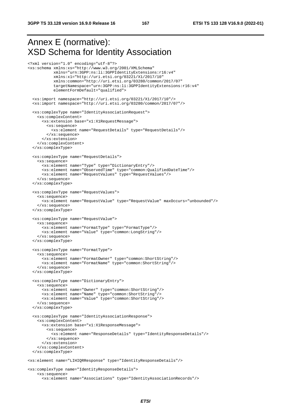<?xml version="1.0" encoding="utf-8"?>

## Annex E (normative): XSD Schema for Identity Association

```
<xs:schema xmlns:xs="http://www.w3.org/2001/XMLSchema" 
            xmlns="urn:3GPP:ns:li:3GPPIdentityExtensions:r16:v4" 
            xmlns:x1="http://uri.etsi.org/03221/X1/2017/10" 
            xmlns:common="http://uri.etsi.org/03280/common/2017/07" 
            targetNamespace="urn:3GPP:ns:li:3GPPIdentityExtensions:r16:v4" 
            elementFormDefault="qualified"> 
   <xs:import namespace="http://uri.etsi.org/03221/X1/2017/10"/> 
   <xs:import namespace="http://uri.etsi.org/03280/common/2017/07"/> 
   <xs:complexType name="IdentityAssociationRequest"> 
     <xs:complexContent> 
       <xs:extension base="x1:X1RequestMessage"> 
         <xs:sequence> 
           <xs:element name="RequestDetails" type="RequestDetails"/> 
         </xs:sequence> 
       </xs:extension> 
     </xs:complexContent> 
   </xs:complexType> 
   <xs:complexType name="RequestDetails"> 
     <xs:sequence> 
       <xs:element name="Type" type="DictionaryEntry"/> 
       <xs:element name="ObservedTime" type="common:QualifiedDateTime"/> 
       <xs:element name="RequestValues" type="RequestValues"/> 
     </xs:sequence> 
   </xs:complexType> 
   <xs:complexType name="RequestValues"> 
     <xs:sequence> 
       <xs:element name="RequestValue" type="RequestValue" maxOccurs="unbounded"/> 
     </xs:sequence> 
   </xs:complexType> 
   <xs:complexType name="RequestValue"> 
     <xs:sequence> 
       <xs:element name="FormatType" type="FormatType"/> 
       <xs:element name="Value" type="common:LongString"/> 
     </xs:sequence> 
   </xs:complexType> 
   <xs:complexType name="FormatType"> 
     <xs:sequence> 
       <xs:element name="FormatOwner" type="common:ShortString"/> 
       <xs:element name="FormatName" type="common:ShortString"/> 
     </xs:sequence> 
   </xs:complexType> 
   <xs:complexType name="DictionaryEntry"> 
     <xs:sequence> 
       <xs:element name="Owner" type="common:ShortString"/> 
       <xs:element name="Name" type="common:ShortString"/> 
       <xs:element name="Value" type="common:ShortString"/> 
     </xs:sequence> 
   </xs:complexType> 
   <xs:complexType name="IdentityAssociationResponse"> 
     <xs:complexContent> 
       <xs:extension base="x1:X1ResponseMessage"> 
         <xs:sequence> 
           <xs:element name="ResponseDetails" type="IdentityResponseDetails"/> 
         </xs:sequence> 
       </xs:extension> 
     </xs:complexContent> 
   </xs:complexType> 
<xs:element name="LIHIQRResponse" type="IdentityResponseDetails"/> 
<xs:complexType name="IdentityResponseDetails"> 
     <xs:sequence>
```

```
 <xs:element name="Associations" type="IdentityAssociationRecords"/>
```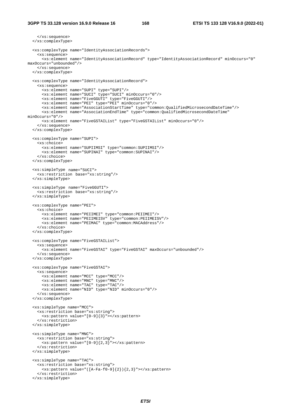```
 </xs:sequence> 
   </xs:complexType> 
   <xs:complexType name="IdentityAssociationRecords"> 
     <xs:sequence> 
       <xs:element name="IdentityAssociationRecord" type="IdentityAssociationRecord" minOccurs="0" 
maxOccurs="unbounded"/> 
    </xs:sequence> 
   </xs:complexType> 
   <xs:complexType name="IdentityAssociationRecord"> 
     <xs:sequence> 
       <xs:element name="SUPI" type="SUPI"/> 
       <xs:element name="SUCI" type="SUCI" minOccurs="0"/> 
       <xs:element name="FiveGGUTI" type="FiveGGUTI"/> 
       <xs:element name="PEI" type="PEI" minOccurs="0"/> 
       <xs:element name="AssociationStartTime" type="common:QualifiedMicrosecondDateTime"/> 
       <xs:element name="AssociationEndTime" type="common:QualifiedMicrosecondDateTime" 
minOccurs="0"/> 
       <xs:element name="FiveGSTAIList" type="FiveGSTAIList" minOccurs="0"/> 
     </xs:sequence> 
   </xs:complexType> 
   <xs:complexType name="SUPI"> 
     <xs:choice> 
       <xs:element name="SUPIIMSI" type="common:SUPIIMSI"/> 
       <xs:element name="SUPINAI" type="common:SUPINAI"/> 
     </xs:choice> 
   </xs:complexType> 
   <xs:simpleType name="SUCI"> 
     <xs:restriction base="xs:string"/> 
   </xs:simpleType> 
   <xs:simpleType name="FiveGGUTI"> 
     <xs:restriction base="xs:string"/> 
   </xs:simpleType> 
   <xs:complexType name="PEI"> 
     <xs:choice> 
       <xs:element name="PEIIMEI" type="common:PEIIMEI"/> 
       <xs:element name="PEIIMEISV" type="common:PEIIMEISV"/> 
       <xs:element name="PEIMAC" type="common:MACAddress"/> 
     </xs:choice> 
   </xs:complexType> 
   <xs:complexType name="FiveGSTAIList"> 
     <xs:sequence> 
       <xs:element name="FiveGSTAI" type="FiveGSTAI" maxOccurs="unbounded"/> 
     </xs:sequence> 
   </xs:complexType> 
   <xs:complexType name="FiveGSTAI"> 
     <xs:sequence> 
       <xs:element name="MCC" type="MCC"/> 
       <xs:element name="MNC" type="MNC"/> 
       <xs:element name="TAC" type="TAC"/> 
       <xs:element name="NID" type="NID" minOccurs="0"/> 
     </xs:sequence> 
   </xs:complexType> 
   <xs:simpleType name="MCC"> 
     <xs:restriction base="xs:string"> 
       <xs:pattern value="[0-9]{3}"></xs:pattern> 
     </xs:restriction> 
   </xs:simpleType> 
   <xs:simpleType name="MNC"> 
     <xs:restriction base="xs:string"> 
       <xs:pattern value="[0-9]{2,3}"></xs:pattern> 
     </xs:restriction> 
   </xs:simpleType> 
   <xs:simpleType name="TAC"> 
     <xs:restriction base="xs:string"> 
       <xs:pattern value="([A-Fa-f0-9]{2}){2,3}"></xs:pattern> 
     </xs:restriction> 
   </xs:simpleType>
```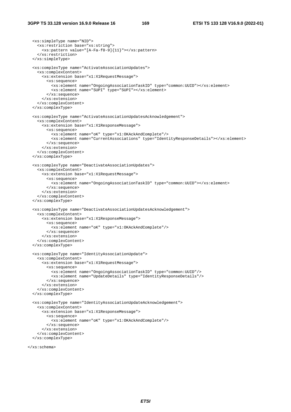```
 <xs:simpleType name="NID"> 
   <xs:restriction base="xs:string"> 
     <xs:pattern value="[A-Fa-f0-9]{11}"></xs:pattern> 
   </xs:restriction> 
 </xs:simpleType> 
 <xs:complexType name="ActivateAssociationUpdates"> 
   <xs:complexContent> 
     <xs:extension base="x1:X1RequestMessage"> 
       <xs:sequence> 
         <xs:element name="OngoingAssociationTaskID" type="common:UUID"></xs:element> 
         <xs:element name="SUPI" type="SUPI"></xs:element> 
       </xs:sequence> 
     </xs:extension> 
   </xs:complexContent> 
 </xs:complexType> 
 <xs:complexType name="ActivateAssociationUpdatesAcknowledgement"> 
   <xs:complexContent> 
     <xs:extension base="x1:X1ResponseMessage"> 
       <xs:sequence> 
         <xs:element name="oK" type="x1:OKAckAndComplete"/> 
         <xs:element name="CurrentAssociations" type="IdentityResponseDetails"></xs:element> 
       </xs:sequence> 
     </xs:extension> 
   </xs:complexContent> 
 </xs:complexType> 
 <xs:complexType name="DeactivateAssociationUpdates"> 
   <xs:complexContent> 
     <xs:extension base="x1:X1RequestMessage"> 
       <xs:sequence> 
         <xs:element name="OngoingAssociationTaskID" type="common:UUID"></xs:element> 
       </xs:sequence> 
     </xs:extension> 
   </xs:complexContent> 
 </xs:complexType> 
 <xs:complexType name="DeactivateAssociationUpdatesAcknowledgement"> 
   <xs:complexContent> 
     <xs:extension base="x1:X1ResponseMessage"> 
       <xs:sequence> 
         <xs:element name="oK" type="x1:OKAckAndComplete"/> 
       </xs:sequence> 
     </xs:extension> 
   </xs:complexContent> 
 </xs:complexType> 
 <xs:complexType name="IdentityAssociationUpdate"> 
   <xs:complexContent> 
     <xs:extension base="x1:X1RequestMessage"> 
       <xs:sequence> 
         <xs:element name="OngoingAssociationTaskID" type="common:UUID"/> 
         <xs:element name="UpdateDetails" type="IdentityResponseDetails"/> 
       </xs:sequence> 
     </xs:extension> 
   </xs:complexContent> 
 </xs:complexType> 
 <xs:complexType name="IdentityAssociationUpdateAcknowledgement"> 
   <xs:complexContent> 
     <xs:extension base="x1:X1ResponseMessage"> 
       <xs:sequence> 
         <xs:element name="oK" type="x1:OKAckAndComplete"/> 
       </xs:sequence> 
     </xs:extension> 
   </xs:complexContent> 
 </xs:complexType>
```
</xs:schema>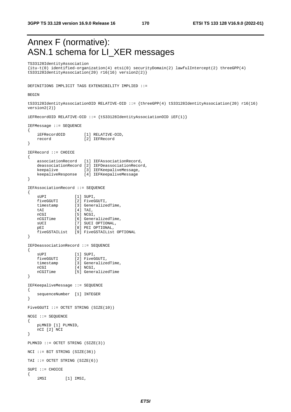### Annex F (normative): ASN.1 schema for LI\_XER messages

TS33128IdentityAssociation

{itu-t(0) identified-organization(4) etsi(0) securityDomain(2) lawfulIntercept(2) threeGPP(4) tS33128IdentityAssociation(20) r16(16) version2(2)}

DEFINITIONS IMPLICIT TAGS EXTENSIBILITY IMPLIED ::=

#### BEGIN

{

tS33128IdentityAssociationOID RELATIVE-OID ::= {threeGPP(4) tS33128IdentityAssociation(20) r16(16) version2(2)}

iEFRecordOID RELATIVE-OID ::=  $\{tS331281$ dentityAssociationOID iEF(1) }

```
IEFMessage ::= SEQUENCE
```

```
 iEFRecordOID [1] RELATIVE-OID, 
 record [2] IEFRecord 
} 
IEFRecord ::= CHOICE 
{ 
    associationRecord [1] IEFAssociationRecord, 
    deassociationRecord [2] IEFDeassociationRecord, 
 keepalive [3] IEFKeepaliveMessage, 
 keepaliveResponse [4] IEFKeepaliveMessage 
} 
IEFAssociationRecord ::= SEQUENCE 
{ 
sUPI [1] SUPI,
 fiveGGUTI [2] FiveGGUTI, 
 timestamp [3] GeneralizedTime, 
   tAI [4] TAI,
nCGI [5] NCGI,
 nCGITime [6] GeneralizedTime, 
   sUCI [7] SUCI OPTIONAL,<br>pEI [8] PEI OPTIONAL,
                 [8] PEI OPTIONAL,
    fiveGSTAIList [9] FiveGSTAIList OPTIONAL 
} 
IEFDeassociationRecord ::= SEQUENCE 
{ 
   sUPI [1] SUPI,
 fiveGGUTI [2] FiveGGUTI, 
 timestamp [3] GeneralizedTime, 
   nCGI [4] NCGI,
    nCGITime [5] GeneralizedTime 
} 
IEFKeepaliveMessage ::= SEQUENCE 
{ 
    sequenceNumber [1] INTEGER 
} 
FiveGGUTI ::= OCTET STRING (SIZE(10)) 
NCGI ::= SEQUENCE 
{ 
    pLMNID [1] PLMNID, 
    nCI [2] NCI 
} 
PLMNID ::= OCTET STRING (SIZE(3)) 
NCI ::= BIT STRING (SIZE(36))TAI ::= OCTET STRING (SIZE(6)) 
SUPI ::= CHOICE 
{ 
    iMSI [1] IMSI,
```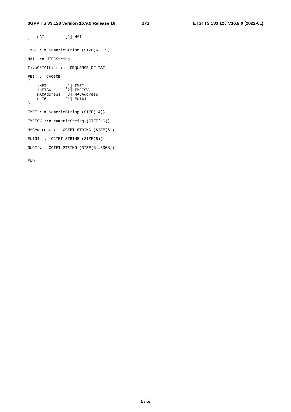nAI [2] NAI } IMSI ::= NumericString (SIZE(6..15)) NAI ::= UTF8String FiveGSTAIList ::= SEQUENCE OF TAI PEI ::= CHOICE { iMEI [1] IMEI, iMEISV [2] IMEISV, mACAddress [3] MACAddress, eUI64 [4] EUI64 } IMEI ::= NumericString (SIZE(14)) IMEISV ::= NumericString (SIZE(16)) MACAddress ::= OCTET STRING (SIZE(6)) EUI64 ::= OCTET STRING  $(SIZE(8))$ SUCI ::= OCTET STRING (SIZE(8..3008))

END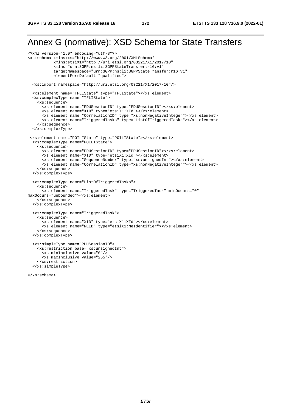### Annex G (normative): XSD Schema for State Transfers

```
<?xml version="1.0" encoding="utf-8"?> 
<xs:schema xmlns:xs="http://www.w3.org/2001/XMLSchema" 
            xmlns:etsiX1="http://uri.etsi.org/03221/X1/2017/10" 
            xmlns="urn:3GPP:ns:li:3GPPStateTransfer:r16:v1" 
            targetNamespace="urn:3GPP:ns:li:3GPPStateTransfer:r16:v1" 
            elementFormDefault="qualified"> 
   <xs:import namespace="http://uri.etsi.org/03221/X1/2017/10"/> 
   <xs:element name="TFLIState" type="TFLIState"></xs:element> 
   <xs:complexType name="TFLIState"> 
     <xs:sequence> 
       <xs:element name="PDUSessionID" type="PDUSessionID"></xs:element> 
       <xs:element name="XID" type="etsiX1:XId"></xs:element> 
       <xs:element name="CorrelationID" type="xs:nonNegativeInteger"></xs:element> 
       <xs:element name="TriggeredTasks" type="ListOfTriggeredTasks"></xs:element> 
     </xs:sequence> 
   </xs:complexType> 
  <xs:element name="POILIState" type="POILIState"></xs:element> 
   <xs:complexType name="POILIState"> 
     <xs:sequence> 
       <xs:element name="PDUSessionID" type="PDUSessionID"></xs:element> 
       <xs:element name="XID" type="etsiX1:XId"></xs:element> 
       <xs:element name="SequenceNumber" type="xs:unsignedInt"></xs:element> 
       <xs:element name="CorrelationID" type="xs:nonNegativeInteger"></xs:element> 
     </xs:sequence> 
   </xs:complexType> 
   <xs:complexType name="ListOfTriggeredTasks"> 
     <xs:sequence> 
      <xs:element name="TriggeredTask" type="TriggeredTask" minOccurs="0" 
maxOccurs="unbounded"></xs:element> 
     </xs:sequence> 
   </xs:complexType> 
   <xs:complexType name="TriggeredTask"> 
     <xs:sequence> 
       <xs:element name="XID" type="etsiX1:XId"></xs:element> 
       <xs:element name="NEID" type="etsiX1:NeIdentifier"></xs:element> 
     </xs:sequence> 
   </xs:complexType> 
   <xs:simpleType name="PDUSessionID"> 
     <xs:restriction base="xs:unsignedInt"> 
       <xs:minInclusive value="0"/> 
       <xs:maxInclusive value="255"/> 
     </xs:restriction> 
   </xs:simpleType>
```
</xs:schema>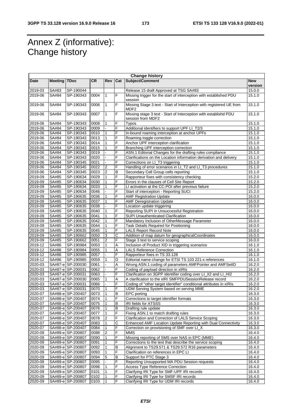### Annex Z (informative): Change history

|         | <b>Change history</b> |                   |           |                  |                |                                                                                          |                     |  |
|---------|-----------------------|-------------------|-----------|------------------|----------------|------------------------------------------------------------------------------------------|---------------------|--|
| Date    | <b>Meeting TDoc</b>   |                   | <b>CR</b> | Rev              | Cat            | Subject/Comment                                                                          | <b>New</b>          |  |
|         |                       |                   |           |                  |                |                                                                                          | version             |  |
| 2019-03 | SA#83                 | SP-190044         |           |                  |                | Release 15 draft Approved at TSG SA#83                                                   | 15.0.0              |  |
| 2019-06 | SA#84                 | SP-190343         | 0004      | $\mathbf{1}$     | F              | Missing trigger for the start of interception with established PDU<br>session            | 15.1.0              |  |
| 2019-06 | SA#84                 | SP-190343         | 0006      | $\mathbf{1}$     | F              | Missing Stage 3 text - Start of Interception with registered UE from<br>MDF <sub>2</sub> | 15.1.0              |  |
| 2019-06 | SA#84                 | SP-190343         | 0007      | $\mathbf{1}$     | F              | Missing stage 3 text - Start of Interception with establishd PDU<br>session from MDF2    | 15.1.0              |  |
| 2019-06 | SA#84                 | SP-190343         | 0008      | 1                | F              | <b>Typos</b>                                                                             | 15.1.0              |  |
| 2019-06 | SA#84                 | SP-190343         | 0009      |                  | F              | Additional identifiers to support UPF LI_T2/3                                            | 15.1.0              |  |
| 2019-06 | SA#84                 | SP-190343         | 0010      |                  | F              | In-bound roaming interception at anchor UPFs                                             | 15.1.0              |  |
| 2019-06 | SA#84                 | SP-190343         | 0013      | 1                | F              | Roaming toggle correction                                                                | 15.1.0              |  |
| 2019-06 | SA#84                 | SP-190343         | 0014      | 1                | F              | Anchor UPF interception clarification                                                    | 15.1.0              |  |
| 2019-06 | SA#84                 | SP-190343         | 0015      |                  | F              | Branching UPF interception correction                                                    | 15.1.0              |  |
| 2019-06 | SA#84                 | SP-190343         | 0019      |                  | F              | ASN.1 Editorial Changes for the drafting rules compliance                                | $15.\overline{1.0}$ |  |
| 2019-06 | SA#84                 | SP-190343         | 0020      |                  | F              | Clarifications on the Location information derivation and delivery                       | 15.1.0              |  |
| 2019-06 | SA#84                 | SP-190345         | 0021      |                  | F              | Corrections on LI_T3 triggering                                                          | 15.1.0              |  |
| 2019-06 | SA#84                 | SP-190345         | 0022      | $\overline{2}$   | F              | Handling of error scenarios in LI_T2 and LI_T3 procedures                                | 15.1.0              |  |
| 2019-06 | SA#84                 | SP-190345         | 0023      | $\boldsymbol{2}$ | В              | Secondary Cell Group cells reporting                                                     | 15.1.0              |  |
| 2019-09 | SA#85                 | SP-190634         | 0029      | 1                | F              | Rapporteur fixes with consistency checking                                               | 15.2.0              |  |
| 2019-09 | SA#85                 | SP-190634         | 0030      | 1                | F              | Errors in the clauses of Cell Site Report                                                | 15.2.0              |  |
| 2019-09 | SA#85                 | SP-190634         | 0033      |                  | F              | LI activation at the CC-POI after previous failure                                       | 15.2.0              |  |
| 2019-09 | SA#85                 | SP-190634         | 0046      |                  | F              | Start of interception - Reporting SUCI                                                   | 15.2.0              |  |
| 2019-09 | SA#85                 | SP-190635         | 0036      | 1                | F              | <b>AMF Registration Update</b>                                                           | 16.0.0              |  |
| 2019-09 | SA#85                 | SP-190635         | 0037      | 1                | F              | <b>AMF Deregistration Update</b>                                                         | 16.0.0              |  |
| 2019-09 | SA#85                 | SP-190635         | 0038      |                  | F              | Location update triggering                                                               | 16.0.0              |  |
| 2019-09 | SA#85                 | SP-190635         | 0040      | $\mathbf{1}$     | F              | Reporting SUPI in Unsuccessful Registration                                              | 16.0.0              |  |
| 2019-09 | SA#85                 | SP-190635         | 0041      | 1                | F              | SUPI Unauthenticated Clarification                                                       | 16.0.0              |  |
| 2019-09 | SA#85                 | SP-190635         | 0042      | 1                | F              | Mandatory Inclusion of OtherMessage Parameter                                            | 16.0.0              |  |
| 2019-09 | SA#85                 | SP-190635         | 0044      | 1                | F              | Task Details Required for Positioning                                                    | 16.0.0              |  |
| 2019-09 | SA#85                 | SP-190635         | 0045      | 1                | F              | <b>LALS Report Record Note</b>                                                           | 16.0.0              |  |
| 2019-09 | SA#85                 | SP-190662         | 0050      | $\mathbf{3}$     | C              | Addition of map datum for geographicalCoordinates                                        | 16.0.0              |  |
| 2019-09 | SA#85                 | SP-190662         | 0051      | $\overline{2}$   | F              | Stage 3 text to service scoping                                                          | 16.0.0              |  |
| 2019-12 | SA#86                 | SP-190984         | 0053      | 1                | Α              | Inclusion of Product XID in triggering scenarios                                         | 16.1.0              |  |
| 2019-12 | SA#86                 | SP-190984         | 0055      | 1                | Α              | <b>LALS Reference Correction</b>                                                         | 16.1.0              |  |
| 2019-12 | SA#86                 | SP-190985         | 0057      |                  | F              | Rapporteur fixes in TS 33.128                                                            | 16.1.0              |  |
| 2019-12 | SA#86                 | SP-190985         | 0059      | 1                | D              | Editorial name change for ETSI TS 103 221-x references                                   | 16.1.0              |  |
| 2020-03 |                       | SA#87-e SP-200030 | 0061      |                  | Α              | Wrong ASN.1 coding of parameters AMFPointer and AMFSetID                                 | 16.2.0              |  |
| 2020-03 |                       | SA#87-e SP-200031 | 0062      |                  | F              | Coding of payload direction in xIRIs                                                     | 16.2.0              |  |
| 2020-03 |                       | SA#87-e SP-200031 | 0063      |                  | F              | Clarification on 3GPP identifier coding over LI_X2 and LI_HI2                            | 16.2.0              |  |
| 2020-03 |                       | SA#87-e SP-200030 | 0065      |                  | Α              | A clarification to the xIRI SMFPDUSessionRelease record                                  | 16.2.0              |  |
| 2020-03 |                       | SA#87-e SP-200031 | 0066      |                  | F              | Coding of "other target identifier" conditional attributes in xIRIs                      | 16.2.0              |  |
| 2020-03 |                       | SA#87-e SP-200031 | 0070      |                  | F              | UDM Serving System based on serving MME                                                  | 16.2.0              |  |
| 2020-07 |                       | SA#88-e SP-200407 | 0073      |                  | $\overline{B}$ | EPC porting                                                                              | 16.3.0              |  |
| 2020-07 |                       | SA#88-e SP-200407 | 0074      | 1                | F              | Corrections to target identifier formats                                                 | 16.3.0              |  |
| 2020-07 |                       | SA#88-e SP-200407 | 0075      | 1                | В              | IRI fields for ATSSS                                                                     | 16.3.0              |  |
| 2020-07 |                       | SA#88-e SP-200407 | 0076      | 1                | B              | Drafting rule update                                                                     | 16.3.0              |  |
| 2020-07 |                       | SA#88-e SP-200407 | 0077      | $\mathbf{1}$     | F              | Fixing ASN.1 to match drafting rules                                                     | 16.3.0              |  |
| 2020-07 |                       | SA#88-e SP-200407 | 0078      | $\overline{2}$   | F              | Clarification and Correction of LALS Service Scoping                                     | 16.3.0              |  |
| 2020-07 |                       | SA#88-e SP-200407 | 0083      | 1                | C              | Enhanced AMF Location Update Reporting with Dual Connectivity                            | 16.3.0              |  |
| 2020-07 |                       | SA#88-e SP-200407 | 0084      | $\mathbf{1}$     | F              | Correction on provisioning of SMF over LI_X                                              | 16.3.0              |  |
| 2020-09 |                       | SA#89-e SP-200807 | 0088      | 2                | F              | <b>MMS</b>                                                                               | 16.4.0              |  |
| 2020-09 |                       | SA#89-e SP-200807 | 0090      | 1                | F              | Missing reporting of SMS over NAS in EPC (MME)                                           | 16.4.0              |  |
| 2020-09 |                       | SA#89-e SP-200807 | 0091      | 1                | F              | Corrections to the text that describe the service scoping                                | 16.4.0              |  |
| 2020-09 |                       | SA#89-e SP-200807 | 0092      | 1                | В              | Alignment to TS29.571 & TS29.572 R16 parameters                                          | 16.4.0              |  |
| 2020-09 |                       | SA#89-e SP-200807 | 0093      | 1                | F              | Clarification on references in EPC LI                                                    | 16.4.0              |  |
| 2020-09 |                       | SA#89-e SP-200807 | 0094      | 5                | В              | Support for PTC Stage 3                                                                  | 16.4.0              |  |
| 2020-09 |                       | SA#89-e SP-200807 | 0095      |                  | F              | Reporting Unsupported MA PDU Session requests                                            | 16.4.0              |  |
| 2020-09 |                       | SA#89-e SP-200807 | 0098      | 1                | F              | <b>Access Type Reference Correction</b>                                                  | 16.4.0              |  |
| 2020-09 |                       | SA#89-e SP-200807 | 0101      | 1                | F              | Clarifying IRI Type for SMF-UPF IRI records                                              | 16.4.0              |  |
| 2020-09 |                       | SA#89-e SP-200807 | 0102      | 1                | F              | Clarifying IRI Type for SMSF IRI records                                                 | 16.4.0              |  |
| 2020-09 |                       | SA#89-e SP-200807 | 0103      | $\mathbf{1}$     | $\overline{F}$ | Clarifying IRI Type for UDM IRI records                                                  | 16.4.0              |  |
|         |                       |                   |           |                  |                |                                                                                          |                     |  |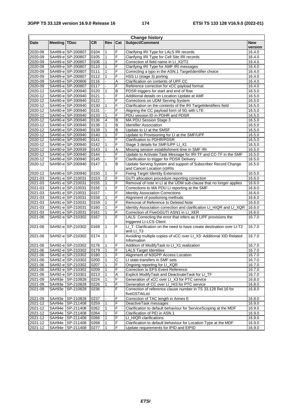| <b>Change history</b> |                     |                    |      |                |              |                                                                                              |            |
|-----------------------|---------------------|--------------------|------|----------------|--------------|----------------------------------------------------------------------------------------------|------------|
| <b>Date</b>           | <b>Meeting TDoc</b> |                    | CR.  | <b>Rev</b>     | Cat          | Subject/Comment                                                                              | <b>New</b> |
|                       |                     |                    |      |                |              |                                                                                              | version    |
| 2020-09               |                     | SA#89-e SP-200807  | 0104 | $\mathbf{1}$   | F            | Clarifying IRI Type for LALS IRI records                                                     | 16.4.0     |
| 2020-09               |                     | SA#89-e SP-200807  | 0105 | $\mathbf{1}$   | F            | Clarifying IRI Type for Cell Site IRI records                                                | 16.4.0     |
| 2020-09               |                     | SA#89-e SP-200807  | 0106 | $\mathbf{1}$   | F            | Correction of field name in LI_X2/T2                                                         | 16.4.0     |
| 2020-09               |                     | SA#89-e SP-200807  | 0110 | $\mathbf{1}$   | F            | Clarifying IRI Type for AMF IRI messages                                                     | 16.4.0     |
| 2020-09               |                     | SA#89-e SP-200807  | 0111 | 1              | F            | Correcting a typo in the ASN.1 TargetIdentifier choice                                       | 16.4.0     |
| 2020-09               |                     | SA#89-e SP-200807  | 0112 | $\mathbf{1}$   | F            | HSS LI (stage 3) porting                                                                     | 16.4.0     |
| 2020-09               |                     | SA#89-e SP-200806  | 0116 |                | A            | Clarification on contents of UPF CC                                                          | 16.4.0     |
| 2020-09               |                     | SA#89-e SP-200807  | 0117 |                | F            | Reference correction for xCC payload format                                                  | 16.4.0     |
| 2020-12               |                     | SA#90-e SP-200940  | 0120 | 1              | B            | PDSR triggers for start and end of flow                                                      | 16.5.0     |
| 2020-12               |                     | SA#90-e SP-200940  | 0121 |                | F            | Additional details on Location Update at AMF                                                 | 16.5.0     |
| 2020-12               |                     | SA#90-e SP-200940  | 0122 |                | F            | Corrections on UDM Serving System                                                            | 16.5.0     |
| 2020-12               |                     | SA#90-e SP-200940  | 0130 | 1              | F            | Clarification on the contents of the IRI TargetIdentifiers field                             | 16.5.0     |
| 2020-12               |                     | SA#90-e SP-200940  | 0131 |                | F            | Aligning the CC payload form of 5G with LTE                                                  | 16.5.0     |
| 2020-12               |                     | SA#90-e SP-200940  | 0133 | 1              | F            | PDU session ID in PDHR and PDSR                                                              | 16.5.0     |
| 2020-12               |                     | SA#90-e SP-200940  | 0136 | 4              | B            | MA PDU Session Stage 3                                                                       | 16.5.0     |
| 2020-12               |                     | SA#90-e SP-200940  | 0138 | $\mathbf{1}$   | B            | <b>Identifier Association</b>                                                                | 16.5.0     |
| 2020-12               |                     | SA#90-e SP-200940  | 0139 | $\mathbf{1}$   | B            | Update to LI at the SMSF                                                                     | 16.5.0     |
| 2020-12               |                     | SA#90-e SP-200940  | 0140 | $\mathbf{1}$   | F            | Update to Provisioning for LI at the SMF/UPF                                                 | 16.5.0     |
| 2020-12               |                     | SA#90-e SP-200940  | 0141 |                | F            | Clarification to PDHR/PDSR                                                                   | 16.5.0     |
| 2020-12               |                     | SA#90-e SP-200940  | 0142 | 1              | F            | Stage 3 details for SMF/UPF LI_X1                                                            | 16.5.0     |
| 2020-12               |                     | SA#90-e SP-200939  | 0143 | 1              | Α            | Missing session establishment time in SMF IRI                                                | 16.5.0     |
| 2020-12               |                     | SA#90-e SP-200940  | 0144 |                | F            | Update to Activate Task Message for IRI-TF and CC-TF in the SMF                              | 16.5.0     |
| 2020-12               |                     | SA#90-e SP-200940  | 0145 |                | F            | Clarification to trigger for PDSR Delivery                                                   | 16.5.0     |
| 2020-12               |                     | SA#90-e SP-200940  | 0147 | $\mathbf{1}$   | B            | Update Serving System and support of Subscriber Record Change                                | 16.5.0     |
|                       |                     |                    |      |                |              | and Cancel Location (x)IRIs                                                                  |            |
| 2020-12               |                     | SA#90-e SP-200940  | 0150 | 1              | F            | <b>Fixing Target Identity Extensions</b>                                                     | 16.5.0     |
| 2021-03               |                     | SA#91-e SP-210031  | 0153 | $\overline{2}$ | F            | GUTI allocation procedure reporting correction                                               | 16.6.0     |
| $2021 - 03$           |                     | SA#91-e SP-210031  | 0155 | $\mathbf{1}$   | F            | Removal of note in LI at the UDM sub-clause that no longer applies                           | 16.6.0     |
| 2021-03               |                     | SA#91-e SP-210031  | 0156 | 1              | F            | Corrections to MA PDU LI reporting at the SMF                                                | 16.6.0     |
| 2021-03               |                     | SA#91-e SP-210031  | 0157 |                | F            | <b>Identity Association Corrections</b>                                                      | 16.6.0     |
| 2021-03               |                     | SA#91-e SP-210031  | 0158 | 1              | F            | Alignment of positioning methods                                                             | 16.6.0     |
| 2021-03               |                     | SA#91-e SP-210031  | 0159 | $\mathbf{1}$   | F            | Removal of Reference to Deleted Note                                                         | 16.6.0     |
| 2021-03               |                     | SA#91-e SP-210031  | 0160 | $\mathbf{1}$   | F            |                                                                                              | 16.6.0     |
|                       |                     |                    | 0161 | $\mathbf{1}$   | F            | Identity Association correction and clarification LI_HIQR and LI_XQR                         |            |
| 2021-03               |                     | SA#91-e SP-210031  |      | $\mathbf{1}$   | F            | Correction of FiveGGUTI ASN1 in LI_XER                                                       | 16.6.0     |
| 2021-06               |                     | SA#92-e SP-210302  | 0167 |                |              | LALS: Correcting the error that infers as if LIPF provisions the<br>triggered LI-LCS Client  | 16.7.0     |
| 2021-06               |                     | SA#92-e SP-210302  | 0169 | $\mathbf{1}$   | F            | LI T: Clarification on the need to have create destination over LI-T2<br>and LI_T3           | 16.7.0     |
| 2021-06               |                     | SA#92-e SP-210302  | 0174 | $\mathbf{1}$   | F            | Avoiding multiple copies of xCC over LI_X3: Additional XID Related<br>Information            | 16.7.0     |
| 2021-06               |                     | SA#92-e SP-210302  | 0176 | $\mathbf{1}$   | F            | Addition of ModifyTask to LI_X1 realization                                                  | 16.7.0     |
| 2021-06               |                     | SA#92-e SP-210302  | 0179 | $\mathbf{1}$   | F            | <b>LALS Target Identities</b>                                                                | 16.7.0     |
| 2021-06               |                     | SA#92-e SP-210302  | 0180 | 1              |              | Alignment of N3GPP Access Location                                                           | 16.7.0     |
| 2021-06               |                     | SA#92-e SP-210302  | 0200 | $\mathbf{1}$   | $\mathsf{C}$ | LI state transfers in SMF sets                                                               | 16.7.0     |
| 2021-06               |                     | SA#92-e SP-210302  | 0207 | 1              | F            | Ongoing reporting for LI_XQR                                                                 | 16.7.0     |
| 2021-06               |                     | SA#92-e SP-210302  | 0209 | 1              | F            | Correction to EPS Event Reference                                                            | 16.7.0     |
| 2021-06               |                     | SA#92-e SP-210301  | 0213 | $\mathbf{1}$   | Α            | Explicit ModifyTask and DeactivateTask for LI_TF                                             | 16.7.0     |
|                       |                     |                    |      |                | F            |                                                                                              |            |
| 2021-09               |                     | SA#93e SP-210828   | 0224 |                | F            | Generation of xCC over LI_X3 for PTC service<br>Generation of CC over LI HI3 for PTC service | 16.8.0     |
| 2021-09               |                     | SA#93e SP-210828   | 0226 | 1              | F            | Correction of reference clause number in TS 33.128 Rel.16 for                                | 16.8.0     |
| 2021-09               |                     | SA#93e SP-210828   | 0236 |                |              | fiveGSTAIList                                                                                | 16.8.0     |
| 2021-09               |                     | SA#93e SP-210828   | 0237 |                | F            | Correction of TAC length in Annex E                                                          | 16.8.0     |
| 2021-12               |                     | SA#94e SP-211408   | 0259 |                | F            | DeactiveTask messages                                                                        | 16.9.0     |
| 2021-12               |                     | SA#94e SP-211408   | 0262 | 1              | F            | Clarification to default behaviour for ServiceScoping at the MDF                             | 16.9.0     |
| 2021-12               |                     | SA#94e SP-211408   | 0264 | 1              | F            | Clarification of PEI in ASN.1                                                                | 16.9.0     |
| 2021-12               |                     | SA#94e SP-211408   | 0266 | 1              | F            | LI_HIQR clarifications                                                                       | 16.9.0     |
| 2021-12               |                     | SA#94e SP-211408   | 0268 |                | F            | Clarification to default behaviour for Location Type at the MDF                              | 16.9.0     |
| 2021-12               |                     | SA#94e   SP-211408 | 0277 | $\mathbf{1}$   | F            | Update requirements for IPID and EIPID                                                       | 16.9.0     |